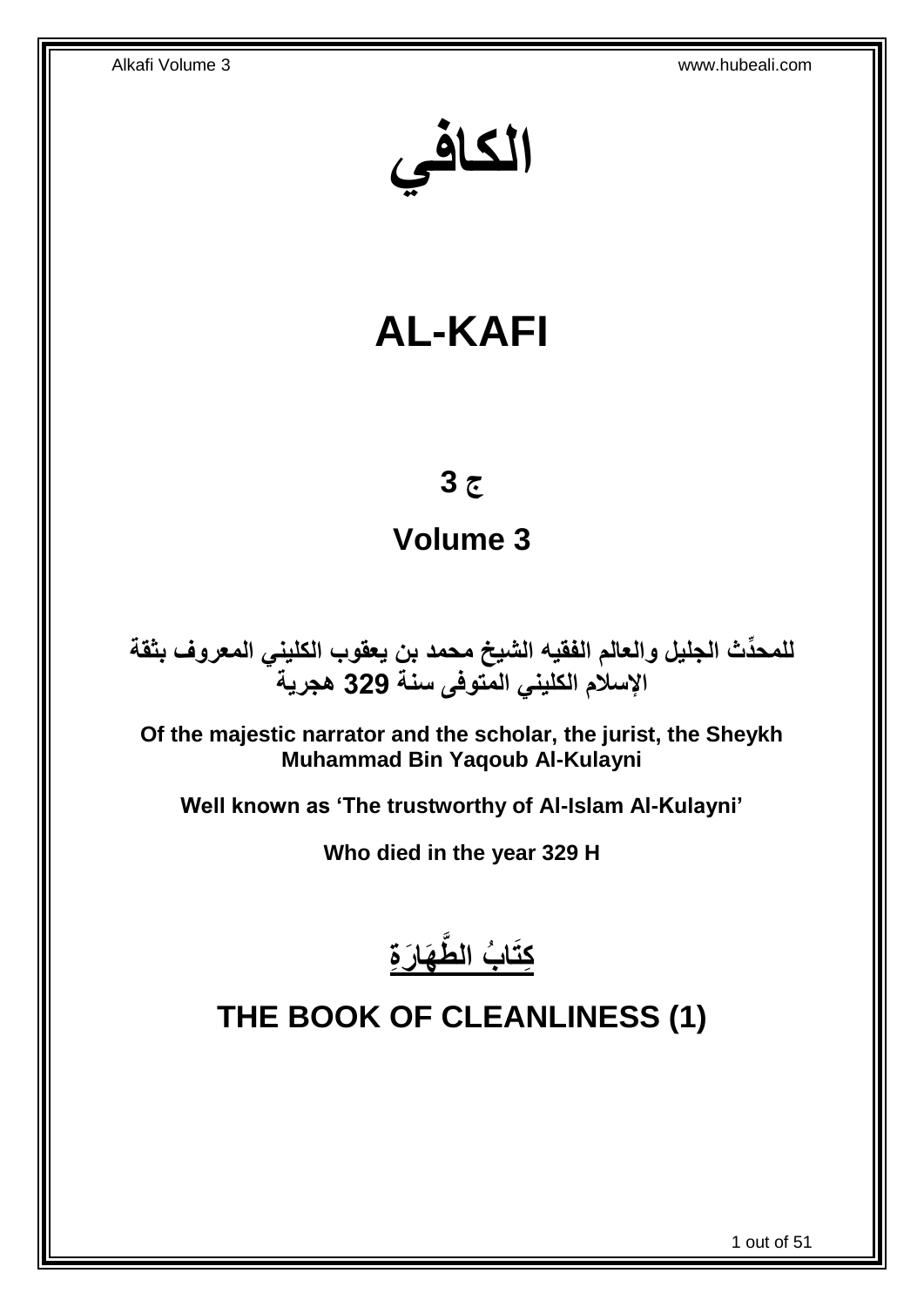**الكافي**

# **AL-KAFI**

# **ج 3**

# **Volume 3**

**دث الجليل والعالم الفقيه الشيخ محمد بن يعقوب الكليني المعروف بثقة للمح ِّ اإلسالم الكليني المتوفى سنة 329 هجرية**

**Of the majestic narrator and the scholar, the jurist, the Sheykh Muhammad Bin Yaqoub Al-Kulayni**

**Well known as 'The trustworthy of Al-Islam Al-Kulayni'**

**Who died in the year 329 H**



# <span id="page-0-0"></span>**THE BOOK OF CLEANLINESS (1)**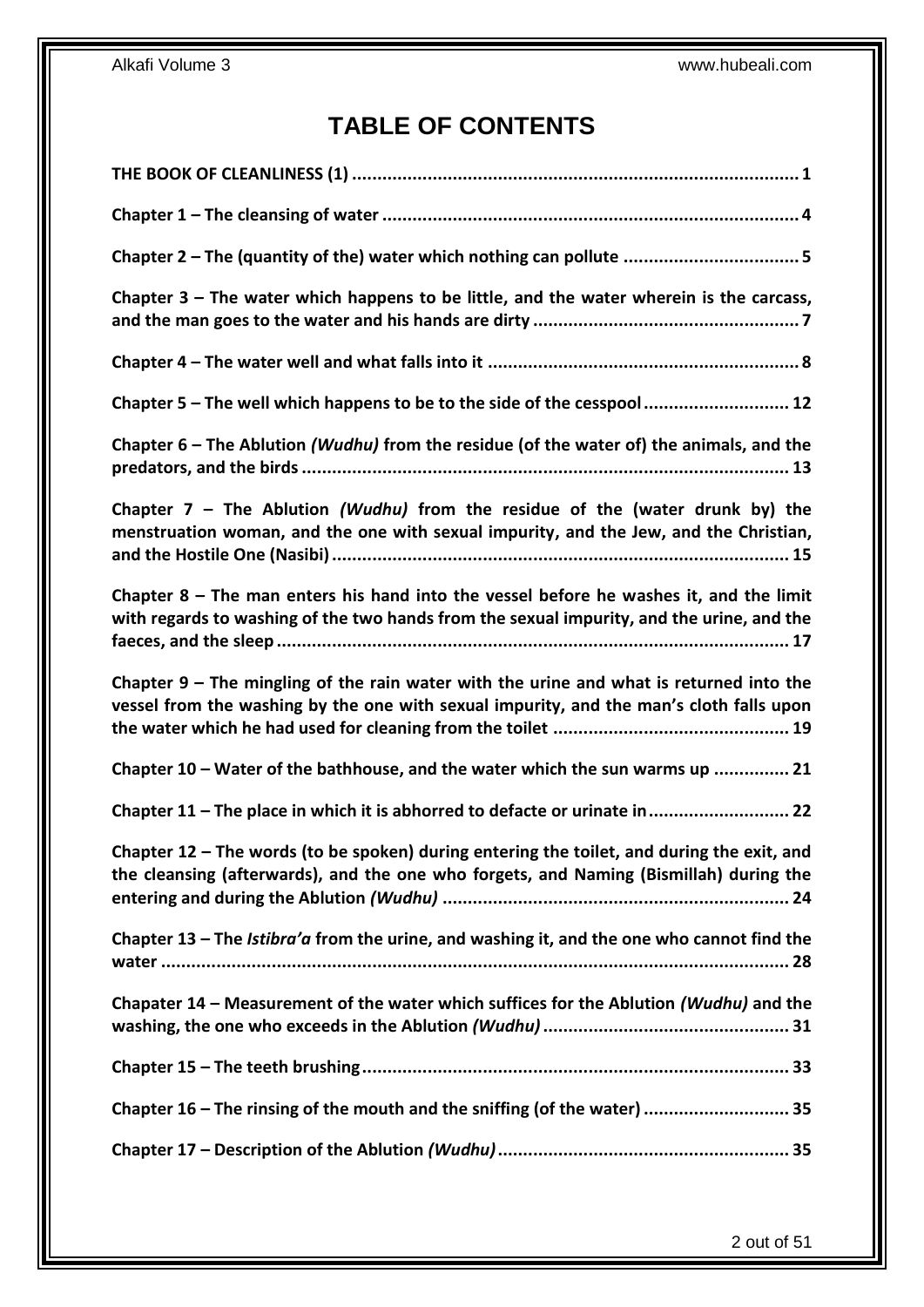# **TABLE OF CONTENTS**

| Chapter $3$ – The water which happens to be little, and the water wherein is the carcass,                                                                                             |
|---------------------------------------------------------------------------------------------------------------------------------------------------------------------------------------|
|                                                                                                                                                                                       |
| Chapter 5 - The well which happens to be to the side of the cesspool 12                                                                                                               |
| Chapter 6 – The Ablution (Wudhu) from the residue (of the water of) the animals, and the                                                                                              |
| Chapter 7 - The Ablution (Wudhu) from the residue of the (water drunk by) the<br>menstruation woman, and the one with sexual impurity, and the Jew, and the Christian,                |
| Chapter $8$ – The man enters his hand into the vessel before he washes it, and the limit<br>with regards to washing of the two hands from the sexual impurity, and the urine, and the |
| Chapter $9$ – The mingling of the rain water with the urine and what is returned into the<br>vessel from the washing by the one with sexual impurity, and the man's cloth falls upon  |
| Chapter 10 - Water of the bathhouse, and the water which the sun warms up  21                                                                                                         |
|                                                                                                                                                                                       |
| Chapter 11 - The place in which it is abhorred to defacte or urinate in  22                                                                                                           |
| Chapter 12 - The words (to be spoken) during entering the toilet, and during the exit, and<br>the cleansing (afterwards), and the one who forgets, and Naming (Bismillah) during the  |
| Chapter 13 - The Istibra'a from the urine, and washing it, and the one who cannot find the                                                                                            |
| Chapater 14 - Measurement of the water which suffices for the Ablution (Wudhu) and the                                                                                                |
|                                                                                                                                                                                       |
| Chapter 16 - The rinsing of the mouth and the sniffing (of the water)  35                                                                                                             |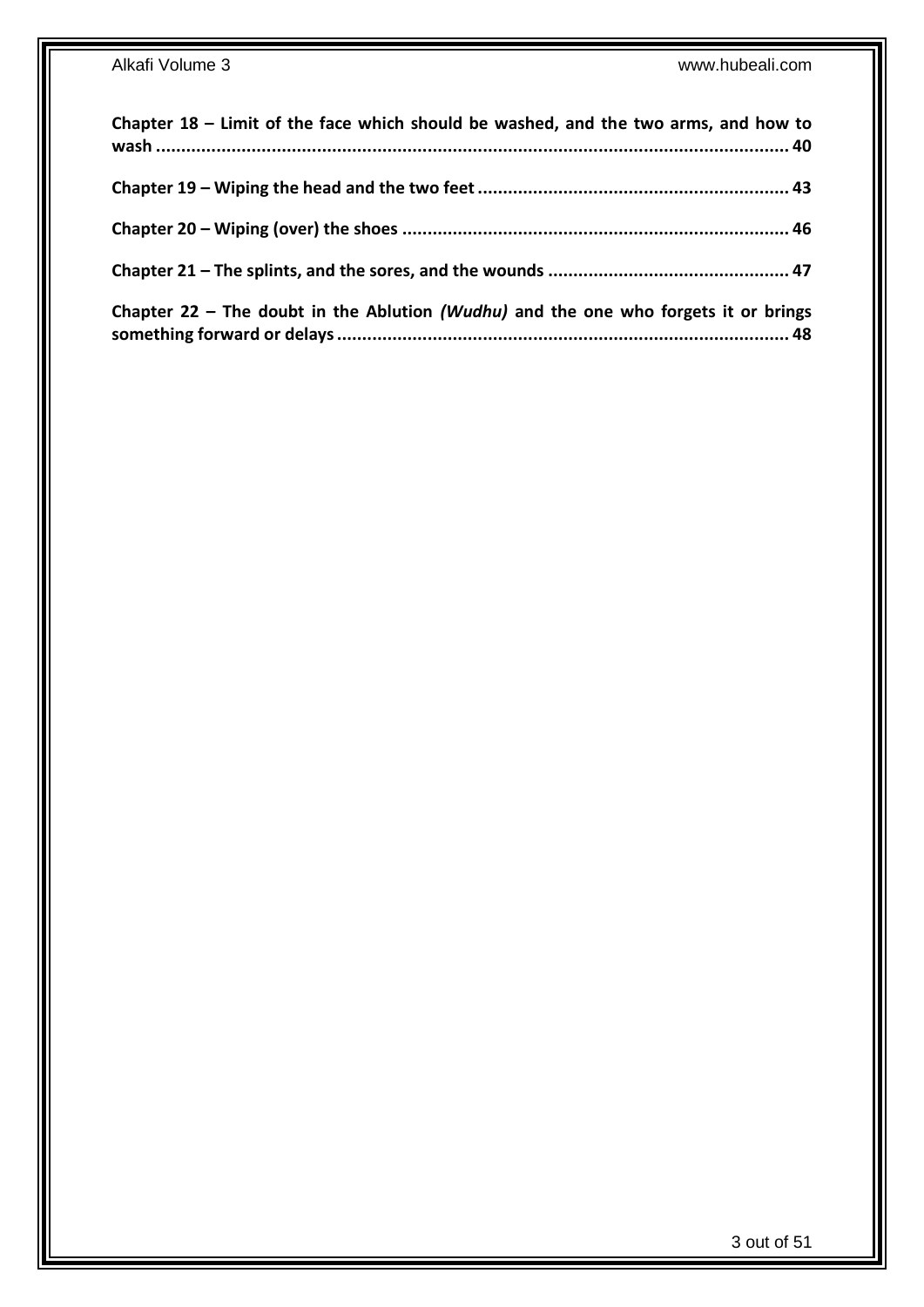| Chapter 18 - Limit of the face which should be washed, and the two arms, and how to |  |
|-------------------------------------------------------------------------------------|--|
|                                                                                     |  |
|                                                                                     |  |
|                                                                                     |  |
| Chapter 22 – The doubt in the Ablution (Wudhu) and the one who forgets it or brings |  |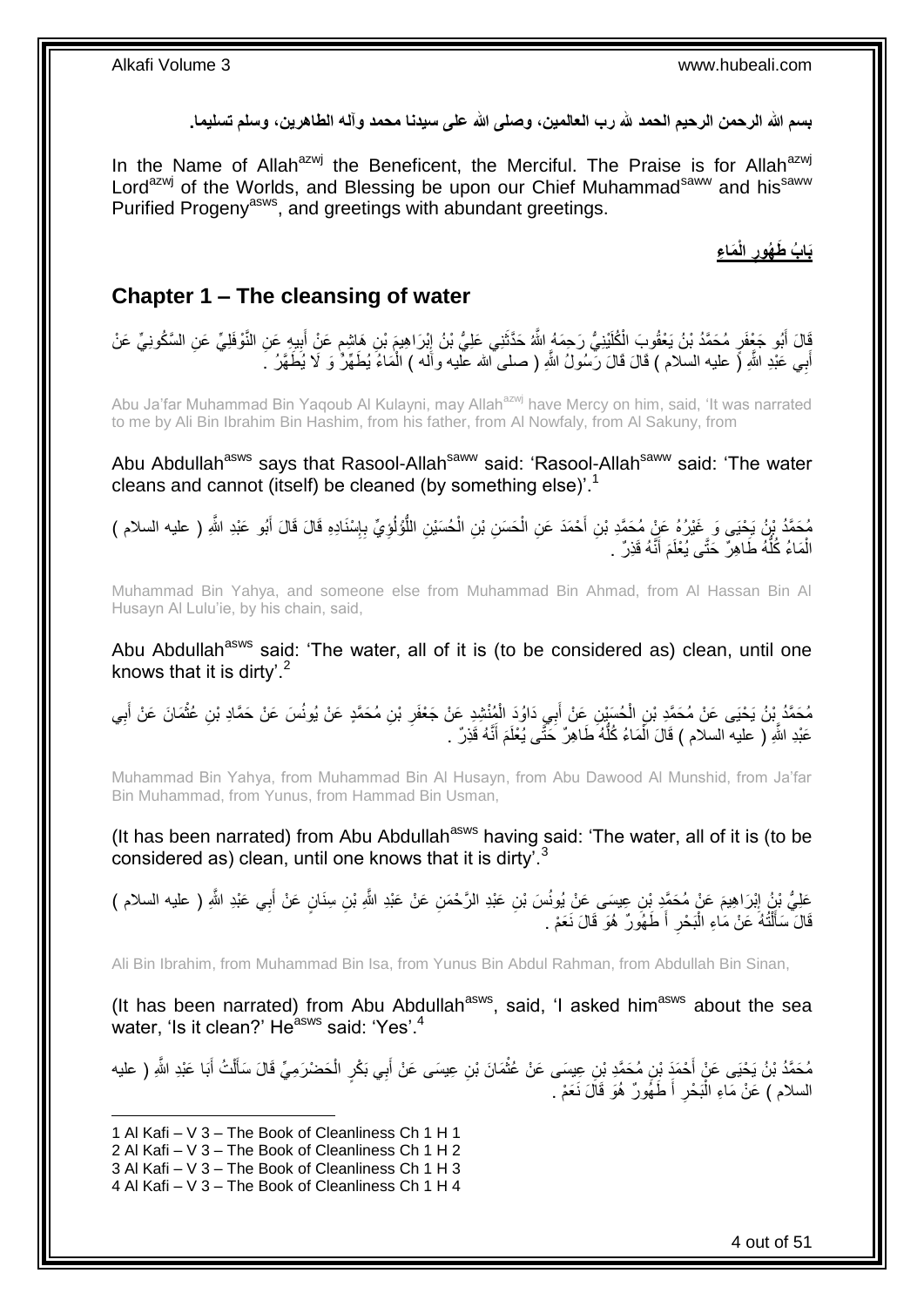بسم الله الرحمن الرحيم الحمد لله رب العالمين، وصلى الله على سيدنا محمد وآله الطاهرين، وسلم تسليما<sub>.</sub>

In the Name of Allah<sup>azwj</sup> the Beneficent, the Merciful. The Praise is for Allah<sup>azwj</sup> Lord<sup>azwj</sup> of the Worlds, and Blessing be upon our Chief Muhammad<sup>saww</sup> and his<sup>saww</sup> Purified Progeny<sup>asws</sup>, and greetings with abundant greetings.

> **َما ِء الْ َبا ُب َط ُهور ِ**

## <span id="page-3-0"></span>**Chapter 1 – The cleansing of water**

َفَالَ أَبُو جَعْفَرٍ مُحَمَّدُ بْنُ يَعْقُوبَ الْكُلَّئِذِيُّ رَحِمَهُ اللَّهُ حَدَّثَنِي عَلِيُّ بْنُ إِبْرَاهِيمَ بْنِ هَاشِمٍ عَنْ أَبِيهِ عَنِ النَّوْفَلِيِّ عَنِ السَّكُونِيِّ عَنْ ِ َ ِ َ ֧֠<sup>֓</sup>֧֓׆ أَبِي عَبْدِ اللَّهِ (َ عليه السلام ) قَالَ قَالَ رَّسُولُ اللَّهِ ( صلى ّالله عليه وأله ) الْمَاءُ يُطَهِّرُ ۚ وَ لَا يُطَهَّرُ ۚ وَ َ ْ

Abu Ja'far Muhammad Bin Yaqoub Al Kulayni, may Allah<sup>azwj</sup> have Mercy on him, said, 'It was narrated to me by Ali Bin Ibrahim Bin Hashim, from his father, from Al Nowfaly, from Al Sakuny, from

Abu Abdullah<sup>asws</sup> says that Rasool-Allah<sup>saww</sup> said: 'Rasool-Allah<sup>saww</sup> said: 'The water cleans and cannot (itself) be cleaned (by something else)'.<sup>1</sup>

ِ مُحَمَّدُ بِنُ يَجْيَى وَ غَيْرُهُ عَنْ مُحَمَّدِ بْنِ أَحْمَدَ عَنِ الْحَسَنِ بْنِ الْحُسَيْنِ اللَّؤُلُوِيِّ بِإِسْنَادِهِ قَالَ قَالَ أَبُو عَبْدِ اللَّهِ ( عليه السلام ) ِ ِ ُّ ْ ْ َ الْمَاءُ كُلَّهُ طَاهِرٌ حَتَّى يُعْلَمَ أَنَّهُ قَذِرٌ . َ ُّ ْ

Muhammad Bin Yahya, and someone else from Muhammad Bin Ahmad, from Al Hassan Bin Al Husayn Al Lulu'ie, by his chain, said,

Abu Abdullah<sup>asws</sup> said: 'The water, all of it is (to be considered as) clean, until one knows that it is dirty'.<sup>2</sup>

مُحَمَّدُ بِنُ يَحْيَى عَنْ مُحَمَّدِ بْنِ الْحُسَيْنِ عَنْ أَبِي دَاوُدَ الْمُنْشِدِ عَنْ جَعْفَرِ بْنِ مُحَمَّدٍ عَنْ يُونُسَ عَنْ حَمَّادِ بْنِ عُثْمَانَ عَنْ أَبِي<br>. ِ ْ َ ْ **ٔ** ِ َ عَبْدِ اللَّهِ ( عليه السلام ) قَالَ الْمَاءُ كُلُّهُ طَاهِرٌ حَتَّى يُعْلَمَ أَنَّهُ قَذِرٌ . َ ُّ ْ

Muhammad Bin Yahya, from Muhammad Bin Al Husayn, from Abu Dawood Al Munshid, from Ja'far Bin Muhammad, from Yunus, from Hammad Bin Usman,

(It has been narrated) from Abu Abdullah<sup>asws</sup> having said: 'The water, all of it is (to be considered as) clean, until one knows that it is dirty'.<sup>3</sup>

عَلِيُّ بْنُ إِبْرَاهِيمَ عَنْ مُحَمَّدٍ بْنِ عِيسَى عَنْ يُونُسَ بْنِ عَبْدِ الرَّحْمَنِ عَنْ عَبْدِ اللَّهِ بْنِ سِنَانٍ عَنْ أَبِي عَبْدِ اللَّهِ ( عليه السلام ) ِ َ قَالَ سَأَلْتُهُ عَنْ مَاءِ الْبَحْرِ أَ طَهُورٌ ۚ هُوَ قَالَ نَعَمْ . ِ ر<br>ا ֺ֦֦֪֦֧֦֦֖֦֦֪֦֧֦֪֦֧֦֪֪֦֧֦֪֦֪֪֦֧֦֪֦֧֦֧֦֪֦֧֦֧֦֪֪֦֧֪֦֧֪֦֧֦֧֦֧֝֟֟֟֟֟֟֟֟֟֟֟֟֟֟֟֟֟֟֟֟֟֟֓֕֬֟֓֡֟֓֟֓֞֟֟֓֞֟֟֟֟֟֟֟֩֓֞֟֟֟֟֟֟ َ

Ali Bin Ibrahim, from Muhammad Bin Isa, from Yunus Bin Abdul Rahman, from Abdullah Bin Sinan,

(It has been narrated) from Abu Abdullah<sup>asws</sup>, said, 'I asked him<sup>asws</sup> about the sea water, 'Is it clean?' He<sup>asws</sup> said: 'Yes'.<sup>4</sup>

مُحَمَّدُ بْنُ يَحْيَى عَنْ أَحْمَدَ بْنِ مُحَمَّدِ بْنِ عِيسَى عَنْ عُثْمَانَ بْنِ عِيسَى عَنْ أَبِي بَكْرٍ الْحَضْرَمِيِّ قَالَ سَأَلْتُ أَبَا عَبْدِ اللَّهِ ( عليه ْ َ ْ َ ْ اً<br>أ السلام ) عَنْ مَاءِ الْمَبْحْرِ أَ طَهُورٌ هُوَ قَالَ نَعَمْ ـ **∶** ْ

<sup>1</sup> Al Kafi – V 3 – The Book of Cleanliness Ch 1 H 1

<sup>2</sup> Al Kafi – V 3 – The Book of Cleanliness Ch 1 H 2

<sup>3</sup> Al Kafi – V 3 – The Book of Cleanliness Ch 1 H 3

<sup>4</sup> Al Kafi – V 3 – The Book of Cleanliness Ch 1 H 4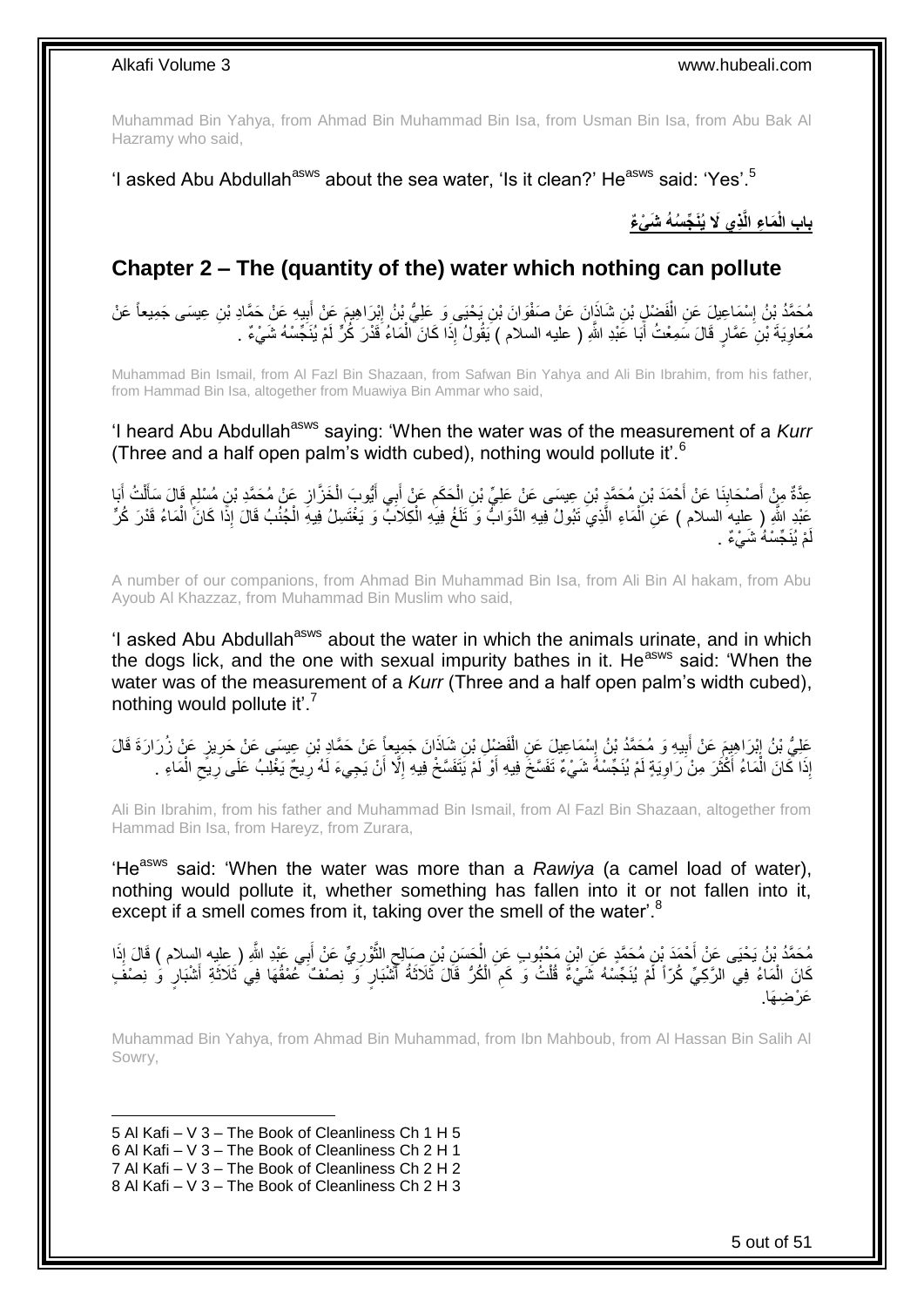Muhammad Bin Yahya, from Ahmad Bin Muhammad Bin Isa, from Usman Bin Isa, from Abu Bak Al Hazramy who said,

'I asked Abu Abdullah<sup>asws</sup> about the sea water, 'Is it clean?' He<sup>asws</sup> said: 'Yes'.<sup>5</sup>

باب الْمَاعِ الَّذِي لَا يُنَجِّسُهُ شَىْءٌ

## <span id="page-4-0"></span>**Chapter 2 – The (quantity of the) water which nothing can pollute**

مُحَمَّدُ بْنُ إِسْمَاعِيلَ عَنِ الْفَضْلِ بْنِ شَاذَإِنَ عَنْ صَفْوَانَ بْنِ يَحْيَى وَ عَلِيُّ بْنُ إِبْرَاهِيمَ عَنْ أَبِيهِ عَنْ حَمَّادِ بْنِ عِيسَى جَمِيعاً عَنْ ِ َ ِ ْ مُعَاوِيَةَ بْنِ عَمَّارٍ قَالَ سَمِعْتُ أَبَا عَبْدِ اللَّهِ ( عليه السلام ) يَقُولُ إِذَا كَانَ أَلْمَاءُ قَدْرَ كُلِّ لَمْ يُنَجِّسْهُ شَيْءٌ . ْ َ ِ

Muhammad Bin Ismail, from Al Fazl Bin Shazaan, from Safwan Bin Yahya and Ali Bin Ibrahim, from his father, from Hammad Bin Isa, altogether from Muawiya Bin Ammar who said,

'I heard Abu Abdullah<sup>asws</sup> saying: 'When the water was of the measurement of a Kurr (Three and a half open palm's width cubed), nothing would pollute it'.<sup>6</sup>

عِدَّةٌ مِنْ أَصْحَابِنَا عَنْ أَحْمَدَ بْنِ مُحَمَّدٍ بْنِ عِيسَى عَنْ عَلِيِّ بْنِ الْحَكَمِ عَنْ أَبِي أَيُّوبَ الْخَزَّازِ عَنْ مُحَمَّدِ بْنِ مُسْلِمٍ قَالَ سَأَلْتُ أَبَا **∣** َ ِ ْ َ ِ ْ َ َ ْ َ ہ<br>پا عَبْدِ اللَّهِ ( عِليه السلام ) عَنِ اَلْمَاءِ الَّذِي تَبُولُ فِيهِ الدَّوَابُّ وَ تَلَغُ فِيهِ الْكِلَابُ وَ يَغْتَسِلُ فِيهِ الْجُنُبُ قَالَ إِذَا كَانَ الْمَاءُ قَدْرَ كُلِّ ْ َّ ْ ْ ْ لَمْ يُنَجِّسْهُ شَيْءٌ .

A number of our companions, from Ahmad Bin Muhammad Bin Isa, from Ali Bin Al hakam, from Abu Ayoub Al Khazzaz, from Muhammad Bin Muslim who said,

'I asked Abu Abdullah<sup>asws</sup> about the water in which the animals urinate, and in which the dogs lick, and the one with sexual impurity bathes in it. He<sup>asws</sup> said: 'When the water was of the measurement of a *Kurr* (Three and a half open palm's width cubed), nothing would pollute it'.<sup>7</sup>

عَلِيُّ بْنُ إِبْرَاهِيمَ عَنْ أَبِيهِ وَ مُحَمَّدُ بْنُ إِسْمَاعِيلَ عَنِ الْفَضْلِ بْنِ شَاذَانَ جَمِيعاً عَنْ حَمَّادٍ بْنِ عِيسَى عَنْ حَرِيزٍ عَنْ زُرَارَةَ قَالَ<br>. ْ ِ **!** ِ إِذَا كَانَ الْمَاءُ أَكْثَرَ مِنْ رَاوِيَةٍ لَمْ يُنَجِّسْهُ شَيْءٌ نَفَسَّخُ فِيهِ أَوْ لَمْ يَنَفَسَّخْ فِيهِ إِلَّا أَنْ يَجِيءَ لَهُ رِيحٌ يَغْلِبُ عَلَى رِيحِ الْمَاءِ . ِ ة<br>ا َ ْ َ اُ ِ ْ ِ ِ ِ

Ali Bin Ibrahim, from his father and Muhammad Bin Ismail, from Al Fazl Bin Shazaan, altogether from Hammad Bin Isa, from Hareyz, from Zurara,

'He<sup>asws</sup> said: 'When the water was more than a *Rawiya* (a camel load of water), nothing would pollute it, whether something has fallen into it or not fallen into it, except if a smell comes from it, taking over the smell of the water'.<sup>8</sup>

مُحَمَّدُ بْنُ يَحْيَى عَنْ أَحْمَدَ بْنِ مُحَمَّدٍ عَنِ ابْنِ مَخْبُوبٍ عَنِ الْحَسَنِ بْنِ صَالِحٍ الثَّوْرِيِّ عَنْ أَبِي عَبْدِ اللَّهِ ( عِليه السلام ) قَالَ إِذَا َ َ **∶** َّ ٍ ْ كَانَ الْمَاءُ فِي الرَّكِيِّ كُرّاً لَمْ يُنَجِّسْهُ شَيْءٌ قُلْتُ وَ كَمِ الْكُرُّ قَالَ ثَلَاثَةُ أَشْبَارٍ وَ نِصْفَ ۖ عُمْقُهَا فِي ثَلَاثَةِ أَشْبَارٍ وَ لَ ْ َ َ ِ ْ َ َ عَرْضِهَا.

Muhammad Bin Yahya, from Ahmad Bin Muhammad, from Ibn Mahboub, from Al Hassan Bin Salih Al Sowry,

1 Al Kafi – V 3 – The Book of Cleanliness Ch 1 H 5 Al Kafi – V 3 – The Book of Cleanliness Ch 2 H 1 Al Kafi – V 3 – The Book of Cleanliness Ch 2 H 2 Al Kafi – V 3 – The Book of Cleanliness Ch 2 H 3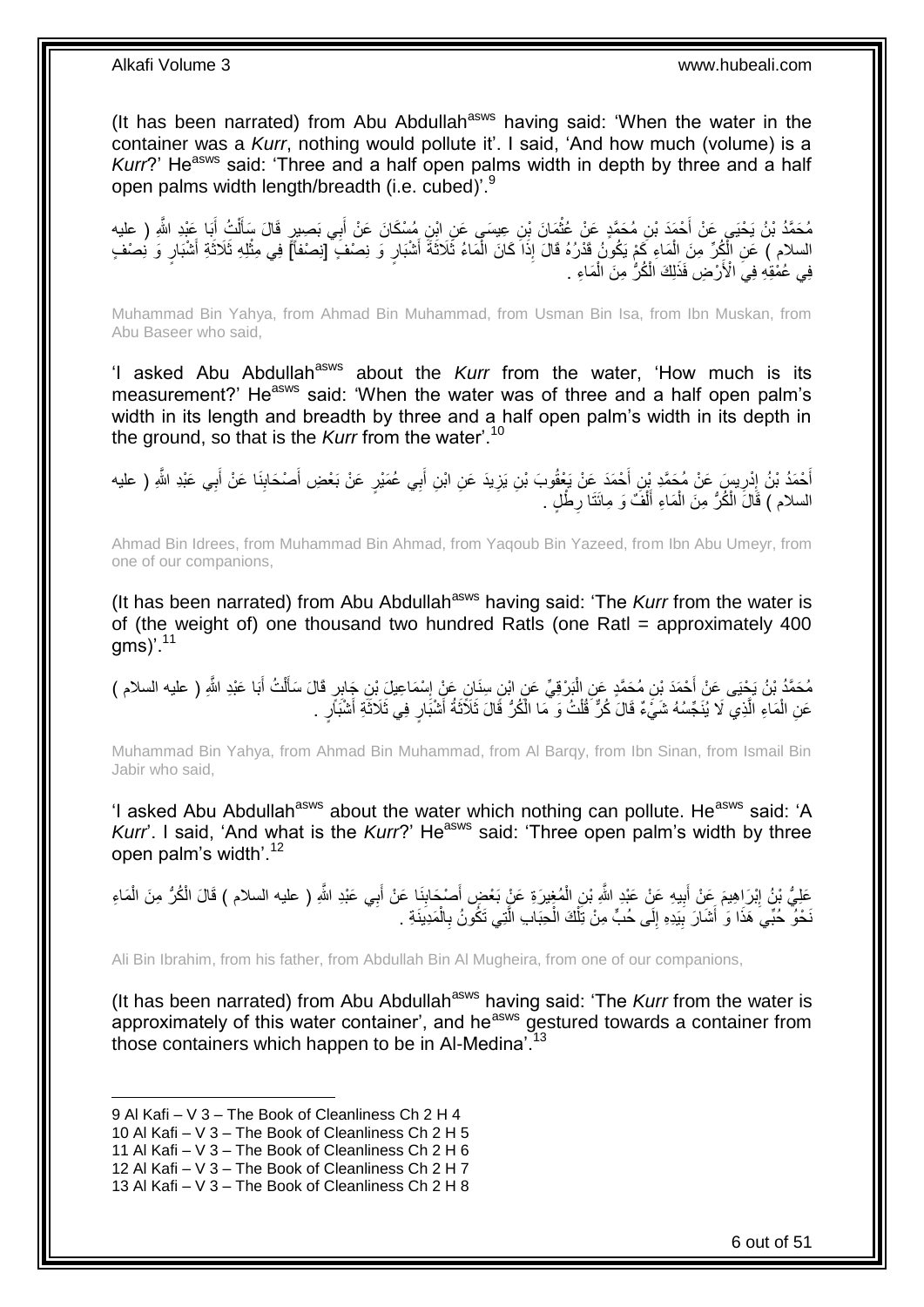(It has been narrated) from Abu Abdullah<sup>asws</sup> having said: 'When the water in the container was a *Kurr*, nothing would pollute it'. I said, 'And how much (volume) is a *Kurr*?' He<sup>asws</sup> said: 'Three and a half open palms width in depth by three and a half open palms width length/breadth (i.e. cubed)<sup>'.9</sup>

مُحَمَّدُ بْنُ يَحْيَى عَنْ أَحْمَدَ بْنِ مُحَمَّدٍ عَنْ عُثْمَانَ بْنِ عِيسَى عَنِ ابْنِ مُسْكَانَ عَنْ أَبِي بَصِيرٍ قَالَ سَأَلْتُ أَبَا عَبْدِ اللَّهِ ( عليه<br>. **ٔ** َ ْ َ َ السلامِ ﴾ عَنِ الْمُكِنِّ مِنَ الْمَاءِ كُمْ يَكُونُ قَذَّرُهُ قَالَ إِذَاً كَانَ الْمَاءُ ثَلاَثَةً أَشْبَارٍ وَ نِصْفَا ۖ وَ سَنْفَا وَ وَ سَنْفَا وَ وَ فَصْفَا وَ وَ فَصْفَا وَ وَ فَصْف َ ْ ْ َ َ فِي عُمْقِهِ فِيِّ الْأَرْضِ فَذَلِكَ الْكُرُّ مِنَ الْمَاءِ ۚ. ْ

Muhammad Bin Yahya, from Ahmad Bin Muhammad, from Usman Bin Isa, from Ibn Muskan, from Abu Baseer who said,

'I asked Abu Abdullah<sup>asws</sup> about the *Kurr* from the water, 'How much is its measurement?' He<sup>asws</sup> said: 'When the water was of three and a half open palm's width in its length and breadth by three and a half open palm's width in its depth in the ground, so that is the *Kurr* from the water<sup>'.10</sup>

َ أَحْمَدُ بْنُ إِدْرِيسَ عَنْ مُحَمَّدِ بْنِ أَحْمَدَ عَنْ يَعْقُوبَ بْنِ يَزِيدَ عَنِ ابْنِ أَبِي عُمَيْرٍ عَنْ بَعْضِ أَصنحَابِنَا عَنْ أَبِي عَبْدِ اللَّهِ ( عليه ِ יִן<br>∶ َ ِ َ ِ السلام ) قَمَلَ الْمُكِّرُ مِنَ الْمَاءِ أَلْفَّ وَ مِائَتَا رِطْلٍ ۚ ـِ ِ ْ َ ْ

Ahmad Bin Idrees, from Muhammad Bin Ahmad, from Yaqoub Bin Yazeed, from Ibn Abu Umeyr, from one of our companions,

(It has been narrated) from Abu Abdullah<sup>asws</sup> having said: 'The *Kurr* from the water is of (the weight of) one thousand two hundred Ratls (one Ratl = approximately 400 ams)'. $11$ 

مُحَمَّدُ بْنُ يَجْيَى عَنْ أَحْمَدَ بْنِ مُحَمَّدٍ عَنِ الْبَرْقِيِّ عَنِ ابْنِ سِنَانِ عَنْ إِسْمَاعِيلَ بْنِ جَابِرٍ قَالَ سَأَلْتُ أَبَا عَبْدِ اللَّهِ ( عليه السلام )<br>. َ ْ ĺ ِ :<br>ا عَنِ الْمَاءِ الَّذِي لَا يُنَجِّسُهُ شَيَّءٌ قَالَ كُنٌّ قُلْتُ وَ مَا الْكُنُّ قَالَ ثَلَاّثَةُ أَشْبَارٍ فِي ثَلَاثَةِ أَشْبَارٍ . َّ ْ َ َ َ ْ َ

Muhammad Bin Yahya, from Ahmad Bin Muhammad, from Al Barqy, from Ibn Sinan, from Ismail Bin Jabir who said,

'I asked Abu Abdullah<sup>asws</sup> about the water which nothing can pollute. He<sup>asws</sup> said: 'A *Kurr*'. I said, 'And what is the *Kurr*?' He<sup>asws</sup> said: 'Three open palm's width by three open palm's width'.<sup>12</sup>

```
عَلِيُّ بْنُ إِبْرَاهِيمَ عَنْ أَبِيهِ عَنِْ عَبْدٍ اللَّهِ بْنِ الْمُغِيرَةِ عَنٍْ بَعْضٍ أَصْبِحَابِذَا عَنْ أَبِي عَبْدِ اللَّهِ ( عليه السلام ) قَالَ الْكُرُّ مِنَ الْمَاءِ
                                                                      َ
                                                                                   !
                                                                                            َ
                                                                                                                           ْ
                                                                                                                                                            ِ
                                                                                                                                                             َ
                                                                                                                                                                                 ِ
ْ
                                                                            نَحْوُ حُبِّيَ هَذَا وَ أَشَارَ بِيَدِهِ إِلَى حُبٍّ مِنْ تِلْكَ الْحِبَابِ الَّتِي تَكُونُ بِالْمَدِينَةِ .
                                                                                       ْ
                                                                                         ِ
                                                                                                          َّ
                                                                                                                       ْ
                                                                                                                              ْ
                                                                                                                                                    \frac{1}{2}!
                                                                                                                                                                    َ
```
Ali Bin Ibrahim, from his father, from Abdullah Bin Al Mugheira, from one of our companions,

(It has been narrated) from Abu Abdullah<sup>asws</sup> having said: 'The *Kurr* from the water is approximately of this water container', and he<sup>asws</sup> gestured towards a container from those containers which happen to be in Al-Medina'.<sup>13</sup>

<sup>9</sup> Al Kafi – V 3 – The Book of Cleanliness Ch 2 H 4

<sup>10</sup> Al Kafi – V 3 – The Book of Cleanliness Ch 2 H 5

<sup>11</sup> Al Kafi – V 3 – The Book of Cleanliness Ch 2 H 6

<sup>12</sup> Al Kafi – V 3 – The Book of Cleanliness Ch 2 H 7

<sup>13</sup> Al Kafi – V 3 – The Book of Cleanliness Ch 2 H 8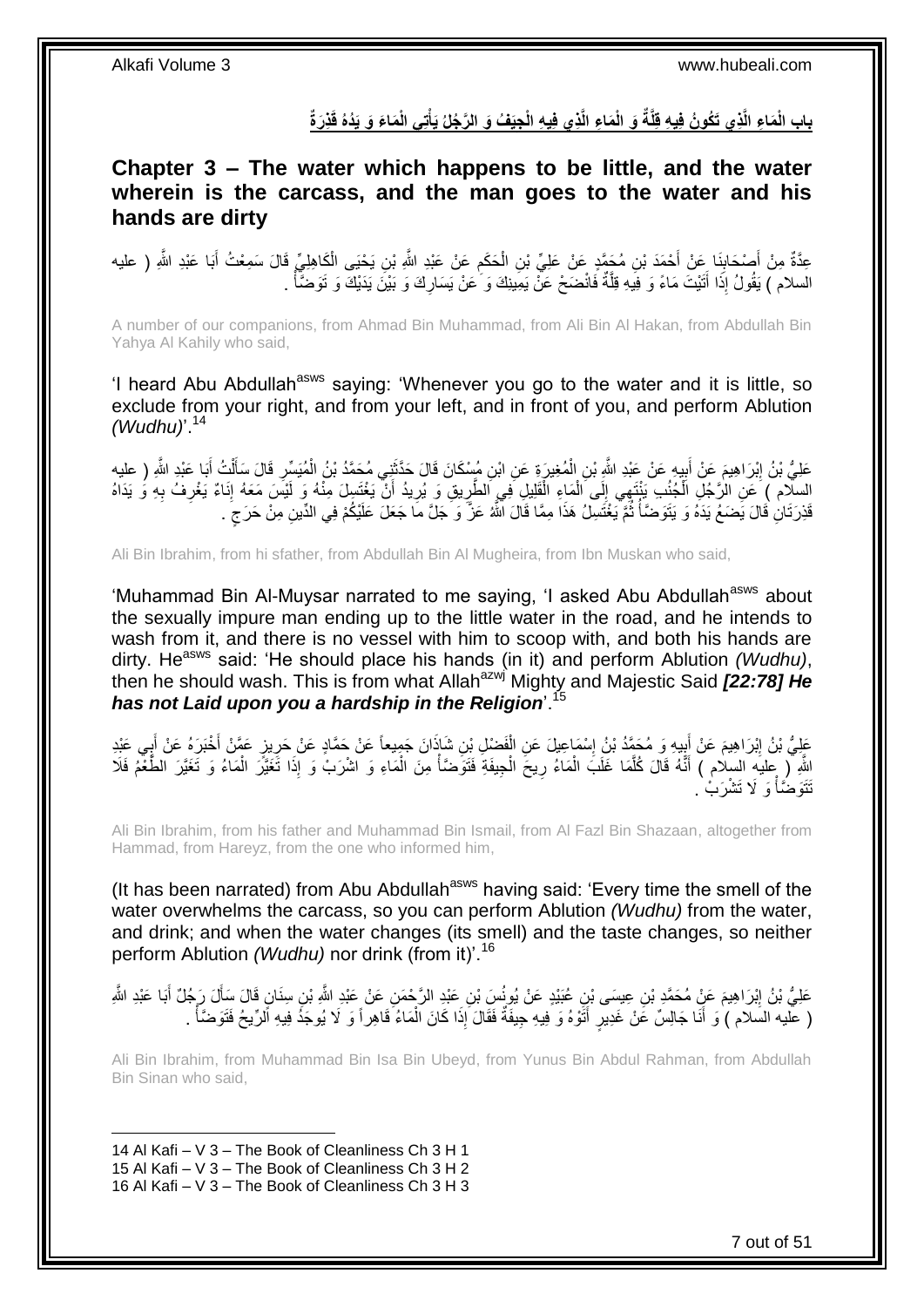باب الْمَاءِ الَّذِي تَكُونُ فِيهِ قِلَّةٌ وَ الْمَاءِ الَّذِي فِيهِ الْجِيَفُ وَ الرَّجُلُ يَأْتِى الْمَاءَ وَ يَدُهُ قَذِرَةٌ **ْ**

<span id="page-6-0"></span>**Chapter 3 – The water which happens to be little, and the water wherein is the carcass, and the man goes to the water and his hands are dirty**

عِدَّةٌ مِنْ أَصْحَابِذَا عَنْ أَحْمَدَ بْنِ مُجَمَّدٍ عَنْ عَلِيٍّ بْنِ الْحَكَمِ عَنْ عَبْدِ اللَّهِ بْنِ يَحْيَى الْكَاهِلِيِّ قَالَ سَمِعْتُ أَبَا عَبْدِ اللَّهِ ( عليه ِ ْ َ **∣** َ َ ْ السلام ) يَقُولُ إِذَا أَتَيْتَ مَاءً وَ فِيَهِ قِلَّةٌ فَانْضَحْ عَنّْ يَمِينِكَ وَ َعَنْ يَسَارِكَ وَ بَيْنَ يَدَيْكَ وَ تَوَضَّأُ . **∶** َّ َ ْ

A number of our companions, from Ahmad Bin Muhammad, from Ali Bin Al Hakan, from Abdullah Bin Yahya Al Kahily who said,

'I heard Abu Abdullah<sup>asws</sup> saying: 'Whenever you go to the water and it is little, so exclude from your right, and from your left, and in front of you, and perform Ablution *(Wudhu)*'. 14

عَلِيُّ بْنُ إِبْرَاهِيمَ عَنْ أَبِيهِ عَنْ عَبْدِ اللَّهِ بْنِ الْمُغِيرَةِ عَنِ ابْنِ مُسْكَانَ قَالَ حَذَّنَتِي مُحَمَّدُ بْنُ الْمُيَسِّرِ قَالَ سَأَلْتُ أَبَا عَبْدِ اللَّهِ ( عليه َ ْ ¦<br>? <u>֖֓</u> َ ْ ĺ ِ ْ السلّام ) عَنِ الْرَّجُلِ الْجُنُبِ يَنْتَهِي إِلَى الْمَاءِ الْقَلِيلِ فِي الطُّرِيقِ وَ يُرِيدُ أَنّْ يَغْتَسِلَ مِنْهُ وَ لَيْسَ مَعَهُ إِنَاءٌ يَغْرِفُ بِهِ وَ يَدَاهُ ْ ْ ِ ْ ِ ِ ِ اُ ِ ِ قَذِرَ ثَانِ قَالَ يَصْنَعُ يَدَهُ وَ يَتَوَصَّأُ ثُمَّ يَغْتَسِلُ هَذَا مِمَّا قَالَ اللَّهُ عَزَّ وَ جَلَّ مَا جَعَلَ عَلَيْكُمْ فِي الدِّينِ مِنْ حَرَجٍ . ا<br>" ا<br>ا ٍ

Ali Bin Ibrahim, from hi sfather, from Abdullah Bin Al Mugheira, from Ibn Muskan who said,

'Muhammad Bin Al-Muysar narrated to me saying, 'I asked Abu Abdullah<sup>asws</sup> about the sexually impure man ending up to the little water in the road, and he intends to wash from it, and there is no vessel with him to scoop with, and both his hands are dirty. He<sup>asws</sup> said: 'He should place his hands (in it) and perform Ablution *(Wudhu)*, then he should wash. This is from what Allah<sup>azwj</sup> Mighty and Majestic Said *[22:78] He has not Laid upon you a hardship in the Religion*'.<sup>15</sup>

عَلِيُّ بْنُ إِبْرَاهِيمَ عَنْ أَبِيهِ وَ مُحَمَّدُ بْنُ إِسْمَاعِيلَ عَنِ الْفَضْلِ بْنِ شَاذَانَ جَمِيعاً عَنْ حَمَّادٍ عَنْ حَرِيزٍ عَمَّنْ أَخْبَرَهُ عَنْ أَبِي عَنْدِ ْ ׇ**֓ ∣** َ <u>֖֓</u> **∴** َ َ ِ اللَّهِ لِر عِليَهِ السِلام ) أَنَّهُ قَالَ كُلَّمَا غَلَبَ الْمَاءُ رِيحَ الْجِيفَةِ فَتَوَضَّأُ مِنَ الْمَاءِ وَ اشْرَبْ وَ إِذَا تَغَيَّرَ الْمَاءُ وَ تَغَيَّرَ الطُّعْمُ فَلَا َ ْ ْ ْ ْ **∶** ْ َّ تَتَوَضَّأُ وَ لَا تَشْرَبُ ۚ... ال<br>أما السياسية<br>مستقبل

Ali Bin Ibrahim, from his father and Muhammad Bin Ismail, from Al Fazl Bin Shazaan, altogether from Hammad, from Hareyz, from the one who informed him,

(It has been narrated) from Abu Abdullah<sup>asws</sup> having said: 'Every time the smell of the water overwhelms the carcass, so you can perform Ablution *(Wudhu)* from the water, and drink; and when the water changes (its smell) and the taste changes, so neither perform Ablution *(Wudhu)* nor drink (from it)'.<sup>16</sup>

عَلِيُّ بْنُ إِبْرَاهِيمَ عَنِْ مُحَمَّدٍ بْنِ عِيسَى بْنِ عُبَيْدٍ عَنْ يُوِنُسَ بْنِ عَبْدِ الرَّجْمَنِ عَنْ عَبْدِ اللَّهِ بْنِ سِنَانٍ قَالَ سَأَلَ رَجُلٌ أَبَا عَبْدِ اللَّهِ ِ َ اُ ( عَلَيه السَلام ) وَ أَنَا جَالِسٌ عَنْ غَذِيرٍ أَتَوْهُ وَ فِيهِ جِيفَةٌ فَقَالَ إِذَا كَانَ الْمَاءُ قَاهِراً وَ لَا يُوجَدُ فِيهِ الرِّيحُ فَتَوَضَّأْ . َ ْ ْ

Ali Bin Ibrahim, from Muhammad Bin Isa Bin Ubeyd, from Yunus Bin Abdul Rahman, from Abdullah Bin Sinan who said,

14 Al Kafi – V 3 – The Book of Cleanliness Ch 3 H 1 15 Al Kafi – V 3 – The Book of Cleanliness Ch 3 H 2 16 Al Kafi – V 3 – The Book of Cleanliness Ch 3 H 3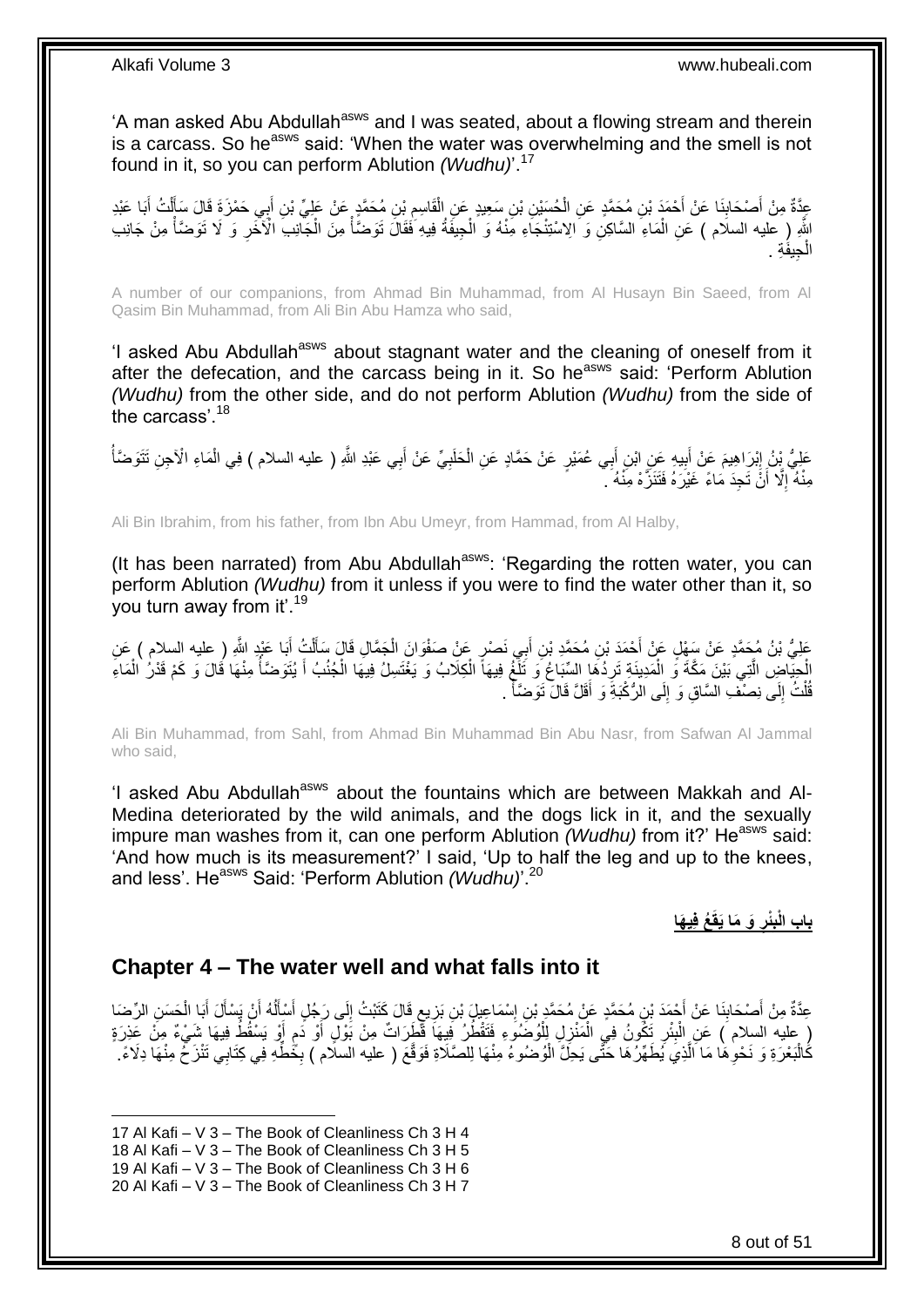'A man asked Abu Abdullah<sup>asws</sup> and I was seated, about a flowing stream and therein is a carcass. So he<sup>asws</sup> said: 'When the water was overwhelming and the smell is not found in it, so you can perform Ablution *(Wudhu)*'.<sup>17</sup>

عِدَّةٌ مِنْ أَصْحَابِنَا عَنْ أَحْمَدَ بْنِ مُحَمَّدٍ عَنِ الْحُسَيْنِ بْنِ سَعِيدٍ عَنِ الْقَاسِمِ بْنِ مُحَمَّدٍ عَنْ عَلِيٍّ بْنِ أَبِي حَمْزَةَ قَالَ سَأَلْتُ أَبَا عَبْدِ ِ ْ ْ َ ِ َ َ ْ َ َ اللَّهِ (ِ عليه السلَام ) عَنِ الْمَاءِ السَّاكِنِ وَ الِاسْتِنْجَاءِ مِنْهُ وَ الْجِيفَةُ فِيهِ فَقَالَ تَوَضَّأُ مِنْ الْجَانِبَ الْآخَرِ وَ لَا تَوَضَّأُ مِنْ جَانِب ْ **CONTRACTOR** ْ ْ ْ ِ جِيفَةِ . ْ ال

A number of our companions, from Ahmad Bin Muhammad, from Al Husayn Bin Saeed, from Al Qasim Bin Muhammad, from Ali Bin Abu Hamza who said,

'I asked Abu Abdullah<sup>asws</sup> about stagnant water and the cleaning of oneself from it after the defecation, and the carcass being in it. So he<sup>asws</sup> said: 'Perform Ablution *(Wudhu)* from the other side, and do not perform Ablution *(Wudhu)* from the side of the carcass'.<sup>18</sup>

عَلِيُّ بِنُ إِبْرَاهِيمَ عَنْ أَبِيهِ عَنِ ابْنِ أَبِي عُمَيْرٍ عَنْ حَمَّادٍ عَنِ الْحَلَبِيِّ عَنْ أَبِي عَبْدِ اللَّهِ ( عليه السلام ) فِي الْمَاءِ الْأَجِنِ تَتَوَضَّأُ َ ِ ْ َ **!** َ ׀<br>ׇׇ֧֓֓֝֓֝֝֝֝֝֝ ُ ْ مِنْهُ ۚ إِلَّا أَنَّ تَجِدَ مَاءً غَيْرَهُ فَتَتَزَّهْ مِنْهُ ۖ ۚ ِ

Ali Bin Ibrahim, from his father, from Ibn Abu Umeyr, from Hammad, from Al Halby,

(It has been narrated) from Abu Abdullah<sup>asws</sup>: 'Regarding the rotten water, you can perform Ablution *(Wudhu)* from it unless if you were to find the water other than it, so you turn away from it'.<sup>19</sup>

َ عَلِيُّ بْنُ مُحَمَّدٍ عَنْ سَفْلٍ عَنْ أَحْمَدَ بْنِ مُحَمَّدِ بْنِ أَبِي نَصْرٍ عَنْ صَفْوَانَ الْجَمَّالِ قَالَ سَأَلْتُ أَبَا عَبْدٍ اللَّهِ ( عليه السلام ) عَنِ ْ َ ْ َ ْ الْحِيَاضِ الَّتِي بَيْنَ مَكَّةَ وَ الْمَدِينَةِ تَرِدُهَا السَّبَاعُ وَ تَلَّغُ فِيهَاً الْكِلَابُ وَ يَغْتَسِلُ فِيهَا الْجُنُبُ أَ يُتَوَصَّأُ مِنْهَا قَالَ وَ كَمْ قَدْرُ الْمَاءَ ِ ْ َّ ْ ُ َ ْ قُلْتُ إِلَى نِصْفْ السَّاقِ وَ إِلَى الرُّكْبَةِ وَ أَقَلَّ قَالَ نَوَضَأً . ْ َ  $\frac{1}{2}$ ِ ْ

Ali Bin Muhammad, from Sahl, from Ahmad Bin Muhammad Bin Abu Nasr, from Safwan Al Jammal who said,

'I asked Abu Abdullah<sup>asws</sup> about the fountains which are between Makkah and Al-Medina deteriorated by the wild animals, and the dogs lick in it, and the sexually impure man washes from it, can one perform Ablution *(Wudhu)* from it?' He<sup>asws</sup> said: 'And how much is its measurement?' I said, 'Up to half the leg and up to the knees, and less'. He<sup>asws</sup> Said: 'Perform Ablution *(Wudhu)*<sup>'.20</sup>

> **ُع فِي َها َو َما َيقَ ْئر ب باب الْ ِ ِ**

### <span id="page-7-0"></span>**Chapter 4 – The water well and what falls into it**

عِدَّةٌ مِنْ أَصْحَابِنَا عَنْ أَجْمَدَ بْنِ مُحَمَّدٍ عَنْ مُحَمَّدٍ بْنِ إِسْمَاعِيلٍ بْنِ بَزِيعٍ قَالَ كَتَبْتُ إِلَى رَجُلٍ أَسْأَلُهُ أَنْ يَسْأَلَ أَبَا الْحَسَنِ الرِّضَا ِ ٍ ِ ∣l<br>∶ َ **∣** َ ْ َ اُ َ ُ أا َ ( عليه السلام ) عَنِ الْبِئْرِ تَكُونُ فِي الْمَنْزِلِ لِلْوُضَمَٰوَءِ فَتَقْطُرُ فِيهَا قَطْرَاتٌ مِنْ بَوْلٍ أَوْ دَمٍ أَوْ يَسْقُطُ فِيهَا شَيْءٌ مِنْ عَذِرَةٍ َ ֧֩֘׆֧ َ ْ ِ ْ ِ **∣** ْ كَالْبَعْرَةِ وَ نَحْوِهَا مَا الَّذِيَ يُطَهِّرُهَا حَتَّى يَحِلُّ الْوُصْوءُ مِنْهَا لِلصَّلَاةِ فَوَقَّعَ ( عليه السلام ) بِخُطُّهِ فِي كِتَابِي تَنْزَحُ مِنْهَا دِلَاءً. ْ َّ **∶** ا<br>ا ِ

<sup>17</sup> Al Kafi – V 3 – The Book of Cleanliness Ch 3 H 4

<sup>18</sup> Al Kafi – V 3 – The Book of Cleanliness Ch 3 H 5

<sup>19</sup> Al Kafi – V 3 – The Book of Cleanliness Ch 3 H 6

<sup>20</sup> Al Kafi – V 3 – The Book of Cleanliness Ch 3 H 7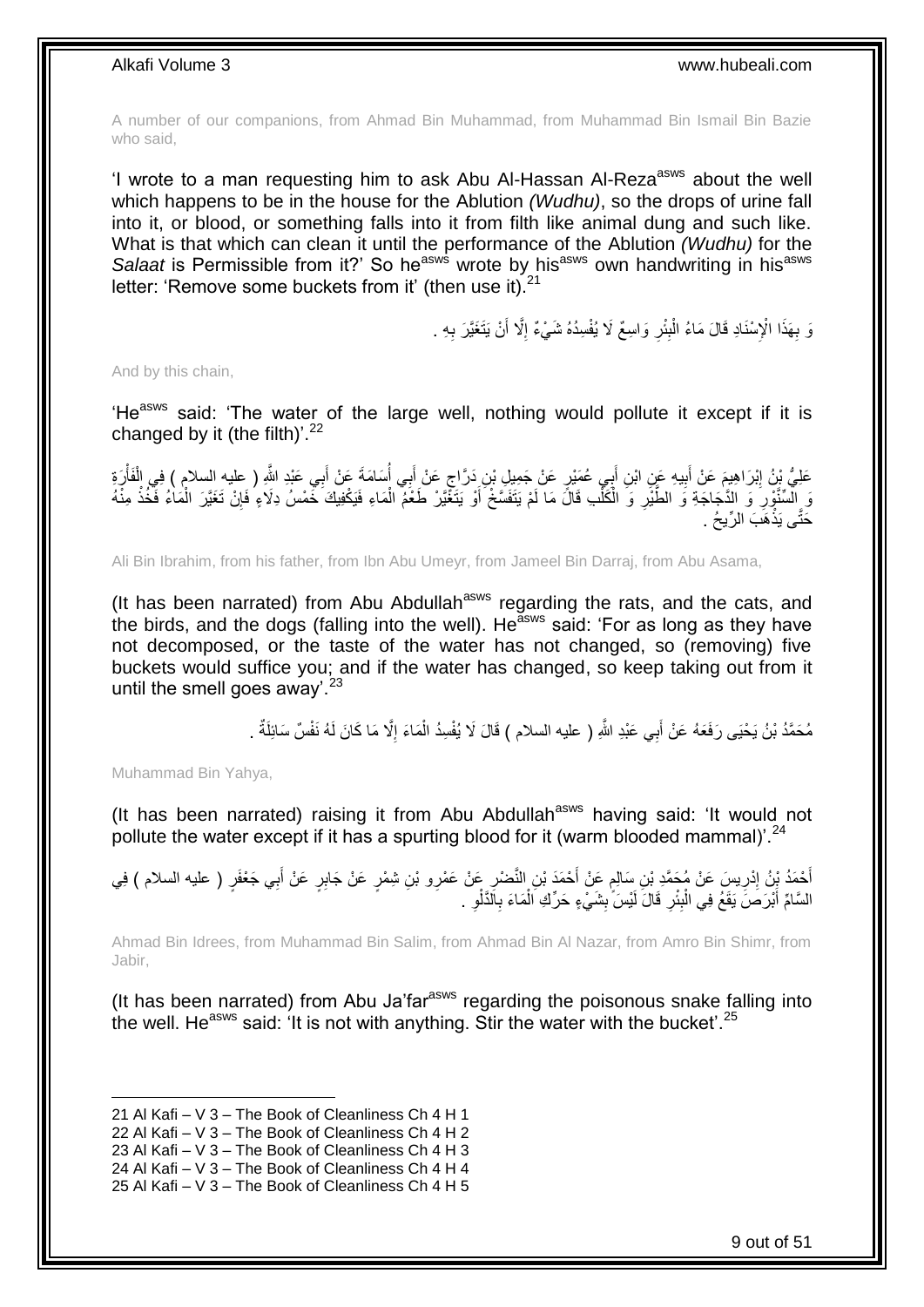A number of our companions, from Ahmad Bin Muhammad, from Muhammad Bin Ismail Bin Bazie who said,

'I wrote to a man requesting him to ask Abu Al-Hassan Al-Reza<sup>asws</sup> about the well which happens to be in the house for the Ablution *(Wudhu)*, so the drops of urine fall into it, or blood, or something falls into it from filth like animal dung and such like. What is that which can clean it until the performance of the Ablution *(Wudhu)* for the Salaat is Permissible from it?' So he<sup>asws</sup> wrote by his<sup>asws</sup> own handwriting in his<sup>asws</sup> letter: 'Remove some buckets from it' (then use it).<sup>21</sup>

> وَ بِهَذَا الْإِسْنَادِ قَالَ مَاءُ الْبِئْرِ وَاسِعٌ لَا يُفْسِدُهُ شَيْءٌ إِلَّا أَنْ يَتَغَيَّرَ بِهِ . ِ **ِ** ْ **∶** ِ َ ِ

And by this chain,

'He<sup>asws</sup> said: 'The water of the large well, nothing would pollute it except if it is changed by it (the filth)'. $^{22}$ 

**֓**֖֖֖֚֚֚֓֡ عَلِيُّ بِنُ اِبْرَاهِيمَ عَنْ أَبِيهِ عَنِ ابْنِ أَبِي عُمَيْرٍ عَنْ جَمِيلِ بْنِ دَرَّاحٍ عَنْ أَبِي أُسَامَةَ عَنْ أَبِي عَبْدِ اللَّهِ ( عِليهِ السلام ) فِي الْفَأْرَةِ َ ُ ٍ َ ِ َ ْ ْ وَ الْمَنَّوْرِ وَ الذَّجَاجَةِ وَ الطَّيْرِ وَ الْكَلَّبِ قَالَ مَا لَمْ يَتَفَسَّخْ أَوْ يَتَغَيَّرْ طَعْمٌ الْمَاءِ فَيَكْفِيكَ خَمْسُ دِلَاءٍ فَإِنْ تَغَيَّرَ الْمَاءُ فَخُذْ مِنْهُ َ ْ ا<br>ا **∶ ∶ ٔ** ْ ∣ļ ْ حَتَّى يَذْهَبَ الرِّيحُ . .<br>.<br>.

Ali Bin Ibrahim, from his father, from Ibn Abu Umeyr, from Jameel Bin Darraj, from Abu Asama,

(It has been narrated) from Abu Abdullah<sup>asws</sup> regarding the rats, and the cats, and the birds, and the dogs (falling into the well). He<sup>asws</sup> said: 'For as long as they have not decomposed, or the taste of the water has not changed, so (removing) five buckets would suffice you; and if the water has changed, so keep taking out from it until the smell goes away'.<sup>23</sup>

> مُحَمَّدُ بْنُ يَحْيَى رَفَعَهُ عَنْ أَبِي عَبْدِ اللَّهِ ( عليه السلام ) قَالَ لَا يُفْسِدُ الْمَاءَ إِلَّا مَا كَانَ لَهُ نَفْسٌ سَائِلَةٌ . ِ ْ َ

Muhammad Bin Yahya,

1

(It has been narrated) raising it from Abu Abdullah<sup>asws</sup> having said: 'It would not pollute the water except if it has a spurting blood for it (warm blooded mammal)<sup>'. 24</sup>

َ أَحْمَدُ بْنُ إِدْرِيسَ عَنْ مُحَمَّدِ بْنِ سَالِمٍ عَنْ أَحْمَدَ بْنِ النَّصْرِ عَنْ عَمْرِ و بْنِ شِمْرٍ عَنْ جَابِرٍ عَنْ أَبِي جَعْفَرٍ ( عليه السلام ) فِي<br>ذَيَتُ بَنْ إِدْرِيسَ عَنْ مُحَمَّدِ بْنِ سَالِمٍ عَنْ أَحْمَ ¦ َ ٍ ِ ِ السَّامِّ أَبْرَضَۖ يَقَعُ فِي الْبِئْرِ ۖ قَالَ لَيْسَ بِشَيْءٍ حَرِّكِ الْمَاءَ بِالْدَّلْوِ ۖ . **∣** ِ ِ ْ ِ ِ ْ

Ahmad Bin Idrees, from Muhammad Bin Salim, from Ahmad Bin Al Nazar, from Amro Bin Shimr, from Jabir,

(It has been narrated) from Abu Ja'far $a<sup>asws</sup>$  regarding the poisonous snake falling into the well. He<sup>asws</sup> said: 'It is not with anything. Stir the water with the bucket'.<sup>25</sup>

<sup>21</sup> Al Kafi – V 3 – The Book of Cleanliness Ch 4 H 1

<sup>22</sup> Al Kafi – V 3 – The Book of Cleanliness Ch 4 H 2

<sup>23</sup> Al Kafi – V 3 – The Book of Cleanliness Ch 4 H 3

<sup>24</sup> Al Kafi – V 3 – The Book of Cleanliness Ch 4 H 4

<sup>25</sup> Al Kafi – V 3 – The Book of Cleanliness Ch 4 H 5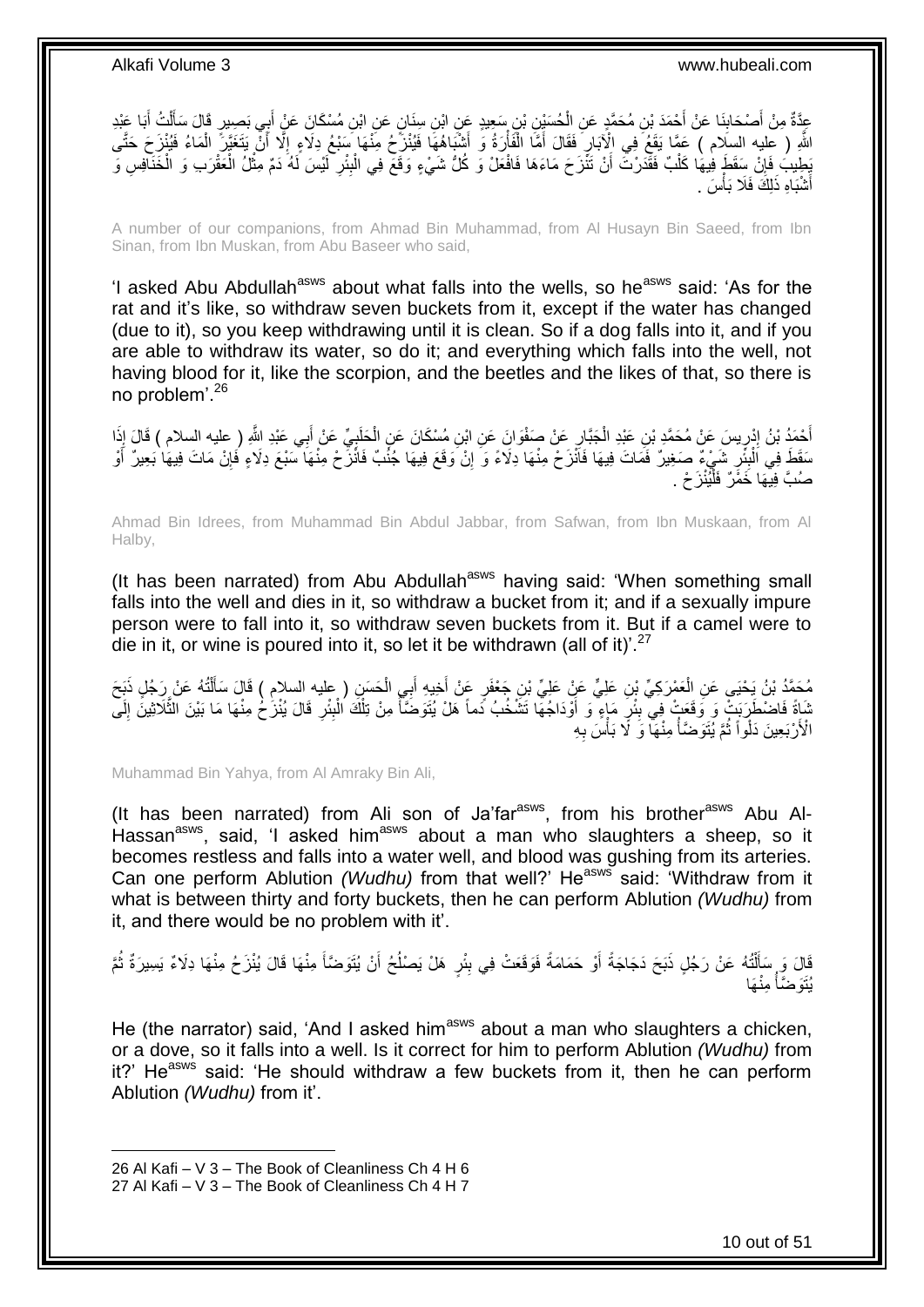عِدَّةٌ مِنْ أَصْحَابِنَا عَنْ أَحْمَدَ بْنِ مُحَمَّدٍ عَنِ الْحُسَبِيْنِ بْنِ سَعِيدٍ عَنِ ابْنِ سِنَانٍ عَنِ ابْنِ مُسْكَانَ عَنْ أَبِي بَصِيرٍ قَالَ سَأَلْتُ أَبَا عَبْدِ ْ َ **∣** َ َ ْ َ اللَّهِ ( عليه السلَام ) عَمَّا يَقَعُ فِي الْآبَارِ فَقَالَ أَمَّا الْفَأْرَةُ وَ أَشْبَاهُهَا فَيُنْزَحُ مِنْهَا سَبْعُ دِلَاءٍ إِلَّا أَنَّ يَتَغَيَّرَ الْمَاءُ فَيُنْزَحَ حَتَّى َ ْ ْ َ ِ ْ َ ِ َفِينُ فَإِنْ سِقَطَ فِيهَا كَلْبٌ فَقَدَرْتَ أَنْ تَنْزَحَ مَاءَهَا فَافْعَلْ وَ كُلُّ شَيْءٍ وَقَعَ فِي الْبِئْرِ لَّلِسَ لَهُ دَمٌ مِثْلُ الْعَقْرَبِ وَ الْخَذَافِسِ وَ ْ ِ ْ ْ **ٔ** لَ ِ ِ ْ أَشْبَاهِ ذَلِكَ فَلَا بَأْسَ . َ

A number of our companions, from Ahmad Bin Muhammad, from Al Husayn Bin Saeed, from Ibn Sinan, from Ibn Muskan, from Abu Baseer who said,

'I asked Abu Abdullah<sup>asws</sup> about what falls into the wells, so he<sup>asws</sup> said: 'As for the rat and it's like, so withdraw seven buckets from it, except if the water has changed (due to it), so you keep withdrawing until it is clean. So if a dog falls into it, and if you are able to withdraw its water, so do it; and everything which falls into the well, not having blood for it, like the scorpion, and the beetles and the likes of that, so there is no problem'.<sup>26</sup>

ِ أَحْمَدُ بْنُ إِنْرِيسَ عَنْ مُحَمَّدٍ بْنِ عَيْدِ الْجَبَّارِ عَنْ صَفْوَانَ عَنِ ابْنِ مُسْكَانَ عَنِ الْحَلَبِيِّ عَنْ أَبِي عَبْدِ اللَّهِ ( عليه السلام ) قَالَ إِذَا َ ្ត<br>« ْ ِ ْ ِ ין<br>∶ َ مَقَطَ فِي اَلْبِئْرِ شَيْءٌ صَغِيرٌ فَمَاتَ فِيهَا فَأَنْزَحْ مِنْهَا دِلَاءً وَ إِنْ وَقَعَ فِيهَا جُنُبٌ فَانْزَحْ مِنْهَا سَبْعَ دِلَاءٍ فَإِنْ مَاتَ فِيهَا بَعِيرٌ أَوْ **∶ ِ** ْ ِ َ ∣ٍ صُٰبَّ فِيهَا خَفَّرٌ فَلْيُنْزَحْ . ا<br>ا

Ahmad Bin Idrees, from Muhammad Bin Abdul Jabbar, from Safwan, from Ibn Muskaan, from Al Halby,

(It has been narrated) from Abu Abdullah<sup>asws</sup> having said: 'When something small falls into the well and dies in it, so withdraw a bucket from it; and if a sexually impure person were to fall into it, so withdraw seven buckets from it. But if a camel were to die in it, or wine is poured into it, so let it be withdrawn (all of it)<sup>'.27</sup>

مُحَمَّدُ بْنُ يَحْيَى عَنِ الْعَمْرَكِيِّ بْنِ عَلِيٍّ عَنْ عَلِيٍّ بْنِ جَعْفَرٍ عَنْ أَخِيهِ أَبِي الْحَسَنِ ( عليه السلام ) قَالَ سَأَلْتُهُ عَنْ رَجُلٍ ذَبَحَ<br>يَهَ يَسْتَمَرُّ بَنْ يَحْيَى عَنِ الْعَمْرَكِيِّ بْنِ عَل ْ َ َ ْ ْ َ ثَبَاةً فَاضْطَرَبَتْ وَ وَقَعَتْ فِي بِئْرِ مَاءٍ وَ أَوْدَاجُهَا تَشْخُبُ دَماً هَلْ يُتَوَضَّأُ مِنْ تِلْكَ الْبِئْرِ قَالَ يُنْزَحُ مِنْهَا مَا بَيْنَ الثَّلَاثِينَ إِلَى َ **∶ ∣** ِ َّ ِ ِ ْ ْ ا<br>ا الْأَرْبَعِينَ دَلْواً ثُمَّ يُتَوَصِّأُ مِنْهَا ۖ وَ لَا بَأْسَ بِهِ ِ **ٔ** المُحَمَّد المُحَمَّد المُحَمَّد المُحَمَّد المُحَمَّد المُحَمَّد المُحَمَّد المُحَمَّد المُحَمَّد المُحَمَّد ان<br>سال 11

Muhammad Bin Yahya, from Al Amraky Bin Ali,

(It has been narrated) from Ali son of Ja'far<sup>asws</sup>, from his brother<sup>asws</sup> Abu Al-Hassan<sup>asws</sup>, said, 'I asked him<sup>asws</sup> about a man who slaughters a sheep, so it becomes restless and falls into a water well, and blood was gushing from its arteries. Can one perform Ablution *(Wudhu)* from that well?' He<sup>asws</sup> said: 'Withdraw from it what is between thirty and forty buckets, then he can perform Ablution *(Wudhu)* from it, and there would be no problem with it'.

َفَالَ وَ سَأَلْتُهُ عَنْ رَجُلٍ ذَبَحَ دَجَاجَةً أَوْ حَمَامَةً فَوَقَعَتْ فِي بِئْرٍ هَلْ يَصنُلُحُ أَنْ يُتَوَضّأَ مِنْهَا قَالَ يُنْزَحُ مِنْهَا دِلَاءٌ يَسِيرَةٌ ثُمَّ َ َ ُ  $\frac{1}{2}$ اُ ֦֧֦֧֦֦֧֦֦֦֦֦֦֦֦֦֦֦֦֦֦֦֦֦֦֦֧֦֧֦֦֧֦֪֪֦֪֪֦֧֦֪֦֦֧֦֦֧֦֧֦֪֪֦֧֦֧֦֧֦֧֦֪֪֪֦֟֟֟֟֟֟֟֟֟֟֟֟֟֟֓֕֟֟֓֕֟֓֟֓֞֟֝֟֓֟֓֞֓֞֟֓֞֟֟֓֞֟֟֟֓֞֟֟ َ ر<br>: َها ِمنْ المُحَمَّد المُحَمَّد المُحَمَّد المُحَمَّد المُحَمَّد المُحَمَّد المُحَمَّد المُحَمَّد المُحَمَّد المُحَمَّد ُيَتَو َّضأ

He (the narrator) said, 'And I asked him<sup>asws</sup> about a man who slaughters a chicken, or a dove, so it falls into a well. Is it correct for him to perform Ablution *(Wudhu)* from it?' He $^{asws}$  said: 'He should withdraw a few buckets from it, then he can perform Ablution *(Wudhu)* from it'.

<sup>26</sup> Al Kafi – V 3 – The Book of Cleanliness Ch 4 H 6 27 Al Kafi – V 3 – The Book of Cleanliness Ch 4 H 7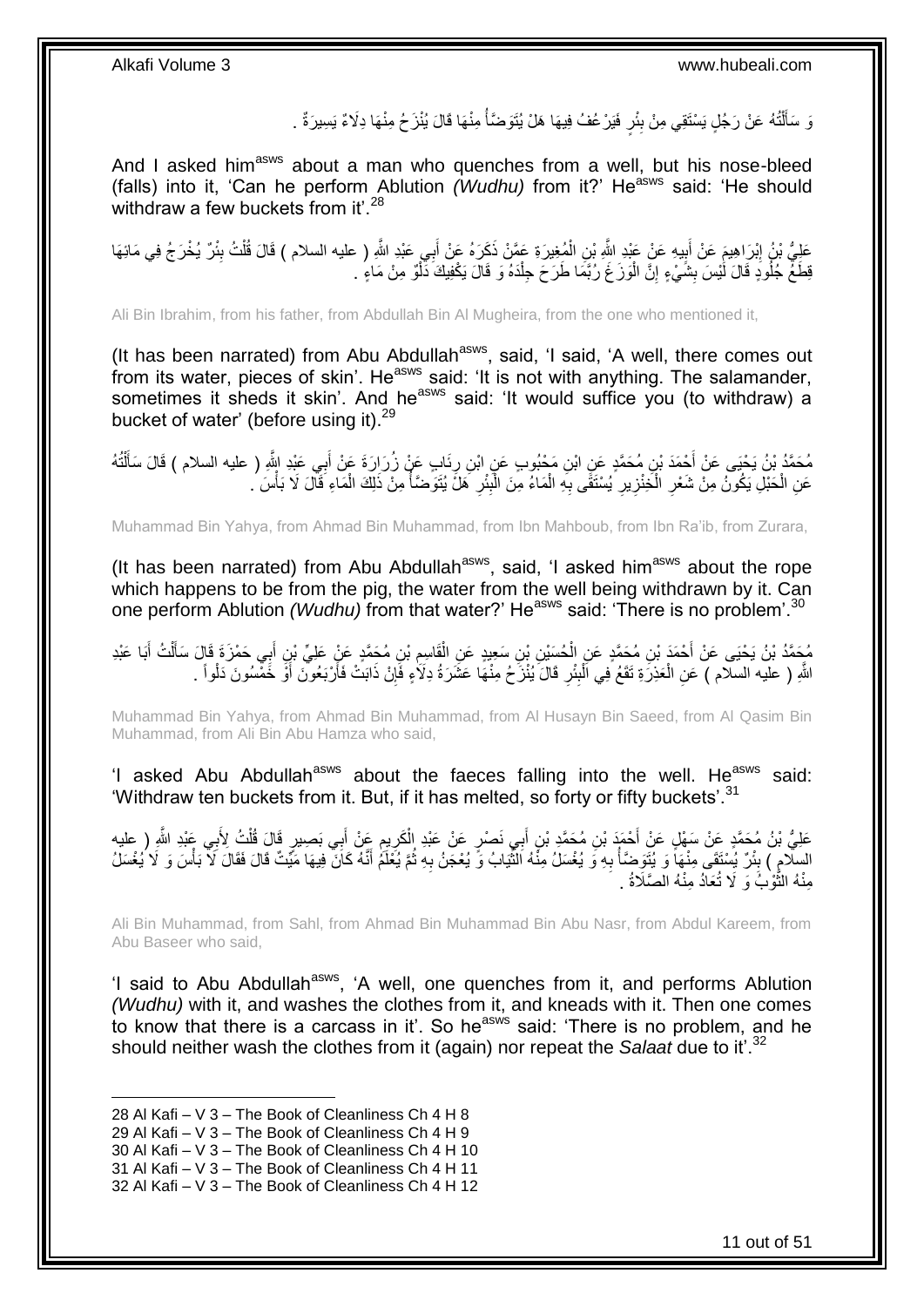رَ سَأَلْتُهُ عَنْ رَجُلٍ يَسْتَقِي مِنْ بِئْرٍ فَيَرْ عُفُ فِيهَا هَلْ يُتَوَضَّأُ مِنْهَا قَالَ يُنْزَحُ مِنْهَا دِلَاءٌ يَسِيرَةٌ . ֺ֪֦֧֦֧֦֦֧֦֧֦֪֦֦֖֦֦֦֦֦֦֦֦֦֦֦֦֦֦֦֪֦֧֦֪֦֪֦֪֦֧֦֟֟֟֟֟֟֟֟֟֟֟֟֟֟֟֟֟֟֟֟֟֟֟֟֟֓֟֓֟֓֟֓֟֩֓֞֟֟֓֟֓֟֟֟֟֟֟֟֟ َ ∫<br>∫ **ِ** 

And I asked him<sup>asws</sup> about a man who quenches from a well, but his nose-bleed (falls) into it, 'Can he perform Ablution *(Wudhu)* from it?' Heasws said: 'He should withdraw a few buckets from it'.<sup>28</sup>

عَلِيُّ بْنُ إِبْرَاهِيمَ عَنْ أَبِيهِ عَنْ عَبْدِ اللَّهِ بْنِ الْمُغِيرَةِ عَمَّنْ ذَكَرَهُ عَنْ أَبِي عَبْدِ اللَّهِ ( عليه السلام ) قَالَ قُلْتُ بِئْرٌ يُخْرَجُ فِي مَائِهَا َ ْ **∣** ِ ِ ْ قِطَعٌ جُلُودٍ قَالَ لَّيْسَ بِشَيْءٍ إِنَّ الْوَزَغَ رُبَّمَا طَرَحَ جِلْدَهُ وَ قَالَ يَكْفِيكَ دَّلْوٌ مِنْ مَاءٍ . **ِ** ِ ْ ْ ْ

Ali Bin Ibrahim, from his father, from Abdullah Bin Al Mugheira, from the one who mentioned it,

(It has been narrated) from Abu Abdullah<sup>asws</sup>, said, 'I said, 'A well, there comes out from its water, pieces of skin'. He<sup>asws</sup> said: 'It is not with anything. The salamander, sometimes it sheds it skin'. And he<sup>asws</sup> said: 'It would suffice you (to withdraw) a bucket of water' (before using it).<sup>29</sup>

مُحَمَّدُ بْنُ يَحْيَى عَنْ أَحْمَدَ بْنِ مُحَمَّدٍ عَنِ ابْنِ مَحْبُوبِ عَنٍ ابْنِ رِنَابٍ عَنْ زُرَارَةَ عَنْ أَبِي عَبْدِ اللهِ ( عليه السلام ) قَالَ سَأَلْتُهُ  $\frac{1}{2}$ ْ َ َ عَنِ الْحَبْلِ يَكُونُ مِنْ شَعْرِ الْخِنْزِيرِ يُسْتَقَّى بِهِ الْمَاءُ مِنَ الْبِئْرِ كَلَّ يُتَوَضَّأُ مِنْ ذَلِكَ الْمَاءِ قَالَ لَا بَأْسَ . ْ اب<br>ا ِ ْ ْ ِ **∶** ِ ْ **∶** ْ ْ

Muhammad Bin Yahya, from Ahmad Bin Muhammad, from Ibn Mahboub, from Ibn Ra'ib, from Zurara,

(It has been narrated) from Abu Abdullah<sup>asws</sup>, said, 'I asked him<sup>asws</sup> about the rope which happens to be from the pig, the water from the well being withdrawn by it. Can one perform Ablution *(Wudhu)* from that water?' He<sup>asws</sup> said: 'There is no problem'.<sup>30</sup>

مُحَمَّدُ بْنُ يَحْيَى عَنْ أَحْمَدٍ بْنِ مُحَمَّدٍ عَنِ الْحُسَيْنِ بْنِ سَعِيدٍ عَنِ الْقَاسِمِ بْنِ مُحَمَّدٍ عَنْ عَلِيٍّ بْنِ أَبِي حَمْزَةٍ قَالَ سَأَلْتُ أَبَا عَبْدِ  $\ddot{\phantom{a}}$ ْ ْ ِ َ َ ْ ĺ اللَّهِ ( عليه السلّام ) عَنِ الْعَذِرَةِ تَقَعُ فِي اَلْبِئْرِ قَالَ يُنْزَحُ مِنْهَا عَشَرَةُ دِلَاءٍ فَإِنْ ذَابَتْ فَأَرْبَعُونَ أَوْ خَمْسُونَ دَلْواً . َ ∣ļ **∶ !** ْ ْ َ

Muhammad Bin Yahya, from Ahmad Bin Muhammad, from Al Husayn Bin Saeed, from Al Qasim Bin Muhammad, from Ali Bin Abu Hamza who said,

'I asked Abu Abdullah<sup>asws</sup> about the faeces falling into the well. He<sup>asws</sup> said: 'Withdraw ten buckets from it. But, if it has melted, so forty or fifty buckets'.<sup>31</sup>

عَلِيُّ بْنُ مُحَمَّدٍ عَنْ سَهْلٍ عَنْ أَحْمَدَ بْنِ أُمِي نَصْرٍ عَنْ عَبْدِ الْكَرِيمِ عَنْ أَبِي بَصِيرٍ قَالَ قُلْتُ لِأَبِي عَبْدِ اللَّهِ ( عليه<br>-ْ َ ِ ِ ْ َ السِلامِ ) بِئْرٌ يُسْتَقَى مِنْهَا وَ يُتَوِضَاً بِهِ وَ يُغْسَلُ مِنْهُ الثَّيَابُ وَّ يُعْجَنُ بِهِ ثُمَّ يُغْلَمُ أَنَّهُ كَانَ فِيهَا مَيِّتٌ قَالَ فَقَالَ لَا بَأْسَ وَ لَا يُغْسَلُ َ ُ ِ ِّ ِ المستقبل المستقبل المستقبل المستقبل المستقبل المستقبل المستقبل المستقبل المستقبل المستقبل المستقبل المستقبل ال<br>والمستقبل **ِ** ْ مِنْهُ الثَّوْبُ وَ لَا تُعَادُ مِنْهُ الصَّلَاةُ . ة<br>أ

Ali Bin Muhammad, from Sahl, from Ahmad Bin Muhammad Bin Abu Nasr, from Abdul Kareem, from Abu Baseer who said,

'I said to Abu Abdullah<sup>asws</sup>, 'A well, one quenches from it, and performs Ablution *(Wudhu)* with it, and washes the clothes from it, and kneads with it. Then one comes to know that there is a carcass in it'. So he<sup>asws</sup> said: 'There is no problem, and he should neither wash the clothes from it (again) nor repeat the *Salaat* due to it'.<sup>32</sup>

<sup>28</sup> Al Kafi – V 3 – The Book of Cleanliness Ch 4 H 8

<sup>29</sup> Al Kafi – V 3 – The Book of Cleanliness Ch 4 H 9

<sup>30</sup> Al Kafi – V 3 – The Book of Cleanliness Ch 4 H 10

<sup>31</sup> Al Kafi – V 3 – The Book of Cleanliness Ch 4 H 11

<sup>32</sup> Al Kafi – V 3 – The Book of Cleanliness Ch 4 H 12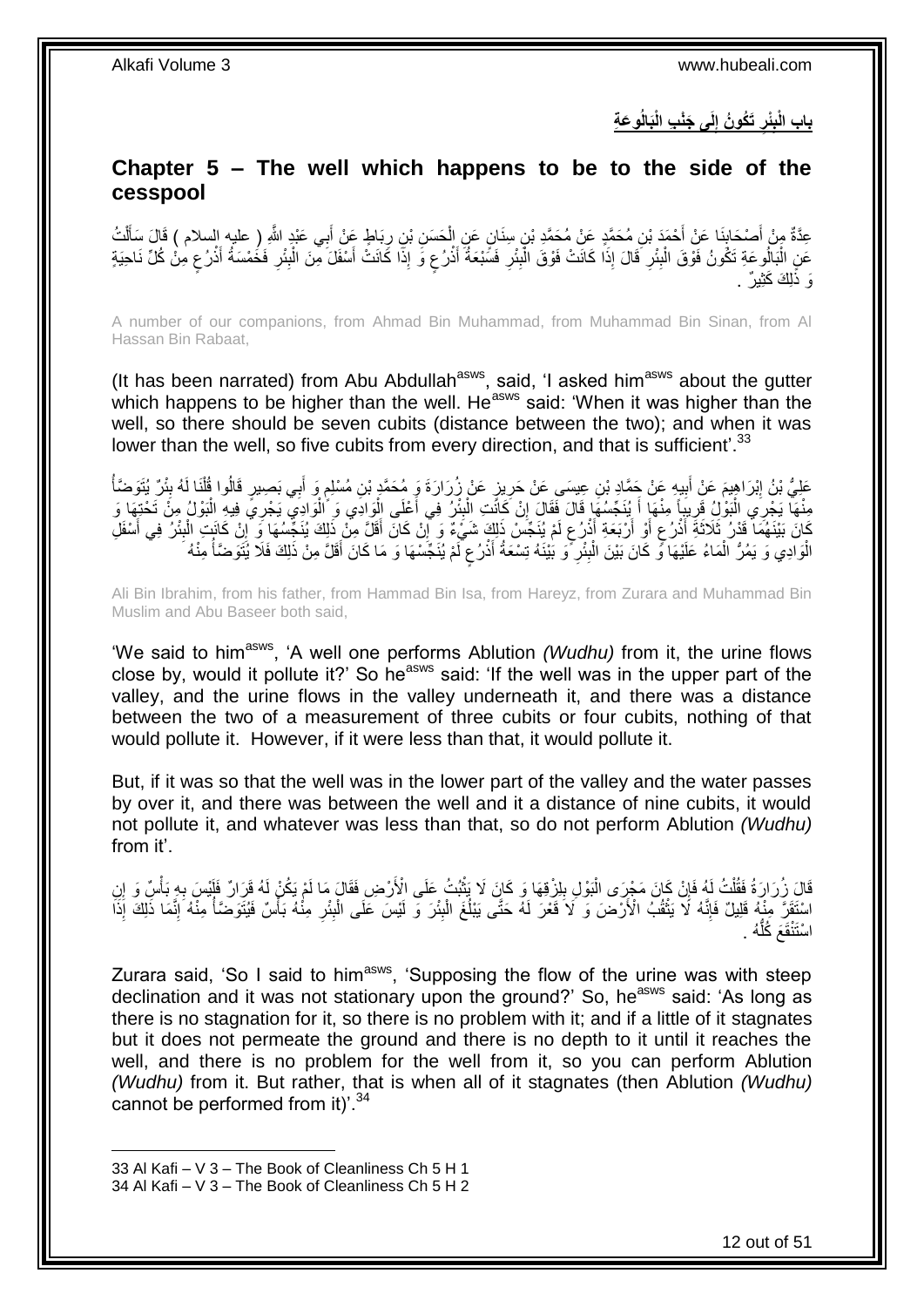**َبالُو َع ِة لَى َجْن ِب الْ َت ُكو ُن إ ْئر ب باب الْ ِ ِ ِ**

## <span id="page-11-0"></span>**Chapter 5 – The well which happens to be to the side of the cesspool**

عِدَّةٌ مِنْ أَصْحَابِنَا عَنْ أَحْمَدَ بْنِ مُحَمَّدٍ عَنْ مُحَمَّدِ بْنِ سِنَانٍ عَنِ الْحَسَنِ بْنِ رِبَاطٍ عَنْ أَبِي عَبْدٍ اللَّهِ ( عليه السلام ) قَالَ سَأَلْتُ َ ِ ْ َ **∣** َ ْ َ عَنِ الْبَالُوعَةِ تَكُونُ فَوْقَ الْبِئْرِ قَالَ إِذَا كَانَتْ فَوْقَ الْبِئْرِ فَسَّبْعَةُ أَذْرُعٍ وَ إِذَا كَانَتْ أَسْفَلَ مِنَ الْبِئْرِ فَخُمْسَةُ أَذْرُعٍ مِنْ كُلِّ نَاحِيَةٍ َ ٍ ْ َ **∶** ْ **∶ ∣** ْ :<br>ا ;<br>; **ٔ** َ ِ ِ ْ رَ ذَلِكَ كَثِيرٌ .

A number of our companions, from Ahmad Bin Muhammad, from Muhammad Bin Sinan, from Al Hassan Bin Rabaat,

(It has been narrated) from Abu Abdullah<sup>asws</sup>, said, 'I asked him<sup>asws</sup> about the gutter which happens to be higher than the well. He<sup>asws</sup> said: 'When it was higher than the well, so there should be seven cubits (distance between the two); and when it was lower than the well, so five cubits from every direction, and that is sufficient'.  $33$ 

َ عَلِيُّ بْنُ إِبْرَاهِيمَ عَنْ أَبِيهِ عَنْ جَمَّادِ بْنِ عِيسَى عَنْ حَرِيزٍ عَنْ زُرَارَةَ وَ مُحَمَّدٍ بْنِ مُسْلِمٍ وَ أَبِي بَصِيرٍ قَالُوا قُلْنَا لَهُ بِئْرٌ يُتَوَضَّأُ م ِ **!** َ ِ ُ ِ ْ بِنْهَا يَجْرِي الْبَوْلُ قَرِيبَاً مِنْهَا أَ يُنَجِّسُهَا قَالَ فَقَالَ إِنْ كَانَتِ الْبِئْرُ فِي أَعْلَى إِلَهِ إِدَي وَ أَالْوَادِي يَجْرِيَ فِيهِ الْبَوْلُ مِنْ تَحْتِهَا وَ<br>مِنْ يَجْرِي بِالْبَوْلِ وَلِيبَاءٍ مِنْه ِ َ **∶** :<br>ا ْ ْ ْ َ **∶** ْ كَانَ بَيْنَهُمَا قَدْرُ ثَلَاثَةَ أَذْرُعٍ أَوْ أَرْبَعَةِ أَذْرُعٍ لَمْ يُنَجِّسْ ذَلِكَ شَيَءٌ وَ إِنْ كَانَ أَقَلَّ مِنْ ذَلِكَ يُنَجِّسُهَا وَ إِنْ كَانَن مِنْ ذَلِكَ مِنْ أَنْهِ مَنْ أَنْهِ مَنْ ذَلِك لَ ٍ **ٔ** اُ َ ٍ **ٔ** َ َ ِ َ ِ َ ِ ْ الْوَادِي وَ يَمُرُّ الْمَاءُ عَلَيْهَا وَّ كَانَ بَيْنَ الْبِئْرِ ۖ وَ بَيْنَهُ تِسْعَةُ أَذْرُع لَّمْ يُنَجِّسْهَا وَ مَا كَانَ أَقَلَّ مِنْ ذَلِكَ فَلَا يُتَوَضَّأُ مِنْهُ لَ ٍ **ٔ** َ **∶ ∣** ْ ْ ُ َ

Ali Bin Ibrahim, from his father, from Hammad Bin Isa, from Hareyz, from Zurara and Muhammad Bin Muslim and Abu Baseer both said,

'We said to him<sup>asws</sup>, 'A well one performs Ablution *(Wudhu)* from it, the urine flows close by, would it pollute it?' So he<sup>asws</sup> said: 'If the well was in the upper part of the valley, and the urine flows in the valley underneath it, and there was a distance between the two of a measurement of three cubits or four cubits, nothing of that would pollute it. However, if it were less than that, it would pollute it.

But, if it was so that the well was in the lower part of the valley and the water passes by over it, and there was between the well and it a distance of nine cubits, it would not pollute it, and whatever was less than that, so do not perform Ablution *(Wudhu)* from it'.

ْقَالَ زُرَارَةُ فَقُلْتُ لَهُ فَإِنْ كَانَ مَجْرَى الْبَوْلِ بِلِزْقِهَا وَ كَانَ لَا يَثْبُتُ عَلَى الْأَرْضِ فَقَالَ مَا لَمْ يَكُنْ لَهُ قَرَارٌ فَلَيْسَ بِهِ بَأْسٌ وَ إِنِ<br>فَيَكُنْ أَيُّهُ مَنِيْهِ جَمِيعَةٍ جَمَّةٍ **ٔ** ِ ْ ِ ْ ْ ِ سْتَقَرَّ مِنْهُ قَلِيلٌ فَإِنَّهُ لَا يَثْقُبُ الْأَرْضَ وَ لَا قَعْرَ لَهُ حَتَّى يَبْلُغَ الْبِئْرَ وَ لَيْسَ عَلَى الْبِئْرِ مِنْٰهُ بَأَسٌ فَيُتَوَضَّأُ مِنّْهُ إِنَّمَا ذَلِكَ إِذَآ ا<br>ا ْ ِ ِ المسموعي المسموعي المسموعي المسموعي المسموعي المسموعي المسموعي المسموعي المسموعي المسموعي المسموعي ا ة<br>أ **∶**  $\frac{1}{2}$ ْ **∣** ْ اسْتَنْقَعَ كُلَّهُ . ُّ

Zurara said, 'So I said to him<sup>asws</sup>, 'Supposing the flow of the urine was with steep declination and it was not stationary upon the ground?' So, he<sup>asws</sup> said: 'As long as there is no stagnation for it, so there is no problem with it; and if a little of it stagnates but it does not permeate the ground and there is no depth to it until it reaches the well, and there is no problem for the well from it, so you can perform Ablution *(Wudhu)* from it. But rather, that is when all of it stagnates (then Ablution *(Wudhu)* cannot be performed from it)<sup>'.34</sup>

<sup>33</sup> Al Kafi – V 3 – The Book of Cleanliness Ch 5 H 1 34 Al Kafi – V 3 – The Book of Cleanliness Ch 5 H 2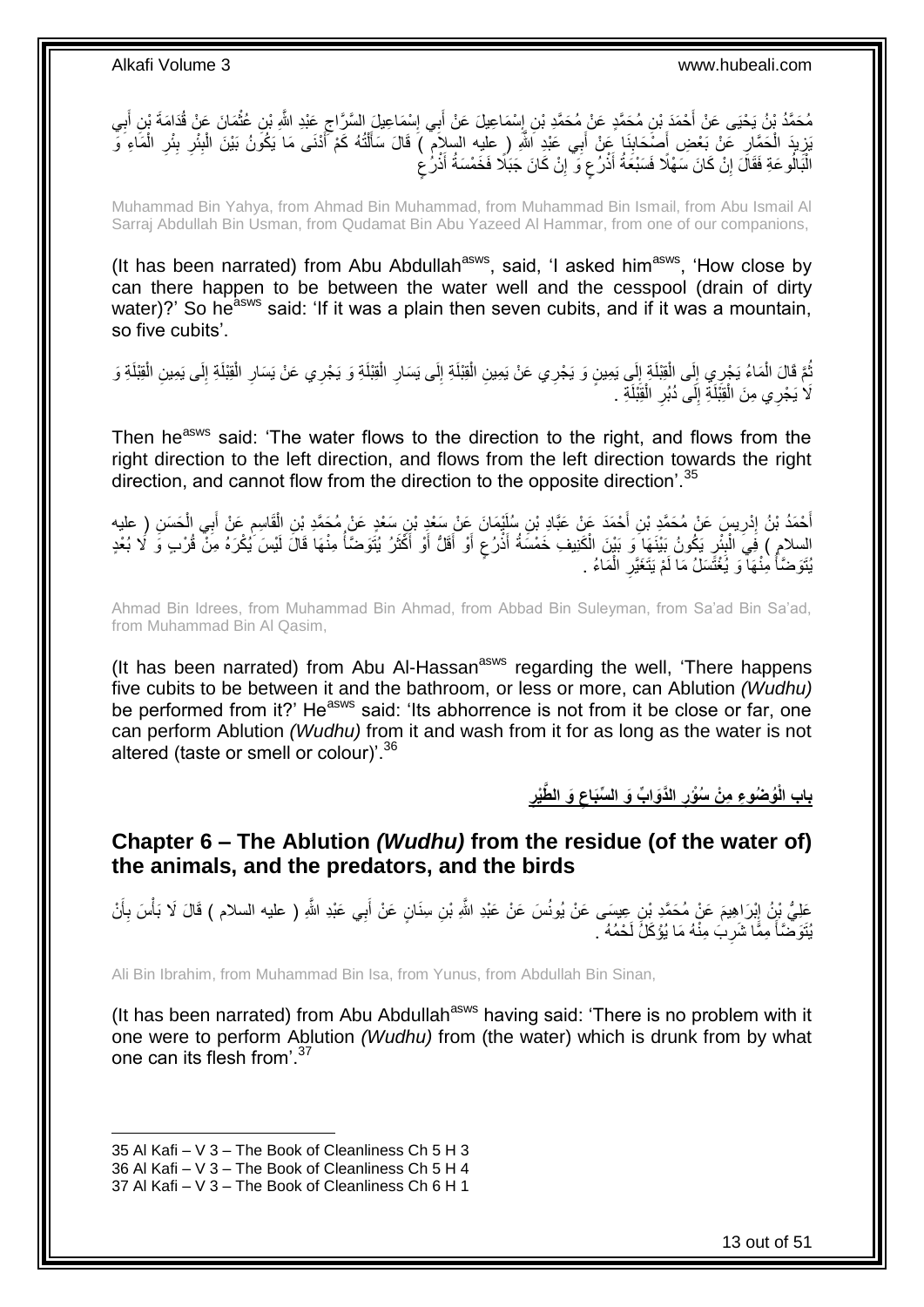مُحَمَّدُ بْنُ يَحْيَى عَنْ أَحْمَدَ بْنِ مُحَمَّدٍ عَنْ مُحَمَّدِ بْنِ إِسْمَاعِيلَ عَنْ أَبِي إِسْمَاعِيلَ السَّرَّاجِ عَبْدِ اللَّهِ بْنِ عُثْمَانَ عَنْ قُدَامَةَ بْنِ أَبِي  $\zeta$ ∣l<br>∶ َ ∣l<br>∶ ِ َ **ٔ** يَزِيدَ الْحَمَّارِ عَنْ بَعْضِ أَصْحَابِنَا عَنْ أَبِي عَبْدِ اَللَّهِ ( عليه السلاَم ) قَالَ سَأَلْتُهُ كَمْ أَدْنَى مَا يَكُونُ بَيْنَ الْبِئْرِ بِئْرِ الْمَاءِ وَّ َ  $\frac{1}{2}$ ِ ْ ِ ْ ِ ِ ِ ِ ْ َ ْ َ ;<br>; الْبَالُو عَةِ فَقَالَ إِنْ كَانَ سَهْلًا فَسَبْعَةُ أَذْرُ عِ وَ ۖ إِنْ كَانَ جَبَلًا فَخَمْسَةُ أَذْرُ ع ْ َ ِ ٍ **ٔ ֝** ֺ֖֖֖֧֦֦֦֧֦֦֧֦֧֦֧֦֪֦֧֦֧֦֧֦֧֦֧֝֟֟֟֟֟֟֟֟֟֟֟֟֟֟֟֟֟֟֟֟֟֟֟֟֟֟֩֕֟֟֓֞֟֟֓֞֟֟֩֕֟֟֩֕֟֩֩֬֝֓֞֟֟֩֩֟֩֩

Muhammad Bin Yahya, from Ahmad Bin Muhammad, from Muhammad Bin Ismail, from Abu Ismail Al Sarraj Abdullah Bin Usman, from Qudamat Bin Abu Yazeed Al Hammar, from one of our companions,

(It has been narrated) from Abu Abdullah<sup>asws</sup>, said, 'I asked him<sup>asws</sup>, 'How close by can there happen to be between the water well and the cesspool (drain of dirty water)?' So he<sup>asws</sup> said: 'If it was a plain then seven cubits, and if it was a mountain, so five cubits'.

نُّمَّ قَالَ الْمَاءُ يَجْرِيِ إِلَى الْقِبْلَةِ إِلَى يَمِينٍ وَ يَجْرِي عَنْ يَمِينِ الْقِبْلَةِ إِلَى يَمينِ وَ يَجْرِي عَنْ يَمينِ الْقِبْلَةِ وَ تَجْرِي عَنْ يَسَارِ الْقِيْلَةِ وَ تَجْرِي عَنْ يَسَارِ الْقِيْلَةِ وَ ْ ِ ِ ْ  $\frac{1}{2}$ ْ ∣∣<br>ح ْ ْ ِ ْ ِ لَا يَجْرِي مِنَ الْقِبْلَةِ إِلَى دُبُرِ الْقِبْلَةِ <sub>.</sub> ْ ِ  $\frac{1}{2}$ ْ

Then he<sup>asws</sup> said: 'The water flows to the direction to the right, and flows from the right direction to the left direction, and flows from the left direction towards the right direction, and cannot flow from the direction to the opposite direction'.<sup>35</sup>

ِ أَحْمَدُ بْنُ إِدْرِيسَ عَنْ مُحَمَّدِ بْنِ أَحْمَدَ عَنْ عَبَّادِ بْنِ سُلَّئِيمَانَ عَنْ سَعْدٍ بْنِ سَعْدٍ عَنْ مُحَمَّدِ بْنِ الْقَاسِمِ عَنْ أَبِي الْحَسَنِ ( عليه **∶** ْ َ ِ ْ َ السلام ) فِيَ الْبِئْرِ يَكُونُ بَيْنَهَا َوَ بَيْنَ الْكَنِيفِ خَمْسَةُ أَذْرُعٍ أَوْ أَقَلُّ أَوْ أَكَثَرُ يُتَوَضَّأُ مِنْهَا قَالَ لَيْسَ يُكْرَهُ مِنْ قُرْبٍ وَ لَا بُعْدٍ َ َ اُ َ َ ٍ .<br>.<br>. َ ْ ِ **∣** ُ يُتَوَضَأُ مِنْهَا وَ يُغْتَسَلُ مَا لَمْ يَتَغَيَّرِ الْمَاءُ . ْ ِ ان<br>ا

Ahmad Bin Idrees, from Muhammad Bin Ahmad, from Abbad Bin Suleyman, from Sa'ad Bin Sa'ad, from Muhammad Bin Al Qasim,

(It has been narrated) from Abu Al-Hassan<sup>asws</sup> regarding the well, 'There happens five cubits to be between it and the bathroom, or less or more, can Ablution *(Wudhu)* be performed from it?' He<sup>asws</sup> said: 'Its abhorrence is not from it be close or far, one can perform Ablution *(Wudhu)* from it and wash from it for as long as the water is not altered (taste or smell or colour)'. 36

> **ِ** باب الْوُضُوعِ مِنْ سُؤُر الذَّوَابِّ وَ السِّبَاعِ وَ الطِّيْرِ **ِ ِ**

<span id="page-12-0"></span>**Chapter 6 – The Ablution** *(Wudhu)* **from the residue (of the water of) the animals, and the predators, and the birds**

عَلِيُّ نِنُ إِبْرَاهِيمَ عَنْ مُحَمَّدِ بْنِ عِيسَى عَنْ يُونُسَ عَنْ عَبْدِ اللَّهِ بْنِ سِنَانٍ عَنْ أَبِي عَبْدِ اللَّهِ ( عليه السلام ) قَالَ لَا بَأْسَ بِأَنْ ِ َ **∶** ْ َ يُّتَوَصَّأَ مِمًّا شَرِبَ مِنْهُ مَا يُؤْكَلُ لَحْمُهُ ِ َ

Ali Bin Ibrahim, from Muhammad Bin Isa, from Yunus, from Abdullah Bin Sinan,

(It has been narrated) from Abu Abdullah<sup>asws</sup> having said: 'There is no problem with it one were to perform Ablution *(Wudhu)* from (the water) which is drunk from by what one can its flesh from'.<sup>37</sup>

<sup>35</sup> Al Kafi – V 3 – The Book of Cleanliness Ch 5 H 3

<sup>36</sup> Al Kafi – V 3 – The Book of Cleanliness Ch 5 H 4

<sup>37</sup> Al Kafi – V 3 – The Book of Cleanliness Ch 6 H 1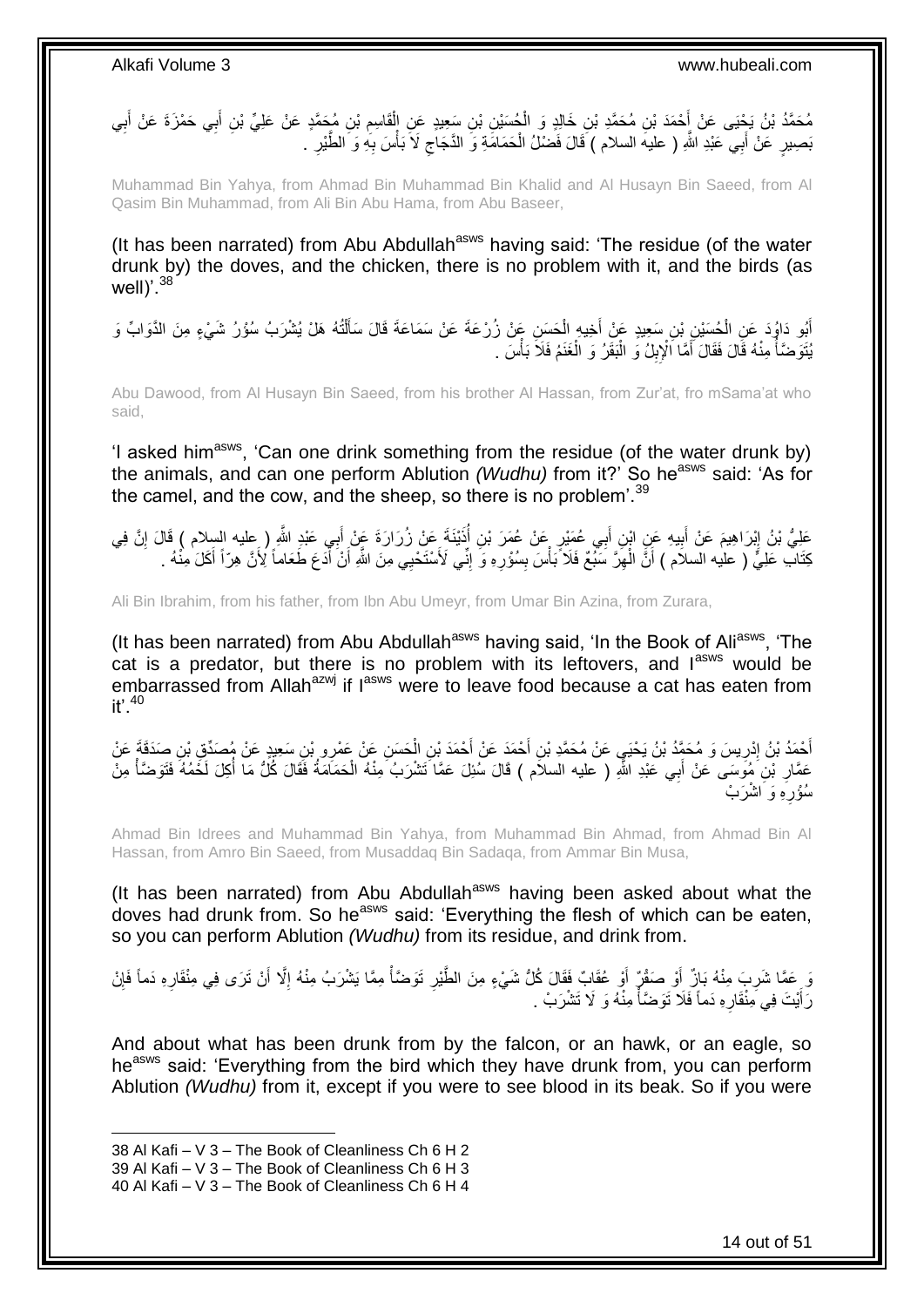مُحَمَّدُ بْنُ يَجْيَى عَنْ إِحْمَدَ بْنِ مُحَمَّدِ بْنِ خَالِدٍ وَ الْجُسَيْنِ بْنِ سَعِيدٍ عَنِ إِلْقَاسِمِ بْنِ مُجَمَّدٍ عَنْ عَلِيٍّ بْنِ أَبِي حَمْزَةَ عَنْ أَبِي ْ ِ َ َ ِ ْ بَصِيرٍ ۚ عَنْ أَبِي عَبْدِ اللَّهِ ( عليه السلام ) قَالَ فَضْلٌ الْحَمَامَّةِ وَ الدَّجَاَجِ لَا َبَأْسَ بِهِ وَ الطَّيْرِ ۚ ـ ِ ِ ا<br>أ  $\zeta$ ْ َ

Muhammad Bin Yahya, from Ahmad Bin Muhammad Bin Khalid and Al Husayn Bin Saeed, from Al Qasim Bin Muhammad, from Ali Bin Abu Hama, from Abu Baseer,

(It has been narrated) from Abu Abdullah<sup>asws</sup> having said: 'The residue (of the water drunk by) the doves, and the chicken, there is no problem with it, and the birds (as well $)$ '.  $38$ 

أَبُو دَاوُدَ عَنِ الْحُسَيْنِ بْنِ سَعِيدٍ عَنْ أَخِيهِ الْحَسَنِ عَنْ زُرْعَةَ عَنْ سَمَاعَةَ قَالَ سَأَلْتُهُ هَلْ يُشْرَبُ سُؤُرُ شَيْءٍ مِنَ الدَّوَابِّ وَ ْ َ ْ َ ْ يُتَوضَأُ مِنْهُ قَالَ فَقَالَ أَمَّا الْإِبِلُ وَ الْبَقَرُ وَ الْغَنَمُ فَلَا بَأْسَ . ْ ْ :<br>ا **!** َ ٦,

Abu Dawood, from Al Husayn Bin Saeed, from his brother Al Hassan, from Zur'at, fro mSama'at who said,

'I asked him<sup>asws</sup>, 'Can one drink something from the residue (of the water drunk by) the animals, and can one perform Ablution *(Wudhu)* from it?' So he<sup>asws</sup> said: 'As for the camel, and the cow, and the sheep, so there is no problem<sup>'39</sup>

عَلِيُّ بْنُ إِبْرَاهِيمَ عَنْ أَبِيهِ عَنٍ ابْنِ أَبِي عُمَلِرٍ عَنْ عُمَرَ بْنِ أُنَيْنَةَ عَنْ زُرَارَةَ عَنْ أَبِي عَبْدِ اللَّهِ ( عِليه السلام ) قَالَ إِنَّ فِي َ ُ **!** َ ِ ِ كِتَابٌ عَلِيُّ ( عليه السلام ) أَنَّ الْهِرَّ سَبُعٌ فَلاَ بَأْسَ بِسُؤْرِهِ وَ إِنِّي لَأَسْتَحْيِي مِنَ اللَّهِ أَنْ أَدَعَ طَعَاماً لِأَنَّ هِرَّاً أَكَلَ مِنْهُ . ِ ِ **! ٔ** ِ ْ َ َ َ َ

Ali Bin Ibrahim, from his father, from Ibn Abu Umeyr, from Umar Bin Azina, from Zurara,

(It has been narrated) from Abu Abdullah<sup>asws</sup> having said, 'In the Book of Ali<sup>asws</sup>, 'The cat is a predator, but there is no problem with its leftovers, and  $I^{asws}$  would be embarrassed from Allah<sup>azwj</sup> if I<sup>asws</sup> were to leave food because a cat has eaten from  $it'$ , 40

َ أَحْمَدُ بْنُ إِدْرِيسَ وَ مُحَمَّدُ بْنُ يَحْيَيِ عَنْ مُحَمَّدِ بْنِ أَحْمَدَ عَنْ أَحْمَدَ بْنِ الْحَسَنِ عَنْ عَمْرِو بْنِ سَعِيدٍ عَنْ مُصَدِّقٍ بْنِ صَدَقَةً عَنْ َ **∶** ِ ْ عَمَّارِ بْنِ مُوَسَى عَنْ أَبِي عَبْدِ اللَّهِ ( عليه السلاَم ) قَالَ سُئِلَ عَمَّا َتَشْرَبُ مِنْهُ الْحَمَامَةُ فَقَالَ كُلُّ مَا أَكِلَ لَخَمُهُ فَتَوَضَّأُ مِنْ ْ َ ِ ْ ا<br>ا مُؤْرِهِ وَ اَشْرَبْ **∶** 

Ahmad Bin Idrees and Muhammad Bin Yahya, from Muhammad Bin Ahmad, from Ahmad Bin Al Hassan, from Amro Bin Saeed, from Musaddaq Bin Sadaqa, from Ammar Bin Musa,

(It has been narrated) from Abu Abdullah<sup>asws</sup> having been asked about what the doves had drunk from. So he<sup>asws</sup> said: 'Everything the flesh of which can be eaten, so you can perform Ablution *(Wudhu)* from its residue, and drink from.

وَ عَمَّا شَرِبَ مِنْهُ بَازٌ أَوْ صَقْرٌ أَوْ عُقَابٌ فَقَالَ كُلُّ شَيْءٍ مِنَ الطَّيْرِ تَوَضَّأْ مِمَّا يَشْرَبُ مِنْهُ إِلَّا أَنْ تَرَى فِي مِنْقَارِهِ دَماً فَإِنْ َ َ ِ ْ **ٍ** ∣ļ ِ َ ِ رَأَيْتَ فِي مِنْقَارِهِ دَماً فَلَا تَوَضَّأُ مِنْهُ وَ لَا تَشْرَبْ . **المستقبل** ِ َ

And about what has been drunk from by the falcon, or an hawk, or an eagle, so he<sup>asws</sup> said: 'Everything from the bird which they have drunk from, you can perform Ablution *(Wudhu)* from it, except if you were to see blood in its beak. So if you were

<sup>38</sup> Al Kafi – V 3 – The Book of Cleanliness Ch 6 H 2

<sup>39</sup> Al Kafi – V 3 – The Book of Cleanliness Ch 6 H 3

<sup>40</sup> Al Kafi – V 3 – The Book of Cleanliness Ch 6 H 4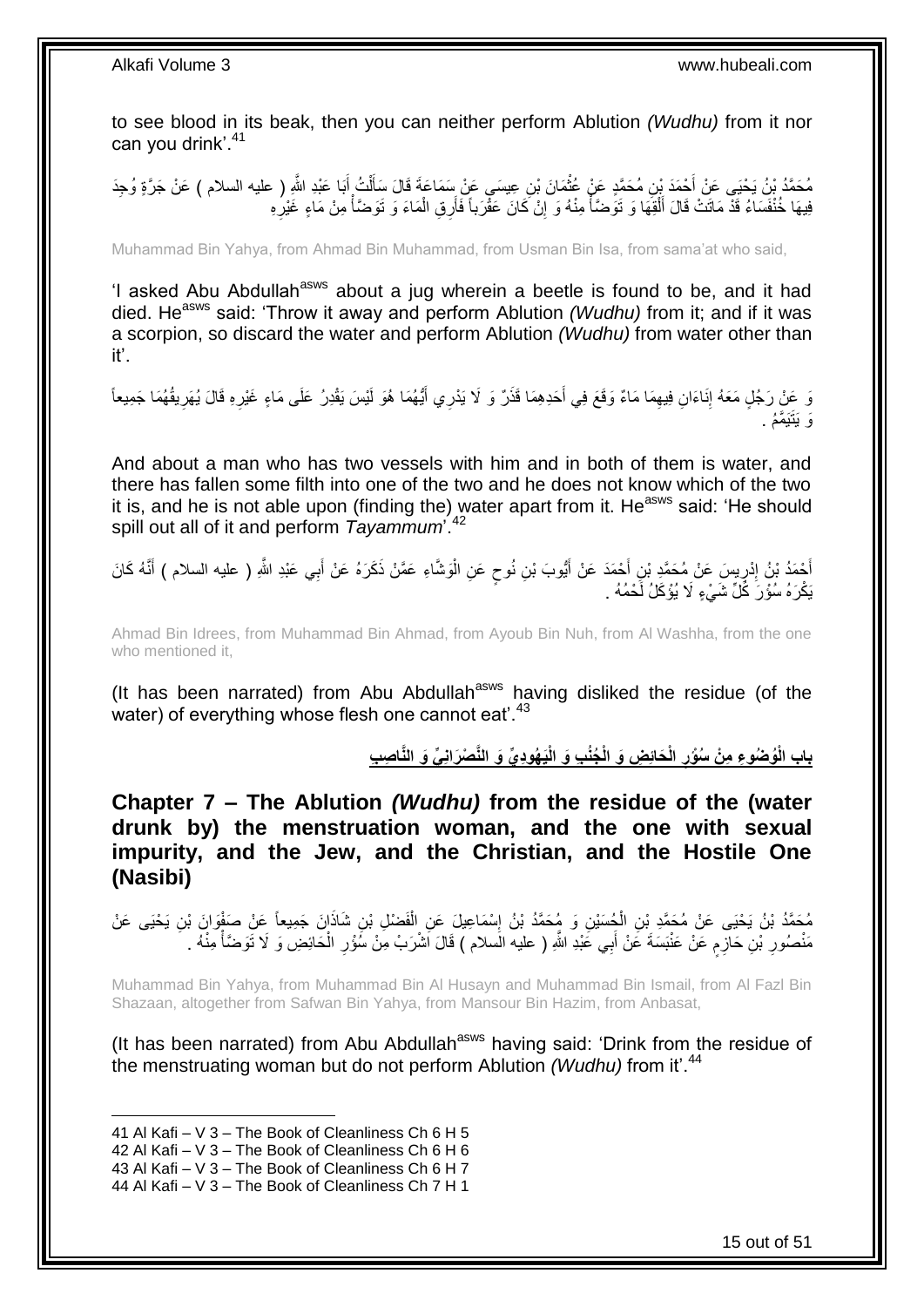to see blood in its beak, then you can neither perform Ablution *(Wudhu)* from it nor can you drink'.<sup>41</sup>

مُحَمَّدُ بْنُ يَحْيَى عَنْ أَحْمَدَ بْنِ مُحَمَّدٍ عَنْ عُثْمَانَ بْنِ عِيسَى عَنْ سَمَاعَةَ قَالَ سَأَلْتُ أَبَا عَبْدِ اللَّهِ ( عليه السلام ) عَنْ جَرَّةٍ وُجِدَ َ ْ اً<br>أ **ٔ** فِيهَا خُنْفَسَاءُ قَدْ مَاتَتْ قَالَ أَلْقِهَا وَ تَوَضَنَأْ مِنْهُ وَ إِنْ كَانَ عَقْرَباً فَأُرِقِ الْمَاءَ وَ تَوَضَنَأْ مِنْ مَاءٍ غَيْرِهِ ْ اُ ِ **المستقبل**<br>المستقبل ْ َ ِ أُمُّ النَّبِيُّ الْمُسْتَدِّعُونَ مِنْ الْمُسْتَدِّعُونَ مِنْ الْمُسْتَدِّعُونَ مِنْ الْمُسْتَدِّعُونَ مِنْ

Muhammad Bin Yahya, from Ahmad Bin Muhammad, from Usman Bin Isa, from sama'at who said,

'I asked Abu Abdullah<sup>asws</sup> about a jug wherein a beetle is found to be, and it had died. He<sup>asws</sup> said: 'Throw it away and perform Ablution *(Wudhu)* from it; and if it was a scorpion, so discard the water and perform Ablution *(Wudhu)* from water other than it'.

وَ عَنْ رَجُلٍ مَعَهُ إِنَاءَانِ فِيهِمَا مَاءٌ وَقَعَ فِي أَحَدِهِمَا قَذَرٌ وَ لَا يَدْرِي أَيُّهُمَا هُوَ لَيْسَ يَقْدِرُ عَلَى مَاءٍ غَيْرِهِ قَالَ يُهَرِيقُهُمَا جَمِيعاً َ َ ِ ֺ֧֖ׅ֧ׅ֧֧֚֚֚֚֚֚֚֚֚֚֚֚֚֚֝֝֬֓֡֡֓֡֟֡֡֡֡֡֡֬֓֡֟֓֡֟֓֡֟֓֡֡֡֬֩֓֓֩ ِ ِ ، يَتَيَمَّمُ

And about a man who has two vessels with him and in both of them is water, and there has fallen some filth into one of the two and he does not know which of the two it is, and he is not able upon (finding the) water apart from it. He $^{asws}$  said: 'He should spill out all of it and perform *Tayammum*'.<sup>42</sup>

أَحْمَدُ بْنُ إِدْرِيسَ عَنْ مُحَمَّدِ بْنِ أَحْمَدَ عَنْ أَيُّوبَ بْنِ نُوحٍ عَنِ الْوَشَاءِ عَمَّنْ ذَكَرَهُ عَنْ أَبِي عَبْدِ اللَّهِ ( عليه السلام ) أَنَّهُ كَانَ َ ْ ٍ َ ِ ِ َ َ يَكْرَهُ سُؤْرَ كُلِّ شَيْءٍ لَا يُؤْكَلُ لََحْمُهُ .

Ahmad Bin Idrees, from Muhammad Bin Ahmad, from Ayoub Bin Nuh, from Al Washha, from the one who mentioned it,

(It has been narrated) from Abu Abdullah<sup>asws</sup> having disliked the residue (of the water) of everything whose flesh one cannot eat'.<sup>43</sup>

> باب الْوُصْلُوعِ مِنْ سُؤُرِ الْحَائِضِ وَ الْجُنُبِ وَ الْيَهُودِيِّ وَ النَّصْرَانِيِّ وَ النَّاصِبِ **ِ**

<span id="page-14-0"></span>**Chapter 7 – The Ablution** *(Wudhu)* **from the residue of the (water drunk by) the menstruation woman, and the one with sexual impurity, and the Jew, and the Christian, and the Hostile One (Nasibi)**

مُحَمَّدُ بْنُ يَحْيَى عَنْ مُحَمَّدِ بْنِ الْجُسَيْنِ وَ مُحَمَّدُ بْنُ إِسْمَاعِيلَ عَنِ الْفَضْلِ بْنِ شَاذَإِنَ جَمِيعاً عَنْ صَفْوَانَ بْنِ يَحْيَى عَنْ ْ ِ ْ ِ مَنْصُورِ بْنِ حَازِمٍ عَنْ عَنْبَسَةَ عَنْ أَبِي عَبْدِ اللَّهِ ( عليه الَسلام ) قَالَ اَشْرَبْ مِنْ سُؤْرِ الْحَائِضِ وَ لَا تَوَضَّأُ مِنْهُ . ْ ْ ِ َ م ِ

Muhammad Bin Yahya, from Muhammad Bin Al Husayn and Muhammad Bin Ismail, from Al Fazl Bin Shazaan, altogether from Safwan Bin Yahya, from Mansour Bin Hazim, from Anbasat,

(It has been narrated) from Abu Abdullah<sup>asws</sup> having said: 'Drink from the residue of the menstruating woman but do not perform Ablution *(Wudhu)* from it'.<sup>44</sup>

<sup>1</sup> 41 Al Kafi – V 3 – The Book of Cleanliness Ch 6 H 5

<sup>42</sup> Al Kafi – V 3 – The Book of Cleanliness Ch 6 H 6

<sup>43</sup> Al Kafi – V 3 – The Book of Cleanliness Ch 6 H 7

<sup>44</sup> Al Kafi – V 3 – The Book of Cleanliness Ch 7 H 1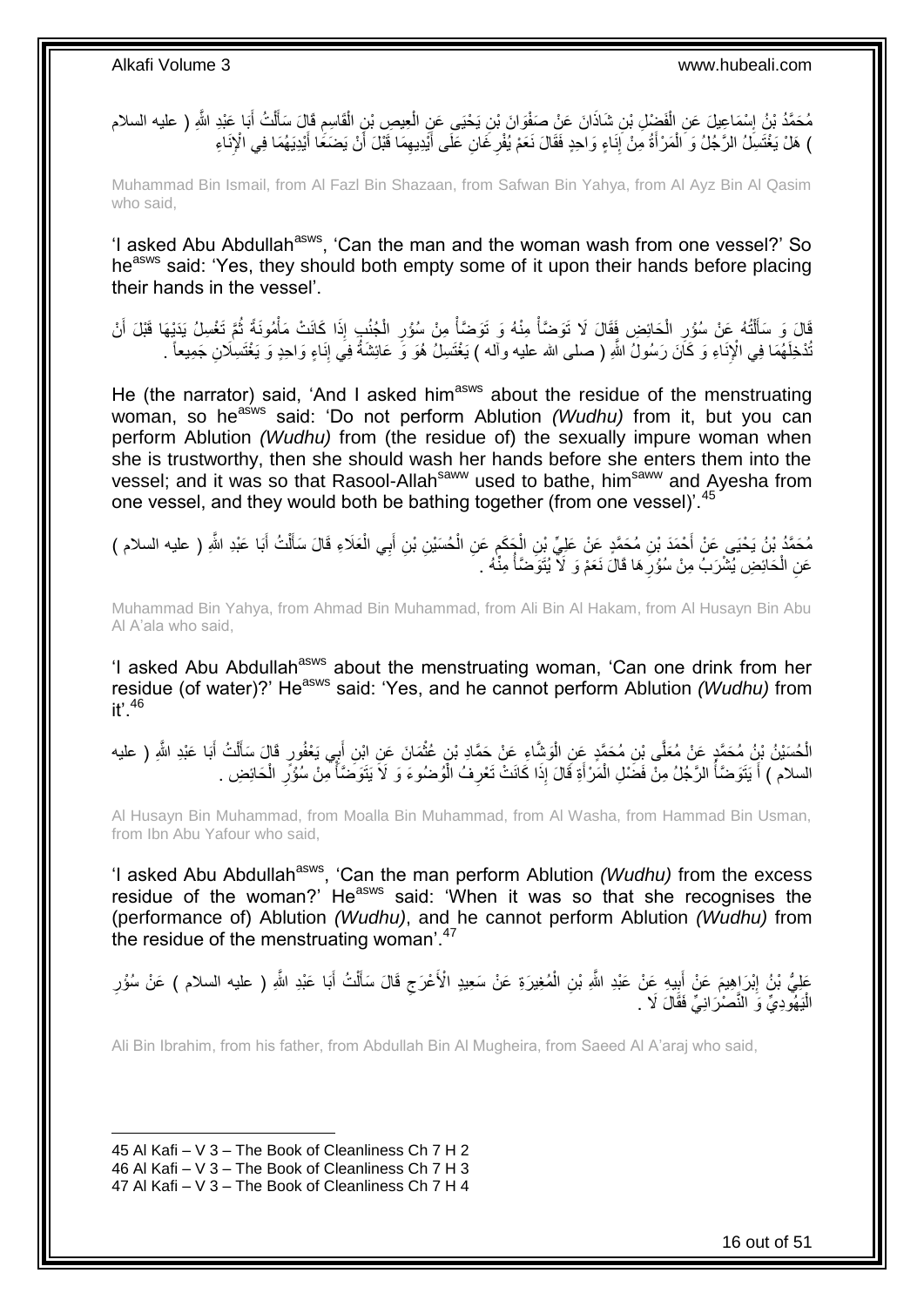مُحَمَّدُ بْنُ إِسْمَاعِيلَ عَنِ الْفَضْلِ بْنِ شَاذَانَ عَنِْ صَفْوَانَ بْنِ يَحْيَى عَنٍ الْعِيصِ بْنِ الْقَاسِمِ قَإِلَ سَأَلْتُ أَبَا عَبْدِ اللَّهِ ( عليه السلام ْ ِ َ ْ َ ِ ْ ْ ) هَلْ يَغْتَسِلُ الرَّجُلُ وَ الْمَرْأَةُ مِنْ إِنَاءٍ وَاحِدٍ فَقَالَ نَعَمْ يُفْرِغَانِ عَلَى أَيْدِيهِمَا قَبْلَ أَنْ يَضنَعَا أَيْدِيَهُمَا فِي الْإِنَاءِ َ ِ َ **∶** ِ ْ

Muhammad Bin Ismail, from Al Fazl Bin Shazaan, from Safwan Bin Yahya, from Al Ayz Bin Al Qasim who said,

'I asked Abu Abdullah<sup>asws</sup>, 'Can the man and the woman wash from one vessel?' So he<sup>asws</sup> said: 'Yes, they should both empty some of it upon their hands before placing their hands in the vessel'.

ْ قَالَ وَ سَأَلْتُهُ عَنْ سُؤْرِ الْحَائِضِ فَقَالَ لَا تَوَضَّأُ مِنْهُ وَ تَوَضَّأُ مِنْ سُؤْرِ الْجُنُبِ إِذَا كَانَتْ مَأْمُونَةً ثُمَّ تَغْسِلُ يَدَيْهَا قَبْلَ أَنْ ْ **∶ Contract CONTRACTOR** ْ ِ ْ َ ُ نُدْخِلَهُمَا فِي الْإِنَاءِ وَ كَانَ رَسُولُ اللّهِ ( صلى الله عليه وأله ) يَغْتَسِلُ هُوَ وَ عَائِشَةُ فِي إِنَاءٍ وَاحِدٍ وَ يَغْتَسِلَانِ جَمِيعاً <sub>-</sub> ِ

He (the narrator) said, 'And I asked him<sup>asws</sup> about the residue of the menstruating woman, so he<sup>asws</sup> said: 'Do not perform Ablution *(Wudhu)* from it, but you can perform Ablution *(Wudhu)* from (the residue of) the sexually impure woman when she is trustworthy, then she should wash her hands before she enters them into the vessel; and it was so that Rasool-Allahsaww used to bathe, himsaww and Ayesha from one vessel, and they would both be bathing together (from one vessel)<sup>'.45</sup>

مُحَمَّدُ بْنُ يَحْيَى عَنْ أَحْمَدَ بْنِ مُحَمَّدٍ عَنْ عَلِيِّ بْنِ الْجَكَمِ عَنِ الْحُسَيْنِ بْنِ أَبِي الْعَلَاءِ قَالَ سَأَلْتُ أَبَا عَبْدِ اللَّهِ ( عليه السلام ) ْ َ ْ ِ ْ َ َ ْ َ عَنِ الْحَائِضِ يُشْرَبُ مِنْ سُؤْرِهَا قَالَ نَعَمْ وَ لَآ يُتَوَضَّأُ مِنْهُ . المناصب المناسب المناسب المناسب المناسب المناسب المناسب المناسب المناسب المناسب المناسب المناسب المناسب المناس<br>المناسب المناسب المناسب المناسب المناسب المناسب المناسب المناسب المناسب المناسب المناسب المناسب المناسب المناس ِ ْ

Muhammad Bin Yahya, from Ahmad Bin Muhammad, from Ali Bin Al Hakam, from Al Husayn Bin Abu Al A'ala who said,

'I asked Abu Abdullah<sup>asws</sup> about the menstruating woman, 'Can one drink from her residue (of water)?' He<sup>asws</sup> said: 'Yes, and he cannot perform Ablution *(Wudhu)* from  $it'$  46

الْحُسَيْنُ بْنُ مُحَمَّدٍ عَنْ مُعَلَّى بْنِ مُحَمَّدٍ عَنِ الْوَشَّاءِ عَنْ حَمَّادِ بْنِ عُثْمَانَ عَنِ ابْنِ أَبِي يَعْفُورٍ قَالَ سَأَلْتُ أَبَا عَبْدِ اللَّهِ ( عليه َ **ٔ** ْ َ ْ َ ِ السلام ) أَ يَتَوضَأُ الرَّجُلُ مِنْ فَضَلِ الْمَرْأَةِ قَالَ إِذَا كَانَتْ تَعْرِفُ الْوُضُوءَ وَ لَاَ يَتَوَضَأَ مِنْ سُؤُرِ الْحَائِضِ . ْ المُحَمَّدِينَ بِهِ مُحَمَّدِينَ بِهِ مُحَمَّدِينَ بِهِ مُحَمَّدِينَ بِهِ مُحَمَّدِينَ بِهِ مُحَمِّد َ ْ ِ ْ ْ

Al Husayn Bin Muhammad, from Moalla Bin Muhammad, from Al Washa, from Hammad Bin Usman, from Ibn Abu Yafour who said,

'I asked Abu Abdullah<sup>asws</sup>, 'Can the man perform Ablution *(Wudhu)* from the excess residue of the woman?' He<sup>asws</sup> said: 'When it was so that she recognises the (performance of) Ablution *(Wudhu)*, and he cannot perform Ablution *(Wudhu)* from the residue of the menstruating woman<sup>'.47</sup>

عَلِيُّ بْنُ إِبْرَاهِيمَ عَنْ أَبِيهِ عَنْ عَبْدِ اللَّهِ بْنِ الْمُغِيرَةِ عَنْ سَعِيدٍ الْأَعْرَجِ قَالَ سَأَلْتُ أَبَا عَبْدِ اللَّهِ ( عليه السلام ) عَنْ سُؤْرِ ِ َ ِ ِ َ ْ َ ِ ْ الْبَهُوْدِيِّ وَ النَّصْرَانِيِّ فَقَالَ لَا . :<br>ا

Ali Bin Ibrahim, from his father, from Abdullah Bin Al Mugheira, from Saeed Al A'araj who said,

1 Al Kafi – V 3 – The Book of Cleanliness Ch 7 H 2 Al Kafi – V 3 – The Book of Cleanliness Ch 7 H 3 Al Kafi – V 3 – The Book of Cleanliness Ch 7 H 4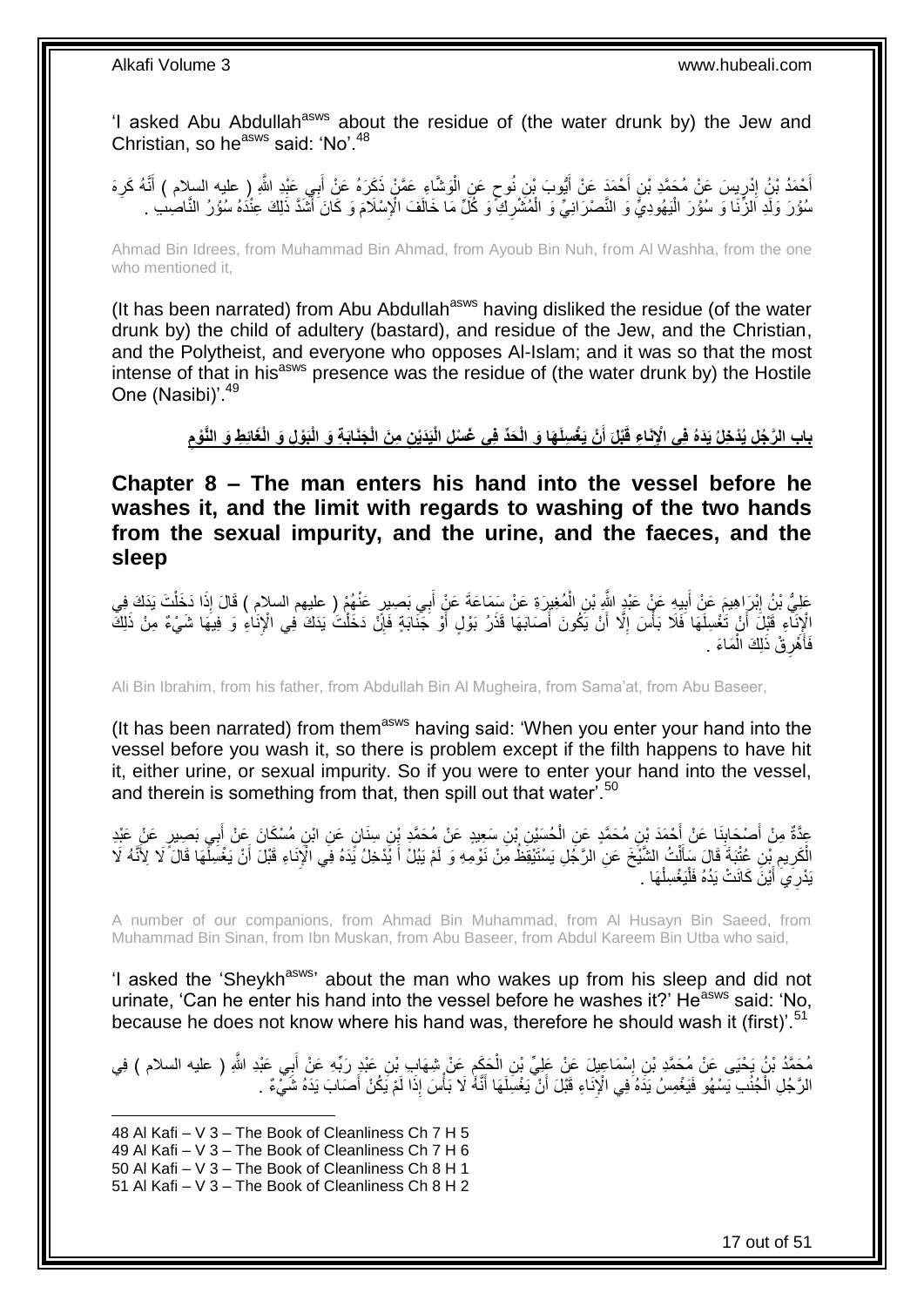'I asked Abu Abdullah<sup>asws</sup> about the residue of (the water drunk by) the Jew and Christian, so he<sup>asws</sup> said: 'No'.<sup>48</sup>

أَحْمَدُ بْنُ إِدْرِيسَ عَنْ مُحَمَّدِ بْنِ أَحْمَدَ عَنْ أَيُّوبَ بْنِ نُوحٍ عَنِ الْوَشَّاءِ عَمَّنْ ذَكَرَهُ عَنْ أَبِي عَبْدِ اللَّهِ ( عليه السلام ) أَنَّهُ كَرِهَ َ ْ ٍ َ ِ ِ ِ َ َ سُؤْرَ وَلَدِ الزِّنَا وَ سُؤْرَ الْيَهُودِيُّ وَ النَّصْرَانِيِّ وَ الْمُشْرِكِِّ وَ كُلِّ مَا خَالَفَ الْإِسْلَامَ وَ كَانَ أَشْذَ ذَلِكَ عِنْدُهُ سُؤْرُ النَّاصِيْبِ . ِ ْ ا<br>ا

Ahmad Bin Idrees, from Muhammad Bin Ahmad, from Ayoub Bin Nuh, from Al Washha, from the one who mentioned it,

(It has been narrated) from Abu Abdullah<sup>asws</sup> having disliked the residue (of the water drunk by) the child of adultery (bastard), and residue of the Jew, and the Christian, and the Polytheist, and everyone who opposes Al-Islam; and it was so that the most intense of that in his<sup>asws</sup> presence was the residue of (the water drunk by) the Hostile One (Nasibi)<sup>', 49</sup>

### باب الرَّجُلِ يُذْخِلُ يَدَهُ فِى الْإِنَاءِ قَبْلَ أَنْ يَغْسِلَهَا وَ الْحَدِّ فِى غَسْلِ الْيَدَيْنِ مِنَ الْجَنَابَةِ وَ الْبَوْلِ وَ الْغَائِطِ وَ النَّوْمِ **َ ِ**

<span id="page-16-0"></span>**Chapter 8 – The man enters his hand into the vessel before he washes it, and the limit with regards to washing of the two hands from the sexual impurity, and the urine, and the faeces, and the sleep**

عَلِيُّ بْنُ إِبْرَاهِيمَ عَنْ أَبِيهِ عَنْ عَبْدٍ اللَّهِ بْنِ الْمُغِيرَةِ عَنْ سَمَاعَةَ عَنْ أَبِي بَصِيرٍ عَنْهُمْ ( عليهم السلام ) قَالَ إِذَا دَخَلْتَ يَذَكَ فِي َ ْ **!** َ ِ ْ إِنْجَاءِ قَبْلَ أَنْ تَخْسِلَهَا فَلَا بَأْسَ إِلَّا أَنْ يَكُونَ أَصَابَهَا قَذَرُ بَوْلٍ أَوْ جَنَابَةٍ فَإِنْ دَخَلْتُ بَدَكَ فِي الْإِنَاءِ وَ فِيهَا شَيْءٌ مِنْ ذَلِكَ ْ ِ َ َ َ ِ ا<br>ا اُ فَأَهْرِقْ ذَلِكَ الْمَاءَ . ْ ِ َ

Ali Bin Ibrahim, from his father, from Abdullah Bin Al Mugheira, from Sama'at, from Abu Baseer,

(It has been narrated) from them<sup>asws</sup> having said: 'When you enter your hand into the vessel before you wash it, so there is problem except if the filth happens to have hit it, either urine, or sexual impurity. So if you were to enter your hand into the vessel, and therein is something from that, then spill out that water'.<sup>50</sup>

عِدَّةٌ مِنْ أَصْحَابِذَا عَنْ أَحْمَدَ بْنِ مُحَمَّدٍ عَنِ الْحُسَيْنِ بْنِ سَعِيدٍ عَنْ مُحَمَّدٍ بْنِ سِنَانٍ عَنِ ابْنٍ مُسْكَانَ عَنْ أَبِي بَصِيرٍ عَنْ عَبْدِ<br>وَجَمَعَتْ الْجَمَعِينَ عَلَيْهِ مَنْ الْحُمَدَ فَيَرْسَ ْ َ ِ َ َ الْكَرِيمِ بْنِ عُتْبَةَ قَالَ سَأَلْتُ الشَّيْخَ عَنِ الرَّجُلِ يَسْتَيْقَظُ مِنْ نَوْمِهِ وَ لَمْ يَبُلْ أَ يُذْخِلُ يَدَهُ فِي الْإِنَاءِ قَبْلَ أَنْ يَغْسِلُّهَا قَالَ ۚ لَا لِأَنَّهُ لَا<br>الْكَرِيمِ بْنِ عَبَيْهِ مَالٍ ْ َ ِ ِ ْ َ َ يْدْرِيَ أَيْنَ كَانَتْ يَدُهُ فَلْيَغْسِلْهَا . ْ :<br>ا َ

A number of our companions, from Ahmad Bin Muhammad, from Al Husayn Bin Saeed, from Muhammad Bin Sinan, from Ibn Muskan, from Abu Baseer, from Abdul Kareem Bin Utba who said,

'I asked the 'Sheykh<sup>asws</sup>' about the man who wakes up from his sleep and did not urinate, 'Can he enter his hand into the vessel before he washes it?' He<sup>asws</sup> said: 'No, because he does not know where his hand was, therefore he should wash it (first)<sup>'.51</sup>

ِ مُحَمَّدُ بْنُ يَحْيَى عَنْ مُحَمَّدِ بْنِ إِسْمَاعِيلَ عَنْ عَلِيِّ بْنِ الْحَكَمِ عَنْ شِهَابِ بْنِ عَبْدٍ رَبِّهِ عَنْ أَبِي عَبْدِ اللَّهِ ( عليه السلام ) فِي<br>مَصَدِّدُ بِنُ يَحْيَى عَنْ مُحَمَّدِ بْنِ إِسْمَاعِيلَ عَ َ ֖֧֧֧֧֧֧ׅ֧ׅ֛֚֚֚֚֚֚֚֚֚֚֚֚֚֚֚֚֚֚֚֚֚֚֚֚֚֚֚֚֚֝֝֝֝֝֝֝֝֓֝֓֝֓֝֓֜֡֜֓֜֓ ْ ֖֧֓֓<u>֓</u> الرَّجُلِ الْجُنُبِ يَسْهُو فَيَغْمِسُ يَدَّهُ فِي الْإِنَاءِ قَبْلَ أَنْ يَغْسِلَهَا أَنَّهُ لَا بَأْسَ إِذَا لَمْ يَكُنْ أَصَابَ يَدَهُ شَيْءٌ . َ َ ْ َ ْ

1 Al Kafi – V 3 – The Book of Cleanliness Ch 7 H 5 Al Kafi – V 3 – The Book of Cleanliness Ch 7 H 6 Al Kafi – V 3 – The Book of Cleanliness Ch 8 H 1 Al Kafi – V 3 – The Book of Cleanliness Ch 8 H 2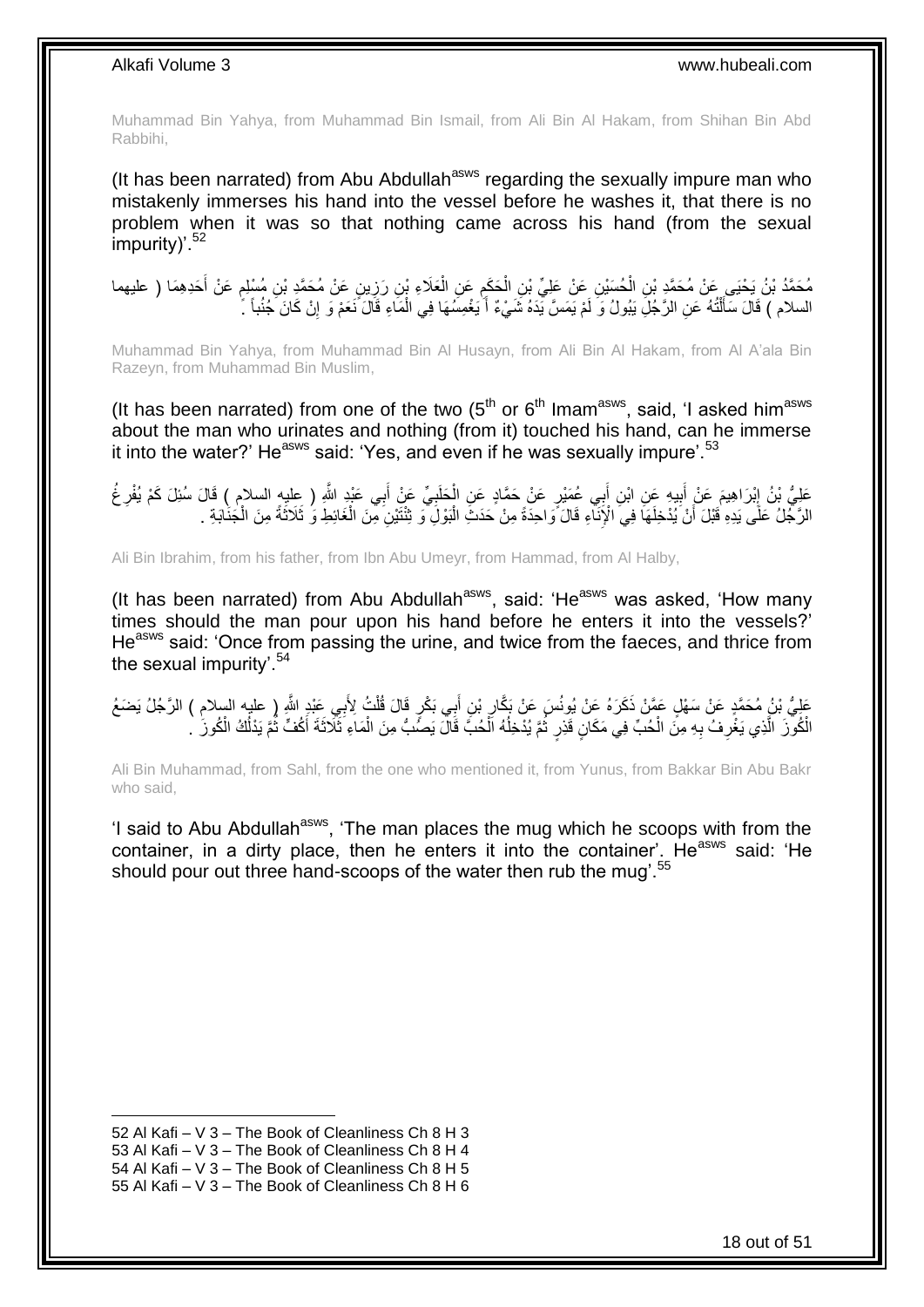Muhammad Bin Yahya, from Muhammad Bin Ismail, from Ali Bin Al Hakam, from Shihan Bin Abd Rabbihi,

(It has been narrated) from Abu Abdullah<sup>asws</sup> regarding the sexually impure man who mistakenly immerses his hand into the vessel before he washes it, that there is no problem when it was so that nothing came across his hand (from the sexual impurity)<sup>'.52</sup>

مُحَمَّدُ بْنُ يَحْيَى عَنْ مُحَمَّدٍ بْنِ الْحُسَيْنِ عَنْ عَلِيٍّ بْنِ الْحَكَمِ عَنِ الْعَلَاءِ بْنِ رَزِينٍ عَنْ مُحَمَّدٍ بْنِ مُسْلِمٍ عَنْ أَحَدِهِمَا ( عليهما ْ **ُ** ْ ْ َ م ِ السلام ) قَالَ سَأَلْتُهُ عَنِ الرَّجُلِّ يَبُولُ وَ لَمْ يَمَسَّ يَدَهُ شَيْءٌ أَ يَغْمِسُهَا فِي الْمَاءِ قَالَ َنَعَمْ وَ إِنْ كَانَ جُنُباً ۚ. ֺ֧֦֧֦֧֦֦֦֦֖֦֪֦֪֦֧֦֪֦֪֦֪֪֦֪֪֦֪֪֦֪֦֪֪֦֝֟֟֟֟֟֟֟֟֟֟֟֟֟֟֟֟֟֟֟֟֟֟֓֕֟֓֟֓֟֓֟֓֟֓֟֓֟֓֟֓֟֓֟֓֟֟֟֝֟֟֟֟֟֟֟֝֟ َ ِ ْ َ

Muhammad Bin Yahya, from Muhammad Bin Al Husayn, from Ali Bin Al Hakam, from Al A'ala Bin Razeyn, from Muhammad Bin Muslim,

(It has been narrated) from one of the two  $(5<sup>th</sup>$  or  $6<sup>th</sup>$  Imam<sup>asws</sup>, said, 'I asked him<sup>asws</sup> about the man who urinates and nothing (from it) touched his hand, can he immerse it into the water?' He<sup>asws</sup> said: 'Yes, and even if he was sexually impure'.<sup>53</sup>

عَلِيُّ بْنُ إِبْرَاهِيمَ عَنْ أَبِيهِ عَنِ ابْنِ أَبِي عُمَيْرٍ عَنْ حَمَّادٍ عَنِ الْحَلَبِيِّ عَنْ أَبِي عَبْدٍ اللَّهِ ( عِليه السلام ) قَالَ سُئِلَ كَمْ يُفْرِغُ َ **∶** ْ َ **!** َ ِ ِ الرَّجُلُ عَلَى يَدِهِ قَبْلَ أَنْ يُدْخِلَهَا فِي الْإِنَاءِ قَالَ َواحِدَةً مِنْ حَدَثِ الْبَوْلِ ۖ وَ تِنْتَيْنِ مِنَ الْغَائِطِ وَ تَلَاثَةً مِنَ الْجَذْلِهِ ۚ . ْ َ ْ ْ

Ali Bin Ibrahim, from his father, from Ibn Abu Umeyr, from Hammad, from Al Halby,

(It has been narrated) from Abu Abdullah<sup>asws</sup>, said: 'He<sup>asws</sup> was asked, 'How many times should the man pour upon his hand before he enters it into the vessels?' He<sup>asws</sup> said: 'Once from passing the urine, and twice from the faeces, and thrice from the sexual impurity<sup>'.54</sup>

َ عَلِيُّ بْنُ مُحَمَّدٍ عَنْ سَهْلِ عَمَّنْ ذَكَرَهُ عَنْ يُونُسَ عَنْ بَكَّارٍ بْنِ أَبِي بَكْرٍ قَالَ قُلْتُ لِأَبِي عَبْدٍ اللَّهِ ( عليه السلام ) الرَّجُلُ يَضَعُ ِ ْ َ الْكُونَ الَّذِي يَغْرِ فُ بِهِ مِنَ الْحُبِّ فِي مَكَانٍ قَذِرٍ ثُمَّ يُدْخِلُهُ الْحُبَّ قَالَ يَصُبُّ مِنَ الْمَاءِ ثَلَاثَةَ أَكُفٍّ ثُمَّ يَدْلُكُ الْكُونَٰ ۚ ـ ْ ْ ا<br>ا ا دیکھیے ْ ِ ِ َّ ُ  $\ddot{\phantom{a}}$ َ

Ali Bin Muhammad, from Sahl, from the one who mentioned it, from Yunus, from Bakkar Bin Abu Bakr who said,

'I said to Abu Abdullah<sup>asws</sup>, 'The man places the mug which he scoops with from the container, in a dirty place, then he enters it into the container'. He<sup>asws</sup> said: 'He should pour out three hand-scoops of the water then rub the mug'.<sup>55</sup>

1 Al Kafi – V 3 – The Book of Cleanliness Ch 8 H 3 Al Kafi – V 3 – The Book of Cleanliness Ch 8 H 4 Al Kafi – V 3 – The Book of Cleanliness Ch 8 H 5 Al Kafi – V 3 – The Book of Cleanliness Ch 8 H 6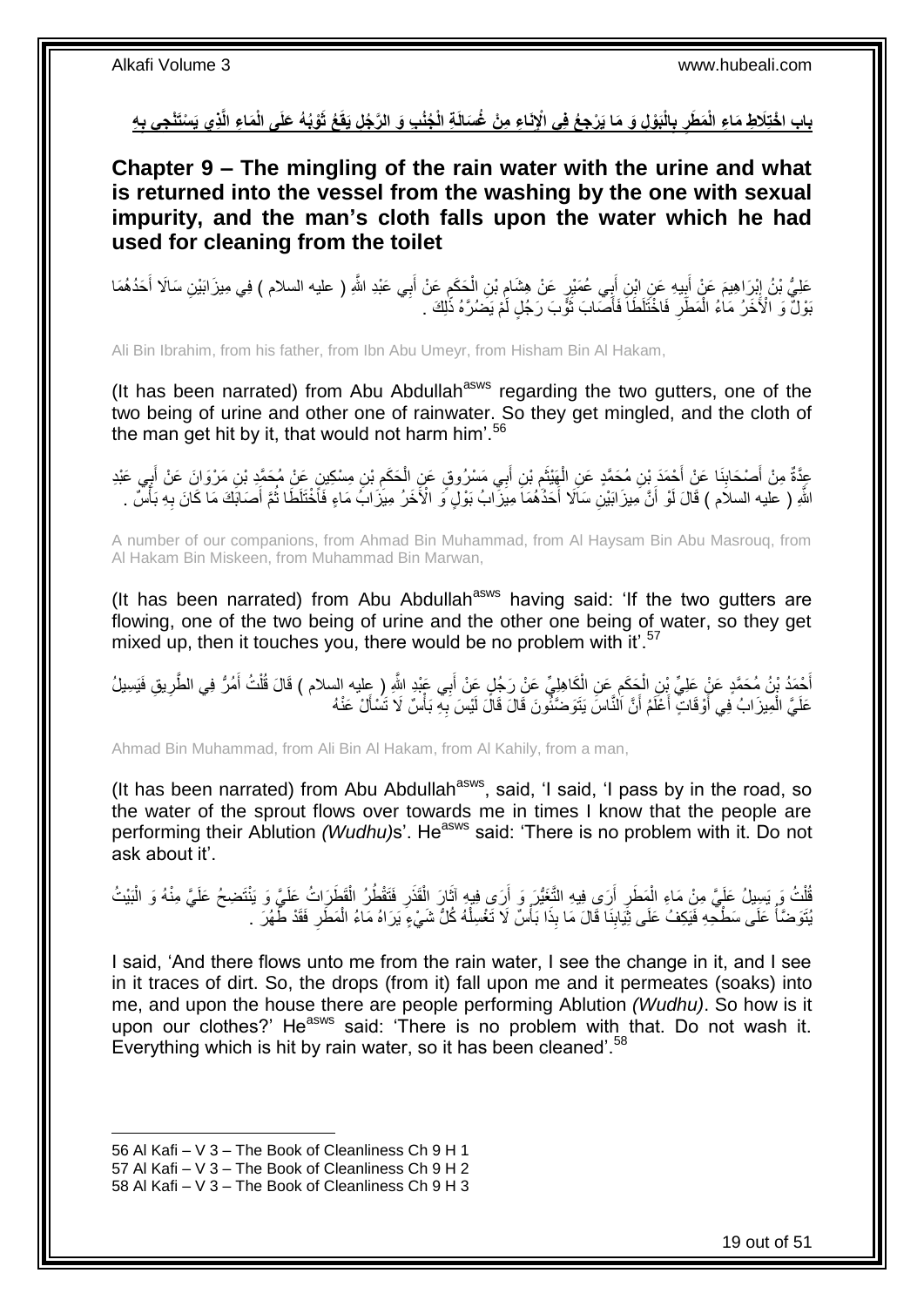باب اخْتِلَاطِ مَاءِ الْمَطَرِ بِالْبَوْلِ وَ مَا يَرْجِعُ فِى الْإِنَاءِ مِنْ غُسَالَةِ الْجُنُبِ وَ الرَّجُلِ يَقَعُ ثَوْبُهُ عَلَى الْمَاءِ الَّذِي يَسْتَنْجِى بِهِ **ِ ِ ِ**

<span id="page-18-0"></span>**Chapter 9 – The mingling of the rain water with the urine and what is returned into the vessel from the washing by the one with sexual impurity, and the man's cloth falls upon the water which he had used for cleaning from the toilet**

عَلِيُّ بْنُ إِبْرَاهِيمَ عَنْ أَبِيهِ عَنِ ابْنِ أَبِي عُمَيْرٍ عَنْ هِشَامٍ بْنِ الْحَكَمِ عَنْ أَبِي عَبْدِ اللَّهِ ( عليه السلام ) فِي مِيزَابَيْنِ سَالَا أَحَدُهُمَا َ ِ ْ ֺ֧֧֪֪֦֪֪֪֚֚֚֚֚֚֚֚֚֚֚֚֚֚֝֓֡֓֓֓֡֓֓֡֓֡֓֡֓֡֡֝֓֡֓֡֡֓֡֓֡֡֝֓֡֓֡֓֡֝ َ **!** َ ֦֧֦֧֦֧֦֧֦֧ׅ֦֧֦֧֦֧֦֧֦֧֦֧֦֧֦֧֦֧֦֧֦֧֦֧֦֧֦֧֦֧֧֦֧֧֦֚֚֚֚֚֚֚֚֚֝֜֓֡֜֜ َ بَوْلٌ وَ الْأَخَرُ مَاٰءُ الْمَطَّرِ فَاخْتَلَطَاَ فَأَصَابَ ثَؤْبَ رَجُلٍ لَمْ يَضُرَّهُ ذَٰلِكَ . َ َ **∶** ْ

Ali Bin Ibrahim, from his father, from Ibn Abu Umeyr, from Hisham Bin Al Hakam,

(It has been narrated) from Abu Abdullah<sup>asws</sup> regarding the two gutters, one of the two being of urine and other one of rainwater. So they get mingled, and the cloth of the man get hit by it, that would not harm him'.  $56$ 

عِدَّةٌ مِنْ أَصْحَابِنَا عَنْ أَجْمَدَ بْنِ مُحَمَّدٍ عَنِ الْهَنْثُمِ بْنِ أَبِي مَسْرُوقٍ عَنٍ الْحَكَمِ بْنِ مِسْكِينٍ عَنْ مُحَمَّدٍ بْنِ مَرْوَانَ عَنْ أَبِي عَبْدِ **∣** َ ِ َ ِ ْ َ ِ َ ْ اللَّهِ ( عليه السلاَم ) قَالَ لَوْ أَنَّ مِيزَابَيْنِ سَاَلَا أَحَدُّهُمَاَ مِيزَ ابْ بَوْلٍ وَ الْأَخَرُ مِيزَابُ مَاءٍ فَأَخْتَلَطَا ثُمَّ أَصَابَكَ مَا كَانَ بِهِ بَأْسٌ . َ اُ َ ُ **ٔ** ِ

A number of our companions, from Ahmad Bin Muhammad, from Al Haysam Bin Abu Masrouq, from Al Hakam Bin Miskeen, from Muhammad Bin Marwan,

(It has been narrated) from Abu Abdullah<sup>asws</sup> having said: 'If the two gutters are flowing, one of the two being of urine and the other one being of water, so they get mixed up, then it touches you, there would be no problem with it'.<sup>57</sup>

أَحْمَدُ بْنُ مُحَمَّدٍ عَنْ عَلِيِّ بِْنِ الْجَكَمِ عَنِ الْكَاهِلِيِّ عَنْ رَجُلٍ عَنْ أَبِي عَبْدِ اللَّهِ ( عليه السلام ) قَالَ قُلْتُ أَمُرٌ فِي الطَّرِيقِ فَيَسِيلُ َ ْ ِ ْ ِ َ ْ عَلَيَّ الْمِيزَابُ فِي أَوْقَاتٍ أَعْلَمُ أَنَّ النَّاسَ يَتَوَضَّئُونَ قَالَ قَالَ لَيْسَ بِهِ بَأْسٌ لَا تَسْأَلْ عَنْهُ َ ْ **∶** اً ا<br>ا َ ْ

Ahmad Bin Muhammad, from Ali Bin Al Hakam, from Al Kahily, from a man,

(It has been narrated) from Abu Abdullah<sup>asws</sup>, said, 'I said, 'I pass by in the road, so the water of the sprout flows over towards me in times I know that the people are performing their Ablution *(Wudhu)*s'. He<sup>asws</sup> said: 'There is no problem with it. Do not ask about it'.

قُلْتُ وَ يَسِيلُ عَلَيَّ مِنْ مَاءِ الْمَطَرِ أَرَى فِيهِ التَّغَيُّرَ وَ أَرَى فِيهِ آثَارَ الْقَذَرِ فَتَقْطُرُ الْقَطَرَاتُ عَلَيَّ وَ يَنْتَضِحُ عَلَيَّ مِنْهُ وَ الْبَيْتُ ْ **ٍ** ْ َ اُ ِ ْ ْ ْ يَّتَوَضَّأُ عَلَى سَطْحِهِ فَيَكِفُ عَلَى ثِّيَابِنَا قَالَ مَا بِذَا بَأْسٌ لَا تَغْسِلْهُ كُلُّ شَيْءٍ يَرَاهُ مَاءُ الْمَطَّرِ فَقَدْ طَّهُرَ ۚ . ْ المناسبة<br>المناسبة ْ **∶** ْ

I said, 'And there flows unto me from the rain water, I see the change in it, and I see in it traces of dirt. So, the drops (from it) fall upon me and it permeates (soaks) into me, and upon the house there are people performing Ablution *(Wudhu)*. So how is it upon our clothes?' Heasws said: 'There is no problem with that. Do not wash it. Everything which is hit by rain water, so it has been cleaned'.<sup>58</sup>

<sup>1</sup> 56 Al Kafi – V 3 – The Book of Cleanliness Ch 9 H 1

<sup>57</sup> Al Kafi – V 3 – The Book of Cleanliness Ch 9 H 2

<sup>58</sup> Al Kafi – V 3 – The Book of Cleanliness Ch 9 H 3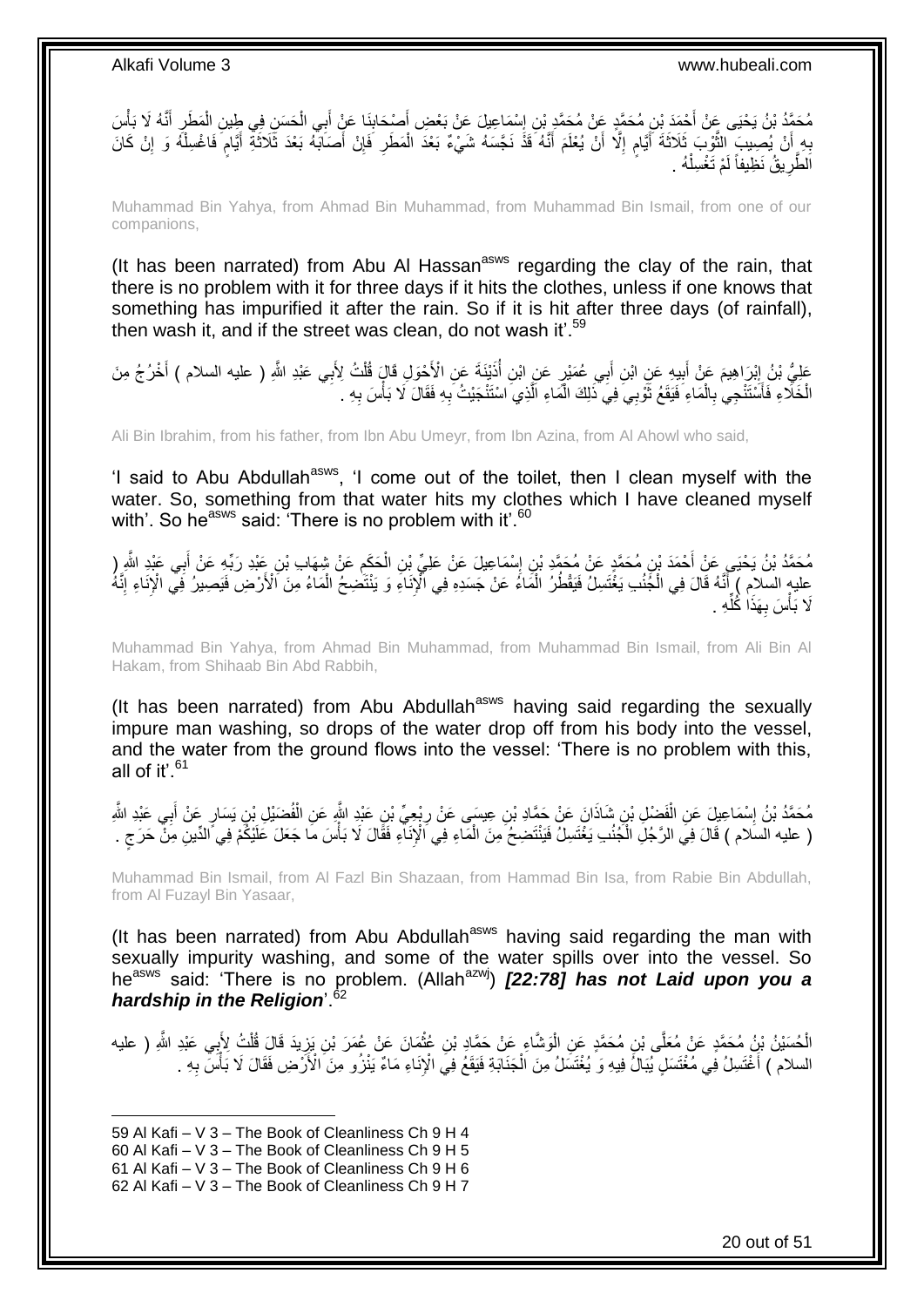مُحَمَّدُ بْنُ يَحْيَى عَنْ أَجْمَدَ بْنِ مُحَمَّدٍ عَنْ مُحَمَّدٍ بْنِ إِسْمَاعِيلَ عَنْ بَعْضِ أَصْحَابِذَا عَنْ أَبِي الْحَسَنِ فِي طِينِ الْمَطَرِ أَنَّهُ لَا بَأْسَ<br>مَعَنَّذُ بَنُ يَحْيَى عَنْ أَجْمَدَ بِنِ مُحَمَّدٍ ا<br>ا ْ َ ; ْ ْ َ ِ َ ِ بِهِ إِنْ يُصِيبَ الثَّوْبَ ثَلَاثَةَ أَيَّامٍ إِلَّا أَنْ يُعْلَمَ أَنَّهُ قَذْ نَجَسَهُ شَيْءٌ بَعْدَ الْمَطَرِ فَإِنْ أَصَابَةً بَعْدَ ثَلَاثَةً أَيَّامٍ فَاغْسِلْهُ وَ إِنْ كَانَ َ ِ ٍ َ ن<br>ا ¦ َ ِ ِ ِ ْ ֧֖֧֖֖֖֖֖֧֖֖֧֧֧֧ׅ֧֧֧֧֧֧֧֧֧֧֧֧֚֚֚֚֚֚֚֚֝֝֟֓֝֓֝֓֝֬֟֓֟֓֝֬֝֬֝֓֝֬֜֓֝֬֜֓֝֬֝֓֝֬֝֓֝֬֝֬֓֝֬֝֬֝ َ َ اَلطَّرِيقُ نَظِيفاً لَمْ تَغْسِلْهُ . ْ لَ ِ

Muhammad Bin Yahya, from Ahmad Bin Muhammad, from Muhammad Bin Ismail, from one of our companions,

(It has been narrated) from Abu AI Hassan<sup>asws</sup> regarding the clay of the rain, that there is no problem with it for three days if it hits the clothes, unless if one knows that something has impurified it after the rain. So if it is hit after three days (of rainfall), then wash it, and if the street was clean, do not wash it'.<sup>59</sup>

عَلِيُّ بْنُ إِبْرَاهِيمَ عَنْ أَبِيهِ عَنِ ابْنِ أَبِي عُمَيْرٍ عَنِ ابْنِ أُذَيْنَةَ عَنِ الْأَحْوَلِ قَالٍ قُلْتُ لِأَبِي عَبْدِ اللَّهِ ( عليه السلام ) أَخْرُجُ مِنَ ْ ُ َ **!** َ ∣l<br>∶ َ الْخَلَاءِ فَأَسْتَنْجِي بِالْمَاءِ فَيَقَعُ ثَوْبِي فِي ذَلِكَ الْمَاءِ الَّذِي اسْتَنْجَيْتُ بِهِ فَقَالَ لَا بَأْسَ بِهِ . َّ ا<br>ا  $\ddot{\phantom{0}}$ ْ **∶** َ ْ ِ ْ ِ

Ali Bin Ibrahim, from his father, from Ibn Abu Umeyr, from Ibn Azina, from Al Ahowl who said,

'I said to Abu Abdullah<sup>asws</sup>, 'I come out of the toilet, then I clean myself with the water. So, something from that water hits my clothes which I have cleaned myself with'. So he<sup>asws</sup> said: 'There is no problem with it'.<sup>60</sup>

مُحَمَّدُ بْنُ يَحْيَي عَنْ أَحْمَدَ بْنِ مُحَمَّدٍ عَنْ مُحَمَّدٍ بْنِ إِسْمَاعِيلَ عَنْ عَلِيٍّ بْنِ الْحَكِمِ عَنْ شِهَابِ بْنِ عَبْدِ رَبِّهِ عَنْ أَبِي عَبْدِ الشَّرِ (<br>. ِ ْ ֦֦֦֦֦֦֦֦֦֦֧֦֧֦֦֦֧֦֦֦֦֦֦֦֦֧֦֧֦֧֦֚֚֬֝֝֝֝֝֝֝֝֝֝֝֟֓֡֟֟֟֟֟֓֡֟֓֡֟ ِ َ عليه السلام ) أَنَّهُ قَالَ فِي الْجُنُبِ يَغْتَسِلُ فَيَقْطُرُ الْمَاءَ عَنْ جَسَدِهِ فِي الْإِنَاءِ وَ يَنْتَضِحُ الْمَاءُ مِنَ الْأَرْضِ فَيَصِيرُ فَي الْإِنَاءِ إِنَّهُ ْ ْ ْ ة<br>∙ّ ِ لَا بَأْسَ بِهَذَا كُلِّهِ . ِّ **∶ ٔ** 

Muhammad Bin Yahya, from Ahmad Bin Muhammad, from Muhammad Bin Ismail, from Ali Bin Al Hakam, from Shihaab Bin Abd Rabbih,

(It has been narrated) from Abu Abdullah<sup>asws</sup> having said regarding the sexually impure man washing, so drops of the water drop off from his body into the vessel, and the water from the ground flows into the vessel: 'There is no problem with this, all of it'. $61$ 

ْ مُحَمَّدُ بْنُ إِسْمَاعِيلَ عَنِ الْفَضْلِ بْنِ شَاذَانَ عَنْ حَمَّادِ بْنِ عِيسَى عَنْ رِبْعِيٍّ بْنِ عَبْدِ اللَّهِ عَنِ الْفُضَيْلِ بْنِ يَسَارٍ عَنْ أَبِي عَبْدِ اللَّهِ **∶** ْ ِ َ ( عليه السلام ) قَالَ فِيَ الرَّجُلِ الْجُنُبِ يَغْتَسِلُ فَيَنْتَضِحُ مِنَ الْمَاءِ فِي الْإِنَاءِ فَقَالَ لَا بَأْسَ مَا جَعَلَ عَلَيْكُمْ فِي الصِّينِ مِنْ حَرَجٍ . ْ ْ ٍ ْ

Muhammad Bin Ismail, from Al Fazl Bin Shazaan, from Hammad Bin Isa, from Rabie Bin Abdullah, from Al Fuzayl Bin Yasaar,

(It has been narrated) from Abu Abdullah<sup>asws</sup> having said regarding the man with sexually impurity washing, and some of the water spills over into the vessel. So he<sup>asws</sup> said: 'There is no problem. (Allah<sup>azwj</sup>) **[22:78] has not Laid upon you a** *hardship in the Religion*'.<sup>62</sup>

َّ الْحُسَيْنُ بْنُ مُحَمَّدٍ عَنْ مُعَلَّى بْنِ مُحَمَّدٍ عَنِ الْوَشَّاءِ عَنْ حَمَّادٍ بْنِ عُثْمَانَ عَنْ عُمَرَ بْنِ يَزِيدَ قَالَ قُلْتُ لِأَبِي عَبْدِ اللَّهِ ( عليه ْ ِ **ٔ** :<br>ا السلام ) أَغْتَسِلُ فِي مُغْتَسَلٍ بُيَالٌ فِيهِ وَ يُغْتَسَلُ مِنَ الْجَذَابَةِ فَيَقَعُ فِي الْإِنَاءِ مَاءٌ يَنْزُو مِنَ الْأَرْضِ فَقَالَ لَا بَأْسَ بِهِ . ْ َ ِ **ٔ فیلم** 

<sup>59</sup> Al Kafi – V 3 – The Book of Cleanliness Ch 9 H 4

<sup>60</sup> Al Kafi – V 3 – The Book of Cleanliness Ch 9 H 5

<sup>61</sup> Al Kafi – V 3 – The Book of Cleanliness Ch 9 H 6

<sup>62</sup> Al Kafi – V 3 – The Book of Cleanliness Ch 9 H 7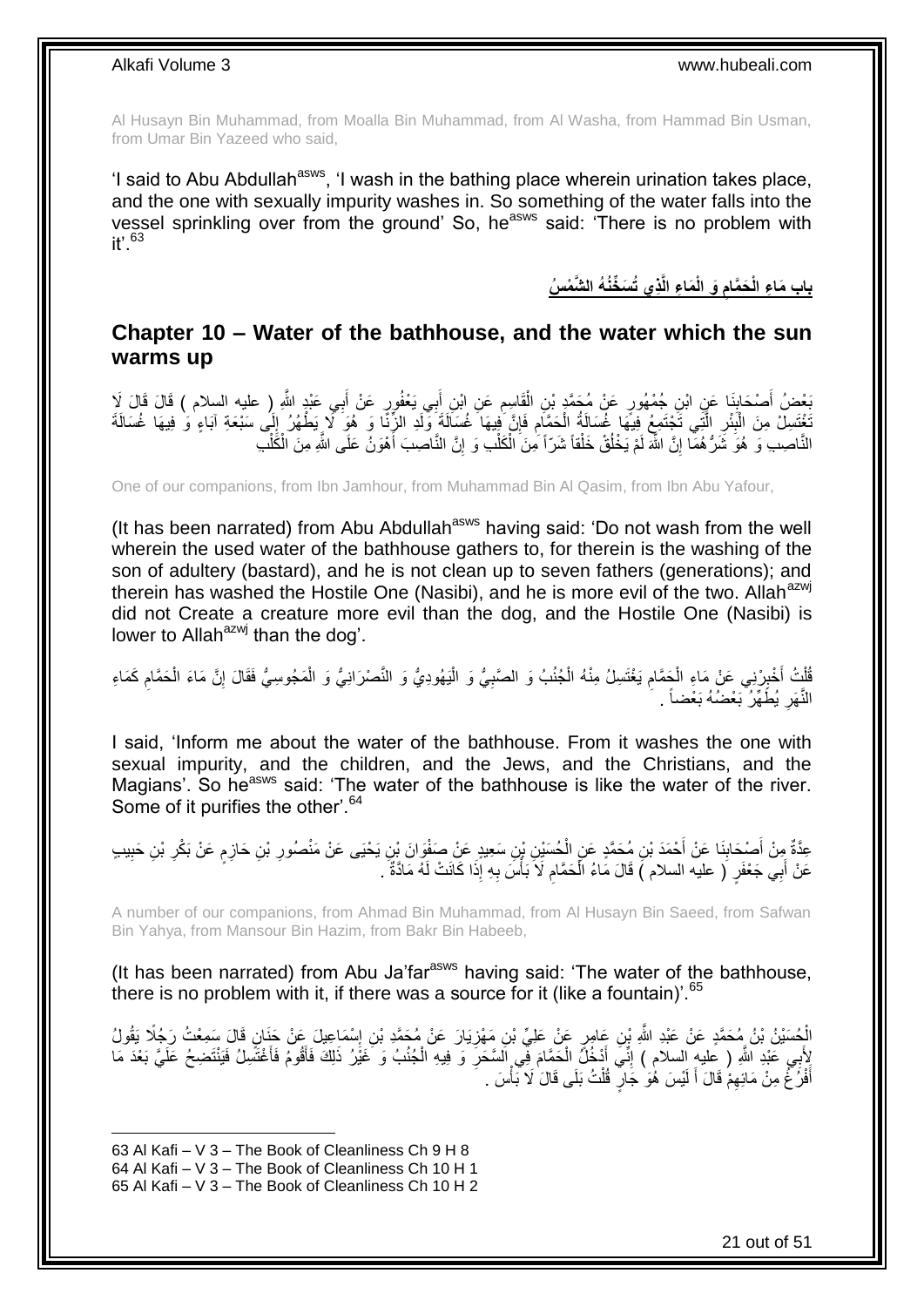Al Husayn Bin Muhammad, from Moalla Bin Muhammad, from Al Washa, from Hammad Bin Usman, from Umar Bin Yazeed who said,

'I said to Abu Abdullah<sup>asws</sup>, 'I wash in the bathing place wherein urination takes place, and the one with sexually impurity washes in. So something of the water falls into the vessel sprinkling over from the ground' So, he<sup>asws</sup> said: 'There is no problem with  $it'$ .63

> **ِذي ُت َس ِّخُن ُه ال َّش ْم ُس َما ِء الَّ َو الْ َح َّمام باب َما ِء الْ ِ**

### <span id="page-20-0"></span>**Chapter 10 – Water of the bathhouse, and the water which the sun warms up**

ِّيعْضُ أَصْحَابِذَا عَنِ ابْنِ جُمْهُورٍ عَنْ مُحَمَّدٍ بْنِ الْقَاسِمِ عَنِ ابْنِ أَبِي يَعْفُورٍ عَنْ أَبِي عَبْدٍ اللَّهِ ( عليه السلام ) قَالَ قَالَ لَا<br>نَقْصَلُ أَصْلَحَابِذَا عَنِ ابْنِ جُمْهُورٍ عَنْ مُحَمَّدٍ بْنِ َ َ ِ ْ **∣** َ َّغْتَسِلْ مِنَ الْبَئْرِ الَّتِي تَجْتَمِعُ فِيهَا غُسَالَةُ الْحَمَّام فَإِنَّ فِيهَا غُسَالَةَ وَلَدِ الزِّنَا وَ هُوَ لَا يَطْهُرُ إِلَى سَبْعَةِ آبَاءٍ وَ فِيهَا غُسَالَةَ ِّ ِ **∣** ْ ِ ِ ِ ْ النَّاصِبِ وَ هُوَ شَرُّهُمَا إِنَّ اللَّهَ لَمْ يَخْلُقْ خَلْقاً شَرّاً مِنَ الْكَلْبِ وَ إِنَّ النَّاصِبَ أَهْوَنُ عَلَى اللَّهِ مِنَ الْكَلْبِ َ ِ ْ ْ ْ ُ لَ ِ ْ ْ

One of our companions, from Ibn Jamhour, from Muhammad Bin Al Qasim, from Ibn Abu Yafour,

(It has been narrated) from Abu Abdullah<sup>asws</sup> having said: 'Do not wash from the well wherein the used water of the bathhouse gathers to, for therein is the washing of the son of adultery (bastard), and he is not clean up to seven fathers (generations); and therein has washed the Hostile One (Nasibi), and he is more evil of the two. Allah<sup>azwj</sup> did not Create a creature more evil than the dog, and the Hostile One (Nasibi) is lower to Allah $^{azwj}$  than the dog'.

ْ ُفْلَتُ أُخْبِرْنِي عَنْ مَاءِ الْحَمَّامِ يَغْتَسِلُ مِنْهُ الْجُنُبُ وَ الصَّبِيُّ وَ الْيَهُودِيُّ وَ النَّصْرَانِيُّ وَ الْمَجُوسِيُّ فَقَالَ إِنَّ مَاءَ الْحَمَّامِ كَمَاءِ ْ ِ ْ ِ ْ ِ َ ْ ِ ْ ِ النَّهَرِ يُظَهِّرُ بَعْضُهُ بَعْضاً . **∶** 

I said, 'Inform me about the water of the bathhouse. From it washes the one with sexual impurity, and the children, and the Jews, and the Christians, and the Magians'. So he<sup>asws</sup> said: 'The water of the bathhouse is like the water of the river. Some of it purifies the other'.<sup>64</sup>

عِدَّةٌ مِنْ أَصْدَابِذَا عَنْ أَحْمَدَ بْنِ مُحَمَّدٍ عَنِ الْحُسَيْنِ بْنِ سَعِيدٍ عَنْ صَفْوَانَ بْنِ يَحْيَى عَنْ مَنْصُورِ بْنِ حَازِمٍ عَنْ بَكْرِ بْنِ حَبِيبٍ َ ֧֧֖֚֚֓֝֝֓֝ ِ ِ ْ َ ِ ِ ِ عَنْ أَبِي جَعْفَرٍ ﴿ عليه السلام ﴾ قَالَ مَاءُ الْحَمَّامِ لَا َبَأْسَ بِهِ إِذَا كَانَتْ لَهُ مَادَّةٌ ۚ ـِ **∶** ِ ْ َ

A number of our companions, from Ahmad Bin Muhammad, from Al Husayn Bin Saeed, from Safwan Bin Yahya, from Mansour Bin Hazim, from Bakr Bin Habeeb,

(It has been narrated) from Abu Ja'far<sup>asws</sup> having said: 'The water of the bathhouse, there is no problem with it, if there was a source for it (like a fountain)<sup>'.65</sup>

الْجُسَيْنُ بْنُ مُحَمَّدٍ عَنْ عَبْدِ اللَّهِ بْنِ عَامِرٍ عَنْ عَلِيٍّ بْنِ مَهْزِيَارَ عَنْ مُحَمَّدٍ بْنِ إِسْمَاعِيلَ عَنْ حَنَانٍ قَالَ سَمِعْتُ رَجُلًا يَقُولُ<br>الْجُسَيْنُ بْنُ مُحَمَّدٍ عَنْ عَبْدِ اللَّهِ بْنِ يَم ِ ِ إِنِّي عَبْدِ اللَّهِ ( عِليهِ السلام ) إِنِّيَ أَدْخُلُ الْحَمَّامَ فِي اَلسَّحَرِ وَ فِيهِ الْجُنُبُ وَ غَيْرُ ذَلِكَ فَأَقُومُ فَأَغْتَسِلُ فَيَنْتَضِحُ عَلَيَّ بَعْدَ مَا<br>وَيُسْمِعُ **∶** ْ َ ِ َ َ َ ْ أَفْرُغُ مِنْ مَائِهِمْ قَالَ أَ لَيْسَ هُٰوَ ۚ جَارٍ ۖ قُلْتُ بَلَى قَالَ لَا بَأْسَ . ْ ْ لَ َ ِ َ

1 Al Kafi – V 3 – The Book of Cleanliness Ch 9 H 8 Al Kafi – V 3 – The Book of Cleanliness Ch 10 H 1 Al Kafi – V 3 – The Book of Cleanliness Ch 10 H 2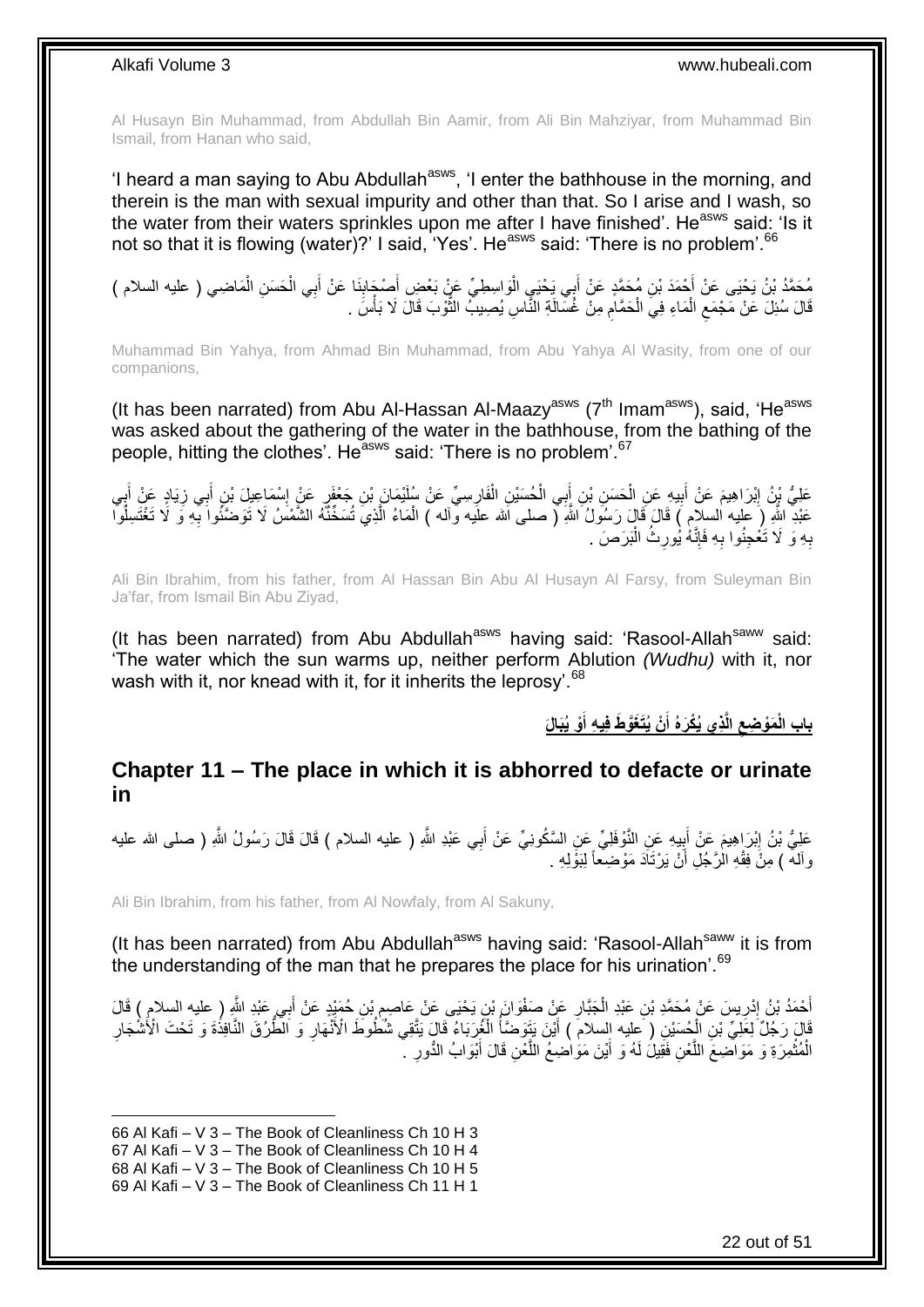Al Husayn Bin Muhammad, from Abdullah Bin Aamir, from Ali Bin Mahziyar, from Muhammad Bin Ismail, from Hanan who said,

'I heard a man saying to Abu Abdullah $^{asws}$ , 'I enter the bathhouse in the morning, and therein is the man with sexual impurity and other than that. So I arise and I wash, so the water from their waters sprinkles upon me after I have finished'. He<sup>asws</sup> said: 'Is it not so that it is flowing (water)?' I said, 'Yes'. He<sup>asws</sup> said: 'There is no problem'.<sup>66</sup>

مُحَمَّدُ بْنُ يَحْيَى عَنْ أَحْمَدَ بْنِ مُحَمَّدٍ عَنْ أَبِي يَحْيَيِ الْوَاسِطِيِّ عَنْ بَعْضِ أَصْبِهَابِذَا عَنْ أَبِي الْحَسَنِ الْمَاضِي ( عليه السلام ) ْ َ  $\frac{1}{2}$ َ ْ َ َ ْ قَالَ سُئِلَ عَنْ مَجْمَعِ الْمَاءِ فِيَ الْحَمَّامِ مِنْ غُسَالَةِ النَّاسِ يُصِيبُ الثَّوْبَ قَالَ لَا بَأْسَ َّ ِ ْ ْ ِ ْ

Muhammad Bin Yahya, from Ahmad Bin Muhammad, from Abu Yahya Al Wasity, from one of our companions,

(It has been narrated) from Abu Al-Hassan Al-Maazy<sup>asws</sup> ( $7<sup>th</sup>$  Imam<sup>asws</sup>), said, 'He<sup>asws</sup> was asked about the gathering of the water in the bathhouse, from the bathing of the people, hitting the clothes'. He<sup>asws</sup> said: 'There is no problem'.<sup>67</sup>

عَلِيُّ نِنُ إِبْرَاهِيمَ عَنْ أَبِيهِ عَنِ الْحَسَنِ بْنِ أَبِي الْحُسَيْنِ الْفَارِسِيِّ عَنْ سُلَيْمَانَ بْنِ جَعْفَرٍ عَنْ إِسْمَاعِيلَ بْنِ أَبِي زِيَادٍ عَنْ أَبِي ِ ْ ْ َ ْ **!** َ ِ ِ َ ∣l<br>∶ ِ َ عَبْدِ اللّهِ (َ عليه السلام ) قَالَ قَالِ رَسُولُ اللّهِ ( صلى الله علَيه وآله ) الْمَاءُ الَّذِيَ تُسَخِّنَّهُ الشَّمْسُ لَا نَوَضَّئُوا بِّهِ وَ لَا تَغْتَسِلُوا َّ ْ ُ ِ بِهِ وَ لَا تَعْجِنُوا بِهِ فَإِنَّهُ يُورِثُ الْبَرَصَ . ْ ِ ِ **∶ ∶** 

Ali Bin Ibrahim, from his father, from Al Hassan Bin Abu Al Husayn Al Farsy, from Suleyman Bin Ja'far, from Ismail Bin Abu Ziyad,

(It has been narrated) from Abu Abdullah<sup>asws</sup> having said: 'Rasool-Allah<sup>saww</sup> said: 'The water which the sun warms up, neither perform Ablution *(Wudhu)* with it, nor wash with it, nor knead with it, for it inherits the leprosy'.<sup>68</sup>

> **ْو ُيَبالَ ْن ُيَتَغَّو َط فِي ِه أ ِذي ُيْكَرهُ أ الَّ َمْو ِضع باب الْ َ َ ِ**

### <span id="page-21-0"></span>**Chapter 11 – The place in which it is abhorred to defacte or urinate in**

عَلِيُّ بْنُ إِبْرَاهِيمَ عَنْ أَبِيهِ عَنِ النَّوْفَلِيِّ عَنِ السَّكُونِيِّ عَنْ أَبِي عَبْدِ اللَّهِ ( عليه السلام ) قَالَ قَالَ رَسُولُ اللَّهِ ( صلى الله عليه َ **!** ِ والله ) مِنَّ فِقْهِ الْرَّجْلِ أَنْ يَرْتَاَدَ مَوْضِعاً لِبَوَّلِهِ . اً

Ali Bin Ibrahim, from his father, from Al Nowfaly, from Al Sakuny,

(It has been narrated) from Abu Abdullah<sup>asws</sup> having said: 'Rasool-Allah<sup>saww</sup> it is from the understanding of the man that he prepares the place for his urination'.<sup>69</sup>

َ أَحْمَدُ بْنُ إِدْرِيسَ عَنْ مُحَمَّدِ بْنِ عَبْدِ الْجَبَّارِ عَنْ صَفْوَانَ بْنِ يَحْيَى عَنْ عَاصِمٍ بْنِ حُمَيْدٍ عَنْ أَبِي عَبْدِ اللَّهِ ( عليه السلام ) قَالَ ِ **∶** ْ ِ ِ َ قَالَ رَجُلٌ لِمَخْلِيٌّ بْنِ الْحُسَيْنِ ( عِليه السلام ) أَيْنَ يَتَوَصَّأُ الْغُرِّبَاءُ قَالَ يَتَّقِي شُطُوطَ الْأَنْهَارِ وَ الطَّرُقَ النَّافِذُةَ وَ تَحْتَ الْأَشْجَارِ ِ ْ ا<br>ا َ ْ ِ الْمُثْمِرَةِ وَ مَوَاضِعَ اللَّعْنِ فَقِيلَ لَهُ وَ أَيْنَ مَوَاضِعُ اللَّعْنِ قَالَ أَبْوَابُ الدُّورِ ۚ َّ َ َّ ْ ْ ِ َ

1 66 Al Kafi – V 3 – The Book of Cleanliness Ch 10 H 3

67 Al Kafi – V 3 – The Book of Cleanliness Ch 10 H 4

68 Al Kafi – V 3 – The Book of Cleanliness Ch 10 H 5

69 Al Kafi – V 3 – The Book of Cleanliness Ch 11 H 1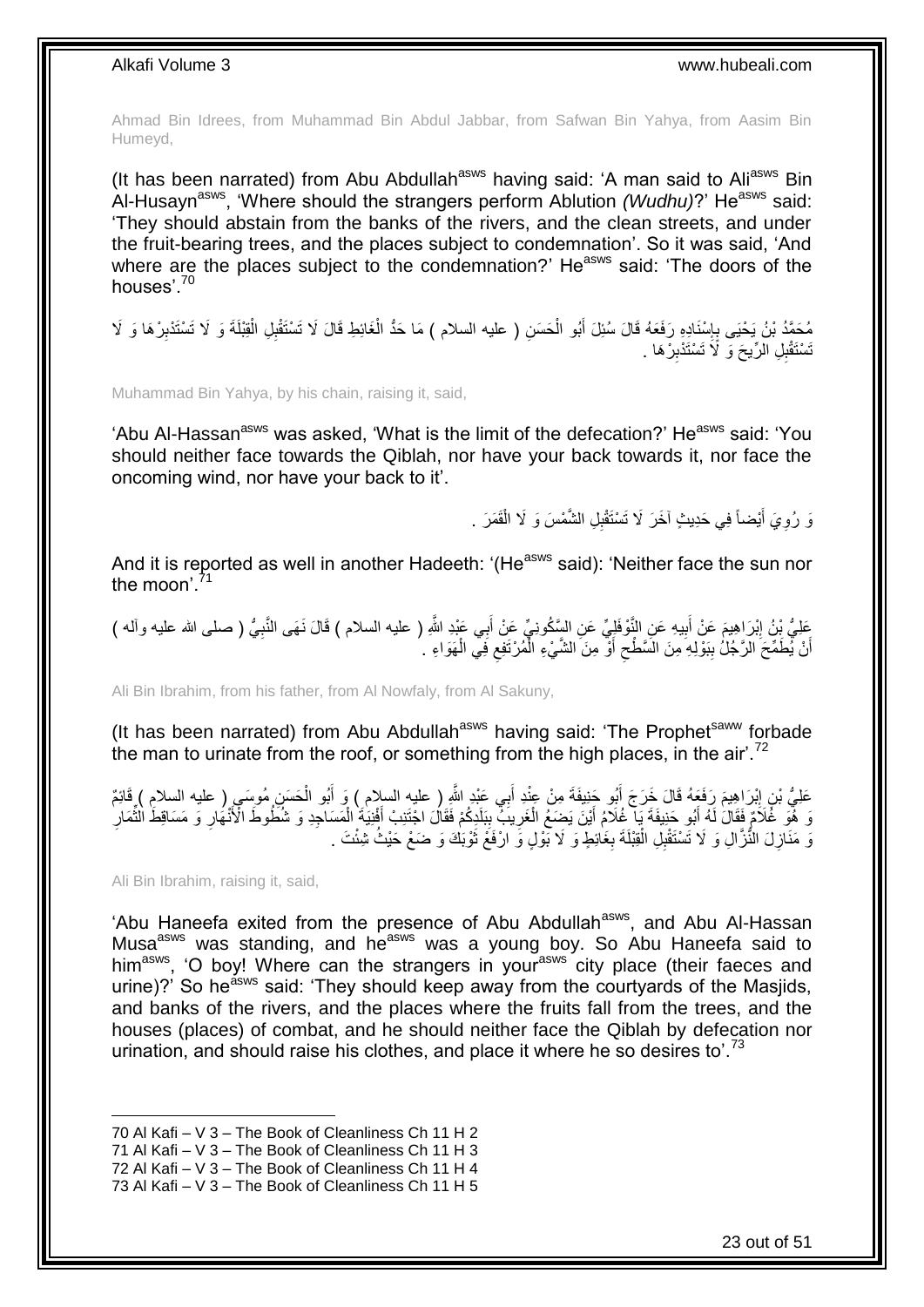Ahmad Bin Idrees, from Muhammad Bin Abdul Jabbar, from Safwan Bin Yahya, from Aasim Bin Humeyd,

(It has been narrated) from Abu Abdullah<sup>asws</sup> having said: 'A man said to Ali<sup>asws</sup> Bin Al-Husayn<sup>asws</sup>, 'Where should the strangers perform Ablution *(Wudhu)*?' He<sup>asws</sup> said: 'They should abstain from the banks of the rivers, and the clean streets, and under the fruit-bearing trees, and the places subject to condemnation'. So it was said, 'And where are the places subject to the condemnation?' He<sup>asws</sup> said: 'The doors of the houses'.<sup>70</sup>

مُحَمَّدُ بْنُ يَحْيَى بِإِسْنَادِهِ رَفَعَهُ قَالَ سُئِلَ أَبُو الْحَسَنِ ( عليه السلام ) مَا حَدُّ الْغَائِطِ قَالَ لَا تَسْتَقْلِلِ الْقِيْلَةَ وَ لَا تَسْتَدْبِرْهَا وَ لَا ْ ْ َ ِ ِ ِ ْ َسْتَقْبِلِ الرِّيحَ وَ لَاَ تَسْتَدْبِرْ هَا <sub>.</sub> ِ

Muhammad Bin Yahya, by his chain, raising it, said,

'Abu Al-Hassan<sup>asws</sup> was asked, 'What is the limit of the defecation?' He<sup>asws</sup> said: 'You should neither face towards the Qiblah, nor have your back towards it, nor face the oncoming wind, nor have your back to it'.

> نَ رُوِيَ أَيْضاً فِي حَدِيثٍ آخَرَ لَا تَسْتَقْبِلِ الشَّمْسَ وَ لَا الْقَمَرَ . َ ِ ْ

And it is reported as well in another Hadeeth: '(He<sup>asws</sup> said): 'Neither face the sun nor the moon'.<sup>71</sup>

عَلِيُّ بِنُ إِبْرَاهِيمَ عَنْ أَبِيهِ عَنِ النَّوْفَلِيِّ عَنِ السَّكُونِيِّ عَنْ أَبِي عَنْدِ اللَّهِ ( عليه السلام ) قَالَ نَهَى النَّبِيُّ ( صلى الله عليه وآله )<br>بَعْبَتُ بِنُ إِبْرَاهِيمَ عَنْ أَبِيهِ عَنِ النَّوْفَلِ َ **!** <u>֖֓</u> ِ أَنْ يُُطَمِّحَ الرَّجُلُ بِبَوْلِهِ مِنَ السَّطْحِ أَوّْ مِنَ الشَّيْءِ الْمُرْتَفِعِ فِي الْهَوَاءِ . َ  $\zeta$ **∣** اً ْ ِ ْ

Ali Bin Ibrahim, from his father, from Al Nowfaly, from Al Sakuny,

(It has been narrated) from Abu Abdullah<sup>asws</sup> having said: 'The Prophet<sup>saww</sup> forbade the man to urinate from the roof, or something from the high places, in the air'.<sup>72</sup>

عَلِيُّ بْنِ إِبْرَاهِيمَ رَفَعَهُ قَالَ خَرَجَ أَبُو جَنِيفَةَ مِنْ عِنْدِ أَبِي عَبْدِ اللَّهِ ( عليه السلام ) وَ أَبُو الْحَسَنِ مُوسَمٍ ( عليه السلام ) إِقَائِمٌ َ َ ِ ْ َ وَ فَمَوَ غَادَمُ فَقَالُ لَمْ أَبُو حَنِيفَةَ يَا غُلاَمُ أَيْنَ يَضِعُ الْغَرِيبَ بِبَلَدِكُمْ فَقَالَ اجْتَنِبْ أَفْنِيَةُ الْمَسَاجِدِ وَ شُطُوطَ الْأَنْهَارِ وَ مَسَاقِطَ الْثُمَارِ َ ِ ِ ْ َ ِ ِّ ِ ْ ِ نَ مَنَازِلَ النُّزَّالِ وَ لَا تَسْتَقْبِلِ الْقِبْلَةَ بِغَائِطٍ وَ لَا بِّوْلٍ وَ ارْفَعْ ثَوْبَكَ وَ ضَعْ حَيْثُ شِئْتَ . َ **∶** ْ

Ali Bin Ibrahim, raising it, said,

'Abu Haneefa exited from the presence of Abu Abdullah<sup>asws</sup>, and Abu Al-Hassan Musa<sup>asws</sup> was standing, and he<sup>asws</sup> was a young boy. So Abu Haneefa said to himasws, 'O boy! Where can the strangers in yourasws city place (their faeces and urine)?' So he<sup>asws</sup> said: 'They should keep away from the courtyards of the Masjids, and banks of the rivers, and the places where the fruits fall from the trees, and the houses (places) of combat, and he should neither face the Qiblah by defecation nor urination, and should raise his clothes, and place it where he so desires to'.<sup>73</sup>

<sup>1</sup> 70 Al Kafi – V 3 – The Book of Cleanliness Ch 11 H 2

<sup>71</sup> Al Kafi – V 3 – The Book of Cleanliness Ch 11 H 3

<sup>72</sup> Al Kafi – V 3 – The Book of Cleanliness Ch 11 H 4

<sup>73</sup> Al Kafi – V 3 – The Book of Cleanliness Ch 11 H 5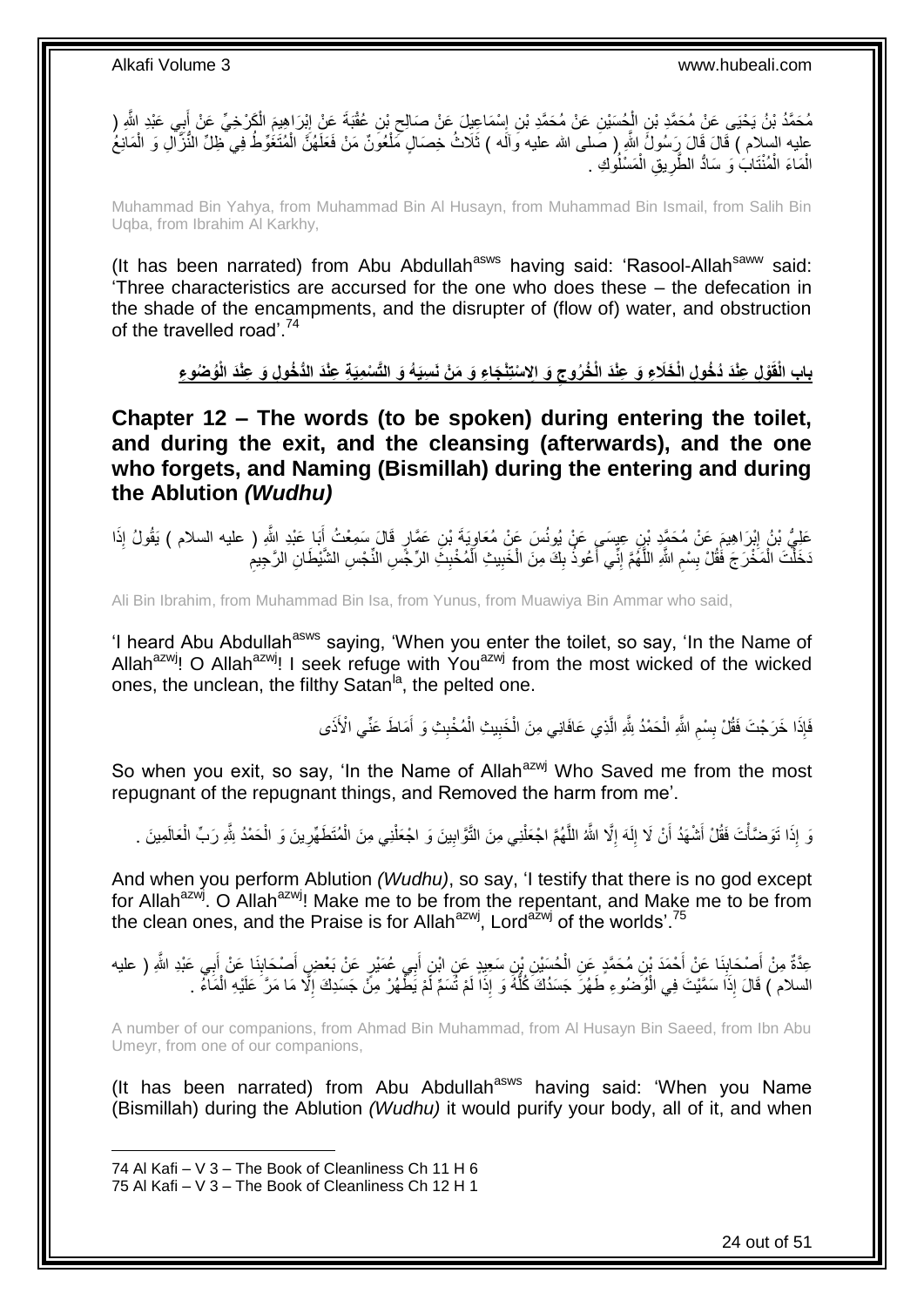مُحَمَّدُ بْنُ يَحْيَى عَنْ مُحَمَّدٍ بْنِ الْجُسَيْنِ عَنْ مُحَمَّدٍ بْنِ إِسْمَاعِيِلَ عَنْ صَالِحٍ بْنِ عُقْبَةَ عَنْ إِبْرَاهِيمَ الْكَرْخِيِّ عَنْ أَبِي عَبْدِ الثَّهِ ( ِ ِ ֦֦֧֦֧֦֧֦֧֦֧֦֧֦֧֦֧֦ׅ֦ׅ֦֧֦֧֦֦֦֦֦֦֦֦֦֦֦֦֝֟֝֟֝֝֜֜֟ ْ َ ْ عِليه السِّلاَم ) قَالَ قَالَ زِسُولٌ اللَّهِ ( صَلى الله عليه وَالَه ) ثَلَاثُ خَصَالٍ مَلْعُونٌ مَنْ فَعَلَمُنَّ الْمُتَغُوطُ فِي ظِلِّ النُّزَّالِ وَ الْمَانِعُ ْ ْ الْمَاءَ الْمُنْتَابُ وَ سَادُّ الطَّرِيقِ الْمَسْلُوكِ <sub>.</sub> ْ ِ ْ ْ

Muhammad Bin Yahya, from Muhammad Bin Al Husayn, from Muhammad Bin Ismail, from Salih Bin Uqba, from Ibrahim Al Karkhy,

(It has been narrated) from Abu Abdullah $^{asws}$  having said: 'Rasool-Allah $^{saww}$  said: 'Three characteristics are accursed for the one who does these – the defecation in the shade of the encampments, and the disrupter of (flow of) water, and obstruction of the travelled road'.<sup>74</sup>

باب الْقَوْلِ عِنْدَ دُخُولِ الْخَلَاءِ وَ عِنْدَ الْخُرُوجِ وَ الِاسْتِنْجَاءِ وَ مَنْ نَسِيَهُ وَ التَّسْمِيَةِ عِنْدَ الدُّخُولِ وَ عِنْدَ الْوُصْوءِ **ِ**

<span id="page-23-0"></span>**Chapter 12 – The words (to be spoken) during entering the toilet, and during the exit, and the cleansing (afterwards), and the one who forgets, and Naming (Bismillah) during the entering and during the Ablution** *(Wudhu)*

عَلِيُّ بْنُ إِبْرَاهِيمَ عَنْ مُحَمَّدٍ بْنِ عِيسَى عَنْ يُونُسَ عَنْ مُعَاوِيَةَ بْنِ عَمَّارٍ قَالَ سَمِعْتُ أَبَا عَبْدِ اللَّهِ ( عليه السلام ) يَقُولُ إِذَا َ ₹ ِ دَخَلْتَ الْمَخْرَجَ فَقُلْ بِسْمِ اللَّهِ اللَّهُمَّ إِنِّي أَعُوذُ بِكَ مِنَ الْخَبِيثِ الْمُخْبِثِ الرِّجْسِ النِّجْسِ الشَّيْطَانِ الرَّجِيمِ ِ ْ **!** ْ ِ َ ֺ֧֖ׅ֧ׅ֧֧֚֚֚֚֚֚֚֚֚֚֚֚֚֚֝֝֬֓֡֡֓֡֟֡֡֡֡֡֡֬֓֡֟֓֡֟֓֡֟֓֡֡֡֬֩֓֓֩ َّ ِ **ِ** ْ ْ ِ

Ali Bin Ibrahim, from Muhammad Bin Isa, from Yunus, from Muawiya Bin Ammar who said,

'I heard Abu Abdullah<sup>asws</sup> saying, 'When you enter the toilet, so say, 'In the Name of Allah<sup>azwj</sup>! O Allah<sup>azwj</sup>! I seek refuge with You<sup>azwj</sup> from the most wicked of the wicked ones, the unclean, the filthy Satan<sup>la</sup>, the pelted one.

> ِ فَإِذَا خَرَجْتَ فَقُلْ بِسْمِ اللَّهِ الْحَمْدُ لِلَّهِ الَّذِي عَافَانِي مِنَ الْخَبِيثِ الْمُخْبِثِ وَ أَمَاطَ عَنِّي الْأَذَى **ِ** َ **!** ْ ِ ْ َّ ْ

So when you exit, so say, 'In the Name of Allah<sup>azwj</sup> Who Saved me from the most repugnant of the repugnant things, and Removed the harm from me'.

وَ إِذَا تَوَحَنَّأْتَ فَقُلْ أَشْهَدُ أَنْ لَا إِلَهَ إِلَّا اللَّهُمَّ اجْعَلْنِي مِنَ النَّوَّابِينَ وَ اجْعَلْنِي مِنَ الْمُتَطَهِّرِينَ وَ الْحَمْدُ لِثَّهِ رَبِّ الْعَالَمِينَ . ْ ْ ِ ْ َّ ِ لَ ِ َ َ ْ ْ ْ ِ

And when you perform Ablution *(Wudhu)*, so say, 'I testify that there is no god except for Allah<sup>azwj</sup>. O Allah<sup>azwj</sup>! Make me to be from the repentant, and Make me to be from the clean ones, and the Praise is for Allah<sup>azwj</sup>, Lord<sup>azwj</sup> of the worlds'.<sup>75</sup>

عِدَّةٌ مِنْ أَصْحَابِنَا عَنْ أَحْمَدَ بْنِ مُحَمَّدٍ عَنِ الْحُسَيْنِ بْنِ سَعِيدٍ عَنِ ابْنِ أَبِي عُمَيْرٍ عَنْ بَعْضٍ أَصْحَابِنَا عَنْ أَبِي عَبْدِ اللَّهِ ( عليه ْ **∣** َ َ ِ َ السلام ) قَالَ إِذَا سَمَّيْتَ فِي الْوُصْنُوءِ طَهُرَّ جَسَدُكَ كُلُّهُ وَ إِذَا لَمْ ثَسَمٌ لَّمْ يَظُّهُرْ مِنَّ جَسَدِكَ إِلَّا مَا مَرَّ عَلَيْهِ الْمَامُّ . ِ ُّ ْ ْ

A number of our companions, from Ahmad Bin Muhammad, from Al Husayn Bin Saeed, from Ibn Abu Umeyr, from one of our companions,

(It has been narrated) from Abu Abdullah<sup>asws</sup> having said: 'When you Name (Bismillah) during the Ablution *(Wudhu)* it would purify your body, all of it, and when

<sup>74</sup> Al Kafi – V 3 – The Book of Cleanliness Ch 11 H 6 75 Al Kafi – V 3 – The Book of Cleanliness Ch 12 H 1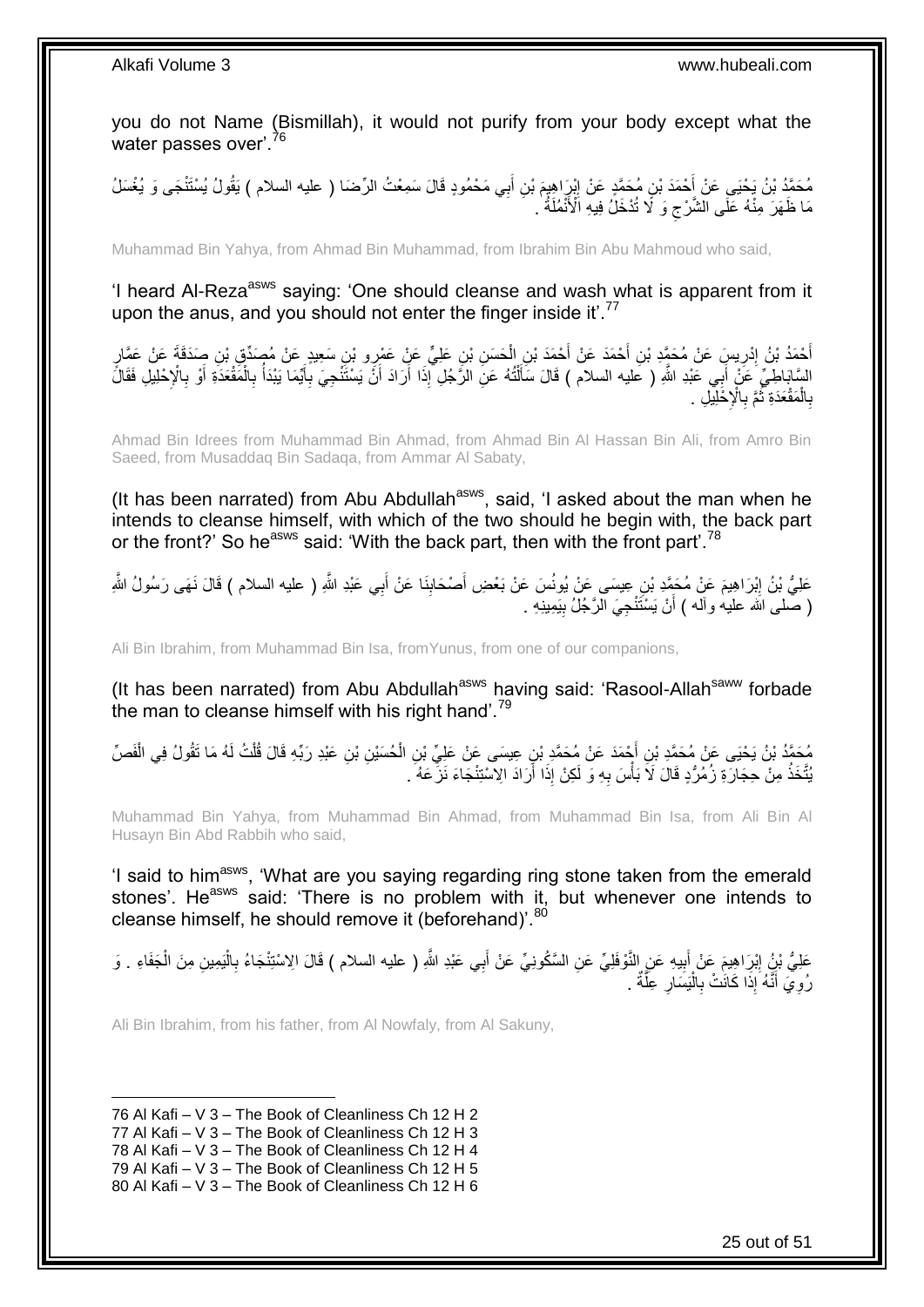you do not Name (Bismillah), it would not purify from your body except what the water passes over'.<sup>76</sup>

مُحَمَّدُ بْنُ يَحْيَى عَنْ أَحْمَدَ بْنِ مُحَمَّدٍ عَنْ إِبْرٍ اهِبِمَ بْنِ أَبِي مَحْمُودٍ قَالَ سَمِعْتُ الرِّضَا ( عليه السلام ) يَقُولُ يُسْتَنْجَى وَ يُغْسَلُ َ ِ مَا ظَهَرَ مِنْهُ عَلَى الشَّرْجِ وَ لَّا تُدْخَلُ فِيهِ الْأَنْمُلَةُ ۚ . ِ

Muhammad Bin Yahya, from Ahmad Bin Muhammad, from Ibrahim Bin Abu Mahmoud who said,

'I heard Al-Reza<sup>asws</sup> saying: 'One should cleanse and wash what is apparent from it upon the anus, and you should not enter the finger inside it'.<sup>77</sup>

َ أَحْمَدُ بْنُ إِدْرِيسَ عَنْ مُحَمَّدِ بْنِ أَحْمَدَ عَنْ أَحْمَدَ بْنِ الْحَسَنِ بْنِ عَلِيٍّ عَنْ عَمَّرٍ وَ<br>بِنَصَدِينٍ مِنْ يَعْدُونَ مِن أَوْدِينَ مِن الْحَمَدِ بِيَنَ الْحَسَنِ بِيَعِينٍ وَمَدْ يَحَمَّلُ مِنْ يَعْدِ ِ ِ َ ْ َ َ السَّابَاطِيِّ عَنْ أَبِي عَبْدِ اللَّهِ ( عَليه السلام ) قَالَ سَأَلْتُهُ عَنِ الرَّجُلِ آبِذَا أَرَادَ أَنَّ يَسْتَنْجِيَ بِأَيَّمَا يَبْدَأُ بِالْمَقْعَدَةِ أَوْ بِالْإِحْلِيلِ فَقَالَ<br>إِنَّهُ الْمَقْعَدَةِ أَوْ بِالْإ ِ َ اً ֺ֦֦֪֦֧֦֦֖֦֦֪֦֧֦֪֦֧֦֪֪֦֧֦֪֦֪֪֦֧֦֪֦֧֦֧֦֪֦֧֦֧֦֪֪֦֧֪֦֧֪֦֧֦֧֦֧֝֟֟֟֟֟֟֟֟֟֟֟֟֟֟֟֟֟֟֟֟֟֟֓֕֬֟֓֡֟֓֟֓֞֟֟֓֞֟֟֟֟֟֟֟֩֓֞֟֟֟֟֟֟ َ ِ َ ْ ِ ا<br>ا بِالْمَقْعَدَةِ ثُمَّ بِالْإِخَلِيلِ . **∶** .<br>• • • • ْ **∶** 

Ahmad Bin Idrees from Muhammad Bin Ahmad, from Ahmad Bin Al Hassan Bin Ali, from Amro Bin Saeed, from Musaddaq Bin Sadaqa, from Ammar Al Sabaty,

(It has been narrated) from Abu Abdullah<sup>asws</sup>, said, 'I asked about the man when he intends to cleanse himself, with which of the two should he begin with, the back part or the front?' So he<sup>asws</sup> said: 'With the back part, then with the front part'.<sup>78</sup>

عَلِيُّ بْنُ إِبْرَاهِيمَ عَنْ مُحَمَّدِ بْنِ عِيسَى عَنْ يُونُسَ عَنْ بَعْضِ أَصْحَابِذَا عَنْ أَبِي عَبْدِ اللَّهِ ( عليه السلام ) قَالَ نَهَى رَسُولُ اللَّهِ ِ َ **!** َ ( صَلَّى الله عليه وأله ) أَنْ يَسْتَنْجِيَ الرَّجُلُ بِيَمِينِهِ . ِ اً

Ali Bin Ibrahim, from Muhammad Bin Isa, fromYunus, from one of our companions,

(It has been narrated) from Abu Abdullah<sup>asws</sup> having said: 'Rasool-Allah<sup>saww</sup> forbade the man to cleanse himself with his right hand'.<sup>79</sup>

مُحَمَّدُ بْنُ يَحْيَى عَنْ مُحَمَّدٍ بْنِ أَجْمَدَ عَنْ مُحَمَّدِ بْنِ عِيسَى عَنْ عَلِيٍّ بْنِ الْحُسَيْنِ بْنِ عَبْدِ رَبِّهِ قَالَ قُلْتُ لَهُ مَا تَقُولُ فِي الْفَصَّ ْ َ ْ ْ يُتَّخَذُ مِنْ حِجَارَةِ زُمِّرُدٍ قَالَ لَاَ بَأْسَ بِهِ وَ لَكِنْ إِذَا أَرَادَ الِاَسْتِنْجَاءَ نَزِّعَهُ ۖ. َ ِ **ٔ** 

Muhammad Bin Yahya, from Muhammad Bin Ahmad, from Muhammad Bin Isa, from Ali Bin Al Husayn Bin Abd Rabbih who said,

'I said to him<sup>asws</sup>, 'What are you saying regarding ring stone taken from the emerald stones'. Heasys said: 'There is no problem with it, but whenever one intends to cleanse himself, he should remove it (beforehand)<sup>'.80</sup>

عَلِيُّ بْنُ إِبْرَاهِيمَ عَنْ أَبِيهِ عَنِ النَّوْفَلِيِّ عَنِ السَّكُونِيِّ عَنْ أَبِي عَبْدِ اللَّهِ ( عليه السلام ) قَالَ الِاسْتِنْجَاءُ بِالْيَمِينِ مِنَ الْجَفَاءِ . وَ َ **!** َ ِ ْ ْ **∶** رُوِيَ أَنَّهُ إِذَا كَانَتْ بِالْيَسَارِ عِلَّةٌ . َّ ِ :<br>ا **∶** ֺ֪֪֪֪֪֪֪֪֪֦֪֪֪ׅ֦֪֪֦֪֪֦֝֘֝֘֝֟֓֕֘֝֟֓֟֘֟֓֡֟֓֟֓֡֟֓֟֓֡֟֓֟֓֞֟֓֡֟֓֡֟֓֡֟֓֡֟֓֞֟֓֞֟֓֡֡֡֞֟֞֟֞֟֞֟֞֟֞֟֟ ِ

Ali Bin Ibrahim, from his father, from Al Nowfaly, from Al Sakuny,

<sup>76</sup> Al Kafi – V 3 – The Book of Cleanliness Ch 12 H 2

<sup>77</sup> Al Kafi – V 3 – The Book of Cleanliness Ch 12 H 3

<sup>78</sup> Al Kafi – V 3 – The Book of Cleanliness Ch 12 H 4

<sup>79</sup> Al Kafi – V 3 – The Book of Cleanliness Ch 12 H 5

<sup>80</sup> Al Kafi – V 3 – The Book of Cleanliness Ch 12 H 6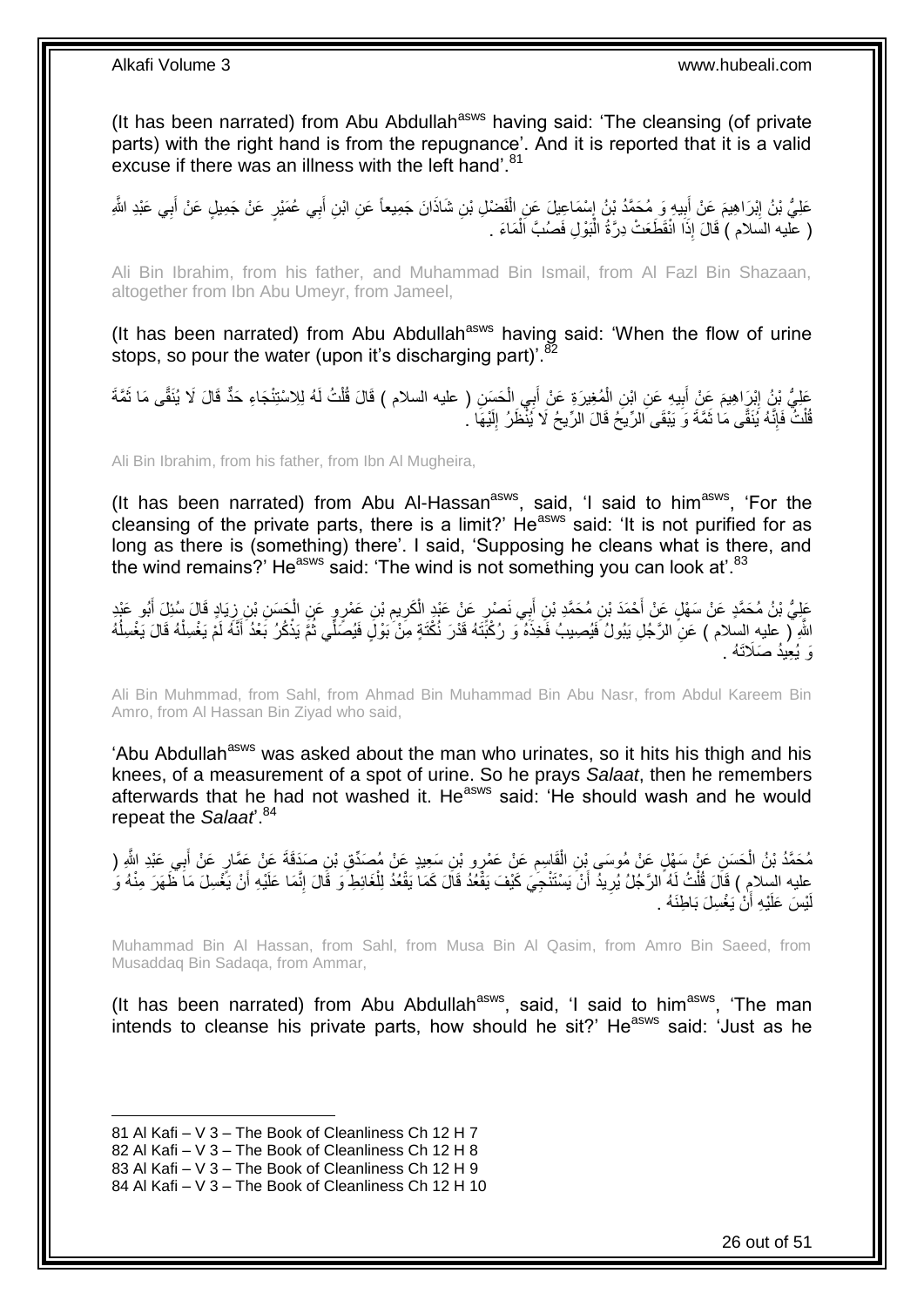(It has been narrated) from Abu Abdullah<sup>asws</sup> having said: 'The cleansing (of private parts) with the right hand is from the repugnance'. And it is reported that it is a valid excuse if there was an illness with the left hand'.<sup>81</sup>

عَلِيُّ بْنُ إِبْرَاهِيمَ عَنْ أَبِيهِ وَ مُحَمَّدُ بْنُ إِسْمَاعِيلَ عَنِ الْفَضْلِ بْنِ شَاذَانَ جَمِيعاً عَن ابْنِ أَبِي عُمَيْرٍ عَنْ جَمِيلٍ عَنْ أَبِي عَبْدِ اللَّهِ َ ْ ِ ِ َ <u>֖֓</u> َ ( عَليه السَلام ) قَالَ إِذَا انْقَطَعَتْ دِرَّةُ الْبَوْلِ فَصُبَّ اَلْمَاءَ . ْ ْ

Ali Bin Ibrahim, from his father, and Muhammad Bin Ismail, from Al Fazl Bin Shazaan, altogether from Ibn Abu Umeyr, from Jameel,

(It has been narrated) from Abu Abdullah<sup>asws</sup> having said: 'When the flow of urine stops, so pour the water (upon it's discharging part)'.<sup>82</sup>

عَلِيُّ بِنُ إِبْرَاهِيمَ عَنْ أَبِيهِ عَنِ ابْنِ الْمُغِيرَةِ عَنْ أَبِي الْحَسَنِ ( عليه السلام ) قَالَ قُلْتُ لَهُ لِلاسْتِنْجَاءِ حَدٌّ قَالَ لَا يُنَقَّى مَا ثَمَّةَ ْ ْ َ ْ ِ َ ِ َ قُلْتُ فَإِنَّهُ يُنَقَّى مَا ثَمَّةَ وَ يَبْقَى الرِّيحُ قَالَ الرِّيحُ لَا يُنْظَرُ إِلَيْهَا ۚ. َ ِ ْ لَ ِ

Ali Bin Ibrahim, from his father, from Ibn Al Mugheira,

(It has been narrated) from Abu Al-Hassan<sup>asws</sup>, said, 'I said to him<sup>asws</sup>, 'For the cleansing of the private parts, there is a limit?'  $He^{asws}$  said: 'It is not purified for as long as there is (something) there'. I said, 'Supposing he cleans what is there, and the wind remains?' He<sup>asws</sup> said: 'The wind is not something you can look at'.<sup>83</sup>

ِ عَلِيُّ بْنُ مُحَمَّدٍ عَنْ سَهْلٍ عَنْ أَحْمَدَ بْنِ مُحَمَّدٍ بْنِ أَبِي نَصْرٍ عَنْ عَبْدٍ الْكَرِيمِ بْنِ عَمْرٍوٍ عَنِ الْجَسَنِ بْنِ زِيَادٍ قَالَ سُئِلَ أَبُو عَبْدٍ<br>وَلِي بَارَ مَنْ الْمَدَّلِ عَنْ سَهْلِ عَنْ أَحْ **ٍ** ْ َ َ َ ِ ْ اللَّهِ لِّ عليه السلام ) عَنِّ الرَّجُلِ بَيُولُ فَيُصِيبُ فَخِذَهُ ۖ وَ رُكْبَّتَهُ قَدْرَ نُكْتَةٍ مِنْ بَوْلٍَ فَيُصَلِّي ثُمَّ يَذْكُرُ بَعْدُ أَنَّهُ لَمْ يَغْسِلْهُ قَالَ يَغْسِلُهُ ُ ُ ْ َ **ٔ** وَ يُعِيدُ صَلَاتَهُ

Ali Bin Muhmmad, from Sahl, from Ahmad Bin Muhammad Bin Abu Nasr, from Abdul Kareem Bin Amro, from Al Hassan Bin Ziyad who said,

'Abu Abdullah<sup>asws</sup> was asked about the man who urinates, so it hits his thigh and his knees, of a measurement of a spot of urine. So he prays *Salaat*, then he remembers afterwards that he had not washed it. He<sup>asws</sup> said: 'He should wash and he would repeat the *Salaat*'.<sup>84</sup>

مُحَمَّدُ بْنُ الْحَسَنِ عَنْ سَهْلٍ عَنْ مُوسَى بْنِ الْقَاسِمِ عَنْ عَمْرٍو بْنِ سَعِيدٍ عَنْ مُصَدِّقٍ بْنِ صَدَقَةَ عَنْ عَمَّارٍ عَنْ أَبِي عَبْدِ اللَّهِ (<br>مُحَمَّدُ بْنُ الْحَسَنِ عَنْ مُرَّبِّي مِنْ مُرْسَلِّ وَجَ ِ ْ َ عليه السِلامِ ) قَالَ قُلْتُ لَهُ الرَّجُلُ يُرِيدُ أَنْ يَسْتَنْجِّيَ كَيْفَ يَقْعُدُ قَالَ كَمَا يَقْعُدُ لِلْغَائِطِ وَ قَالَ إِنَّمَا عَلَيْهِ أَنْ يَغْسِلَ مَا ظَهَرَ مِنْهُ وَ ْ َ ِ ْ َ َّ ِ لَيْسَ عَلَيْهِ أَنْ يَغْسِلَ بَاطِنَهُ . ر<br>ا

Muhammad Bin Al Hassan, from Sahl, from Musa Bin Al Qasim, from Amro Bin Saeed, from Musaddaq Bin Sadaqa, from Ammar,

(It has been narrated) from Abu Abdullah $a_{\text{sws}}$ , said, 'I said to him $a_{\text{sws}}$ , 'The man intends to cleanse his private parts, how should he sit?' He<sup>asws</sup> said: 'Just as he

<sup>81</sup> Al Kafi – V 3 – The Book of Cleanliness Ch 12 H 7

<sup>82</sup> Al Kafi – V 3 – The Book of Cleanliness Ch 12 H 8

<sup>83</sup> Al Kafi – V 3 – The Book of Cleanliness Ch 12 H 9

<sup>84</sup> Al Kafi – V 3 – The Book of Cleanliness Ch 12 H 10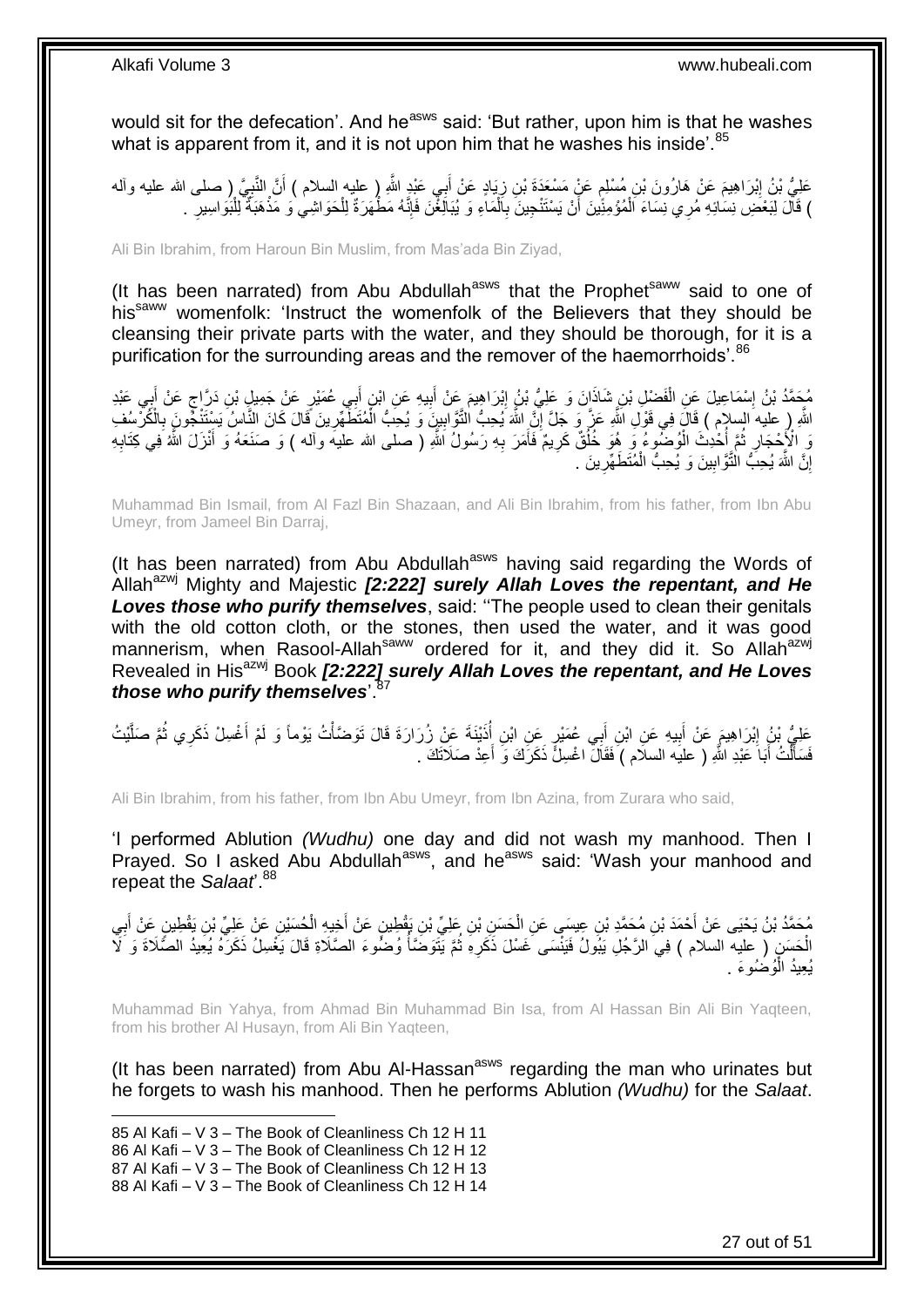would sit for the defecation'. And he<sup>asws</sup> said: 'But rather, upon him is that he washes what is apparent from it, and it is not upon him that he washes his inside'.<sup>85</sup>

عَلِيُّ بْنُ إِبْرَاهِيمَ عَنْ هَارُونَ بْنِ مُسْلِمٍ عَنٍْ مَسْعَدَةَ بْنِ زِيَادٍ عَنْ أَبِي عَبْدٍ اللَّهِ ( عليه السلام ) أَنَّ النَّبِيَّ ( صلى الله عليه وألمه ِ **∶** َ َ ِ ֧֧֧֧֧֧֧֧֧֓֝֓֝֓֝֓֝֬֟֓֓֝֓֓֝֬֓֝֓<del>֛</del> ) قَالَ لِبَعْضِ نِسَائِهِ مَرِي نِسَاءَ اَلْمُؤْمِنِّينَ أَنْ يَسْتَنْجِينَ بِاَلْمَاءِ وَ يُبَالَخْنَ فَإِنَّهُ مَطْهَرَةٌ لِلْحَوَاشِي وَ مَذْهَبَةٌ لِلْبُوَاسِيرِ ۚ . ∣اٍ<br>∶ ْ ِ َ ْ ِ ْ **ٔ** ْ

Ali Bin Ibrahim, from Haroun Bin Muslim, from Mas'ada Bin Ziyad,

(It has been narrated) from Abu Abdullah<sup>asws</sup> that the Prophet<sup>saww</sup> said to one of his<sup>saww</sup> womenfolk: 'Instruct the womenfolk of the Believers that they should be cleansing their private parts with the water, and they should be thorough, for it is a purification for the surrounding areas and the remover of the haemorrhoids'.<sup>86</sup>

مُحَمَّدُ بْنُ إِسْمَاعِيلَ عَنِ الْفَضْلِ بْنِ شَاذَانَ وَ عَلِيُّ بْنُ إِبْرَاهِيمَ عَنْ أَبِيهِ عَنِ ابْنِ أَبِي عُمَيْرٍ عَنْ جَمِيلٍ بْنِ دَرَّاجٍ عَنْ أَبِي عَبْدِ ∣l<br>∶ ْ ֖֧֓<u>֓</u> **∶** َ ٍ َ ِ َ ِ اللَّهِ ( ِعليه السلام ) قَالَ فِي قَوْلِ اللَّهِ عَزَّ وَ جَلَّ إِنَّ اللَّهَ يُحِبُّ الثَّوَّابِينَ وَ يُحِبُّ الْمُتَطَّهِّرِينَ قَالَ كَانَ النَّاسُ يَسْتَنْجُّونَ بِالْكُرْسُفِ ْ ِ ِ **∶** وَ الْأَحْجَارِ ثُمَّ أُخْدِثَ الْوُضُومُ وَ هُوَ خُلُقٌ كَرِيمٌ فَأَمَرَ بِهِ رَسُولٌ اللَّهِ ( َصَلى الله عليهَ وَاله ) وَ صَنَعَهُ وَ أَنْزَلَ اللَّهُ فِي كِتَابِهِ ِ َ **ٍ** ْ ا<br>ا ا ماہ<br>سال **∶ ∶** َ إِنَّ اللَّهَ يُحِبُّ الْتَّوَّابِينَ وَ يُحِبُّ الْمُتَطَهِّرِينَ . **∶** ْ **!** ا

Muhammad Bin Ismail, from Al Fazl Bin Shazaan, and Ali Bin Ibrahim, from his father, from Ibn Abu Umeyr, from Jameel Bin Darraj,

(It has been narrated) from Abu Abdullah<sup>asws</sup> having said regarding the Words of Allahazwj Mighty and Majestic *[2:222] surely Allah Loves the repentant, and He Loves those who purify themselves*, said: ''The people used to clean their genitals with the old cotton cloth, or the stones, then used the water, and it was good mannerism, when Rasool-Allah<sup>saww</sup> ordered for it, and they did it. So Allah<sup>azwj</sup> Revealed in His<sup>azwj</sup> Book [2:222] surely Allah Loves the repentant, and He Loves *those who purify themselves*'.<sup>87</sup>

َطِيُّ بْنُ إِبْرَاهِيمَ عَنْ أَبِيهِ عَنِ ابْنِ أَبِي عُمَيْرٍ عَنِ ابْنِ أُذَيْنَةَ عَنْ زُرَارَةَ قَالَ تَوَضَّأْتُ يَوْماً وَ لَمْ أَغْسِلْ ذَكَرِي ثُمَّ صَلَّيْتُ ْ َ **!** َ ِ َّ ر<br>ا َ فَسَأَلْتُ أَبَا َعَبْدِ اللَّهِ ( عليَه السلام ) فَقَالَ اغْسِلٌ ذَكَرَكَ وَ أَعِدْ صَلَاتَكَ . َ َ .<br>ا َ

Ali Bin Ibrahim, from his father, from Ibn Abu Umeyr, from Ibn Azina, from Zurara who said,

'I performed Ablution *(Wudhu)* one day and did not wash my manhood. Then I Prayed. So I asked Abu Abdullah<sup>asws</sup>, and he<sup>asws</sup> said: 'Wash your manhood and repeat the *Salaat*<sup>88</sup>.

مُحَمَّدُ بْنُ يَحْيَى عَنْ أَحْمَدَ بْنِ مُحَمَّدِ بْنِ عِيسَى عَنِ الْحَسَنِ بْنِ عَلِيِّ بْنِ يَقْطِينِ عَنْ أَجِي<br>\* مَحَمَّدُ بْنُ يَحْيَى عَنْ أَحْمَدَ بْنِ مُحَمَّدِ بْنِ عِيسَى عَنِ الْحَسَنِ بْنِ عَلِيِّ بْنِ يَقْط َ ْ ِ َ ْ الْحَسَنِ ( عليه السلام ) فِي الرَّجُلِ يَبُولُ فَيَنْسَى غَسْلَ ذَكَرِهِ ثُمَّ يَٰتَوَضَّأَ وُضَّوءَ الصَّلَاةِ قَالَ يَغْسِلُ ذَكَرَهُ يُعِيدُ الصَّلَاةَ وَ لَا ا<br>المستقبل<br>المستقبل ُ ِ ْ يُعِيدُ الْمُوضُوعَ <sub>.</sub> :<br>ا

Muhammad Bin Yahya, from Ahmad Bin Muhammad Bin Isa, from Al Hassan Bin Ali Bin Yaqteen, from his brother Al Husayn, from Ali Bin Yaqteen,

(It has been narrated) from Abu Al-Hassan<sup>asws</sup> regarding the man who urinates but he forgets to wash his manhood. Then he performs Ablution *(Wudhu)* for the *Salaat*.

1 85 Al Kafi – V 3 – The Book of Cleanliness Ch 12 H 11

87 Al Kafi – V 3 – The Book of Cleanliness Ch 12 H 13

88 Al Kafi – V 3 – The Book of Cleanliness Ch 12 H 14

<sup>86</sup> Al Kafi – V 3 – The Book of Cleanliness Ch 12 H 12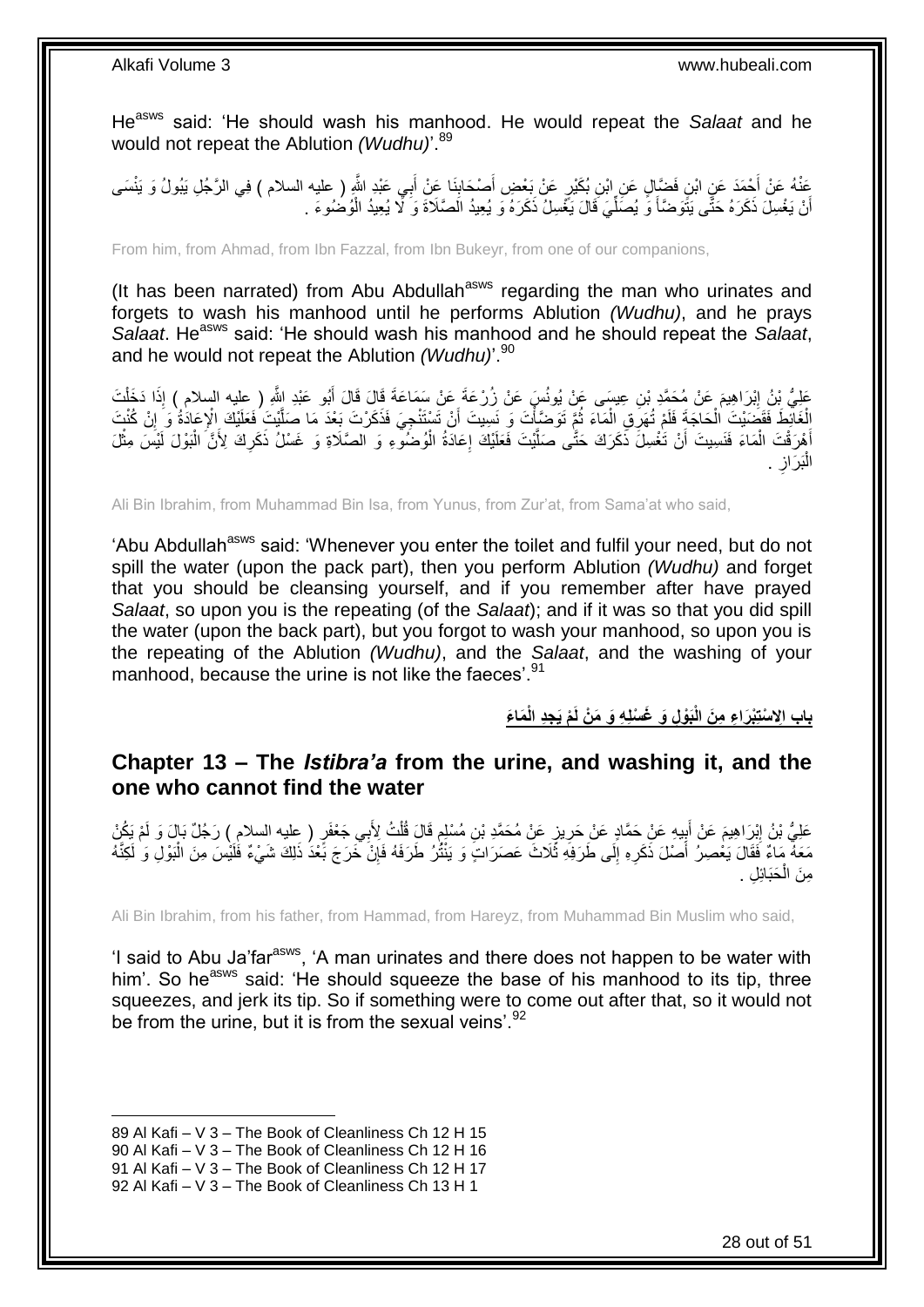Heasws said: 'He should wash his manhood. He would repeat the *Salaat* and he would not repeat the Ablution *(Wudhu)*'.<sup>89</sup>

عَٰذُهُ عَنْ أَحْمَدَ عَنٍ ابْنِ فَضَّإِلٍ عَنِ إِبْنِ بُكَيْرٍ عَنْ بَعْضٍ أَصْحَابِنَا عَنْ أَبِي عَبْدِ اللَّهِ ( عليه السلام ) فِي الرَّجُلِ يَبُولُ وَ يَنْسَى َ ِ َ ا<br>ا أَنْ يَغْسِلَ ذَكَرَهُ حَتَّى يَتَّوَضَّأَ وَ يُصَلِّيَ قَالَ يَغْسِلُ ذَكَرَهُ وَ يُعِيدُ الْصَّلَاةَ وَ لَّا يُعِيدُ الْوُضُوءَ . ِّ َ اً ْ

From him, from Ahmad, from Ibn Fazzal, from Ibn Bukeyr, from one of our companions,

(It has been narrated) from Abu Abdullah<sup>asws</sup> regarding the man who urinates and forgets to wash his manhood until he performs Ablution *(Wudhu)*, and he prays *Salaat*. He<sup>asws</sup> said: 'He should wash his manhood and he should repeat the *Salaat*. and he would not repeat the Ablution *(Wudhu)*<sup>'.90</sup>

عَلِيُّ بِنُ إِبْرَاهِيمَ عَنْ مُحَمَّدِ بْنِ عِيسَى عَنْ يُونُسَ عَنْ زُِرْعَةَ عَنْ سَمَاعَةَ قَالَ قَالَ أَبُو عَبْدِ الثَّهِ ( عِليه السلام ) إِذَا دَخَلْتَ **ֽוּ** ْ َ الْغَلَّطُ فَقَضَيْتَ الْحَاجَةَ فَلَمْ تُهَرِّقِ الْمَاءَ ثُمَّ تَوَصَّأْتَ وَ نَسِيتَ أَنْ تَسْتَنْجِيَ فَذَكَرتَ بَعْدَ مَا صَلَّيْتَ فَعَلَيْكَ الْإِعَادَةُ وَ إِنْ كُنْتَ<br>أَمِنْ مَا الْمَاجَةُ وَالْمَاجَةَ فَلَمْ تُع ْ ُ ْ ْ ِ َّ أَهْرَقْتَ الْمَاءَ فَنَسِيتَ أَنْ تَغْسِلَّ ذَكَرَكَ حَتَّى صَلَّيْتَ فَعَلَيْكَ إِعَادَةُ الْوُضُوَّءِ وَ الصَّلَاةِ وَ غَسْلُ ذَكَرِكَ لِأَنَّ الْبَوْلَ لَيْسَ مِثْلَ ْ ْ ِ ْ ِ َّ **ٔ** لَ الْبَرَازِ . **∶** :<br>ا

Ali Bin Ibrahim, from Muhammad Bin Isa, from Yunus, from Zur'at, from Sama'at who said,

'Abu Abdullah<sup>asws</sup> said: 'Whenever you enter the toilet and fulfil your need, but do not spill the water (upon the pack part), then you perform Ablution *(Wudhu)* and forget that you should be cleansing yourself, and if you remember after have prayed *Salaat*, so upon you is the repeating (of the *Salaat*); and if it was so that you did spill the water (upon the back part), but you forgot to wash your manhood, so upon you is the repeating of the Ablution *(Wudhu)*, and the *Salaat*, and the washing of your manhood, because the urine is not like the faeces'.<sup>91</sup>

باب الِاسْتِبْرَاءِ مِنَ الْبَوْلِ وَ غَسْلِهِ وَ مَنْ لَمْ يَجِدِ الْمَاءَ

## <span id="page-27-0"></span>**Chapter 13 – The** *Istibra'a* **from the urine, and washing it, and the one who cannot find the water**

عَلِيُّ بْنُ إِبْرَاهِيمَ عَنْ أَبِيهِ عَنْ حَمَّادٍ عَنْ حَرِيزٍ عَنْ مُحَمَّدِ بْنِ مُسْلِمٍ قَالَ قُلْتُ لِأَبِي جَعْفَرٍ ( عليه السلام ) رَجُلٌ بَالَ وَ لَمْ يَكُنْ ِ َ ْ į ِ مَعَهٌ مَاءٌ فَقَالَ يَعْصِرُ أَصْلَ ذَكَرِهِ إِلَى طَرَفِهِ ثَلَاثَ عَصَرَاتٍ وَ يَنْثُرُ طَرَفَهُ فَإِنْ خَرَجَ بَعْدُ ذَلِكَ شَيْءٌ فَلَيْسَ مِنَ الْبَوْلِ وَ لَكِنَّهُ ِ ِ ِ ْ مِنَ الْحَبَائِلِ . ْ

Ali Bin Ibrahim, from his father, from Hammad, from Hareyz, from Muhammad Bin Muslim who said,

'I said to Abu Ja'far<sup>asws</sup>, 'A man urinates and there does not happen to be water with him'. So he<sup>asws</sup> said: 'He should squeeze the base of his manhood to its tip, three squeezes, and jerk its tip. So if something were to come out after that, so it would not be from the urine, but it is from the sexual veins'.<sup>92</sup>

<sup>1</sup> 89 Al Kafi – V 3 – The Book of Cleanliness Ch 12 H 15

<sup>90</sup> Al Kafi – V 3 – The Book of Cleanliness Ch 12 H 16

<sup>91</sup> Al Kafi – V 3 – The Book of Cleanliness Ch 12 H 17

<sup>92</sup> Al Kafi – V 3 – The Book of Cleanliness Ch 13 H 1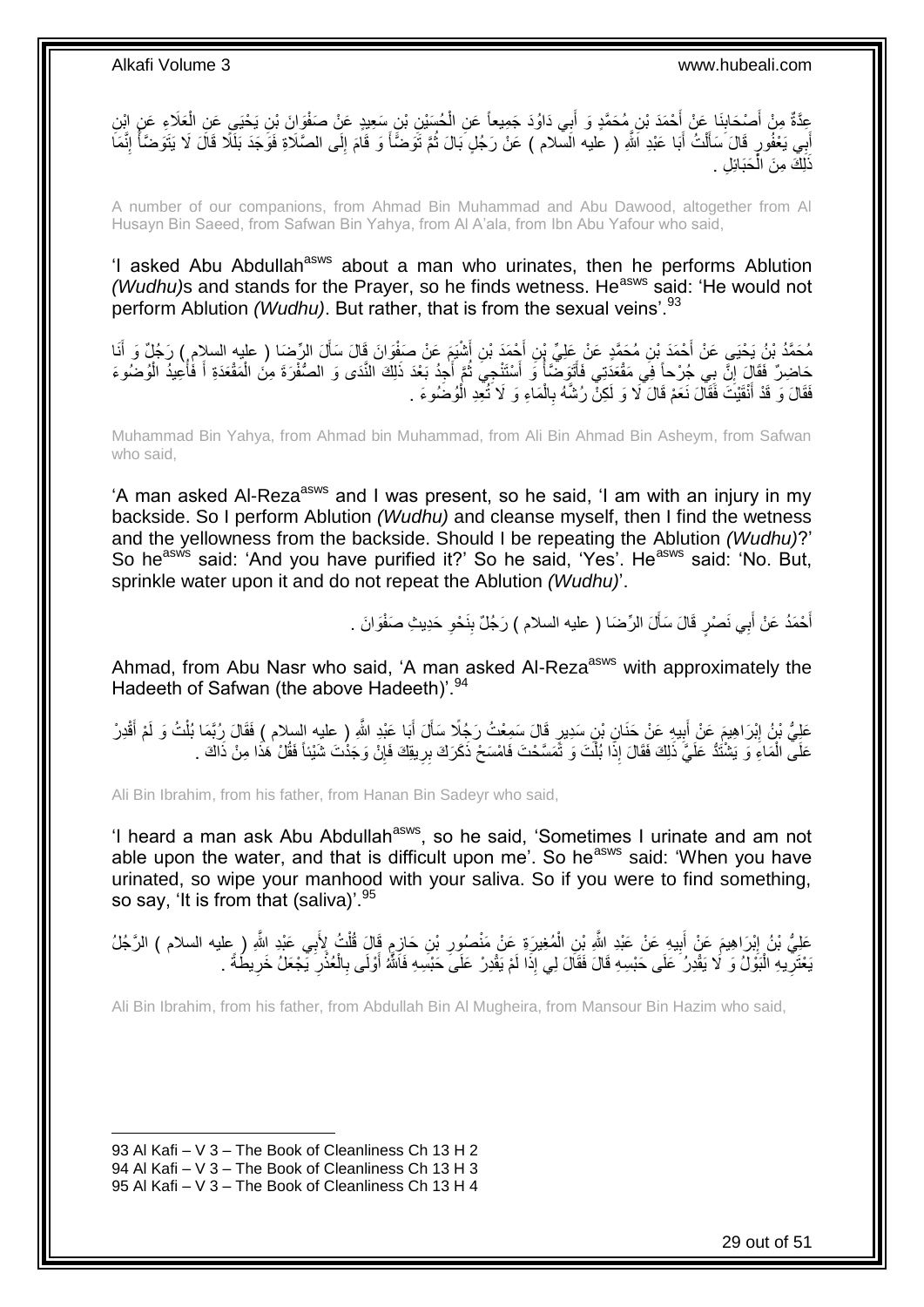عِدَّةٌ مِنْ أَصْـحَابِذَا عَنْ أَحْمَدَ بْنِ مُحَمَّدٍ وَ أَبِي دَاوُدَ جَمِيعاً عَنِ الْحُسَيْنِ بْنِ سَعِيدٍ عَنْ صَفْوَانَ بْنِ يَحْيَيِ عَنِ الْعَلَاءِ عَنٍ ايْنِ َ **∣** َ ْ ْ َ أَبِي يَعْفُورٍ قَالَ سَأَلْتُ أَبَا عَبْدِ اَشْهِ ( عليه السّلام ) عَنْ رَجُلٍ بَالَ ثُمَّ تَوَضَّأً وَ قَامَ إِلَى الصّلَاةِ فَوَجَدَ بَلَلًا قَالَ لَا يَتَوَضَأُ إِنَّمَا ِ **∫** ان<br>المقام العالمية َ ْ َ َ ِ ُ ذَلِّكَ مِنَ الْحَبَائِلِ . ْ

A number of our companions, from Ahmad Bin Muhammad and Abu Dawood, altogether from Al Husayn Bin Saeed, from Safwan Bin Yahya, from Al A'ala, from Ibn Abu Yafour who said,

'I asked Abu Abdullah<sup>asws</sup> about a man who urinates, then he performs Ablution *(Wudhu)*s and stands for the Prayer, so he finds wetness. He<sup>asws</sup> said: 'He would not perform Ablution *(Wudhu)*. But rather, that is from the sexual veins'.<sup>93</sup>

مُحَمَّدُ بْنُ يَحْيَى عَنْ أَحْمَدَ بْنِ مُحَمَّدٍ عَنْ عَلِيِّ إِن أَجْمَدَ بْنِ أَشْيَمَ عَنْ صَفْوَانَ قَالَ سَأَلَ الرِّضَا ( عليه السلام ) رَجُلٌ وَ أَنَا َ َ َ حَاضِرٌ فَقَالَ إِنَّ بِي جُرْحاً فِي مَقْعَدِتِي فَأَتَوَضَأً وَ أَسْتَنْجِيَ ثُمَّ أُجِدُ بَعْدَ ذَلِكَ النَّدَى وَ الصُّفْرَةَ مِنَ الْمَقْعَدَةِ أَ فَأُعِيدُ الْوُصْوءَ ان<br>المقام َ المناطقية المناطقية المناطقية المناطقية المناطقية المناطقية المناطقية المناطقية المناطقية المناطقية المناطقية<br>المناطقية َ ا ْ ُ َ ْ فَقَالَ وَ قَدْ أَنْقَيْتَ فَقَالَ نَعَمْ قَالَ لَا وَ لَكِنْ رُشَّهُ بِالْمَاءِ وَ لَا نُعِدِ الْوُضُوءَ . ْ ْ ِ َ

Muhammad Bin Yahya, from Ahmad bin Muhammad, from Ali Bin Ahmad Bin Asheym, from Safwan who said,

'A man asked Al-Reza<sup>asws</sup> and I was present, so he said, 'I am with an injury in my backside. So I perform Ablution *(Wudhu)* and cleanse myself, then I find the wetness and the yellowness from the backside. Should I be repeating the Ablution *(Wudhu)*?' So he<sup>asws</sup> said: 'And you have purified it?' So he said, 'Yes'. He<sup>asws</sup> said: 'No. But, sprinkle water upon it and do not repeat the Ablution *(Wudhu)*'.

> أَحْمَدُ عَنْ أَبِي نَصْرٍ قَالَ سَأَلَ الرِّضَا ( عليه السلام ) رَجُلٌ بِنَحْوِ حَدِيثِ صَفْوَانَ . **∶ !** َ َ َ

Ahmad, from Abu Nasr who said, 'A man asked Al-Reza<sup>asws</sup> with approximately the Hadeeth of Safwan (the above Hadeeth)'.<sup>94</sup>

**!** عَلِيُّ نَبُنُ اِبْرَاهِيمَ عَنْ أَبِيهِ عَنْ حَنَانٍ بْنِ سَدِيرٍ قَالَ سَمِعْتُ رَجُلًا سَأَلَ أَبَا عَبْدِ اللَّهِ ( عليه السلام ) فَقَالَ رُبَّمَا بُلْتُ وَ لَمْ أَقْدِرْ َ ِ ْ َ Í َ عَلَى الْمَاءِ وَ يَشْتُدُّ عَلَيَّ ذَلِكَ فَقَالَ إِذًا بُلْتَ وَ تَمَسَّحْتَ فَامْسَحْ ذَكَرَكَ بِرِيقِكَ فَإِنْ وَجَذُتَ شَيْئاً فَقُلْ هَذَا مِنْ ذَاكَ . ِ ِ ْ ْ

Ali Bin Ibrahim, from his father, from Hanan Bin Sadeyr who said,

'I heard a man ask Abu Abdullah<sup>asws</sup>, so he said, 'Sometimes I urinate and am not able upon the water, and that is difficult upon me'. So he<sup>asws</sup> said: 'When you have urinated, so wipe your manhood with your saliva. So if you were to find something, so say, 'It is from that (saliva)'.<sup>95</sup>

عَلِيُّ بْنُ إِبْرَاهِيمَ عَنْ أَبِيهِ عَنْ عَبْدِ اللَّهِ بْنِ الْمُغِيرَةِ عَنْ مَنْصُورِ بْنِ حَازِمٍ قَالَ قُلْتُ لِأَبِي عَبْدِ اللَّهِ ( عِليه السلام ) الرَّجُلُ ْ ֧׆֧ ِ ِ ْ **!** َ ِ بَعْتَرِيهِ الْبَوْلُ وَ لَا يَقْدِرُ عَلَى حَبْسِهِ قَالَ فَقَالَ لِي إِذَا لَمْ يَقْدِرْ عَلَىَ حَبْسِهِ فَاللَّهُ أَوْلَى بِالْعُذْرِ يَجْعَلُ خَرِيطُهً . َ ا.<br>ا ِ ِ ِ **ٔ** ْ

Ali Bin Ibrahim, from his father, from Abdullah Bin Al Mugheira, from Mansour Bin Hazim who said,

93 Al Kafi – V 3 – The Book of Cleanliness Ch 13 H 2 94 Al Kafi – V 3 – The Book of Cleanliness Ch 13 H 3

<sup>95</sup> Al Kafi – V 3 – The Book of Cleanliness Ch 13 H 4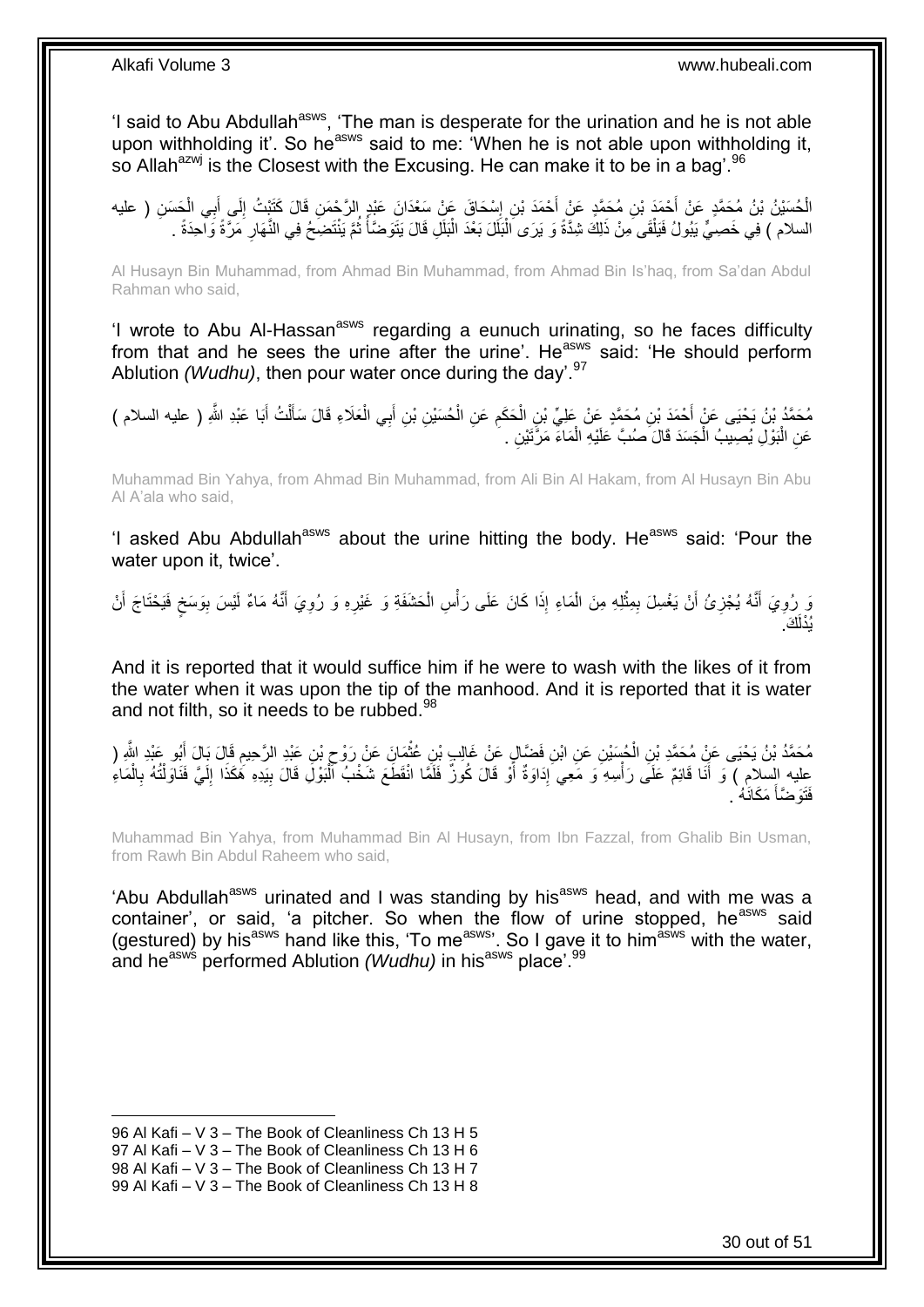'I said to Abu Abdullah<sup>asws</sup>, 'The man is desperate for the urination and he is not able upon withholding it'. So he<sup>asws</sup> said to me: 'When he is not able upon withholding it, so Allah<sup>azwj</sup> is the Closest with the Excusing. He can make it to be in a bag'.<sup>96</sup>

الْحُسَيْنُ بْنُ مُحَمَّدٍ عَنْ أَحْمَدَ بْنِ مُحَمَّدٍ عَنْ أَحْمَدَ بْنِ إِسْحَاقَ عَنْ سَعْدَانَ عَبْدٍ الرَّحْمَنِ قَالَ كَثَيْتُ إِلَى أَبِي الْحَسَنِ ( عليه<br>ا ِ ْ َ ِ السلام ) فِي خَصِيٍّ يَبُولُ فَيَلْقَى مِنْ ذَلِكَ شِدَّةً وَ يَرَى الْبَلَلَ بَعْدَ الْبَلَلِ قَالَ يَتَوَضَّأُ ثُمَّ يَنْتَضِحُ فِي النَّهَارِ مَرَّةً وَاحِدَةً . ْ ْ ْ ِ ُ ا<br>ا

Al Husayn Bin Muhammad, from Ahmad Bin Muhammad, from Ahmad Bin Is'haq, from Sa'dan Abdul Rahman who said,

'I wrote to Abu Al-Hassan<sup>asws</sup> regarding a eunuch urinating, so he faces difficulty from that and he sees the urine after the urine'. He<sup>asws</sup> said: 'He should perform Ablution *(Wudhu)*, then pour water once during the day'.<sup>97</sup>

ْ مُحَمَّدُ بْنُ يَحْيَى عَنْ أَحْمَدَ بْنِ مُحَمَّدٍ عِنْ عَلِيِّ بْنِ الْحَكَمِ عَنِ الْحُسَيْنِ بْنِ أَبِي الْعَلَاءِ قَالَ سَأَلْتُ أَبَا عَبْدِ اللَّهِ ( عليه السلام ) َ ْ ِ ْ َ َ ْ َ عَنِ الْبَوْلِ يُصِيبُ الْجَسَدَ قَالَ صُنُبَّ عَلَيْهِ الْمَاءَ مَرَّتَيْنِ . ْ ْ ْ

Muhammad Bin Yahya, from Ahmad Bin Muhammad, from Ali Bin Al Hakam, from Al Husayn Bin Abu Al A'ala who said,

'I asked Abu Abdullah<sup>asws</sup> about the urine hitting the body. He<sup>asws</sup> said: 'Pour the water upon it, twice'.

ِي رُوِيَ أَنَّهُ يُجْزِئُ أَنْ يَغْسِلَ بِمِثْلِهِ مِنَ الْمَاءِ إِذَا كَانَ عَلَى رَأْسِ الْحَشْفَةِ وَ غَيْرِهِ وَ رُوِيَ أَنَّهُ مَاءٌ لَيْسَ بِوَسَخٍ فَيَحْتَاجَ أَنْ ِ **ٍ** ْ ْ ْ ِ ِ َ **∶** ٍ ِ َ يُد<u>ْأَلَ</u>فَ

And it is reported that it would suffice him if he were to wash with the likes of it from the water when it was upon the tip of the manhood. And it is reported that it is water and not filth, so it needs to be rubbed.  $98$ 

مُحَمَّدُ بْنُ يَحْيَى عَنِّ مُحَمَّدِ بْنِ الْمُسَيْنِ عَنِ ابْنِ فَضَّالٍ عَنْ غَالِبٍ بْنِ عُثْمَانٍ عَنْ رَوْحٍ بْنِ عَبْدِ الرَّحِيمِ قَالَ بَالَ أَبُو عَبْدِ الثَّهِ ( ِ ِ **ٔ** ْ َ عِليه السلامِ ) وَ أَنَا قَائِمٌ عَلَى رَأْسِهِ وَ مَعِي إِدَاوَةٌ أَوْ قَالَ كُونٌ فَلَمًا انْقَطَعَ شَخْبُ أَلْبَوْلَ قَالَ بِيَدِهِ هَكَذَا إِلَيَّ فَنَاوَلْتُهُ بِالْمَاءِ َ ِ ֦֧֡֟֟֓֕<sup>֟</sup> ْ ِ لَ ِ ْ فَتَوَضَّأَ مَكَانَهُ . **∫** 

Muhammad Bin Yahya, from Muhammad Bin Al Husayn, from Ibn Fazzal, from Ghalib Bin Usman, from Rawh Bin Abdul Raheem who said,

'Abu Abdullah<sup>asws</sup> urinated and I was standing by his<sup>asws</sup> head, and with me was a container', or said, 'a pitcher. So when the flow of urine stopped, he<sup>asws</sup> said (gestured) by his<sup>asws</sup> hand like this, 'To me<sup>asws'</sup>. So I gave it to him<sup>asws</sup> with the water, and he<sup>asws</sup> performed Ablution *(Wudhu)* in his<sup>asws</sup> place'.<sup>99</sup>

<sup>96</sup> Al Kafi – V 3 – The Book of Cleanliness Ch 13 H 5

<sup>97</sup> Al Kafi – V 3 – The Book of Cleanliness Ch 13 H 6

<sup>98</sup> Al Kafi – V 3 – The Book of Cleanliness Ch 13 H 7

<sup>99</sup> Al Kafi – V 3 – The Book of Cleanliness Ch 13 H 8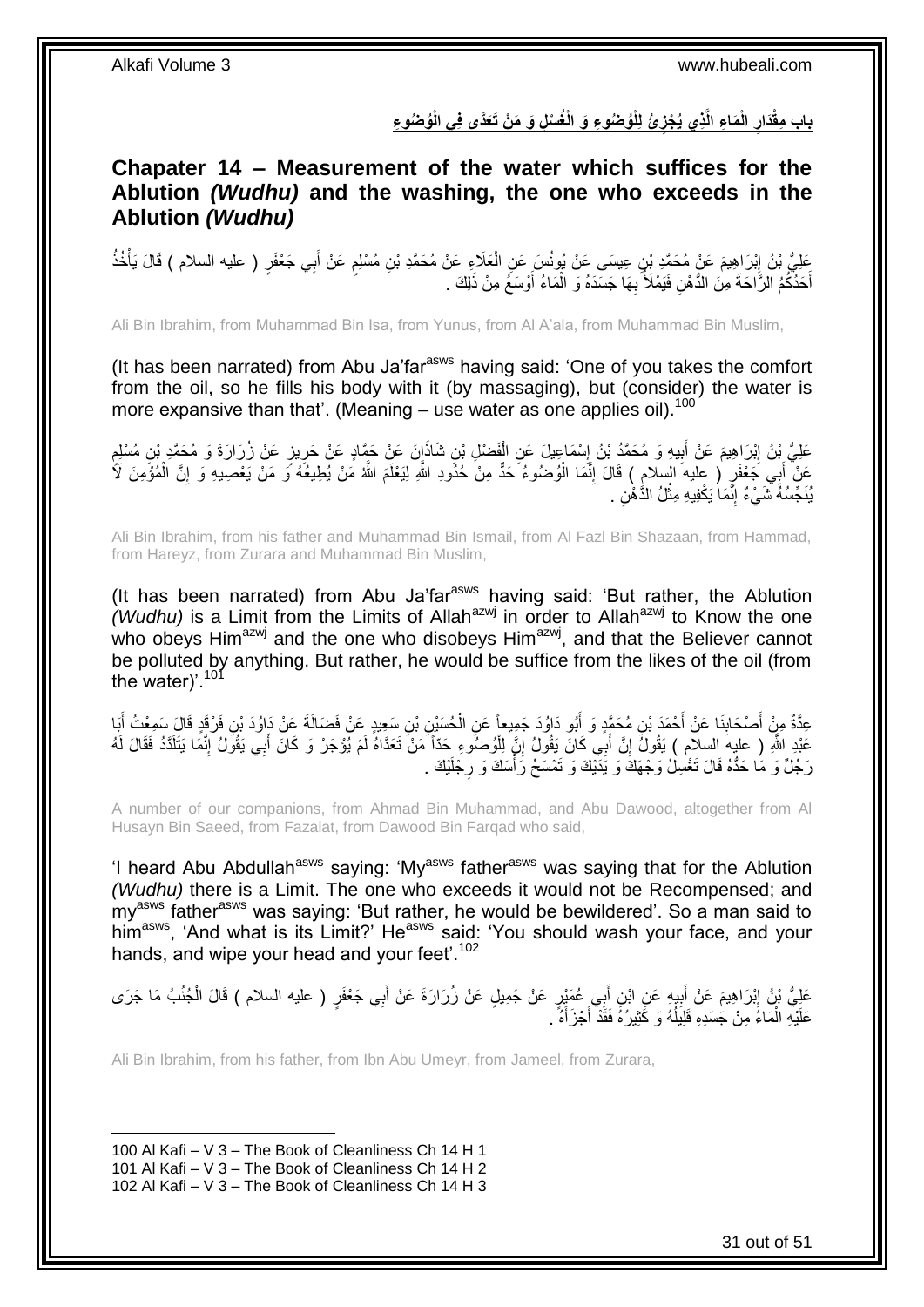باب مِقْدَارِ الْمَاءِ الَّذِي يُجْزِئُ لِلْوُصْنُوءِ وَ الْغُسْلِ وَ مَنْ تَعَدَّى فِى الْوُصْنُوءِ **ِ ِ**

<span id="page-30-0"></span>**Chapater 14 – Measurement of the water which suffices for the Ablution** *(Wudhu)* **and the washing, the one who exceeds in the Ablution** *(Wudhu)*

عَلِيُّ بْنُ إِبْرَاهِيمَ عَنْ مُحَمَّدِ بْنِ عِيسَى عَنْ بُونُسَ عَنِ الْعَلَاءِ عَنْ مُحَمَّدِ بْنِ مُسْلِمٍ عَنْ أَبِي جَعْفَرٍ ( عليه السلام ) قَالَ يَأْخُذُ ِ َ ٍ ْ ْ أَخَذُكُمُ الرُّأَحَةَ مِنَ الذُّهْنِ فَيَمْلأُ بِهَا جَسَدَهُ وَ الْمَاءُ أَوْسَعُ مِنْ ذَلِكَ . َ ْ **∶** َ

Ali Bin Ibrahim, from Muhammad Bin Isa, from Yunus, from Al A'ala, from Muhammad Bin Muslim,

(It has been narrated) from Abu Ja'far $a<sup>asws</sup>$  having said: 'One of you takes the comfort from the oil, so he fills his body with it (by massaging), but (consider) the water is more expansive than that'. (Meaning  $-$  use water as one applies oil).<sup>100</sup>

عَلِيُّ بِنُ اِبْرَاهِيمَ عَنْ أَبِيهِ وَ مُحَمَّدُ بْنُ إِسْمَاعِيلَ عَنِ الْفَضْلِ بْنِ شَاذَانَ عَنْ حَمَّادِ عَنْ حَرِيزٍ عَنْ زُرَارَةَ وَ مُحَمَّدٍ بْنِ مُسْلِمٍ ِ ْ ِ **!** َ ِ ٍ عَنْ أَبِي جَعْفَرٍ ( عِليه السلامِ ) قَالَ إِنَّمَا الْوُضُوءُ حَدٌّ مِنْ حُذُودِ اللَّهِ لِيَعْلَمَ اللَّهُ مَنْ يُطِيعُهُ وَ مَنْ يَعْصِيهِ وَ إِنَّ الْمُؤْمِنَ لَأَ<br>يَبْنَّ أَبِي جَعْفَرٍ ( عِليه السلامِ ) قَالَ إِنَّ ْ ِ َ ْ ِ يُنَجِّسُهُ شَيْءٌ إِنَّمَا يَكْفِيهِ مِثْلُ الدَّهْنِ . ْ ِ

Ali Bin Ibrahim, from his father and Muhammad Bin Ismail, from Al Fazl Bin Shazaan, from Hammad, from Hareyz, from Zurara and Muhammad Bin Muslim,

(It has been narrated) from Abu Ja'far<sup>asws</sup> having said: 'But rather, the Ablution *(Wudhu)* is a Limit from the Limits of Allah<sup>azwj</sup> in order to Allah<sup>azwj</sup> to Know the one who obeys Him<sup>azwj</sup> and the one who disobeys Him<sup>azwj</sup>, and that the Believer cannot be polluted by anything. But rather, he would be suffice from the likes of the oil (from the water)<sup>'.101</sup>

ِن َس ِعيٍد َع ْن َف َضالَ َة ِن ْب ُح َسْي َع ِن ال ُبو َداُوَد َج ِميعاً ِن ُم َح َّمٍد َو أ ْح َمَد ْب َنا َع ْن أ ْص َحاب َبا ِم ْن أ ِعَّدةٌ ِن َف ْرَقٍد َقا َل َس ِمْع ُُ أ َع ْن َداُوَد ْب ْ َ َ ِ َ َ عَبْدِ اللَّهِ ( عليهِ السلام ) يَقُولُ إِنَّ أَبِي كَانَ يَقُولُ إِنَّ لِلْوُضُوءِ حَدّاً مَنْ تَعَدَّاهُ لَمْ يُوْجَرْ وَ كَانَ أَبِي يَقُولُ إِنَّمَا يَتَلَدَّدُ فَقَالَ لَهُ ْ ِ َ יֲ<br>י ِ َ رَجُلٌ وَ مَا حَدُّهُ قَالَ تَغْسِلُ وَجْهَكَ وَ يَدَيْكَ وَ تَمْسَحُ رَأْسَكَ وَ رِجْلَيْكَ . ِ ة<br>أ

A number of our companions, from Ahmad Bin Muhammad, and Abu Dawood, altogether from Al Husayn Bin Saeed, from Fazalat, from Dawood Bin Farqad who said,

'I heard Abu Abdullah<sup>asws</sup> saying: 'My<sup>asws</sup> father<sup>asws</sup> was saying that for the Ablution *(Wudhu)* there is a Limit. The one who exceeds it would not be Recompensed; and my<sup>asws</sup> father<sup>asws</sup> was saying: 'But rather, he would be bewildered'. So a man said to himasws, 'And what is its Limit?' He<sup>asws</sup> said: 'You should wash your face, and your hands, and wipe your head and your feet'.<sup>102</sup>

عَلِيُّ نَبُنُ إِبْرَاهِيمَ عَنْ أَبِيهٍ عَنِ ابْنِ أَبِي عُمَيْرٍ عَنْ جَمِيلٍ عَنْ زُرَارَةَ عَنْ أَبِي جَعْفَرٍ ( عليه السلام ) قَالَ الْجُنُبُ مَا جَرَى **! ֽוּ** ْ َ َ عَلَيْهِ الْمَاءُ مِنْ جَسَدِهِ قَلِيلُهُ وَ كَٰثِيرُهُ فَقَدْ أَجْزَأَهُ ۚ ـ َ َ ُ ْ

Ali Bin Ibrahim, from his father, from Ibn Abu Umeyr, from Jameel, from Zurara,

100 Al Kafi – V 3 – The Book of Cleanliness Ch 14 H 1 101 Al Kafi – V 3 – The Book of Cleanliness Ch 14 H 2 102 Al Kafi – V 3 – The Book of Cleanliness Ch 14 H 3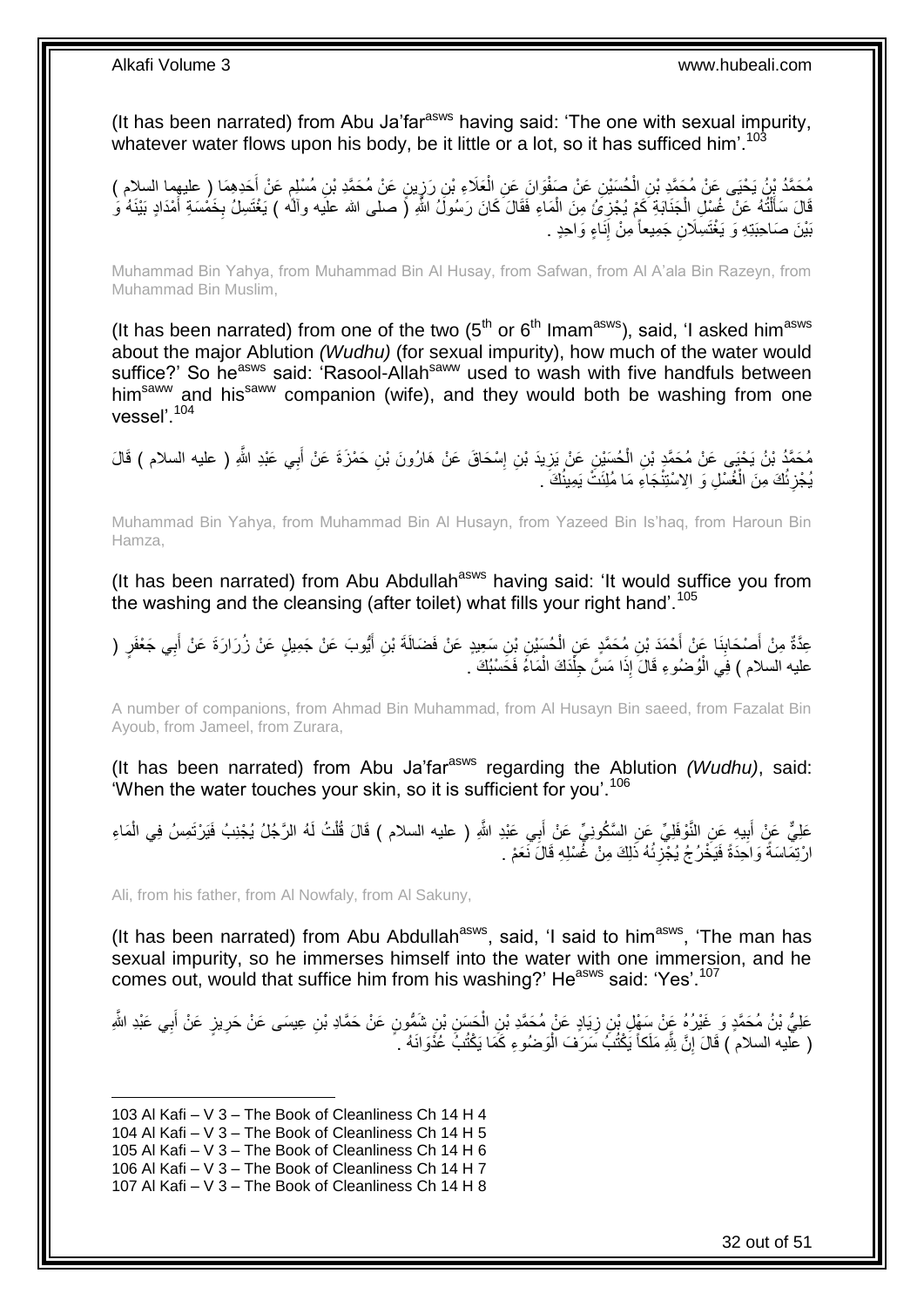(It has been narrated) from Abu Ja'far<sup>asws</sup> having said: 'The one with sexual impurity, whatever water flows upon his body, be it little or a lot, so it has sufficed him'.<sup>103</sup>

مُحَمَّدُ بْنُ يَحْيَى عَنْ مُحَمَّدِ بْنِ الْحُسَيْنِ عَنْ صَفْوَانَ عَنِ الْعَلَاءِ بْنِ رَزِينٍ عَنْ مُحَمَّدِ بْنِ مُسْلِمٍ عَنْ أَحَدِهِمَا ( عليهما السلام )<br>مُحَمَّدُ وَفِي اللَّهِ عَنْ مُحَمَّدِ بْنِ الْحُسَيْنِ عَن ْ َ ٍ Į, ْ قَالَ سَأَلْتُهُ عَنْ غُسْلِ الْجَذَابَةِ كَمْ يُجْزِيَۢ مِنَ الْمَاءِ فَقَالَ كَانَ رَسُولَۢ اللَّهِ (َ صلى الله علَيه وآلَه ) يَغْتَسِلُ بِخَمْسَةِ أَمْدَادٍ بَيْنَهُ وَ ْ ِ ْ ْ َ َ ِ بَيْنَ صَاحِبَتِهِ وَ يَغْتَسِلَانِ جَمِيعاً مِنْ إِنَاءٍ وَاحِدٍ . ِ

Muhammad Bin Yahya, from Muhammad Bin Al Husay, from Safwan, from Al A'ala Bin Razeyn, from Muhammad Bin Muslim,

(It has been narrated) from one of the two  $(5<sup>th</sup>$  or  $6<sup>th</sup>$  Imam<sup>asws</sup>), said, 'I asked him<sup>asws</sup> about the major Ablution *(Wudhu)* (for sexual impurity), how much of the water would suffice?' So he<sup>asws</sup> said: 'Rasool-Allah<sup>saww</sup> used to wash with five handfuls between banice: So he sale. Rassor Allah asset to wash with the handlals between<br>him<sup>saww</sup> and his<sup>saww</sup> companion (wife), and they would both be washing from one vessel'.<sup>104</sup>

ِي َعْب ب ِن َح ْم َزَة َع ْن أ ْس َحا َق َع ْن َها ُرو َن ْب ِن إ يَد ْب ِن َع ْن َيز ُح َسْي ِد ََّّللا ُم َح َّمُد ْب ُن َي ْحَيى َع ْن ُم َح َّمِد ْب ِ ) عليه السالم ( َقا َل ِن ال َ ِ ِ ْ يُجْزِئُكَ مِنَ الْغُسْلِ وَ الِاسْتِنْجَاءِ مَا مُلِئَثٌ يَمِينُكَ َ ْ ِ

Muhammad Bin Yahya, from Muhammad Bin Al Husayn, from Yazeed Bin Is'haq, from Haroun Bin Hamza,

(It has been narrated) from Abu Abdullah<sup>asws</sup> having said: 'It would suffice you from the washing and the cleansing (after toilet) what fills your right hand'.<sup>105</sup>

عِدَّةٌ مِنْ أَصْحَابِذَا عَنْ أَحْمَدَ بْنِ مُحَمَّدٍ عَنِ الْحُسَيْنِ بْنِ سَعِيدٍ عَنْ فَضَالَةَ بْنِ أَيُّوبَ عَنْ جَمِيلٍ عَنْ زُرَارَةَ عَنْ أَبِي جَعْفَرٍ ( َ ْ َ ِ َ َ عليه السلام ) فِي الْوُضُوءِ قَالَ إِذَا مَسَّ جِلْدَكَ الْمَاءُ فَحَسْنُكَ . ْ ْ ْ

A number of companions, from Ahmad Bin Muhammad, from Al Husayn Bin saeed, from Fazalat Bin Ayoub, from Jameel, from Zurara,

(It has been narrated) from Abu Ja'far<sup>asws</sup> regarding the Ablution *(Wudhu)*, said: 'When the water touches your skin, so it is sufficient for you'.<sup>106</sup>

عَلِيٌّ عَنْ أَبِيهِ عَنِ النَّوْفَلِيِّ عَنِ السَّكُونِيِّ عَنْ أَبِي عَبْدِ اللَّهِ ( عليه السلام ) قَالَ قُلْتُ لَهُ الرَّجُلُ يُجْنِبُ فَيَرْتَمِسُ فِي الْمَاءِ ْ **∣** ْ ارْتِمَّاسَةً وَاحِدَةً فَيَخْرُجُ يُجْزِئُهُ ذَلِكَ مِنْ غَّسْلِهِ قَالَ نَّعَمْ . **∶** 

Ali, from his father, from Al Nowfaly, from Al Sakuny,

(It has been narrated) from Abu Abdullah $a_{\text{sws}}$ , said, 'I said to him $a_{\text{sws}}$ , 'The man has sexual impurity, so he immerses himself into the water with one immersion, and he comes out, would that suffice him from his washing?' He<sup>asws</sup> said: 'Yes'.<sup>107</sup>

عَلِيُّ بْنُ مُحَمَّدٍ وَ غَيْرُهُ عَنْ سَهْلٍ بْنِ زِيَادٍ عَنْ مُحَمَّدِ بْنِ الْحَسَنِ بْنِ شَمُّونٍ عَنْ حَمَّادِ بْنِ عِيسَى عَنْ حَرِيزٍ عَنْ أَبِي عَبْدِ اللَّهِ ْ ِ َ ِ ( عَلَيه السلام ُ) قَالَ إِنَّ شِّهِ مَلَكاً يَكْتُبُ سَرَفَ الْوَضُوءِ كَمَا يَكْتُبُ عُذَوَانَهُ . יֲ<br>י ْ

<sup>103</sup> Al Kafi – V 3 – The Book of Cleanliness Ch 14 H 4

<sup>104</sup> Al Kafi – V 3 – The Book of Cleanliness Ch 14 H 5

<sup>105</sup> Al Kafi – V 3 – The Book of Cleanliness Ch 14 H 6

<sup>106</sup> Al Kafi – V 3 – The Book of Cleanliness Ch 14 H 7

<sup>107</sup> Al Kafi – V 3 – The Book of Cleanliness Ch 14 H 8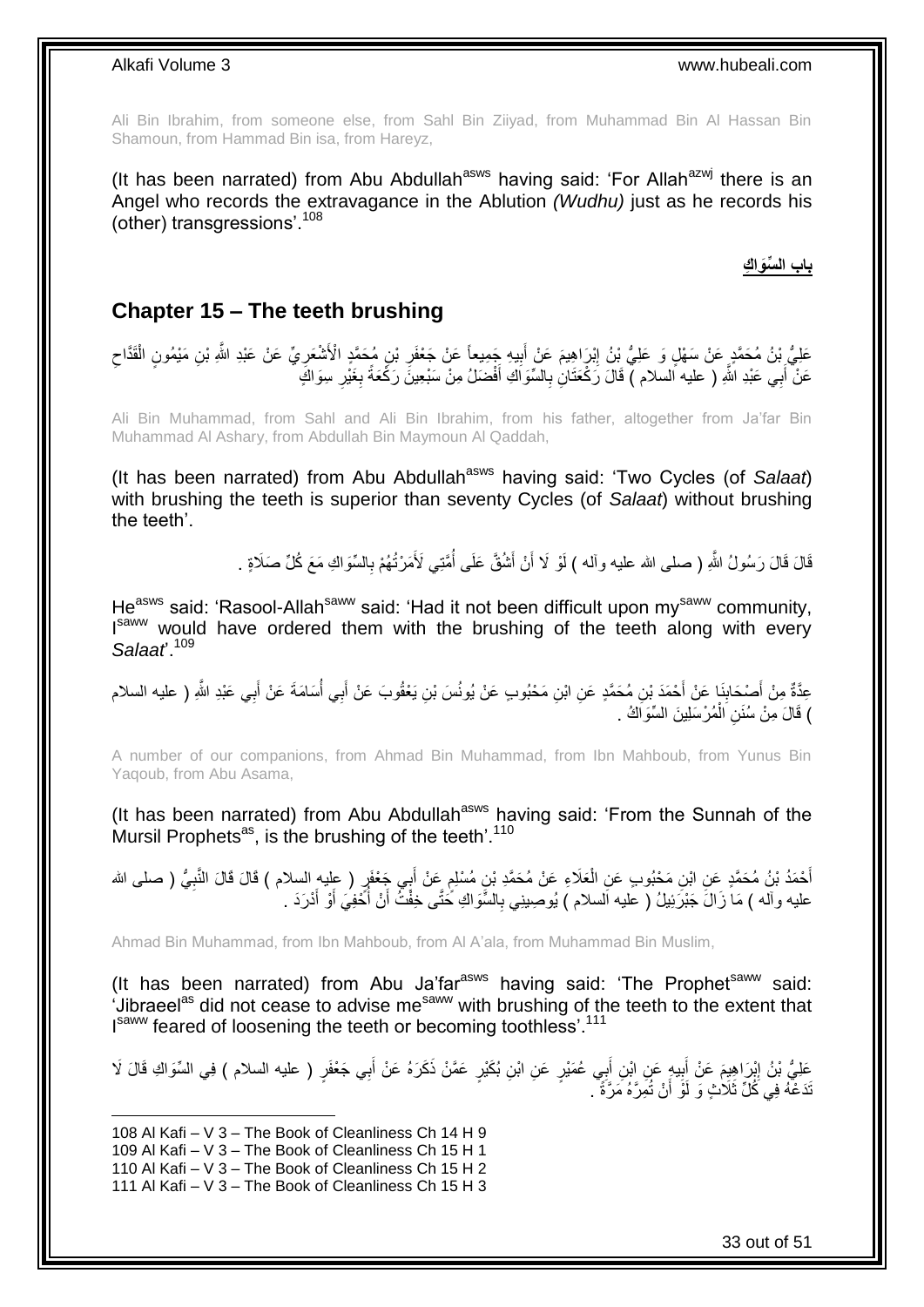Ali Bin Ibrahim, from someone else, from Sahl Bin Ziiyad, from Muhammad Bin Al Hassan Bin Shamoun, from Hammad Bin isa, from Hareyz,

(It has been narrated) from Abu Abdullah<sup>asws</sup> having said: 'For Allah<sup>azwj</sup> there is an Angel who records the extravagance in the Ablution *(Wudhu)* just as he records his (other) transgressions'.<sup>108</sup>

**باب السَّوَاك**ِّ

# <span id="page-32-0"></span>**Chapter 15 – The teeth brushing**

ِ عَلِيُّ بْنُ مُحَمَّدٍ عَنْ سَهْلٍ وَ عَلِيُّ بْنُ إِبْرَاهِيمَ عَنْ أَبِيهِ جَمِيعاً عَنْ جَعْفَرِ بْنِ مُحَمَّدٍ الْأَشْعَرِيِّ عَنْ عَبْدِ اللَّهِ بْنِ مَيْمُونِ الْقَدَّاحِ ِ َ <u>֖֓</u> ِ ْ ِ عَنْ أَبِي عَبْدِ اللَّهِ ( عليه السلام ) قَالَ رَكْعَتَانِ بِالسِّوَاكِ أَفْضَلُ مِنْ سَبْعِينَ رَكَعَةً بِغَيْرِ سِوَاكٍَ ِ ِ َ ِ َ

Ali Bin Muhammad, from Sahl and Ali Bin Ibrahim, from his father, altogether from Ja'far Bin Muhammad Al Ashary, from Abdullah Bin Maymoun Al Qaddah,

(It has been narrated) from Abu Abdullah<sup>asws</sup> having said: 'Two Cycles (of *Salaat*) with brushing the teeth is superior than seventy Cycles (of *Salaat*) without brushing the teeth'.

> قَالَ قَالَ رَسُولُ اللَّهِ ( صلـى الله عليه وآلـه ) لَوْ لَا أَنْ أَشُقَّ عَلَى أُمَّنِي لَأَمَرْنُهُمْ بِالسِّوَاكِ مَعَ كُلِّ صَلَاةٍ . ِ ا<br>ا اُ

He<sup>asws</sup> said: 'Rasool-Allah<sup>saww</sup> said: 'Had it not been difficult upon my<sup>saww</sup> community, Isaww would have ordered them with the brushing of the teeth along with every *Salaat*'.<sup>109</sup>

عِدَّةٌ مِنْ أَصْدَابِنَا عَنْ أَحْمَدَ بْنِ مُحَمَّدٍ عَنِ ابْنِ مَحْبُوبٍ عَنْ يُونُسَ بْنِ يَعْقُوبَ عَنْ أَبِي أَسَامَةَ عَنْ أَبِي عَبْدِ اللَّهِ ( عليه السلام َ **∣** َ َ ) قَالَ مِنْ سُنَنِ الْمُرْسَلِينَ السِّوَاكُ <sub>.</sub> ْ

A number of our companions, from Ahmad Bin Muhammad, from Ibn Mahboub, from Yunus Bin Yaqoub, from Abu Asama,

(It has been narrated) from Abu Abdullah<sup>asws</sup> having said: 'From the Sunnah of the Mursil Prophets<sup>as</sup>, is the brushing of the teeth'.<sup>110</sup>

أَحْمَدُ بْنُ مُحَمَّدٍ عَنِ ابْنِ مَحْبُوبٍ عَنِ الْعَلَاءِ عَنْ مُحَمَّدِ بْنِ مُسْلِمٍ عَنْ أَبِي جَعْفَرٍ ( عليه السلام ) قَالَ قَالَ النَّبِيُّ ( صلى الله َ ֧֖֧֚֚֓֝֝֝ ْ ِ عليه وآله ) مَا زَالَ جَبْرَئِيلُ ( عليه السلام ) يُوصِينِي بِالسُّوَاكِ خَتَّى خِفْتُ أَنْ أَحْفِيَ أَوْ أَدْرَدَ . ِ َ َ ֧֖֖֖֧֖֖֖֖֖֖֝֟֟֟֟֟֟֟֟֟֟֟֟֟֟֟֟֟֟֟֟֬֟֩֞֟֩֞֟֩֞֟֩֞֟֩֞֟֩֞֞֟֩֕֩֞֩֝֩֝֟֩֩֩֞֝֞֩֩֞֝֝֬֝֝֞֩֩ اُ

Ahmad Bin Muhammad, from Ibn Mahboub, from Al A'ala, from Muhammad Bin Muslim,

(It has been narrated) from Abu Ja'far<sup>asws</sup> having said: 'The Prophet<sup>saww</sup> said: 'Jibraeel<sup>as</sup> did not cease to advise me<sup>saww</sup> with brushing of the teeth to the extent that Isaww feared of loosening the teeth or becoming toothless'.<sup>111</sup>

عَلِيُّ بْنُ إِبْرَاهِيِمَ عَنْ أَبِيهٍ عَنِ ابْنِ أَبِي عُمَيْرٍ عَنِ ابْنِ بُكَيْرٍ عَمَّنْ ذَكَرَهُ عَنْ أَبِي جَعْفَرٍ ( عليه السلام ) فِي السِّوَاكِ قَالَ لَا َ َ **∣** َ ِ تَدَعْهُ فِي كُلِّ ثَلَاثٍ وَ لَوَّ أَنْ ثُمِرَّهُ مَرَّةً ۚ . اً

108 Al Kafi – V 3 – The Book of Cleanliness Ch 14 H 9 109 Al Kafi – V 3 – The Book of Cleanliness Ch 15 H 1

1

111 Al Kafi – V 3 – The Book of Cleanliness Ch 15 H 3

<sup>110</sup> Al Kafi – V 3 – The Book of Cleanliness Ch 15 H 2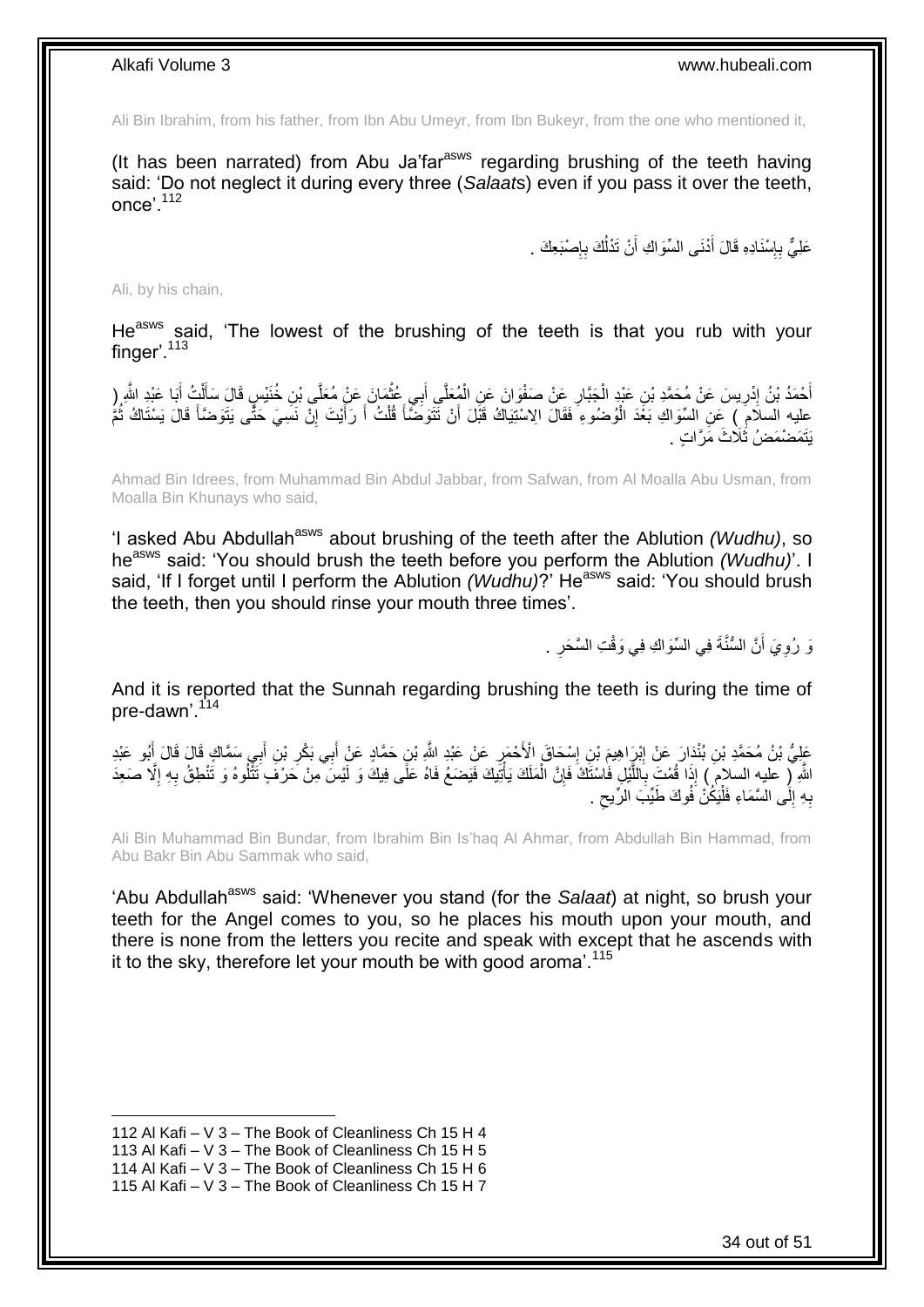Ali Bin Ibrahim, from his father, from Ibn Abu Umeyr, from Ibn Bukeyr, from the one who mentioned it,

(It has been narrated) from Abu Ja'far<sup>asws</sup> regarding brushing of the teeth having said: 'Do not neglect it during every three (*Salaat*s) even if you pass it over the teeth, once'.<sup>112</sup>

> عَلِيٌّ بِإِسْنَادِهِ قَالَ أَدْنَى السِّوَاكِ أَنْ تَدْلُكَ بِإِصْبَعِكَ . ِ ِ ُ اً َ ∣اٍ<br>∶ **∶**

Ali, by his chain,

He<sup>asws</sup> said, 'The lowest of the brushing of the teeth is that you rub with your finger'.<sup>113</sup>

أَحْمَدُ بْنُ إِنْرِيسَ عَنْ مُحَمَّدِ بْنِ عَبْدٍ الْجَبَّارِ عَنْ صَفْوَانَ عَنِ الْمُعَلَّي أَبِي عُثْمَانَ عَنْ مُعَلَّى بْنِ خُنَيْسٍ قَالَ سَأَلْتُ أَبَا عَبْدِ الشَّرِ( ْ ْ ِ ْ ِ יִי (ו َ َ ْ َ عِليه السلَامِّ ) عِن السِّوَاكِ بَغَّدَ الْوُضُوءِ فَقَالَ الِاسْتِيَاكُ قَبْلَ أَنْ تَتَوَضَّأَ قُلْتُ أَ رَأَيْتَ إِنَّ نَسِيَ حَثًّى يَتَوَضَّأَ قَالَ يَسْتَاكُ ثُمُّ ْ َ ِ َ َ **∫** َ بَتَمَضْمَضُ ثَلَاثَ مَرَّاتٍ <sub>.</sub>

Ahmad Bin Idrees, from Muhammad Bin Abdul Jabbar, from Safwan, from Al Moalla Abu Usman, from Moalla Bin Khunays who said,

'I asked Abu Abdullah<sup>asws</sup> about brushing of the teeth after the Ablution *(Wudhu)*, so he<sup>asws</sup> said: 'You should brush the teeth before you perform the Ablution *(Wudhu)*'. I said, 'If I forget until I perform the Ablution *(Wudhu)*?' He<sup>asws</sup> said: 'You should brush the teeth, then you should rinse your mouth three times'.

> نَ رُوِيَ أَنَّ السُّنَّةَ فِي السِّوَاكِ فِي وَقْتِ السَّحَرِ . **∶** َ ِ

And it is reported that the Sunnah regarding brushing the teeth is during the time of pre-dawn<sup>'114</sup>

عَلِيُّ بْنُ مُحَمَّدِ بْنِ بُنْدَارَ عَنْ إِبْرَاهِيمَ بْنِ إِسْحَاقَ الْأَحْمَدِ عَنْ عَبْدِ اللَّهِ بْنٍ حَمَّادٍ عَنْ أَبِي بَكْرِ بْنِ أَبِي سَمَّاكٍ قَالَ قَالَ أَبُو عَبْدِ َ ِ َ ِ ِ ِ َ اللَّهِ لِٓ عليهِ السلامِ ) إِذَا قُمْتَ بِاللَّيْلِ فَاسْنَكَ فَإِنَّ الْمَلَكَ يَأْتَيَكَ فَيَضَعُ فَاهُ عَلَى فِيكَ وَ لَيْسَ مِنْ حَرْفَ نَثْلُوهُ وَ تَنْطِقُ بِهِ إِلَّا صَعِدَ ْ ْ ِ َّ ِ ِ ِ بِهِ إِلَى السَّمَاءِ فَلْيَكُٰنْ َفُوكَ طَيِّبَ الرِّيحِ . ِ ْ  $\frac{1}{2}$ ِ

Ali Bin Muhammad Bin Bundar, from Ibrahim Bin Is'haq Al Ahmar, from Abdullah Bin Hammad, from Abu Bakr Bin Abu Sammak who said,

'Abu Abdullah<sup>asws</sup> said: 'Whenever you stand (for the *Salaat*) at night, so brush your teeth for the Angel comes to you, so he places his mouth upon your mouth, and there is none from the letters you recite and speak with except that he ascends with it to the sky, therefore let your mouth be with good aroma'.<sup>115</sup>

<sup>112</sup> Al Kafi – V 3 – The Book of Cleanliness Ch 15 H 4

<sup>113</sup> Al Kafi – V 3 – The Book of Cleanliness Ch 15 H 5

<sup>114</sup> Al Kafi – V 3 – The Book of Cleanliness Ch 15 H 6

<sup>115</sup> Al Kafi – V 3 – The Book of Cleanliness Ch 15 H 7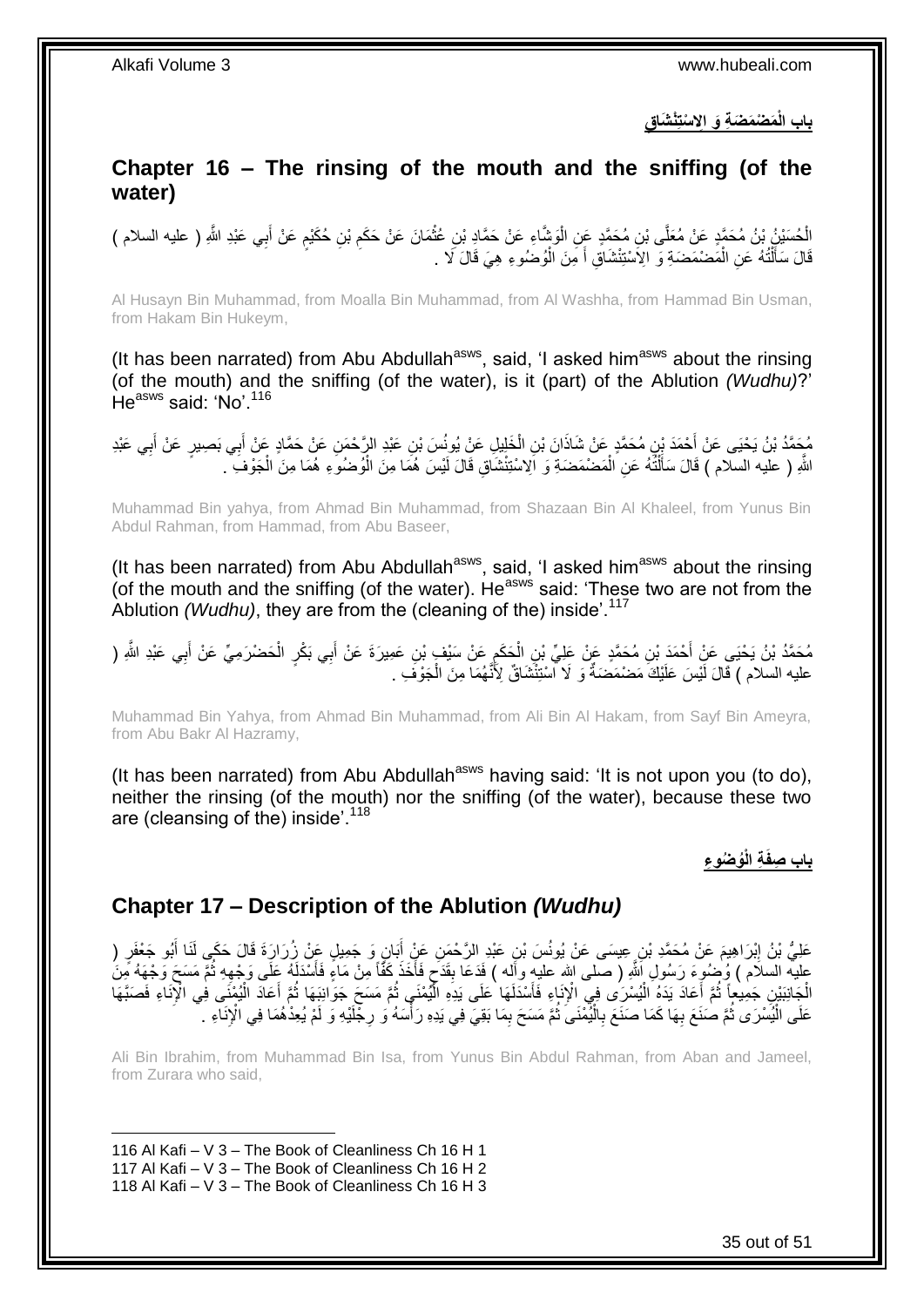**ِق َم ْض َم َض ِة َو اَِل ْستِْن َشا باب الْ**

## <span id="page-34-0"></span>**Chapter 16 – The rinsing of the mouth and the sniffing (of the water)**

الْحُسَيْنُ بْنُ مُحَمَّدٍ عَنْ مُعَلَّى بْنِ مُحَمَّدٍ عَنِ الْوَشْاءِ عَنْ حَمَّادِ بْنِ عُثْمَانَ عَنْ حَكَمِ بْنِ حُكَيْمٍ عَنْ أَبِي عَبْدِ اللَّهِ ( عليه السلام ) :<br>ا َ ֧֖֧֖֖֖֖֖֧֖֖֖֖֧֧֧֧֧֧֧֧֧֧֧֧֧֧֧֧֧֚֚֚֚֚֚֚֚֚֚֚֝֝֟֓֝֓֝֓֝֬֟֓֝֬֟֓֝֬֝֓֝֓֝֬֝֓֝֬֝֬֝֓֝֬֝֬֓֝֬֝֬֝֬ ِ ْ قَالَ سَأَلْتُهُ عَنِ الْمَضْمَضَةِ وَ الِاَسْتِتْشَاقِ أَ مِنَ الْوُضُوءِ هِيَ قَالَ لَا . ْ َ ْ ֺ֦֦֪֦֧֦֦֖֦֦֪֦֧֦֪֦֧֦֪֪֦֧֦֪֦֪֪֦֧֦֪֦֧֦֧֦֪֦֧֦֧֦֪֪֦֧֪֦֧֪֦֧֦֧֦֧֝֟֟֟֟֟֟֟֟֟֟֟֟֟֟֟֟֟֟֟֟֟֟֓֕֬֟֓֡֟֓֟֓֞֟֟֓֞֟֟֟֟֟֟֟֩֓֞֟֟֟֟֟֟ َ

Al Husayn Bin Muhammad, from Moalla Bin Muhammad, from Al Washha, from Hammad Bin Usman, from Hakam Bin Hukeym,

(It has been narrated) from Abu Abdullah<sup>asws</sup>, said, 'I asked him<sup>asws</sup> about the rinsing (of the mouth) and the sniffing (of the water), is it (part) of the Ablution *(Wudhu)*?'  $He<sup>asws</sup>$  said: 'No'  $<sup>116</sup>$ </sup>

مُحَمَّدُ بْنُ يَحْيَى عَنْ أَحْمَدَ بْنِ مُحَمَّدٍ عَنْ شَاذَانَ بْنِ الْخَلِيلِ عَنْ يُونُسَ بْنِ عَبْدِ الرَّحْمَنِ عَنْ حَمَّادٍ عَنْ أَبِي بَصِيرٍ عَنْ أَبِي عَبْدِ ِ َ ْ ِ َ ْ اللَّهِ ( عليه السلام ) قَالَ سَأَلْتُهُ عَنِ الْمَضْمَضَةِ وَ اَلِاسْتِنْشَاقِ قَالَ لَيْسَ هُمَا مِنَ الْوُضُوَعِ هُمَا مِنَ الْجَوْفَ ِ ْ ֺ֦֧֦֧֦֧֦֧֦֧֦֦֦֦֪֦֧֦֧֦֪֪֦֪֦֪֦֧֝֟֟֓֕֟֓֓֟֓֓֞֟֓֟֓֓֞֓֞֓֞֓֞֓֞֓֓֞֓֓֞֓֡֟֓֡֟֓֡֟֓֡֟֓֡֟֓֡֟֓֓֞֓֟֓֓֞֓֟֓֞֟֟֟ َ ْ

Muhammad Bin yahya, from Ahmad Bin Muhammad, from Shazaan Bin Al Khaleel, from Yunus Bin Abdul Rahman, from Hammad, from Abu Baseer,

(It has been narrated) from Abu Abdullah<sup>asws</sup>, said, 'I asked him<sup>asws</sup> about the rinsing (of the mouth and the sniffing (of the water). He<sup>asws</sup> said: 'These two are not from the Ablution *(Wudhu)*, they are from the *(cleaning of the)* inside<sup>'.117</sup>

مُحَمَّدُ بْنُ يَحْيَى عَنِْ أَحْمَدَ بْنِ مُحَمَّدٍ عَنْ عَلِيِّ بْنِ الْحَكَمِ عَنْ سَيْفٍ بْنِ عَمِيرَةَ عَنْ أَبِي بَكْرٍ الْحَصْرَمِيِّ عَنْ أَبِي عَبْدِ اللَّهِ ( ֧֧֓׆֧ ْ َ َ ْ َ عليه السلام ) قَالَ لَّيْسَ عَلَيْكَ مَضْمَضَةٌ وَ لَا آَسْتِثْشَاقٌ لِأَنَّهُمَا مِنَ الْجَوْفَ . ْ

Muhammad Bin Yahya, from Ahmad Bin Muhammad, from Ali Bin Al Hakam, from Sayf Bin Ameyra, from Abu Bakr Al Hazramy,

(It has been narrated) from Abu Abdullah<sup>asws</sup> having said: 'It is not upon you (to do), neither the rinsing (of the mouth) nor the sniffing (of the water), because these two are (cleansing of the) inside<sup>'.118</sup>

**ُو ُضو ِء ِة الْ باب ِصفَ**

### <span id="page-34-1"></span>**Chapter 17 – Description of the Ablution** *(Wudhu)*

عَلِيُّ بْنُ إِبْرَاهِيمَ عَنْ مُحَمَّدِ بْنِ عِيسَى عَنْ يُونُسَ بْنِ عَبْدِ الرَّحْمَنِ عَنْ أَبَانٍ وَ جَمِيلٍ عَنْ زُرَارَةَ قَالَ حَكَى لَنَا أَبُو جَعْفَرٍ ( َ ِ َ عليه السلاَمَ ) وُضُوءَ رَسُولِ ٱللَّهِ ( صلى الله عليه وأَله ) فَدَعَا بِقَدَّجٍ فَأَخَذَ كَفَّاً مِنْ مَاءٍ فَأَسْتَذَلَهُ عَلَى وَجْهِهِ ثُمَّ مَسَحَ وَجْهَهُ مِّنَ<br>في السالم ) وُضُوءَ رَبَّالِ اللهِ ( صلى إِنَّذَا عَن َ ا<br>أ **ِ** الْجَانِبَيْنِ جَمِيعاً ثُمَّ أَعَادَ يَدَهُ الْيُسْرَى فِي الْإِنَاءِ فَأَسْدَلَهَا عَلَى يَدِهِ الْمُمْنَىِ ثُمَّ مَسَحَ جَوَانِبَهَا ثُمَّ أَعَادَ الْيُمْنَى فِي الْإِنَاءِ فَصَنَّهَا ا دیکھیے ا<br>ا َ ْ َ ُ ْ َ ا دیکھیے ْ عَلَى الْيُسْرَى ثُمَّ صُنَعَ بِهَا كَمَا صَنَعَ بِالْيُمْنَىَ ثُمَّ مَسَحَ بِمَا بَقِيَ فِي يَدِهِ رَأْسَهُ وَ رِجْلَيْهِ وَ لَمْ يُعِدْهُمَا فِي الْإِنَاءِ ۚ. ِ :<br>أ ِ ان<br>المقام المقام المقام المقام المقام المقام المقام المقام المقام المقام المقام المقام المقام المقام المقام المقا ْ **∶ ∶** ُ ْ لَ

Ali Bin Ibrahim, from Muhammad Bin Isa, from Yunus Bin Abdul Rahman, from Aban and Jameel, from Zurara who said,

116 Al Kafi – V 3 – The Book of Cleanliness Ch 16 H 1 117 Al Kafi – V 3 – The Book of Cleanliness Ch 16 H 2 118 Al Kafi – V 3 – The Book of Cleanliness Ch 16 H 3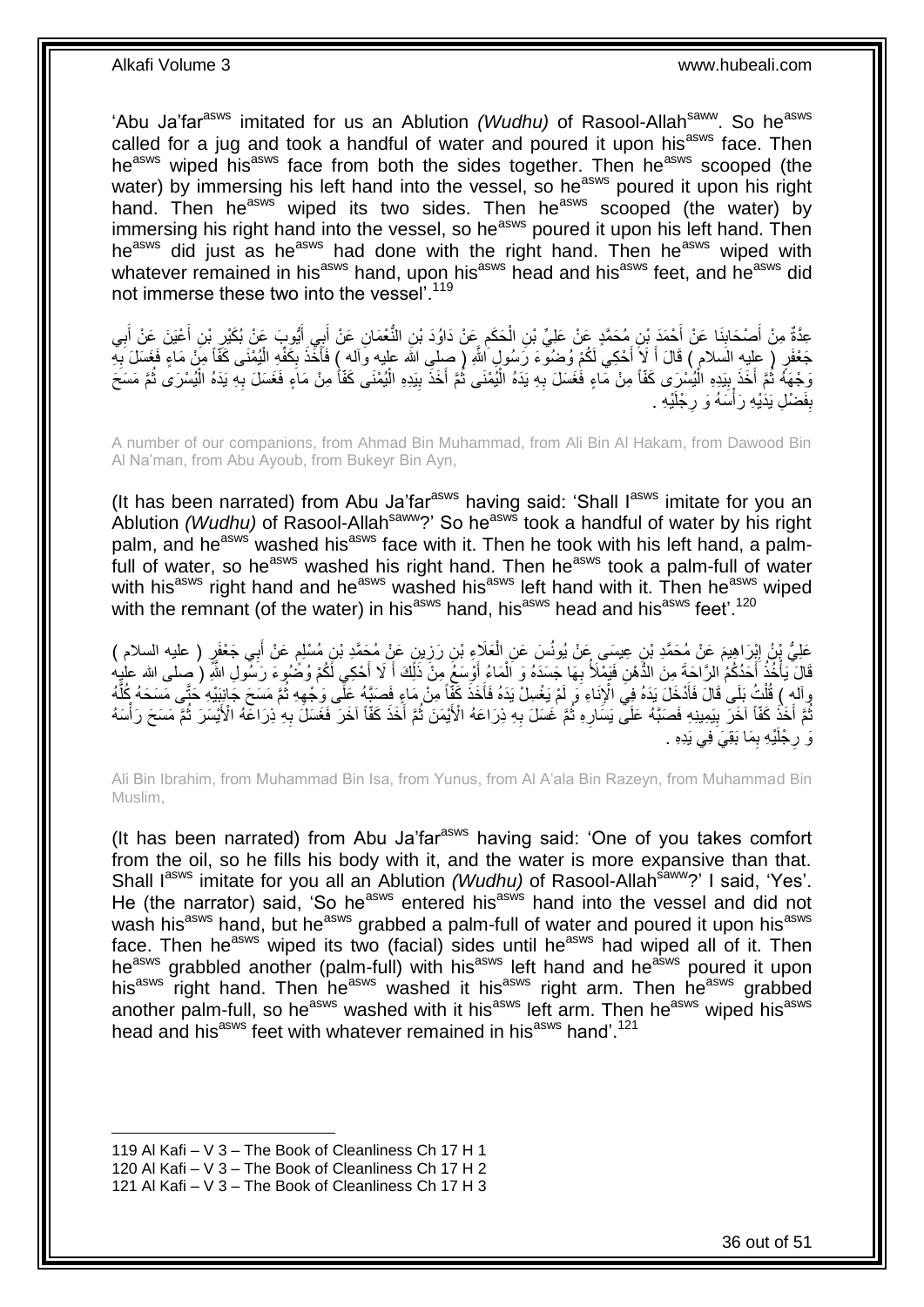'Abu Ja'far<sup>asws</sup> imitated for us an Ablution *(Wudhu)* of Rasool-Allah<sup>saww</sup>. So he<sup>asws</sup> called for a jug and took a handful of water and poured it upon his<sup>asws</sup> face. Then he<sup>asws</sup> wiped his<sup>asws</sup> face from both the sides together. Then he<sup>asws</sup> scooped (the water) by immersing his left hand into the vessel, so he<sup>asws</sup> poured it upon his right hand. Then he<sup>asws</sup> wiped its two sides. Then he<sup>asws</sup> scooped (the water) by immersing his right hand into the vessel, so he<sup>asws</sup> poured it upon his left hand. Then he<sup>asws</sup> did just as he<sup>asws</sup> had done with the right hand. Then he<sup>asws</sup> wiped with whatever remained in his<sup>asws</sup> hand, upon his<sup>asws</sup> head and his<sup>asws</sup> feet, and he<sup>asws</sup> did not immerse these two into the vessel'.<sup>119</sup>

عِدَّةٌ مِنْ أَصْحَابِنَا عَنْ أَحْمَدَ بْنِ مُحَمَّدٍ عَنْ عَلِيِّ بْنِ الْحَكَمِ عَنْ دَاوُدَ بْنِ النُّعْمَانِ عَنْ أَبِي أَيُّوبَ عَنْ بُكَيْرِ بْنِ أَعْيَنَ عَنْ أَبِي َ َ ِ ْ **∣** ِ َ َ ِ جَعْفَرٍ ( عِليهِ السلام ) قَالَ أَ لَا أَحْكِي لَكُمْ وُضنُوٓءَ رَسُولِ اللَّهِ ( صلى الله عليه وَاله ) فَأَخَذَ بِكَفِّهِ الْبُمْنَى كَفَّأَ مِنْ مَاءٍ فَغَسَلَ بِهِ َ َ ِ ْ ِ َ وَجْهَهُ ثُمَّ أَخَذَ بِيَدِهِ الْيُسْرَى كَفّاً مِنْ مَّاءٍ فَغَسَلَ بِهِ يَدَهُ الْيُمْنَى ثُمَّ أَخَذَ بِيَدِهِ الْيُمْنَى كَفّاً مِنْ مَاعَ فَغَسَلَ بِهِ يَدَهُ الْيُسْرَى ثُمَّ مَسَحَ ْ ِ َ ا بالا بالا المسلمانية المسلمانية المسلمانية المسلمانية المسلمانية المسلمانية المسلمانية المسلمانية المسلمانية<br>مسلمانية المسلمانية المسلمانية المسلمانية المسلمانية المسلمانية المسلمانية المسلمانية المسلمانية المسلمانية ا ْ ِ :<br>ا **!** َ ُ ْ ِ <sub>ِ</sub>فَضْلِ يَدَيْهِ رَأْسَهُ وَ رِجْلَيْهِ <sub>.</sub> **∶** :<br>أ **ِ** 

A number of our companions, from Ahmad Bin Muhammad, from Ali Bin Al Hakam, from Dawood Bin Al Na'man, from Abu Ayoub, from Bukeyr Bin Ayn,

(It has been narrated) from Abu Ja'far<sup>asws</sup> having said: 'Shall  $I<sup>asws</sup>$  imitate for you an Ablution *(Wudhu)* of Rasool-Allah<sup>saww</sup>?' So he<sup>asws</sup> took a handful of water by his right palm, and he<sup>asws</sup> washed his<sup>asws</sup> face with it. Then he took with his left hand, a palmfull of water, so he<sup>asws</sup> washed his right hand. Then he<sup>asws</sup> took a palm-full of water with his<sup>asws</sup> right hand and he<sup>asws</sup> washed his<sup>asws</sup> left hand with it. Then he<sup>asws</sup> wiped with the remnant (of the water) in his<sup>asws</sup> hand, his<sup>asws</sup> head and his<sup>asws</sup> feet'.<sup>120</sup>

َس َع ِن ِعي َسى َع ْن ُيونُ َم َع ْن ُم َح َّمِد ْب ْب َرا ِهي ٍر َعلِ ُّي ْب ُن إ ) عليه السالم ( ِي َج ْعَف ب َع ْن أ ِن ُم ْسلِم ٍن َع ْن ُم َح َّمِد ْب ي ِن َرز َعَالِء ْب ِن ال ِ َ ֧֖֖֚֚֚֓֝֬֝ **ٍ** ْ قَالَ يَأْخُذُ أَحَدُكُمُ الرَّاحَةَ مِنَ الذُّهْنِ فَيَمْلِأُ بِهَا جَسَدَهُ وَ أَلْمَاءُ أَوْسَعُ مِنْ ذَلِّكَ أَ لَا أَحْكِي أَكُمْ وُضُبُوءَ رَنَّسُولِ اللَّهِ ( صلى الله عليه َ َ َ ْ ِ َ وآله ) قُلْتُ بَلَى قَالَ فَأَدْخَلَ يَدَهُ فِي الْإِنَاءِ وَ لَمْ يَغْسِلْ يَدَهُ فَأَخَذَ كَفَّاً مِنْ مَاءٍ فَصَبَّهُ عَلَّى وَجْهِهِ ثُمَّ مَسَحَ جَانِبَيْهِ حَتَّى مَسَحَهُ كُلَّهُ<br>يُوجُدُ عَلَيْهِ تَجِبَّدُ بِهِ بَع َ َ ْ َّ ُ ِ ُّمَّ أَخَذَ كَفَّاً آخَرَ بِيَمِينِهِ فَصَبَّهُ عَلَى يَشَارِهِ ثُمَّ غَسَلَ بِهِ ذِرَاعَهُ الْأَيْمَنَ ثُمَّ أَخَذَ كَفَّاً آخَرَ فَغَسَلَ بِهِ ذِرَاعَهُ الْأَيْسَرَ ثُمَّ مَسَحَ رَأْسَهُ ِ ِ ْ ا پایا<br>ا ِ َ ا پایا<br>سال ِ ان<br>المقام المقام المقام المقام المقام المقام المقام المقام المقام المقام المقام المقام المقام المقام المقام المقا رَ رُجَلَيْهِ بِمَا بَقِيَ َفِي يَدِهِ . ِ ِ

Ali Bin Ibrahim, from Muhammad Bin Isa, from Yunus, from Al A'ala Bin Razeyn, from Muhammad Bin Muslim,

(It has been narrated) from Abu Ja'far<sup>asws</sup> having said: 'One of you takes comfort from the oil, so he fills his body with it, and the water is more expansive than that. Shall l<sup>asws</sup> imitate for you all an Ablution *(Wudhu)* of Rasool-Allah<sup>saww</sup>?' I said, 'Yes'. He (the narrator) said, 'So he<sup>asws</sup> entered his<sup>asws</sup> hand into the vessel and did not wash his<sup>asws</sup> hand, but he<sup>asws</sup> grabbed a palm-full of water and poured it upon his<sup>asws</sup> face. Then he<sup>asws</sup> wiped its two (facial) sides until he<sup>asws</sup> had wiped all of it. Then he<sup>asws</sup> grabbled another (palm-full) with his<sup>asws</sup> left hand and he<sup>asws</sup> poured it upon his<sup>asws</sup> right hand. Then he<sup>asws</sup> washed it his<sup>asws</sup> right arm. Then he<sup>asws</sup> grabbed another palm-full, so he<sup>asws</sup> washed with it his<sup>asws</sup> left arm. Then he<sup>asws</sup> wiped his<sup>asws</sup> head and his<sup>asws</sup> feet with whatever remained in his<sup>asws</sup> hand'.<sup>121</sup>

<sup>119</sup> Al Kafi – V 3 – The Book of Cleanliness Ch 17 H 1

<sup>120</sup> Al Kafi – V 3 – The Book of Cleanliness Ch 17 H 2

<sup>121</sup> Al Kafi – V 3 – The Book of Cleanliness Ch 17 H 3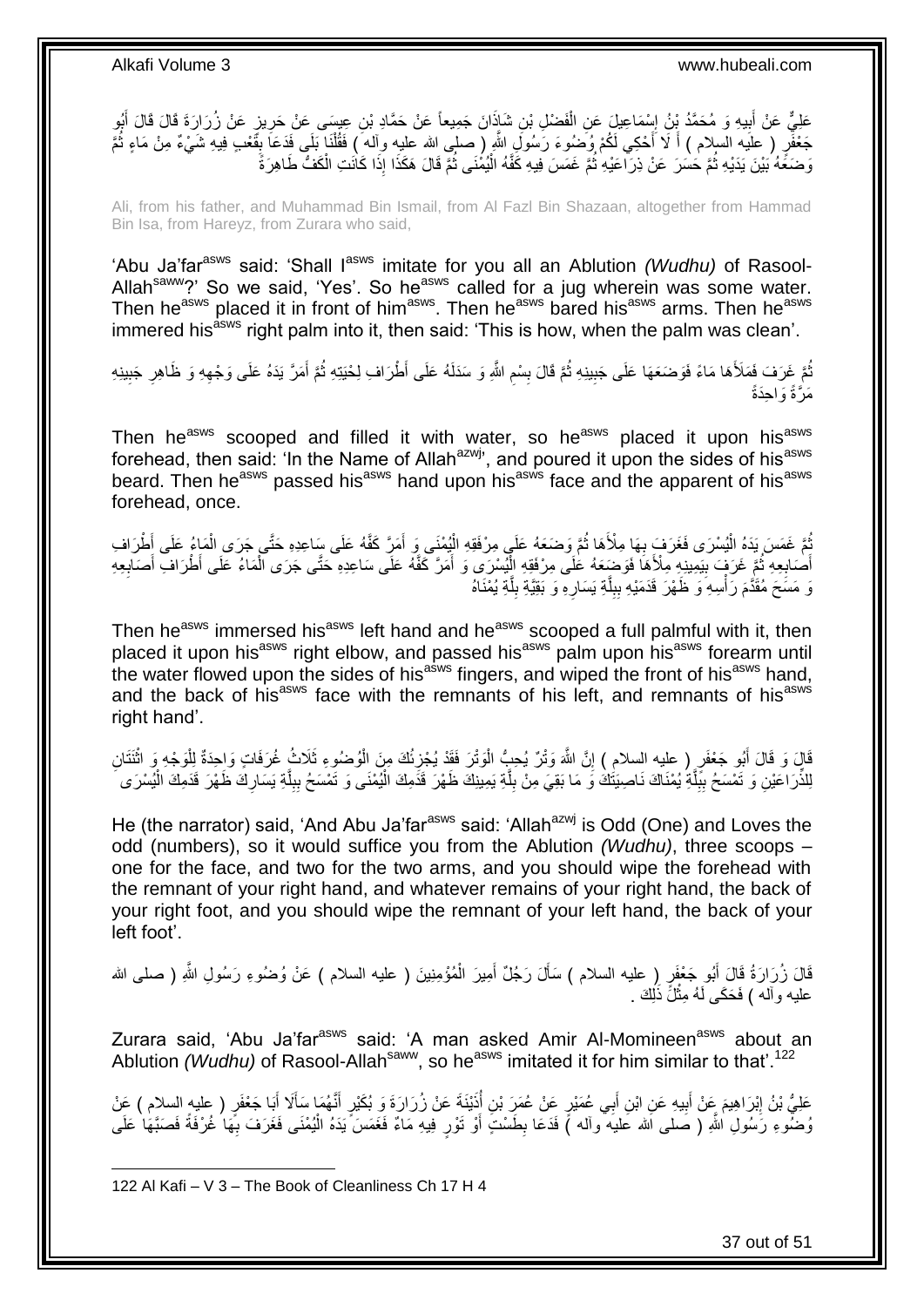; عَلِيٌّ عَنْ أَبِيهِ وَ مُحَمَّدُ بِنُ إِسْمَاعِيلَ عَنِ الْفَضْلِ بْنِ شَاذَانَ جَمِيعاً عَنْ حَمَّادِ بْنِ عِيسَى عَنْ حَرِيزٍ عَنْ زُرَارَةَ قَالَ قَالَ أَبُو ْ ¦ٍ **!** َ جَعْفَرٍ ( عَلَيه السلام ) أَ لَا أَحْكِي لَمُّمْ وُصِّوءَ رَسُولِ اللَّهِ ( صلى الله عليه وأله ) فَقُلْنَا بَلَى فَدَعَا بِقَعْبِ فِيهِ شَيْءٌ مِنْ مَاءٍ ثُمَّ ِ ْ ر<br>: وَصَعَّهُ بَيْنَ يَدَيْهِ ثُمَّ حَسَرَ ۚ عَنْ ذِرَاْعَيْهِ ثُمَّ غَمَسَ فِيهِ كَفَّهُ الْيُمْنَى ثُمَّ قَالَ هَكَذَا إِذَا كَانَتِ الْكَفُّ طَاهِرَةً ان<br>المقام المقام المقام المقام المقام المقام المقام المقام المقام المقام المقام المقام المقام المقام المقام المقا :<br>ا ُ ُ ْ

Ali, from his father, and Muhammad Bin Ismail, from Al Fazl Bin Shazaan, altogether from Hammad Bin Isa, from Hareyz, from Zurara who said,

'Abu Ja'far<sup>asws</sup> said: 'Shall l<sup>asws</sup> imitate for you all an Ablution *(Wudhu)* of Rasool-Allah<sup>saww</sup>?' So we said, 'Yes'. So he<sup>asws</sup> called for a jug wherein was some water. Then he<sup>asws</sup> placed it in front of him<sup>asws</sup>. Then he<sup>asws</sup> bared his<sup>asws</sup> arms. Then he<sup>asws</sup> immered his<sup>asws</sup> right palm into it, then said: 'This is how, when the palm was clean'.

ُّمَّ غَرَفَ فَمَلَأَهَا مَاءً فَوَضَعَهَا عَلَى جَبِينِهِ ثُمَّ قَالَ بِسْمِ اللَّهِ وَ سَدَلَهُ عَلَى أَطْرَافِ لِحْيَتِهِ ثُمَّ أَمَرَّ يَدَهُ عَلَى وَجْهِهِ وَ ظَاهِرِ جَبِينِهِ ِ **ِ** ُ ِ ِ ِ ِ َ ُ َم َّرًة َوا ِحَدًة

Then he<sup>asws</sup> scooped and filled it with water, so he<sup>asws</sup> placed it upon his<sup>asws</sup> forehead, then said: 'In the Name of Allah<sup>azwj</sup>', and poured it upon the sides of his<sup>asws</sup> beard. Then he<sup>asws</sup> passed his<sup>asws</sup> hand upon his<sup>asws</sup> face and the apparent of his<sup>asws</sup> forehead, once.

نُّعَ غَمَسَ يَدَهُ الْيُسْرَى فَغَرَفٍ بِهَا مِلْأَهَا ثُمَّ وَضَعَهُ عَلَى مِرْفَقِهِ الْيُمْنَى وَ أَمَرَّ كَفَّهُ عَلَى سِاعِدِهِ حَتَّى جَرَى الْمَاءُ عَلَى أَطْرَاف ْ ُ ْ َ ْ ُ **∶** أَصَابِعِهِ ثُمَّ غَرَفَ بِيَمِينِهِ مِلْأَهَا فَوَضِعَهُ عَلَى مِرْفَقِهِ الْمُشْرَى وَ أَمَرَّ كَفَّهُ عَلَى سَاعِدِهِ حَتَّى جَرَى الْمَاءُ عَلَى أَطْرَافٌ أَصَابِعِهِ َ :<br>ا **!** ُ **∶ ∶** َ ْ نَ مَسَحَ مُقَدَّمَ رَأْسِهِ ۖ وَ ظَهْرَ قَدَمَيْهِ بِبِلَّةِ يَسَارِهِ وَ بَقِيَّةِ بِلَّةِ يُمْنَاهُ َّ  $\frac{1}{2}$ ِ َّ ِ **!** :<br>ا

Then he<sup>asws</sup> immersed his<sup>asws</sup> left hand and he<sup>asws</sup> scooped a full palmful with it, then placed it upon his<sup>asws</sup> right elbow, and passed his<sup>asws</sup> palm upon his<sup>asws</sup> forearm until the water flowed upon the sides of his<sup>asws</sup> fingers, and wiped the front of his<sup>asws</sup> hand, and the back of his<sup>asws</sup> face with the remnants of his left, and remnants of his<sup>asws</sup> right hand'.

َّلِّلَ وَ قَالَ أَبُو جَعْفَرٍ ( عليه السلام ) إِنَّ اللَّهَ وَتْرٌ يُحِبُّ الْوَتْرَ فَقَدْ يُجْزِئُكَ مِنَ الْوُصْنُوءِ ثَلَاثُ غُرَفَاتٍ وَاحِدَةٌ لِلْوَجْهِ وَ اثْنَتَانِ ْ ِ ْ יֲ<br>י َ **ٔ** ْ **∶** لِلْذُرَاعَيْنِ وَ تَمْسَحُ بِبِّلَّةِ يُمْنَاكَ نَاصِيَتُكْ وَ مَا بَقِيَ مِنْ بِلَّةِ يَمِينِكَ ظَهْرَ قَذَمِكَ الْيُمْنَى وَ تَمْسَحُ بِبِلَّةِ يَسَارِكَ ظَهْرَ قَدَمِكَ الْيُسْرَى َّ ِ **ِ** ْ ِ َّ ِ **∶** ْ َّ

He (the narrator) said, 'And Abu Ja'far<sup>asws</sup> said: 'Allah<sup>azwj</sup> is Odd (One) and Loves the odd (numbers), so it would suffice you from the Ablution *(Wudhu)*, three scoops – one for the face, and two for the two arms, and you should wipe the forehead with the remnant of your right hand, and whatever remains of your right hand, the back of your right foot, and you should wipe the remnant of your left hand, the back of your left foot'.

قَالَ زُرَارَةُ قَالَ أَبُو جَعْفَرٍ ( عليه السلام ) سَأَلَ رَجُلٌ أَمِيرَ الْمُؤْمِنِينَ ( عليه السلام ) عَنْ وُضُوءِ رَسُولِ اللَّهِ ( صلى الله ْ َ َ َ عليه وأله ) فَحَكَى لَهُ مِثْلً ذَٰلِكَ . ْ

Zurara said, 'Abu Ja'far<sup>asws</sup> said: 'A man asked Amir Al-Momineen<sup>asws</sup> about an Ablution *(Wudhu)* of Rasool-Allah<sup>saww</sup>, so he<sup>asws</sup> imitated it for him similar to that<sup>' 122</sup>

عَلِيُّ بْنُ إِبْرَاهِيمَ عِنْ أَبِيهِ عَنِ ابْنِ أَبِي عُمَيْرٍ عَنْ عُمَرَ بْنِ أُنَّنِيَةَ عَنْ زُرَارَةَ وَ بُكَيْرٍ أَنَّهُمَا سَأَلَا أَبَا جَعْفَرٍ ( عليه السلام ) عَنْ َ َ ِ َ ِ َ ِ رُضَّوءِ رَسُولِ اللَّهِ ( صَلى اَلله عَليَه ۗ وآله )ً فَدَعَا بِطَسْتٍ أَوْ تَوْرٍ فِيهِ مَاءٌ فَغَمَسَ َيَدَهُ الْيُمْنَى فَغَرَفَ بِهَا غُرْفَةً فَصَبَّهَا عَلَى ْ َ ِ

122 Al Kafi – V 3 – The Book of Cleanliness Ch 17 H 4

1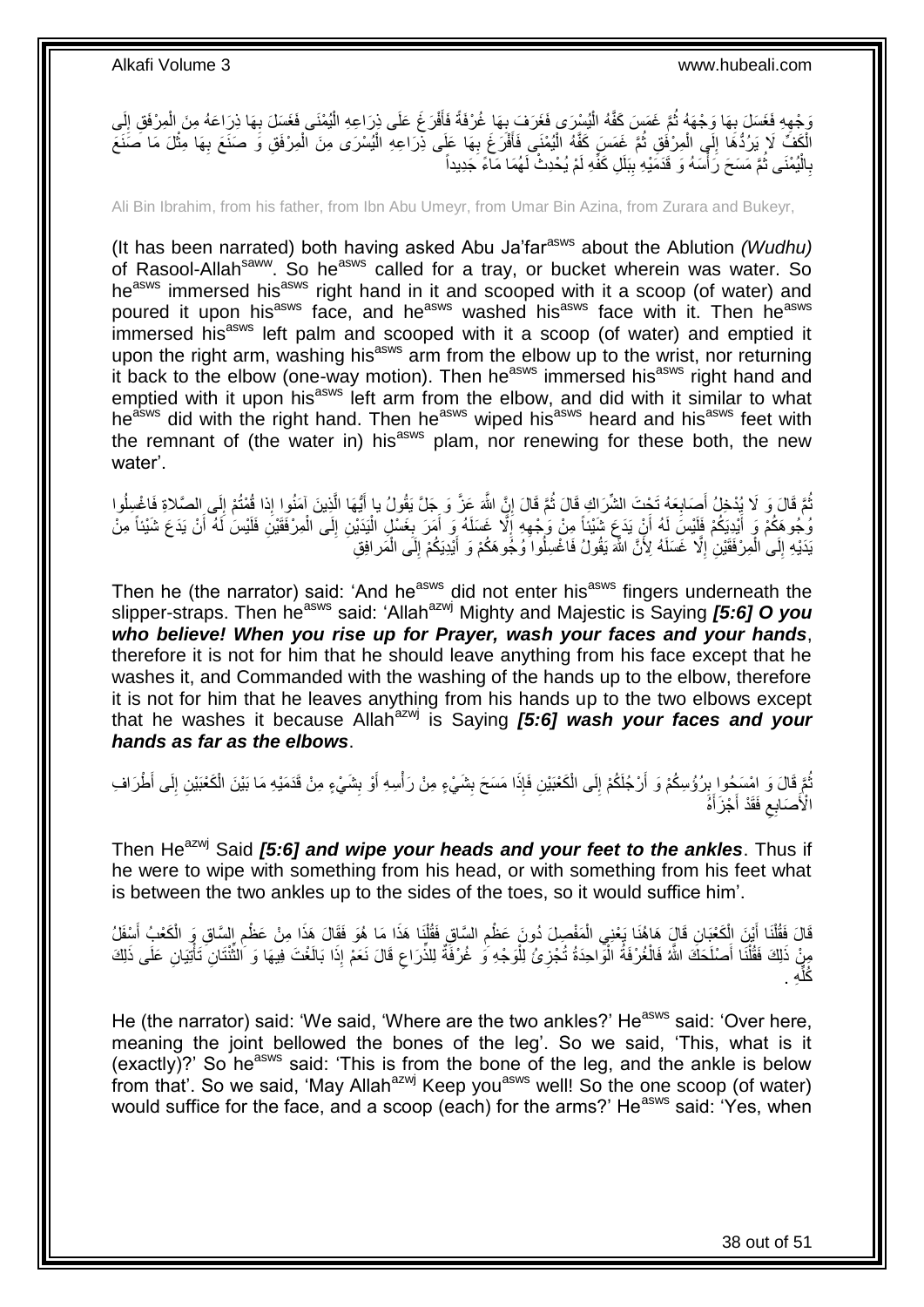وَجْهِهِ فَغَسَلَ بِهَا وَجْهَهُ ثُمَّ غَصَسَ كَفَّهُ الْيُسْرَى فَغَرَفَ بِهَا غُرْفَةً فَأَفْرَغَ عَلَى ذِرَاعِهِ الْيُمْنَى فَغَسَلَ بِهَا ذِرَاعَهُ مِنَ الْمِرْفَقِ إِلَى ْ ان<br>سال ِ لَ ِ ْ ِ ْ َ **∶** ْ الْكَفِّ لَا يَرُدُّهَا إِلَى الْمِرْفَقِ ثُمَّ غَمَسٍ كَفَّهُ الْيُمْنَى فَأَفْرَغَ بِهَا عَلَى ذِّرَاعِهِ الْيُسْرَى مِنَ الْمِرْفَقِ وَ صَنَعَ بِهَا مِثْلَ مَا صَنَعَ ْ ِ َ ا<br>ا .<br>• • • • ْ ∣∣<br>∶ **ٔ** ِ بِالْيُمْنَى ثُمَّ مَسَحَ رَأْسَهُ وَ قَدَمَيْهِ بِبَلَلِ كَفِّهِ لَمْ يُحْدِثْ لَهُمَا مَآءً جَدِيداً **∣** ا<br>ا ان<br>سا ֺ֦֖֟֟֓֕֟֟֓֕׆<br>֧֢**֛ ∶** 

Ali Bin Ibrahim, from his father, from Ibn Abu Umeyr, from Umar Bin Azina, from Zurara and Bukeyr,

(It has been narrated) both having asked Abu Ja'farasws about the Ablution *(Wudhu)* of Rasool-Allah<sup>saww</sup>. So he<sup>asws</sup> called for a tray, or bucket wherein was water. So he<sup>asws</sup> immersed his<sup>asws</sup> right hand in it and scooped with it a scoop (of water) and poured it upon his<sup>asws</sup> face, and he<sup>asws</sup> washed his<sup>asws</sup> face with it. Then he<sup>asws</sup> immersed his<sup>asws</sup> left palm and scooped with it a scoop (of water) and emptied it upon the right arm, washing his<sup>asws</sup> arm from the elbow up to the wrist, nor returning it back to the elbow (one-way motion). Then he<sup>asws</sup> immersed his<sup>asws</sup> right hand and emptied with it upon his<sup>asws</sup> left arm from the elbow, and did with it similar to what he<sup>asws</sup> did with the right hand. Then he<sup>asws</sup> wiped his<sup>asws</sup> heard and his<sup>asws</sup> feet with the remnant of (the water in) his<sup>asws</sup> plam, nor renewing for these both, the new water'.

ثُمَّ قَالَ وَ لَا يُدْخِلُ أَصَابِعَهُ تَحْتَ الشَّرَاكِ قَالَ ثُمَّ قَالَ إِنَّ اللَّهَ عَزَّ وَ جَلَّ يَقُولُ يا أَيُّهَا الَّذِينَ آمَنُوا إِذا قُمْتُمْ إِلَى الصَّلاةِ فَاغْسِلُوا َ ِ ُ **∶** َ ُ ا<br>ا ِ َّ ُوجُوهَكُمْ وَ أَيْدِيَكُمْ فَلَيْسَ لَهُ أَنْ يَدَعَ شَيْئاً مِنْ وَجْهِهِ إِلَّا غَسَلَهُ وَ أَمَرَ بِغَسْلٍ الْيَدَيْنِ إِلَى الْمِرْفَقَيْنَ فَلَيْسَ لَهُ أَنْ يَدَعَ شَيْئاً مِنْ َ ْ ِ ْ **∶** َ  $\frac{1}{2}$ ِ اُ َ لَ يَدَيْهِ إِلَىٰ الْمِرْفَقَيْنِ ٰ إِلَّا غَسَلَهُ لِأَنَّ اللَّهَ يَقُولُ فَاغْسِلُوا وُجُوهَكُمْ وَ أَيْدِيَكُمْ إِلَى الْمَرافِقِ ِ ْ  $\frac{1}{2}$ ْ ِ َ

Then he (the narrator) said: 'And he<sup>asws</sup> did not enter his<sup>asws</sup> fingers underneath the slipper-straps. Then he<sup>asws</sup> said: 'Allah<sup>azwj</sup> Mighty and Majestic is Saying **[5:6] O you** *who believe! When you rise up for Prayer, wash your faces and your hands*, therefore it is not for him that he should leave anything from his face except that he washes it, and Commanded with the washing of the hands up to the elbow, therefore it is not for him that he leaves anything from his hands up to the two elbows except that he washes it because Allah<sup>azwj</sup> is Saying *[5:6] wash your faces and your hands as far as the elbows*.

ثُمَّ قَالَ وَ امْسَحُوا بِرُؤُسِكُمْ وَ أَرْجُلَكُمْ إِلَى الْكَعْبَيْنِ فَإِذَا مَسَحَ بِشَيْءٍ مِنْ رَأْسِهِ أَوْ بِشَيْءٍ مِنْ قَدَمَيْهِ مَا بَيْنَ الْكَعْبَيْنِ إِلَى أَطْرَافِ<br>يَمَّمَ اللَّهُ الْمَسْجُوا بِرُؤُسِكُ ِ ْ ِ اُ ِ ِ َ ِ ْ الْأَصَابِعِ فَقَدْ أَجْزَأَهُ َ  $\zeta$ 

Then He<sup>azwj</sup> Said **[5:6] and wipe your heads and your feet to the ankles**. Thus if he were to wipe with something from his head, or with something from his feet what is between the two ankles up to the sides of the toes, so it would suffice him'.

قَالَ فَقُلْنَا أَيْنَ الْكَعْبَانِ قَالَ هَاهُنَا يَعْنِي الْمَفْصِلَ دُونَ عَظْمِ السَّاقِ فَقُلْنَا هَذَا مَا هُوَ فَقَالَ هَذَا مِنْ عَظْمِ السَّاقِ وَ الْكَعْبُ أَسْفَلُ ْ ِ ْ ْ َ ْ َ ْ ِ بِنْ ذَلِكَ فَقُلْنَا أَصْلَحَكَ اللَّهُ فَالْغُرْفَةُ الْوَّاحِدَةُ تُجْزِئُ لِلْوَجْهِ وَ غُرْفَةٌ لِلذِّرَاعِ قَالَ نَعَمْ إِذَا بَالَغْتَ فِيهَا وَ الثَّنْتَانِ تَأْتِيَانِ عَلَى ذَلِكَ ِ ر<br>ا ِ ْ ْ َ ْ ،<br>أ ِّ ِه . ُكل ِّ

He (the narrator) said: 'We said, 'Where are the two ankles?' He<sup>asws</sup> said: 'Over here. meaning the joint bellowed the bones of the leg'. So we said, 'This, what is it  $(exactly)?'$  So he<sup>asws</sup> said: 'This is from the bone of the leg, and the ankle is below from that'. So we said, 'May Allah<sup>azwj</sup> Keep you<sup>asws</sup> well! So the one scoop (of water) would suffice for the face, and a scoop (each) for the arms?' He<sup>asws</sup> said: 'Yes, when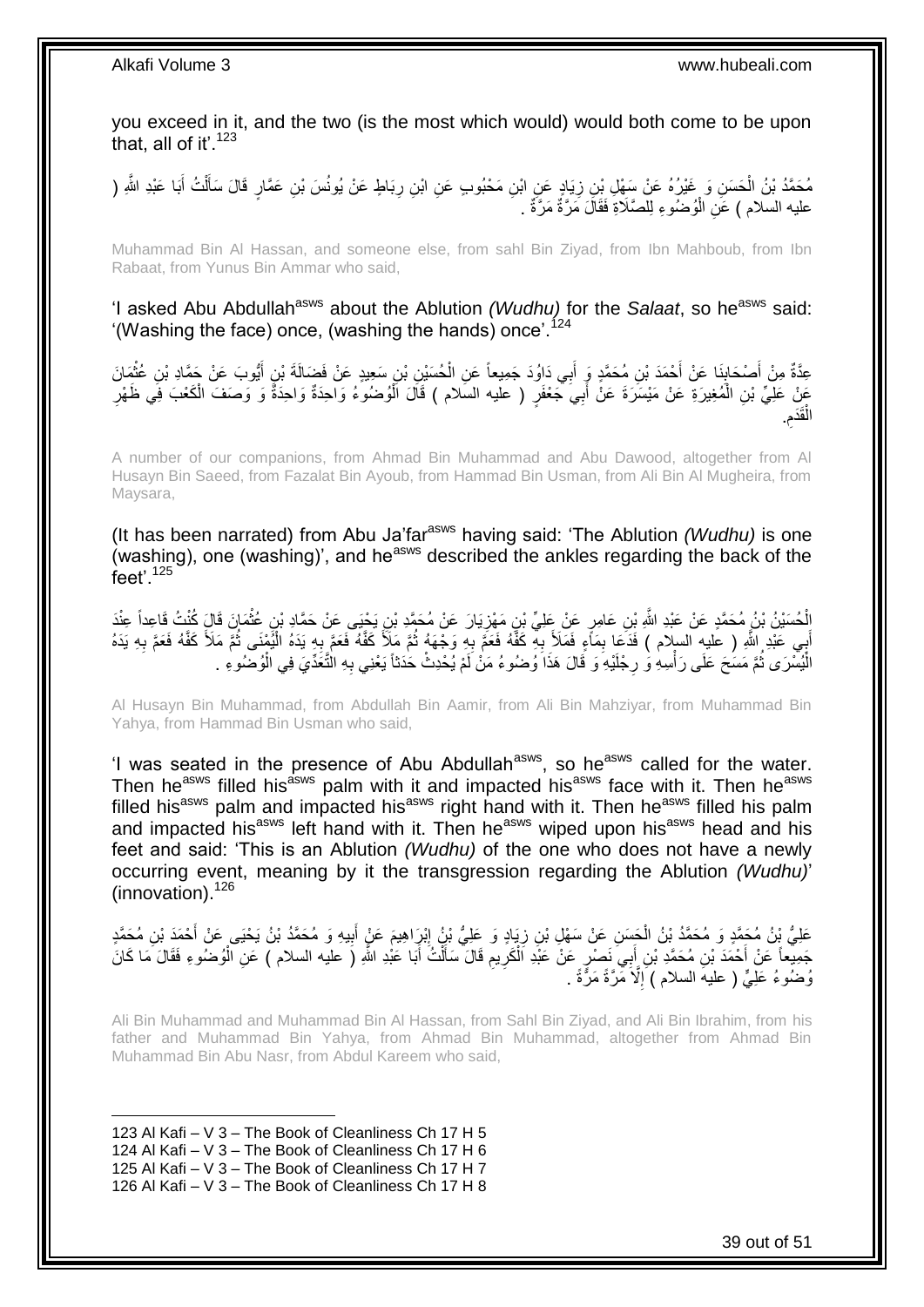you exceed in it, and the two (is the most which would) would both come to be upon that, all of it'.<sup>123</sup>

مُحَمَّدُ بْنُ الْحَسَنِ وَ غَيْرُهُ عَنْ سَفْلِ بْنِ زِيَادٍ عَنِ ابْنِ مَحْبُوبِ عَنِ ابْنِ رِبَاطٍ عَنْ يُونُسَ بْنِ عَمَّارٍ قَالَ سَأَلْتُ أَبَا عَبْدِ اللَّهِ ( َ ْ ĺ ِ ِ عليه السلام ) عَنِ الْوُضُوءِ لِلصَّلَاةِ فَقَالَ مَرَّةٌ مَرَّةٌ . ْ

Muhammad Bin Al Hassan, and someone else, from sahl Bin Ziyad, from Ibn Mahboub, from Ibn Rabaat, from Yunus Bin Ammar who said,

'I asked Abu Abdullah<sup>asws</sup> about the Ablution *(Wudhu)* for the *Salaat*, so he<sup>asws</sup> said: '(Washing the face) once, (washing the hands) once'.<sup>124</sup>

عِدَّةٌ مِنْ أَصْحَابِنَا عَنْ أَحْمَدَ بْنِ مُحَمَّدٍ وَ أَبِي دَاوُدَ جَمِيعاً عَنِ الْحُسَيْنِ بْنِ سَعِيدٍ عَنْ فَضَالَةَ بْنٍ أَيُّوبَ عَنْ جَمَّادِ بْنِ عُثْمَانَ َ ِ َ ْ َ ْ مَنْ عَلِيٍّ بْنِ الْمُغِيرَةِ عَنْ مَيْسَرَةَ عَنْ أَبِيَ جَعْفَرٍ ( عليه السلام ) قَالَ الْوُضُوءُ وَاحِدَةٌ وَالحِدَةٌ وَ وَصَفَ الْكَعْبَ فِي ظَهْرِ ْ َ ْ ْ ِ . ِ َقَدم ْ ال

A number of our companions, from Ahmad Bin Muhammad and Abu Dawood, altogether from Al Husayn Bin Saeed, from Fazalat Bin Ayoub, from Hammad Bin Usman, from Ali Bin Al Mugheira, from Maysara,

(It has been narrated) from Abu Ja'far<sup>asws</sup> having said: 'The Ablution *(Wudhu)* is one (washing), one (washing)', and he<sup>asws</sup> described the ankles regarding the back of the feet' $125$ 

الْحُسَيْنُ بْنُ مُحَمَّدٍ عَنْ عَبْدِ اللَّهِ بْنِ عَامِرٍ عَنْ عَلِيٍّ بْنِ مَهْزِيَارَ عَنْ مُحَمَّدٍ بْنِ يَخِيَى عَنْ حَمَّادٍ بْنِ غُثْمَانَ قَالِ كُنْتُ قَاعِداً عِنْدَ<br>ا ِ **ٔ** أَبِي عَلَّدِ اللَّهِ ( عَليهِ السلام ) فَدَعَا بِمَأْءٍ فَمَلَأَ بِهِ كَفَّهُ فَعَمَّ بِهِ وَجْهَهُ ثُمَّ مَلَأَ كَفَّهُ فَعَمَّ بِهِ يَدَهُ الْهُمْنَى ثُمَّ مَلَأَ كَفَّهُ فَعَمَّ بِهِ يَدَهُ ُ ِ **∶** ِ َ ِ ر<br>: ْ ِ الْيُسْرَى ثُمَّ مَسَحَ عَلَى رَأْسِهِ وَ رِجْلَيْهِ وَ قَالَ هَذَا وُضُوءُ مَنْ لَمْ يُحْدِثْ حَدَثَاً يَعْنِي بِهِ الْتَّغَدِّيَ فِي الْوُضُوءِ . **∶** ِ **ٔ** ُ ْ

Al Husayn Bin Muhammad, from Abdullah Bin Aamir, from Ali Bin Mahziyar, from Muhammad Bin Yahya, from Hammad Bin Usman who said,

'I was seated in the presence of Abu Abdullah<sup>asws</sup>, so he<sup>asws</sup> called for the water. Then he<sup>asws</sup> filled his<sup>asws</sup> palm with it and impacted his<sup>asws</sup> face with it. Then he<sup>asws</sup> filled his<sup>asws</sup> palm and impacted his<sup>asws</sup> right hand with it. Then he<sup>asws</sup> filled his palm and impacted his<sup>asws</sup> left hand with it. Then he<sup>asws</sup> wiped upon his<sup>asws</sup> head and his feet and said: 'This is an Ablution *(Wudhu)* of the one who does not have a newly occurring event, meaning by it the transgression regarding the Ablution *(Wudhu)*' (innovation). 126

عَلِيُّ بِنُ مُحَمَّدٍ وَ مُحَمَّدُ بْنُ الْحَسَنِ عَنْ سَهْلِ بْنِ زِيَادٍ وَ عَلِيُّ بْنُ إِبْرَاهِيمَ عَنْ أَبِيهِ وَ مُحَمَّدُ بْنُ يَحْيَى عَنْ أَحْمَدَ بْنِ مُحَمَّدٍ ِ َ ِ ِ َ جَمِيْعاً عَنْ أَحْمَدَ بْنِ مُحَمَّدِ بْنِ أَبِيَ نَصْرٍ عَنْ عَلَدِ الْمَرِيمِ قَالَ سَأَلْتُ أَبَا عَلْدِ اللَّهِ (َ عليه السلام ) عَنِ الْوُضُوءِ فَقَالَ مَا كَانَ َ َ ْ َ ْ ۱Ì ِ **∶** ْ رُضُوءُ عَلِيٍّ ( عليهُ السلام ) إِلَّا َمَرَّةً مَرَّةً . ِ

Ali Bin Muhammad and Muhammad Bin Al Hassan, from Sahl Bin Ziyad, and Ali Bin Ibrahim, from his father and Muhammad Bin Yahya, from Ahmad Bin Muhammad, altogether from Ahmad Bin Muhammad Bin Abu Nasr, from Abdul Kareem who said,

 Al Kafi – V 3 – The Book of Cleanliness Ch 17 H 5 Al Kafi – V 3 – The Book of Cleanliness Ch 17 H 6 Al Kafi – V 3 – The Book of Cleanliness Ch 17 H 7 Al Kafi – V 3 – The Book of Cleanliness Ch 17 H 8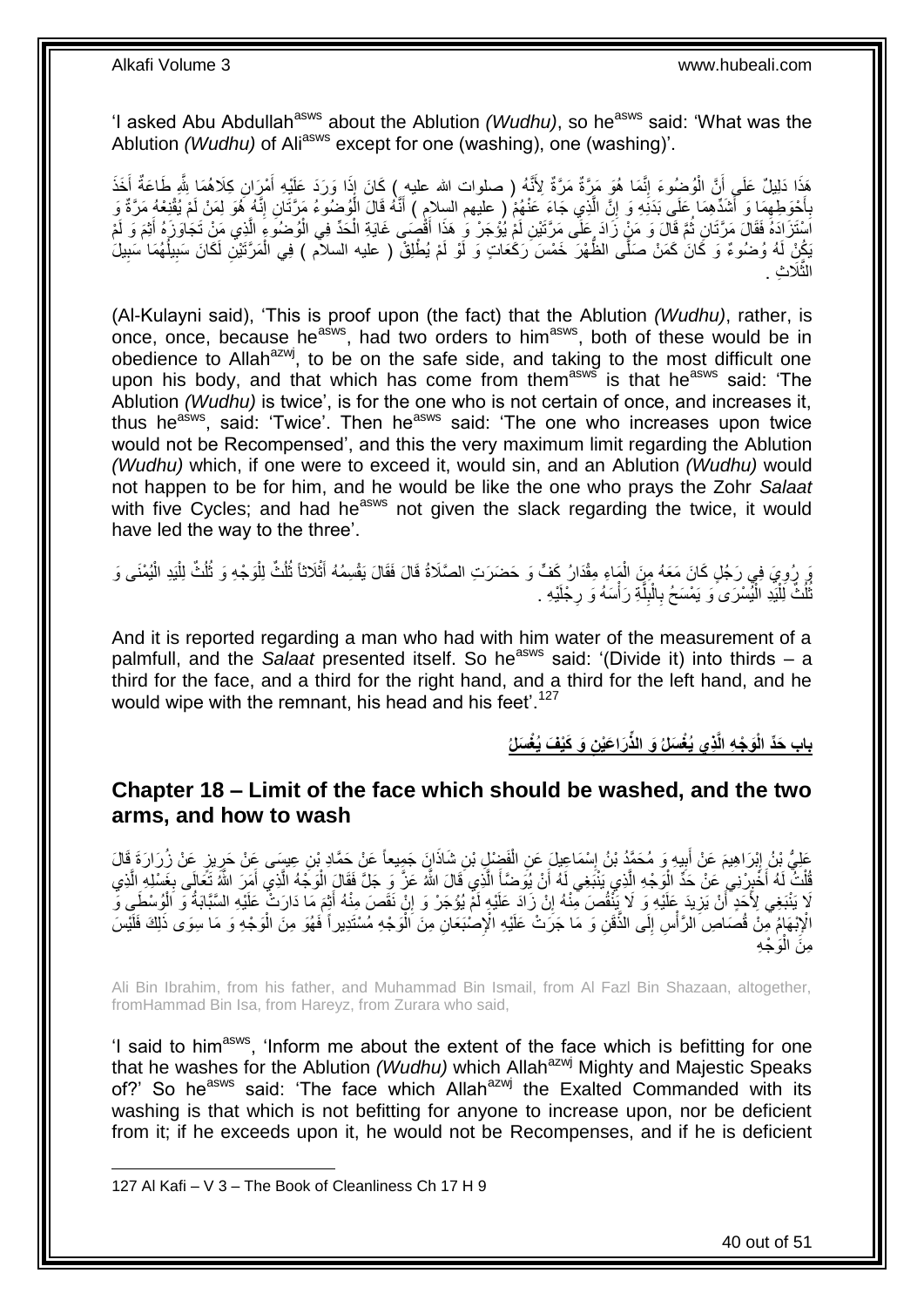'I asked Abu Abdullah<sup>asws</sup> about the Ablution *(Wudhu)*, so he<sup>asws</sup> said: 'What was the Ablution *(Wudhu)* of Ali<sup>asws</sup> except for one (washing), one (washing)'.

هَذَا ذَلِيلٌ عَلَى أَنَّ الْوُضُوءَ إِنَّمَا هُوَ مَرَّةٌ مَرَّةٌ لِأَنَّهُ ( صلوات الله عليه ) كَانَ إِذَا وَرَدَ عَلَيْهِ أَهْرَانِ كِلاَهُمَا لِلَّهِ طَاعَةٌ أَخَذَ ِ ْ َ ِ َ َأَخْوَطِهِمَا وَ أَشَدِّهِمَا عَلَى بَدَنِهِ وَ إِنَّ الَّذِي جَاءَ عَنْهُمْ ( عليهم السِلام ) أَنَّهُ قَالَ الْوُصْنُوءُ مَرَّتَانِ إِنَّهُ هُوَ لِمَنْ لَمْ يُقْنِعُهُ مَرَّةٌ وَ<br>: َ ِ َ **∶** ِ ْ َ َّ <u>֖֖֚֚֚֚֚֓</u> اَسْتَزَادَهُ فَقَالَ مَرَّتَانِ ثُمَّ قَالَ وَ مَنْ زَادَ عَلَى مَرَّتَيْنِ لَمْ يُؤْجَرْ وَ هَذَا أَقْضَى غَايَةِ الْحَدِّ فِي الْوُضُوَعَ الَّذِي مَنْ تَجَاوَزَهُ أَنِمَ وَ لَمْ ْ َ .<br>• • • • َ َّ ْ يَكُنْ لَهُ وُضوءٌ وَ كَانَ كَمَنْ صَلَّى الظُّهْرَ خَمْسَ رَكَٰعَاتٍ وَ لَوْ لَمْ يُطْلِقٌ ( عليه السلام ) فِي الْمَرَّتَيْنِ لَكَانَ سَبِيلُهُمَا سَبِيلَ ْ ِ  $\overline{a}$ ِ الثَّلَاثِ . **:** 

(Al-Kulayni said), 'This is proof upon (the fact) that the Ablution *(Wudhu)*, rather, is once, once, because he<sup>asws</sup>, had two orders to him<sup>asws</sup>, both of these would be in obedience to Allah<sup>azwj</sup>, to be on the safe side, and taking to the most difficult one upon his body, and that which has come from them<sup>asws</sup> is that he<sup>asws</sup> said: 'The Ablution *(Wudhu)* is twice', is for the one who is not certain of once, and increases it, thus he<sup>asws</sup>, said: 'Twice'. Then he<sup>asws</sup> said: 'The one who increases upon twice would not be Recompensed', and this the very maximum limit regarding the Ablution *(Wudhu)* which, if one were to exceed it, would sin, and an Ablution *(Wudhu)* would not happen to be for him, and he would be like the one who prays the Zohr *Salaat* with five Cycles; and had he<sup>asws</sup> not given the slack regarding the twice, it would have led the way to the three'.

ُ وَ رُوِيَ فِي رَجُلٍ كَانَ مَعَهُ مِنَ الْمَاءِ مِقْدَارُ كَفٍّ وَ حَضَرَتِ الصَّلَاةُ قَالَ فَقَالَ يَقْسِمُهُ أَثْلَاثًا ثُلُثٌ لِلْوَجْهِ وَ ثُلُثٌ لِلْيَدِ الْيُمْنَى وَ **ٔ** َ ْ ِ ْ ْ ُ ْ ثُلُثٌ لِلْيَدِ الْمُيسْرَى ًوَ يَمْسَحُ بِالْبِلَّةِ رَأْسَهُ وَ رِجْلَيْهِ ـ ֺ֖֦֧֦֦֪֦֖֦֖֦֖֞֟֟֟֟֟֟֟֟֟֟֟֟֟֟֟֟֟֟֟֟֟֟֟֟֟֓֞֟֟֞֟֞֟ :<br>ا ُ ِ **ٔ** َّ **ِ** ْ ِ

And it is reported regarding a man who had with him water of the measurement of a palmfull, and the *Salaat* presented itself. So heasws said: '(Divide it) into thirds – a third for the face, and a third for the right hand, and a third for the left hand, and he would wipe with the remnant, his head and his feet'.<sup>127</sup>

**ِن َو َكْي َف ُيْغ َسلُ َرا َعْي ِذي ُيْغ َسلُ َو الذِّ َو ْج ِه الَّ باب َحِّد الْ**

### <span id="page-39-0"></span>**Chapter 18 – Limit of the face which should be washed, and the two arms, and how to wash**

عَلِيُّ بْنُ إِبْرَاهِيمَ عَنْ أَبِيهِ وَ مُحَمَّدُ بْنُ إِسْمَاعِيلَ عَنِ الْفَضْلِ بْنِ شَاذَانٍ جَمِيعاً عَنْ حَمَّادِ بْنِ عِيسَى عَنْ حَرِيزٍ عَنْ زُرَارَةَ قَالَ<br>وَأَنْ يَوْمُ يَوْمُ يَوْمُ عَنْ أَبِيهِ وَ مُحَمَّدُ ْ ِ ¦ ِ قُلْتُ لَهُ أَخْيِرْنِي عَنْ حَدِّ الْوَجْهِ الَّذِي يَنْبَغِي لَهُ أَنْ يُوَضَّأِ الَّذِي قَالَ اللَّهُ عَزَّ وَ جَلَّ فَقَالَ الْوَجَهُ الَّذِي أَمَرَ اللَّهُ تَعَالَى بِغَسْلِهِ الَّذِي َّ ْ ।<br>इ َ ْ َّ **∶** َ َّ ْ َّ َ َ َ لَا يَنْبَغِي لِأَجِدٍ ۖ أَنْ يَزِيدَ عَلَيْهِ وَ لَا يَنْقُصَ مِّنْهُ إِنْ زَادَ عَلَيْهِ لَمْ يُؤْجَرْ وَ إِنّْ نَقَصَ مِنْهُ أَثِمَ مَا دَارَتْ عَلَيْهِ السَّبَابَةُ وَ الْوُسْطَي وَ ِ ِ ِ َ ْ الْإِنْهَامُ مِّنْ قُصَاصِ الرَّأْسِ إِلَى الذَّقَنِ وَ مَا جَرَتْ عَلَيْهِ الْإِصْبَعَانِ مِنَ الْوَجْهِ مُسْتَدِيراً فَهُوَ مِنَ الْوَجْهِ وَ مَا سِوَى ذَلِكَ فَلَيْسَ ْ  $\frac{1}{2}$ **ٔ** ْ َو ْج ِه ْ مِنَ الْم

Ali Bin Ibrahim, from his father, and Muhammad Bin Ismail, from Al Fazl Bin Shazaan, altogether, fromHammad Bin Isa, from Hareyz, from Zurara who said,

'I said to him<sup>asws</sup>, 'Inform me about the extent of the face which is befitting for one that he washes for the Ablution *(Wudhu)* which Allah<sup>azwj</sup> Mighty and Majestic Speaks of?' So he<sup>asws</sup> said: 'The face which Allah<sup>azwj</sup> the Exalted Commanded with its washing is that which is not befitting for anyone to increase upon, nor be deficient from it; if he exceeds upon it, he would not be Recompenses, and if he is deficient

1 127 Al Kafi – V 3 – The Book of Cleanliness Ch 17 H 9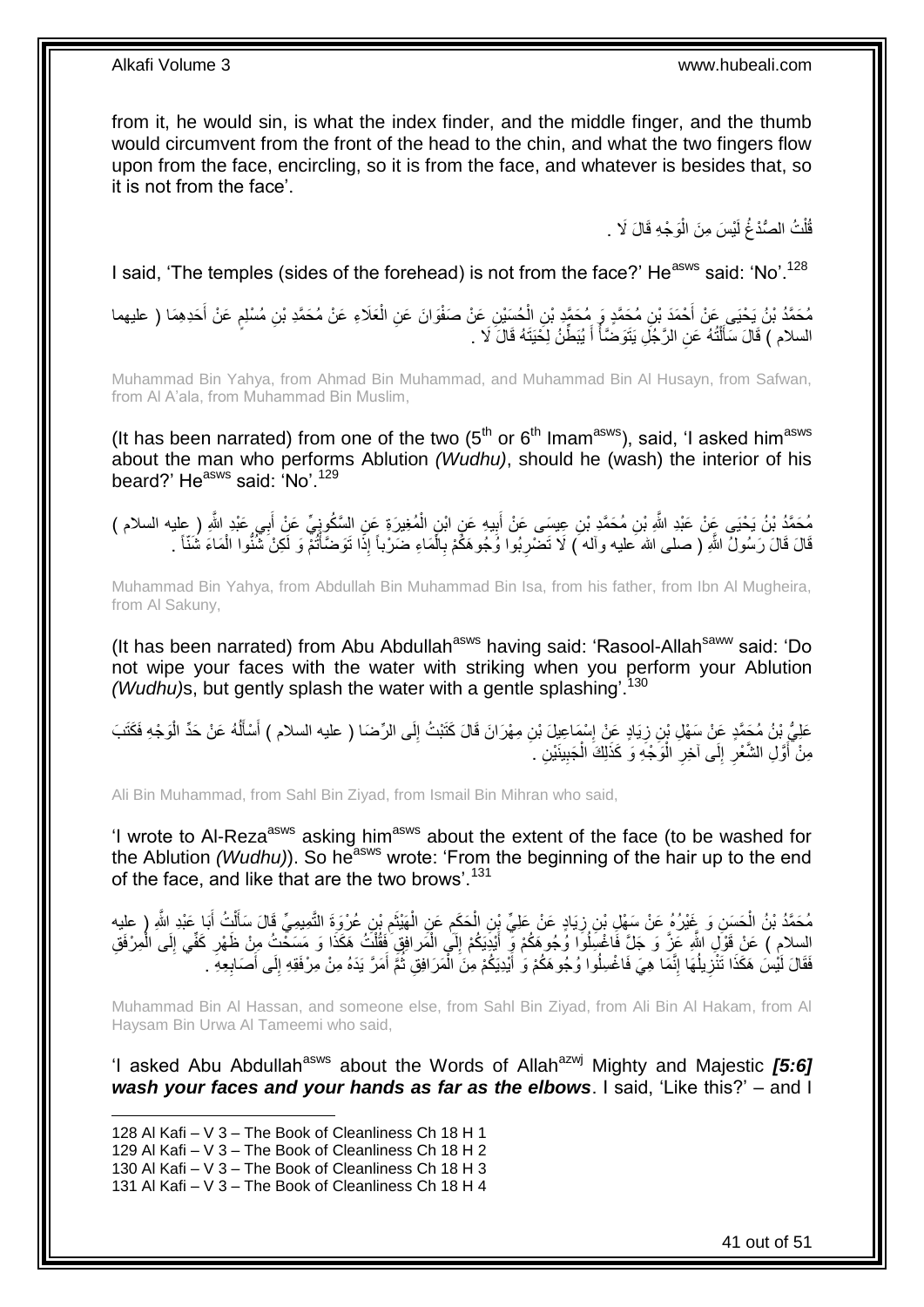from it, he would sin, is what the index finder, and the middle finger, and the thumb would circumvent from the front of the head to the chin, and what the two fingers flow upon from the face, encircling, so it is from the face, and whatever is besides that, so it is not from the face'.

> قُلْتُ الصُّدْغُ لَيْسَ مِنَ الْوَجْهِ قَالَ لَا . ْ ْ

I said, 'The temples (sides of the forehead) is not from the face?' He<sup>asws</sup> said: 'No'.<sup>128</sup>

مُحَمَّدُ بْنُ يَحْيَى عَنْ أَحْمَدَ بْنِ مُحَمَّدٍ وَ مُحَمَّدٍ بْنِ الْحُسَيْنِ عَنْ صَفْوَانَ عَنِ الْعَلَاءِ عَنْ مُحَمَّدِ بْنِ مُسْلِمٍ عَنْ أَحَدِهِمَا ( عليهما َ م ْ ْ السلام ) قَالَ سَأَلْتُهُ ۚ عَنِ الرَّجُلِّ يَتَوَضَّأُ أَ يُبَطِّنُ لِخَيْتَهُ قَالَ ۖ لَا ۚ ـ َ ۔<br>ا ֦֧֦֧֦֧֦֦֧֦֧֦֧֦֧֦֧֦֧֦֧֦֧֦֪֪֪֦֪֪֦֟֟֟֓֕֟֓֟֓֕֟֓֡֟֓֟֓֟֓֟֓֡֟֟֓֡֟֟֓֡֟֓֟֓֡֟֓֞֟֟֓֡֟֓֡֟֓֟֓֟֓֟֓֟֓֟֓֟֓֞֟֟ َ

Muhammad Bin Yahya, from Ahmad Bin Muhammad, and Muhammad Bin Al Husayn, from Safwan, from Al A'ala, from Muhammad Bin Muslim,

(It has been narrated) from one of the two  $5<sup>th</sup>$  or  $6<sup>th</sup>$  Imam<sup>asws</sup>), said, 'I asked him<sup>asws</sup> about the man who performs Ablution *(Wudhu)*, should he (wash) the interior of his beard?' He<sup>asws</sup> said: 'No'.<sup>129</sup>

جُمَّدُ بْنُ يَحْيَى عَلِّ عَبْدِ اللَّهِ بْنِ مُحَمَّدِ بْنِ عِيسَى عَنْ أَبِيهِ عَنٍ ابْنِ الْمُغِيرَةِ عَنِ السَّكُونِيِّ عَنْ أَبِي عَبْدِ اللَّهِ ( عِليه السلام )<br>ـ ْ ِ َ َ قَالَ قَالَ رَسُولُ اللَّهِ ( صلـى الله عليه وأله َ) لَا تَضْرِبُوا وُجُوهَكُمْ بِالْمَاءِ ضَرْباً إِذَا تَوَضَّأْتُمْ وَ لَكِنْ شُنُّوا الْمَاءَ شُنّاً . ِ ْ ْ ْ ِ

Muhammad Bin Yahya, from Abdullah Bin Muhammad Bin Isa, from his father, from Ibn Al Mugheira, from Al Sakuny,

(It has been narrated) from Abu Abdullah<sup>asws</sup> having said: 'Rasool-Allah<sup>saww</sup> said: 'Do not wipe your faces with the water with striking when you perform your Ablution *(Wudhu)*s, but gently splash the water with a gentle splashing'.<sup>130</sup>

عَلِيُّ بِنُ مُحَمَّدٍ عَنْ سَهْلِ بْنِ زِيَادٍ عَنْ إِسْمَاعِيلَ بْنِ مِهْرَانَ قَالَ كَتَبْتُ إِلَى الرِّضَا ( عليه السلام ) أسألُهُ عَنْ حَدِّ الْوَجْهِ فَكَتَبَ ׇ**֓** ِ ْ ا<br>ا اً<br>ا َ ِ مِنْ أَوَّلِ الشَّعْرِ إِلَى آخِرِ الْوَجْهِ وَ كَذَلِكَ الْجَبِينَيْنِ <sub>ـ</sub> ِ ْ ْ ِ  $\frac{1}{2}$ ِ َ

Ali Bin Muhammad, from Sahl Bin Ziyad, from Ismail Bin Mihran who said,

'I wrote to Al-Reza<sup>asws</sup> asking him<sup>asws</sup> about the extent of the face (to be washed for the Ablution *(Wudhu)*). So he<sup>asws</sup> wrote: 'From the beginning of the hair up to the end of the face, and like that are the two brows'.<sup>131</sup>

**∶** مُحَمَّدُ بْنُ الْحَسَنِ وَ غَيْرُهُ عَنْ سَهْلِ بْنِ زِيَادٍ عَنْ عَلِيِّ بِنِ الْحَكَمِ عَنٍ الْهَيْثَمِ بْنِ عُرْوَةِ التَّمِيمِيِّ قَالَ سَأَلْتُ أَبَا عَبْدِ اللَّهِ ( عليه<br>. َ ْ َ ِ  $\ddot{\phantom{0}}$ ْ ِ ْ السلامِ ) عَنْ قَوْلِ اللَّهِ عَزَّ وَ جَلَّ فَاغْسِلُوا وُجُوهَكُمْ وَبِّ أَيْدَنِكُمْ إِلَى الْمَرافِقِ فَقُلْتُ هَكَذَا وَ مَسَخْتُ مِنْ ظَهْرِ كَفِّي إِلَى الْمِرْفَقِ ْ ْ  $\frac{1}{2}$ َ ْ ِ ِ فَقَالَ لَيْسَ هَكَذَا تَنْزِيلُهَا إِنَّمَا هِيَ فَاغْسِلُوا وُجُوهَكُمْ وَ أَيْدِيَكُمْ مِنَ الْمَرَافِقِ ثُمَّ أَمَرَّ يَدَهُ مِنْ مِرْفَقِهِ إِلَى أَصَابِعِهِ بِ َ ُ ْ َ ِ ا<br>ا ِ ِ َ ِ

Muhammad Bin Al Hassan, and someone else, from Sahl Bin Ziyad, from Ali Bin Al Hakam, from Al Haysam Bin Urwa Al Tameemi who said,

'I asked Abu Abdullah<sup>asws</sup> about the Words of Allah<sup>azwj</sup> Mighty and Majestic **[5:6]** *wash your faces and your hands as far as the elbows*. I said, 'Like this?' – and I

1 Al Kafi – V 3 – The Book of Cleanliness Ch 18 H 1 Al Kafi – V 3 – The Book of Cleanliness Ch 18 H 2 Al Kafi – V 3 – The Book of Cleanliness Ch 18 H 3 Al Kafi – V 3 – The Book of Cleanliness Ch 18 H 4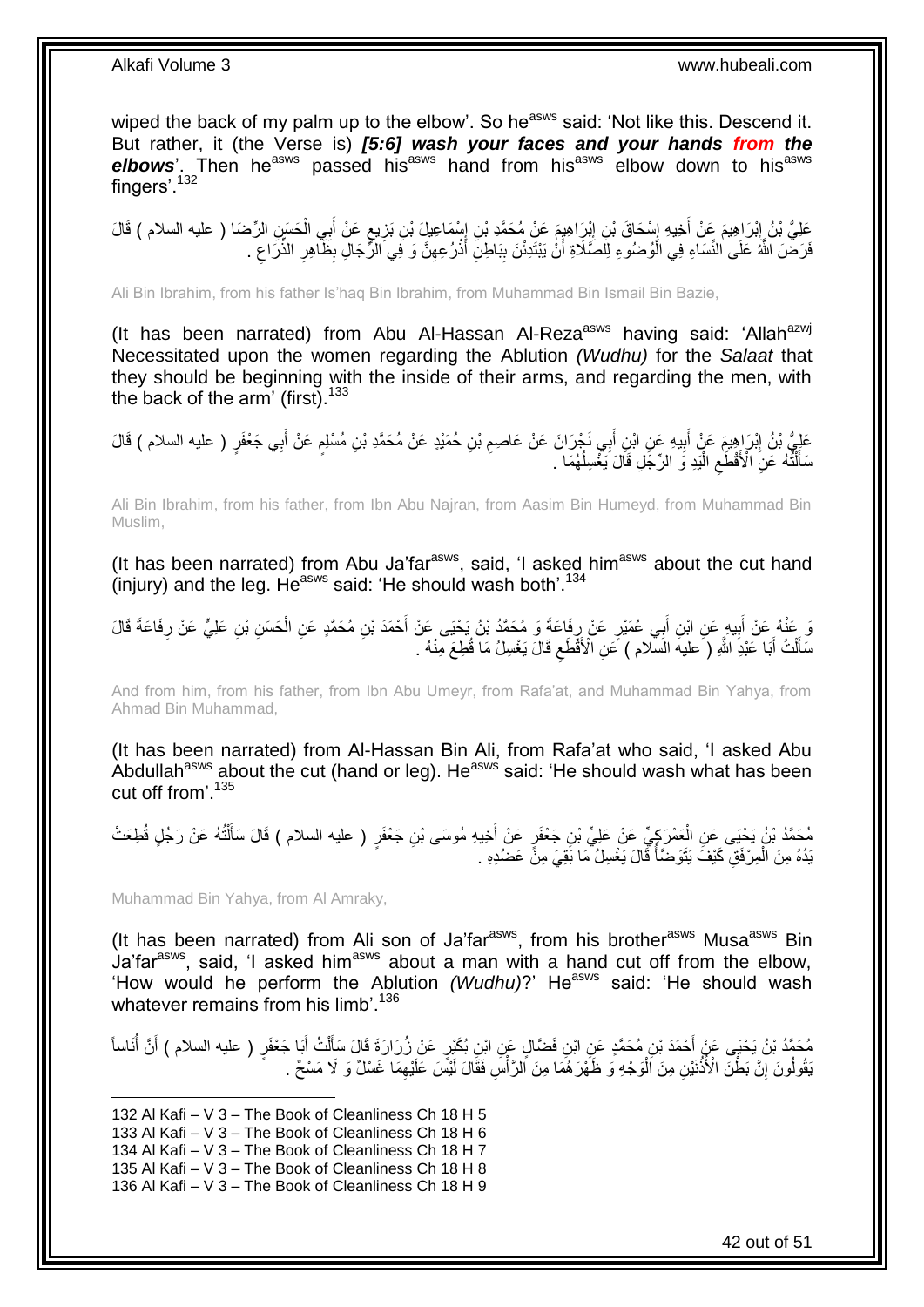wiped the back of my palm up to the elbow'. So he<sup>asws</sup> said: 'Not like this. Descend it. But rather, it (the Verse is) *[5:6] wash your faces and your hands from the*  elbows'. Then he<sup>asws</sup> passed his<sup>asws</sup> hand from his<sup>asws</sup> elbow down to his<sup>asws</sup> fingers'.<sup>132</sup>

عَلِيُّ بْنُ إِبْرَاهِيمَ عَنْ أَخِيهِ إِسْحَاقَ بْنِ إِبْرِاهِيمَ عَنْ مُحَمَّدِ بْنِ إِسْمَاعِيلَ بْنِ بَزِيعٍ عَنْ أَبِي الْحَسَنِ الرِّصَا ( عليه السلام ) قَالَ **ֽ**ו ْ َ ٍ ِ ।।<br>ऽ ِ ِ َ َفَرَضَ اللَّهَ عَلَى النِّسَاءِ فِي الْوُصْنُوءِ لِلَصَّلَاةِ أَنْٰ يَبْتَدِئْنَ بِبَاطِنِّ أَذْرُعِهِنَّ وَ فِي الرُّجَالِ بِظَّاهِرِ الذِّرَاعِ . ِ **ٔ** َ **!** اُ ْ ِ ِ ِ

Ali Bin Ibrahim, from his father Is'haq Bin Ibrahim, from Muhammad Bin Ismail Bin Bazie,

(It has been narrated) from Abu Al-Hassan Al-Reza<sup>asws</sup> having said: 'Allah<sup>azwj</sup> Necessitated upon the women regarding the Ablution *(Wudhu)* for the *Salaat* that they should be beginning with the inside of their arms, and regarding the men, with the back of the arm' (first).<sup>133</sup>

֧֧֖֖֧֧֧֧֚֚֚֝֝֝֝֝֟֓֟֓֟֓֟֓֝֬֟֓֟֓֝֬֟֓֟֓֟֓֝֬֝֓֝ عَلِيُّ بْنُ إِبْرَاهِيمَ عَنْ أَبِيهِ عَنِ ابْنِ أَبِي نَجْرَانَ عَنْ عَاصِمِ بْنِ حُمَيْدٍ عَنْ مُحَمَّدِ بْنِ مُسْلِمٍ عَنْ أَبِي جَعْفَرٍ ( عليه السلام ) قَالَ ِ َ **!** َ َ سَأَلَٰثَهُ عَنِّ الْأَقْطَعِ الْيَدِ وَ الرِّجَْلِ قَالَ يَغْسِلُهُمَا ۚ. ٔ<br>ا ْ ِ ֦֖֦֖֦֖֪֦֦֖֪֦֖֪֦֪֦֪֦֪֦֪֦֪֦֪֦֪֪֦֧֦֡֟֟֟֟֟֟֟֟֟֟֟֟֟֟֟֟֟֟֟֟֟֟֟֟֟֟֟֟֟֬֟֩֕֞֟֩֞֟֞֟֞֟֟֟֟֟֩֞֞֟֞֟֟֟֟֟֟֟֟֟ َ

Ali Bin Ibrahim, from his father, from Ibn Abu Najran, from Aasim Bin Humeyd, from Muhammad Bin Muslim,

(It has been narrated) from Abu Ja'far $a$ <sup>asws</sup>, said, 'I asked him<sup>asws</sup> about the cut hand (injury) and the leg.  $He^{asws}$  said: 'He should wash both'.<sup>134</sup>

َ عَنْهُ عَنْ أَبِيهٍ عَنِ ابْنِ أَبِي عُمَيْرٍ عَنْ رِفَاعَةَ وَ مُحَمَّدُ بْنُ يَحْيَى عَنْ أَحْمَدَ بْنِ مُحَمَّدٍ عَنِ الْحَسَنِ بْنِ عَلِيٍّ عَنْ رِفَاعَةَ قَالَ<br>وَ عَنْهُ عَنْ أَبِيهٍ عَنْ رِفَاعَةَ قَالَ َ ِ َ **!** َ ِ سَأَلْتُ أَبَا عَبْدَ اللَّهِ ( َعليهَ السَّلام ) عَنِ الْأَقْطَعِ قَالَ يَغْسِلُ مَا قُطِعَ مِنْهُ .  $\zeta$ َ ْ َ

And from him, from his father, from Ibn Abu Umeyr, from Rafa'at, and Muhammad Bin Yahya, from Ahmad Bin Muhammad,

(It has been narrated) from Al-Hassan Bin Ali, from Rafa'at who said, 'I asked Abu Abdullah<sup>asws</sup> about the cut (hand or leg). He<sup>asws</sup> said: 'He should wash what has been cut off from'.<sup>135</sup>

مُحَمَّدُ بْنُ يَحْيَى عَنِ الْعَمْرَكِيِّ عَنْ عَلِيِّ بْنِ جَعْفَرٍ عَنْ أُخِيهِ مُوسَى بْنِ جَعْفَرٍ ( عليه السلام ) قَالَ سَأَلْتُهُ عَنْ رَجُلٍ قُطِعَتْ َ ْ ْ ĺ يَدُهُ مِنَ الْمِرْفَقِ كَيْفَ يَتَوَضَّأُ قَالَ يَغْسِلُ مَا بَقِيَ مِنْ عَضُدِهِ . ∫<br>∫ ْ

Muhammad Bin Yahya, from Al Amraky,

1

(It has been narrated) from Ali son of Ja'far<sup>asws</sup>, from his brother<sup>asws</sup> Musa<sup>asws</sup> Bin Ja'far<sup>asws</sup>, said, 'I asked him<sup>asws</sup> about a man with a hand cut off from the elbow, 'How would he perform the Ablution *(Wudhu)*?' He<sup>asws</sup> said: 'He should wash whatever remains from his limb'.<sup>136</sup>

مُحَمَّدُ بْنُ يَحْبَى عَزْرٍ أَحْمَدَ بْنِ مُحَمَّدٍ عَنِ ابْنِ فَضَّالٍ عَنٍ ابْنِ بُكَيْرٍ عَنْ زُرَارَةَ قَالَ سَأَلْتُ أَبَا جَعْفَرٍ ( عليه السلام ) أَنَّ أَنَاساً َ ر<br>اُ َ َ ْ ĺ ِنْقُولُونَ ۚ إِنَّ بَطْنَ الْأَذْنَيْنِ مِنَ ۖ أَلْوَجْهِ وَ ظَـَّهْرَ هُمَا مِنَ اَلرَّأْسِۖ فَقَّالَ لَيْسَ عَلَيْهِمَا غَسْلٌ وَ لَا مَسْحٌ ۚ . ِ ،<br>أ ْ ِ

132 Al Kafi – V 3 – The Book of Cleanliness Ch 18 H 5

133 Al Kafi – V 3 – The Book of Cleanliness Ch 18 H 6

134 Al Kafi – V 3 – The Book of Cleanliness Ch 18 H 7

135 Al Kafi – V 3 – The Book of Cleanliness Ch 18 H 8 136 Al Kafi – V 3 – The Book of Cleanliness Ch 18 H 9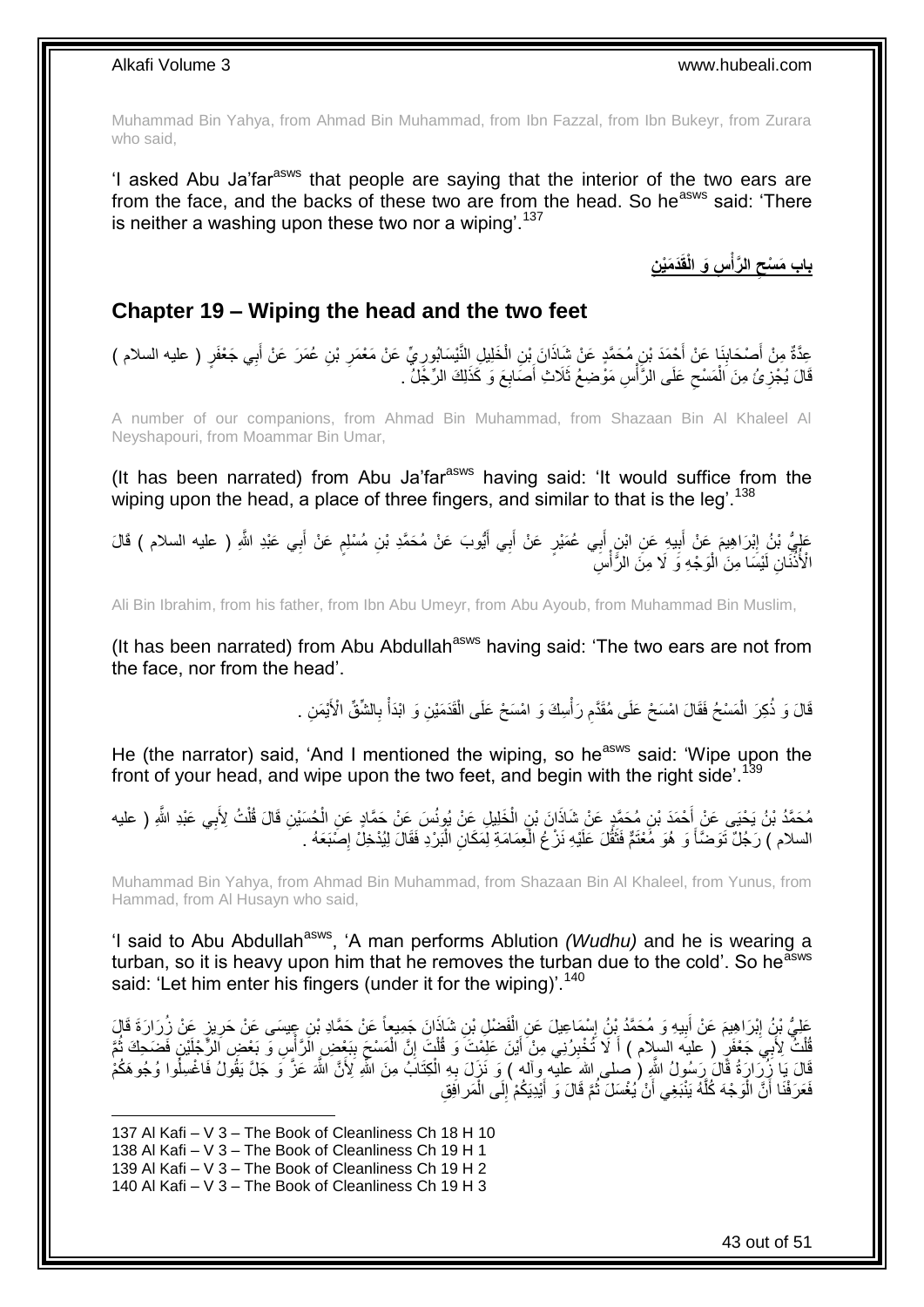Muhammad Bin Yahya, from Ahmad Bin Muhammad, from Ibn Fazzal, from Ibn Bukeyr, from Zurara who said,

'I asked Abu Ja'far<sup>asws</sup> that people are saying that the interior of the two ears are from the face, and the backs of these two are from the head. So he<sup>asws</sup> said: 'There is neither a washing upon these two nor a wiping.<sup>137</sup>

> **ِن َد َمْي ِس َو الْقَ ال َّرأ باب َم ْسح ْ ِ**

### <span id="page-42-0"></span>**Chapter 19 – Wiping the head and the two feet**

عِّدَّةٌ مِنْ أَصْحَابِنَا عَنْ أَجْمَدَ بْنِ مُحَمَّدٍ عَنْ شِّاذَانَ بْنِ الْخَلِيلِ النَّيْسَابُورِيِّ عَنْ مَعْمَرِ بْنِ عُمَرَ عَنْ أَبِي جَعْفَرٍ ( عليه السلام )<br>ِ ِ ْ **∣** َ َ ِ قَالَ يُجْزِئُ مِنَ اَلْمَسْحِ عَلَى الرَّأْسِ مَوْضِعُ ثَلَاثِ أَصَابِعَ وَ كَذَلِكَ الرِّجَلُّ . ِ َ ْ  $\zeta$ ْ ِ

A number of our companions, from Ahmad Bin Muhammad, from Shazaan Bin Al Khaleel Al Neyshapouri, from Moammar Bin Umar,

(It has been narrated) from Abu Ja'far<sup>asws</sup> having said: 'It would suffice from the wiping upon the head, a place of three fingers, and similar to that is the leg'.<sup>138</sup>

عَلِيُّ بْنُ إِبْرَاهِيمَ عَنْ أَبِيهِ عَنِ ابْنِ أَبِي عُمَيْرٍ عَنْ أَبِي أَيُّوبَ عَنْ مُحَمَّدِ بْنِ مُسْلِمٍ عَنْ أَبِي عَبْدِ اللَّهِ ( عليه السلام ) قَالَ َ ِ َ َ ٍ َ َ الْأُذُّنَانِ لَيْسَا مِنَ الْوَجْهِ وَ َلَا مِنَ الْزَّاْسِ **ٔ** :<br>ا

Ali Bin Ibrahim, from his father, from Ibn Abu Umeyr, from Abu Ayoub, from Muhammad Bin Muslim,

(It has been narrated) from Abu Abdullah $a<sup>asws</sup>$  having said: 'The two ears are not from the face, nor from the head'.

> قَالَ وَ ذُكِرَ الْمَسْحُ فَقَالَ امْسَحْ عَلَى مُقَدَّمِ رَأْسِكَ وَ امْسَحْ عَلَى الْقَدَمَيْنِ وَ ابْدَأْ بِالشَّقِّ الْأَيْمَنِ . ِ ْ ْ ِ ْ ا<br>المنابعة

He (the narrator) said, 'And I mentioned the wiping, so he<sup>asws</sup> said: 'Wipe upon the front of your head, and wipe upon the two feet, and begin with the right side'.<sup>139</sup>

مُحَمَّدُ بْنُ يَحْيَى عَنْ أَحْمَدَ بْنِ مُحَمَّدٍ عَنْ شَاذَانَ بْنِ الْخَلِيلِ عَنْ يُونُسَ عَنْ حَمَّادٍ ع<br>مُحَمَّدُ بْنُ يَحْيَى عَنْ أَحْمَدَ بْنِ مُحَمَّدٍ عَنْ شَاذَانَ بْنِ الْخَلِيلِ عَنْ يُونُسَ عَنْ حَمَّادٍ ع ْ ْ ْ السلام ) رَجُلٌ تَوَصَّأُ وَ هُوَ مُُغَثَّمٌّ فَثَقُلَ عَلَيْهِ نَرْ عُ الْعِمَامَةِ لِمَكَانِ الْبَرْدِ فَقَالَ لِيُدْخِلْ إِصُبَعَهُ . ِ :<br>ا ْ **ٔ** َ

Muhammad Bin Yahya, from Ahmad Bin Muhammad, from Shazaan Bin Al Khaleel, from Yunus, from Hammad, from Al Husayn who said,

'I said to Abu Abdullah<sup>asws</sup>, 'A man performs Ablution *(Wudhu)* and he is wearing a turban, so it is heavy upon him that he removes the turban due to the cold'. So he<sup>asws</sup> said: 'Let him enter his fingers (under it for the wiping)'.<sup>140</sup>

عَلِيُّ بْنُ إِبْرَاهِيمَ عَنْ أَبِيهِ وَ مُحَمَّدُ بِنُ إِسْمَاعِيلَ عَنِ الْفَضْلِ بْنِ شَاذَانَ جَمِيعاً عَنْ حَمَّادِ بْنِ عِيسَى عَنْ حَرِيزٍ عَنْ زُرَارَةَ قَالَ ْ ِ **!** ِ َ ُفَك لِأَبِيَ جَعْفَرٍ ( عليه السلام ) أَ لَا تُخْبِرُنِي مِنْ َأَيْنَ عَلِمْتَ وَ قُلْتَ إِنَّ الْمَسْحَ بِبَعْضٍ الْرَّأْسِ وَ بَعْضٍ الْلُاَّجِيْلَيْنَ فَضَحِكَ ثُمَّ ْ ر<br>: .<br>أ  $\frac{1}{2}$ ْ ِ ْ َ ِ قَالَ بَيَا زَكْرَ لَهَ قَالَ رَسُولُ اللَّهِ ( صلى الله عليه وآله ) وَ نَزَلَ بِهِ الْكِتَابُ مِنَ اللَّهِ لَأَنَّ اللَّهَ عَنَّ وَ جَلَّ يَقُولُ فَاغْسِلُوا وُجُوهَكُمْ ْ ِ فَعَرَفْنَا أَنَّ الْوَجْهَ كُلُّهُ يَنْبَغِي أَنْ يُغْسَلَ ثُمَّ قَالَ وَ أَيْدِيَكُمْ إِلَى الْمَر افِقِ ْ ِ َ .<br>• • • • َّ ا<br>ا َ

1 Al Kafi – V 3 – The Book of Cleanliness Ch 18 H 10 Al Kafi – V 3 – The Book of Cleanliness Ch 19 H 1 Al Kafi – V 3 – The Book of Cleanliness Ch 19 H 2 Al Kafi – V 3 – The Book of Cleanliness Ch 19 H 3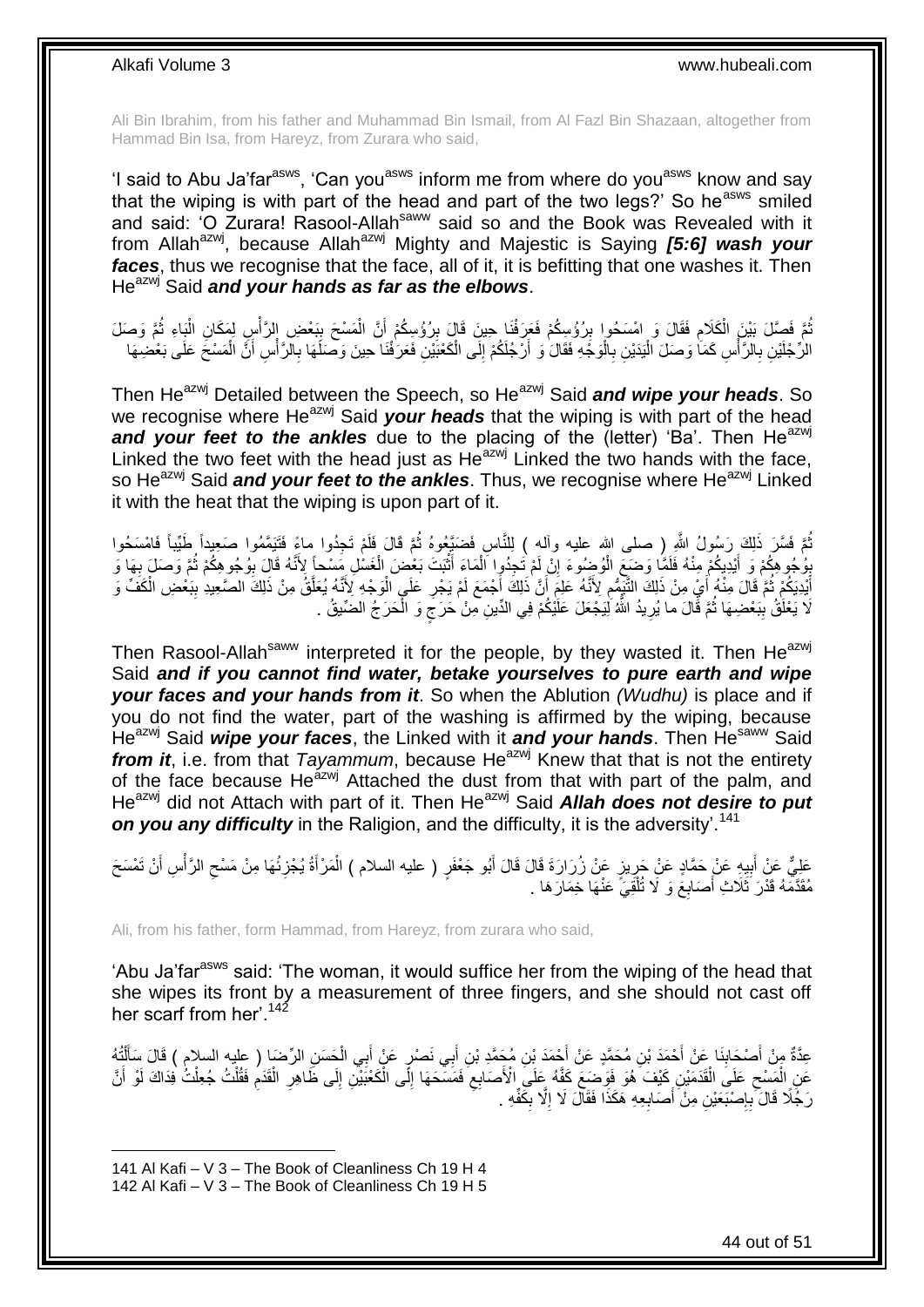Ali Bin Ibrahim, from his father and Muhammad Bin Ismail, from Al Fazl Bin Shazaan, altogether from Hammad Bin Isa, from Hareyz, from Zurara who said,

'I said to Abu Ja'far<sup>asws</sup>, 'Can you<sup>asws</sup> inform me from where do you<sup>asws</sup> know and say that the wiping is with part of the head and part of the two legs?' So he<sup>asws</sup> smiled and said: 'O Zurara! Rasool-Allah<sup>saww</sup> said so and the Book was Revealed with it from Allah<sup>azwj</sup>, because Allah<sup>azwj</sup> Mighty and Majestic is Saying *[5:6] wash your faces*, thus we recognise that the face, all of it, it is befitting that one washes it. Then He<sup>azwj</sup> Said *and your hands as far as the elbows*.

ثُمَّ فَصِّلَ بَيْنَ الْكَلَامِ فَقَالَ وَ امْسَحُوا بِرُؤُسِكُمْ فَعَرَفْنَا حِينَ قَالَ بِرُؤُسِكُمْ أَنَّ الْمَسْحَ بِبَعْضِ إِلرَّأْسٍ لِمَكَانِ الْنَاءِ ثُمَّ وَصَلَ ¦<br>₹ ْ اُ ِ **⊥** ; ْ ُ ْ **ٔ** لَ ِ الرِّجْلَيْنِ بِالرَّأْسِ كَمَا وَصَلَ الْيَدَيْنِ بِالْوَجْهِ فَقَالَ وَ أَرْجُلَكُمْ إِلَى الْكَعْبَيْنِ فَعَرَفْنَا حِينَ وَصَلَهَا بِالرَّأْسِ أَنَّ الْمَسْحَ عَلَى بَعْضِهَا َ ا<br>ا **∶** ا<br>ا **ٔ ∶** ْ َ ْ ِ ْ

Then He<sup>azwj</sup> Detailed between the Speech, so He<sup>azwj</sup> Said *and wipe your heads*. So we recognise where He<sup>azwj</sup> Said *your heads* that the wiping is with part of the head and your feet to the ankles due to the placing of the (letter) 'Ba'. Then He<sup>azwj</sup> Linked the two feet with the head just as  $He^{i2x}$  Linked the two hands with the face, so He<sup>azwj</sup> Said *and your feet to the ankles*. Thus, we recognise where He<sup>azwj</sup> Linked it with the heat that the wiping is upon part of it.

نُّمَّ فَسَّرَ ذَلِكَ رَسُولُ اللَّهِ ( صلى الله عليه وآله ) لِلنَّاسِ فَضَيَّعُوهُ ثُمَّ قَالَ فَلَمْ تَجِدُوا ماءً فَتَيَمَّمُوا صَعِيداً طَيِّباً فَامْسَحُوا ُ ان<br>سال بِوُجُو هِكُمْ وَ أَيْدِيِكُمْ مِنْهُ فَلَمَّأٍ وَضَعَ الْوُضِوءَ إِنَّ لَمْ تَجِدُوا الْمَاءَ أَثْبَتَ بَعْضَ الْغَسْلِ مَسْحاً لِأَنَّهُ قَالَ بِوُجُوهِكُمْ ثُمَّ وَصَلَ بِهَا وَ َ **∣ ∶** ا<br>ا ِ ْ **ٔ** َ ْ ِ ْ أَيْدِيَكُمْ ثُمَّ قَالَ مِنْهُ أَيْ مِنْ ذَلِكَ التَّفَمُّمِ لِأَنَّهُ عَلِمَ أَنَّ ذَلِكَ أَجْمَعَ لَمْ يَجْرِ عَلَى الْوَجْهِ لِأَنَّهُ يُعَلَّقُ مِنْ ذَلِكَ الصَّعِيدِ بِبَعْضِ الْكَفَّ وَ ْ ِ َ َ ِ َ ُ َ ْ ِ َّ لَا يَعْلَٰقُ بِبَعْضِهَا ثُمَّ قَالَ ما يُرِيدُ اللَّهُ لِّيَجْعَلَ عَلَيْكُمْ فِي الدِّينِ مِنْ حَرَجٍ وَ الْحَرَجُ الضِّيقُ . ْ ٍ ِ ُ ِ

Then Rasool-Allah<sup>saww</sup> interpreted it for the people, by they wasted it. Then He<sup>azwj</sup> Said *and if you cannot find water, betake yourselves to pure earth and wipe your faces and your hands from it*. So when the Ablution *(Wudhu)* is place and if you do not find the water, part of the washing is affirmed by the wiping, because He<sup>azwj</sup> Said *wipe your faces*, the Linked with it *and your hands*. Then He<sup>saww</sup> Said *from it*, i.e. from that *Tayammum*, because He<sup>azwj</sup> Knew that that is not the entirety of the face because He $^{a}$ zwj Attached the dust from that with part of the palm, and He<sup>azwj</sup> did not Attach with part of it. Then He<sup>azwj</sup> Said **Allah does not desire to put on you any difficulty** in the Raligion, and the difficulty, it is the adversity<sup>' 141</sup>

عَلِيٌّ عَنْ أَبِيهِ عَنْ حَمَّادٍ عَنْ حَرِيزٍ عَنْ زُرَارَةَ قَالَ قَالَ أَبُو جَعْفَرٍ ( عليه السلام ) الْمَرْأَةُ يُجْزِئُهَا مِنْ مَسْحِ الرَّأْسِ أَنْ تَمْسَحَ َ ِ ِ َ **ٔ** ِ **ٍ** َ ْ مُقَّدَّمَهُ قَدْرَ ثَلَاثِ أَصَابِعَ وَ لَا تُلْقِيَّ عَنْهَا خِمَارَهَا . ْ ِ َ

Ali, from his father, form Hammad, from Hareyz, from zurara who said,

'Abu Ja'far<sup>asws</sup> said: 'The woman, it would suffice her from the wiping of the head that she wipes its front by a measurement of three fingers, and she should not cast off her scarf from her'.<sup>142</sup>

َ عِدَّةٌ مِنْ أَصْحَابِنَا عَنْ أَحْمَدَ بْنِ مُحَمَّدٍ عَنْ أَحْمَدَ بْنِ مُحَمَّدِ بْنِ أَبِي نَصْرٍ عَنْ أَبِي الْجَسَنِ الرِّضَا ( عليه السلام ) قَالَ سَأَلَّتُهُ َ **∣** َ ْ َ ْ عَنِ الْمَسْحِ عَلَى الْقَدَمَيْنِ كَيْفَ َهُوَ فَوَصْعَ كَفَّهُ عَلَىِّ الْأَصَابِعِ ۖ فَمَسَّحَهَا إِلَى الْكَعْبَيْنِ إِلَى ظَّاهِرِ الْقَدَمِ فَقُلْتُ جُعِلْتُ فِدَاكَ لَوْ أَنَّ ِ ْ ِ  $\zeta$ ْ ِ ْ َ ْ ْ ِ ْ ِ رَجُلًا قَالَ بِإِصْبَعَيْنِ مِنْ أَصَابِعِهِ هَكَذَا فَقَالَ لَا إِلَّا بِكَفِّهِ . ِ **∶** ِ ِ ِ

141 Al Kafi – V 3 – The Book of Cleanliness Ch 19 H 4 142 Al Kafi – V 3 – The Book of Cleanliness Ch 19 H 5

1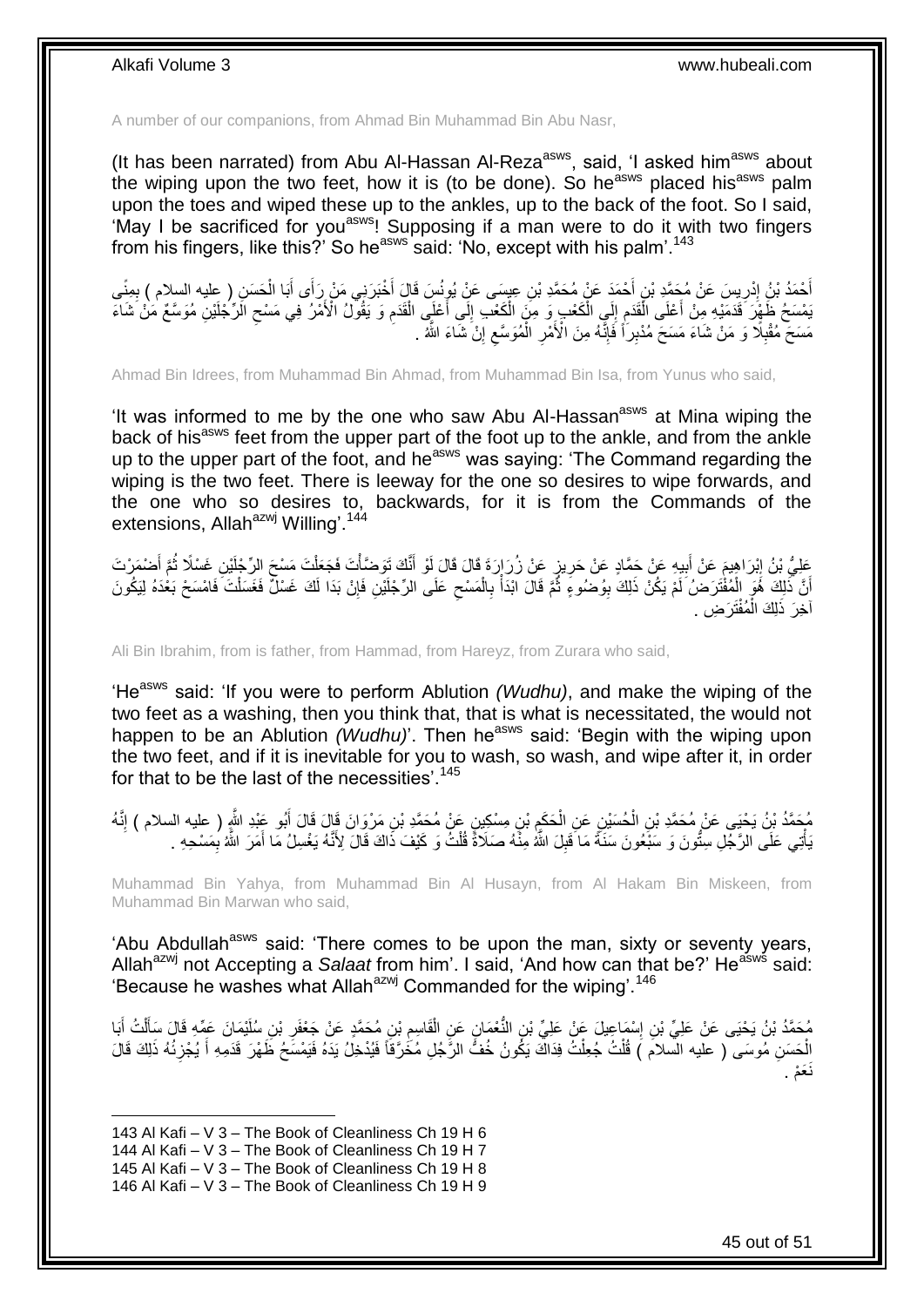A number of our companions, from Ahmad Bin Muhammad Bin Abu Nasr,

(It has been narrated) from Abu Al-Hassan Al-Reza<sup>asws</sup>, said, 'I asked him<sup>asws</sup> about the wiping upon the two feet, how it is (to be done). So he<sup>asws</sup> placed his<sup>asws</sup> palm upon the toes and wiped these up to the ankles, up to the back of the foot. So I said, 'May I be sacrificed for you<sup>asws</sup>! Supposing if a man were to do it with two fingers from his fingers, like this?' So he<sup>asws</sup> said: 'No, except with his palm'.<sup>143</sup>

أَحْمَدُ بْنُ إِدْرِيسَ عَنْ مُحَمَّدِ بْنِ أَحْمَدَ عَنْ مُحَمَّدِ بْنِ عِيِسَى عَنْ يُونُسَ قَالَ أَخْبَرَنِي مَنْ رَأَى أَبَا الْحَسَنِ ( عِليه السلام ) بِمِنًى َ َ َ **∶** יִי (ו ِ ْ ْبَعْسَحُ ظَفٍّرَ ۖ قَدَمَيْهِ مِنْ أَعْلَى الْقَدَمِ إِلَي الْكَعْبِ وَ مِنَ الْكَعْبَ إِلَى أَعْلَي الْقَدَمِ وَ يَقُولُ الْأَمْرُ فِي مَسْحِ الْرِّجُلَيْنِ مُوَسَّعٌ مَنْ شَاءَ ْ ِ ِ ْ َ ِ ِ ْ ا<br>أ ِ ْ مَّسَحَ مُقْدِلًا ۖ وَ مَنْ شَاءَ مَسَحَ مُدْبِرَ ۢا فَإِنَّهُ مِنَ الْأُمْرِ الْمُوَسَّعِ إِنْ شَاءَ الثَّهُ ۚ ِ ِ ْ **ٍ** ِ ِ

Ahmad Bin Idrees, from Muhammad Bin Ahmad, from Muhammad Bin Isa, from Yunus who said,

'It was informed to me by the one who saw Abu Al-Hassan<sup>asws</sup> at Mina wiping the back of his<sup>asws</sup> feet from the upper part of the foot up to the ankle, and from the ankle up to the upper part of the foot, and he<sup>asws</sup> was saying: 'The Command regarding the wiping is the two feet. There is leeway for the one so desires to wipe forwards, and the one who so desires to, backwards, for it is from the Commands of the extensions, Allah $a^{2}$ <sup>azwj</sup> Willing'.<sup>144</sup>

عَلِيُّ بْنُ إِبْرَاهِيمَ عَنْ أَبِيهِ عَنْ حَمَّادٍ عَنْ خَرِيزٍ عَنْ زُرَارَةَ قَالَ قَالَ أَوْ أَنَّكَ تَوَصَنَّأْتَ فَجَعَلْتَ مَسْحَ الرِّجْلَيْنِ غَسْلًا ثُمَّ أَصْمَرْتَ<br>يَحِفُّ بَيْنَ إِبْرَاهِيمَ عَنْ أَبِيهِ عَنْ ֦֦֧֦֧֦֧֦֧֦֧֦ׅ֦֧֦ׅ֦֧ׅ֦֧֦֧֦֧֦֧֦֧֦֧֦֚֚֚֚֚֝֝֝֜֜֓֜֓֡ ْ ْ َ ِ ِ َ َ ُ لَ أَنَّ ذَٰلِكَ هُوَ الْمُفْْتَرَضُ لَمْ يَكُنْ ذَلِكَ بِوُضْوءٍ ثُمَّ قَالَ ابْدَأْ بِالْمَسْحِ عَلَى الرِّجْلَيْنِ فَإِنْ بَدَا لَكَ غَسْلٌ فَغَسَلْتَ فَامْسَحْ بَغْدَهُ لِيَكُونَ ِ ْ **∶**  $\frac{1}{2}$ ُ ِ ْ ْ ِ أخِرَ ذَلِكَ الْمُفْتَرَضِ . ْ

Ali Bin Ibrahim, from is father, from Hammad, from Hareyz, from Zurara who said,

'He<sup>asws</sup> said: 'If you were to perform Ablution *(Wudhu)*, and make the wiping of the two feet as a washing, then you think that, that is what is necessitated, the would not happen to be an Ablution *(Wudhu)*'. Then he<sup>asws</sup> said: 'Begin with the wiping upon the two feet, and if it is inevitable for you to wash, so wash, and wipe after it, in order for that to be the last of the necessities'.<sup>145</sup>

مُحَمَّدُ بْنُ يَحْيَى عَنْ مُحَمَّدِ بْنِ الْحُسَيْنِ عَنِ الْحَكَمِ بْنٍ مِسْكِينٍ عَنْ مُحَمَّدِ بْنِ مَرْوَانَ قَالَ أَبُو عَبْدِ اللَّهِ ( عليه السلام ) إِنَّهُ ِ ْ ْ ِ َ يَاْتِي عَلَى الرَّجُّلِ سِتُّونَ وَ سَبْعُونَ سَنَّةً مَا ۖ قَبِلَ اللَّهُ مِنَّهُ صَلاَةً قُلْتُ وَ كَيْفَ ذَاكَ قَالَ لِأَنَّهُ يَغْسِلُ مَا أَمَرَ اللَّهُ بِمَسْحِهِ . ֧֖֦֧֦֧֦֧֦֧֦֧֦֦֦֦֦֦֦֧֧֦֧֝֟֓֓֓֓֓֓֓֓֓֓֓֓֓֓֓֡֟֓֓֓֓֓֓֓֓֓֓֓֡֓֓֡֓֓֡֓֓֡֓֓֡֬֓֓֡֡֬֓֓֡֡֬֓֓ ْ **!** ِ َ

Muhammad Bin Yahya, from Muhammad Bin Al Husayn, from Al Hakam Bin Miskeen, from Muhammad Bin Marwan who said,

'Abu Abdullah<sup>asws</sup> said: 'There comes to be upon the man, sixty or seventy years, Allah<sup>azwj</sup> not Accepting a *Salaat* from him'. I said, 'And how can that be?' He<sup>asws</sup> said: 'Because he washes what Allah<sup>azwj</sup> Commanded for the wiping'.<sup>146</sup>

مُحَمَّدُ بْنُ يَحْيَى عَنْ عَلِيٍّ بْنِ إِسْمَاعِيلَ عَنْ عَلِيٍّ بْنِ النَّعْمَانِ عَنِ الْقَاسِمِ بْنِ مُحَمَّدٍ عَنْ جَعْفَرِ بْنِ سُلَيْمَانَ عَمِّهِ قَالَ سَأَلْتُ أَبَا<br>مُحَمَّدُ بْنُ يَحْيَى عَنْ عَلِيٍّ بْنِ إِسْم **∶** ِ ْ ِ َ ْ َ اِلْحَسَنِ مُوسَى ۖ ( عليه السّلامَ ) قُلْتُ جُعِلْتُ فِدَاكَ يَكُونُ خُفٌّ الرَّجُلِ مُخَرَّقَاً فَيُدْخِلُ يَدَهُ فَيَمْسَحُ ظَهْرَ قَدَمِهِ أَ يُجْزِئُهُ ذَلِكَ قَالَ ْ ْ ِ َ نَعَمْ .

143 Al Kafi – V 3 – The Book of Cleanliness Ch 19 H 6

<sup>144</sup> Al Kafi – V 3 – The Book of Cleanliness Ch 19 H 7

<sup>145</sup> Al Kafi – V 3 – The Book of Cleanliness Ch 19 H 8

<sup>146</sup> Al Kafi – V 3 – The Book of Cleanliness Ch 19 H 9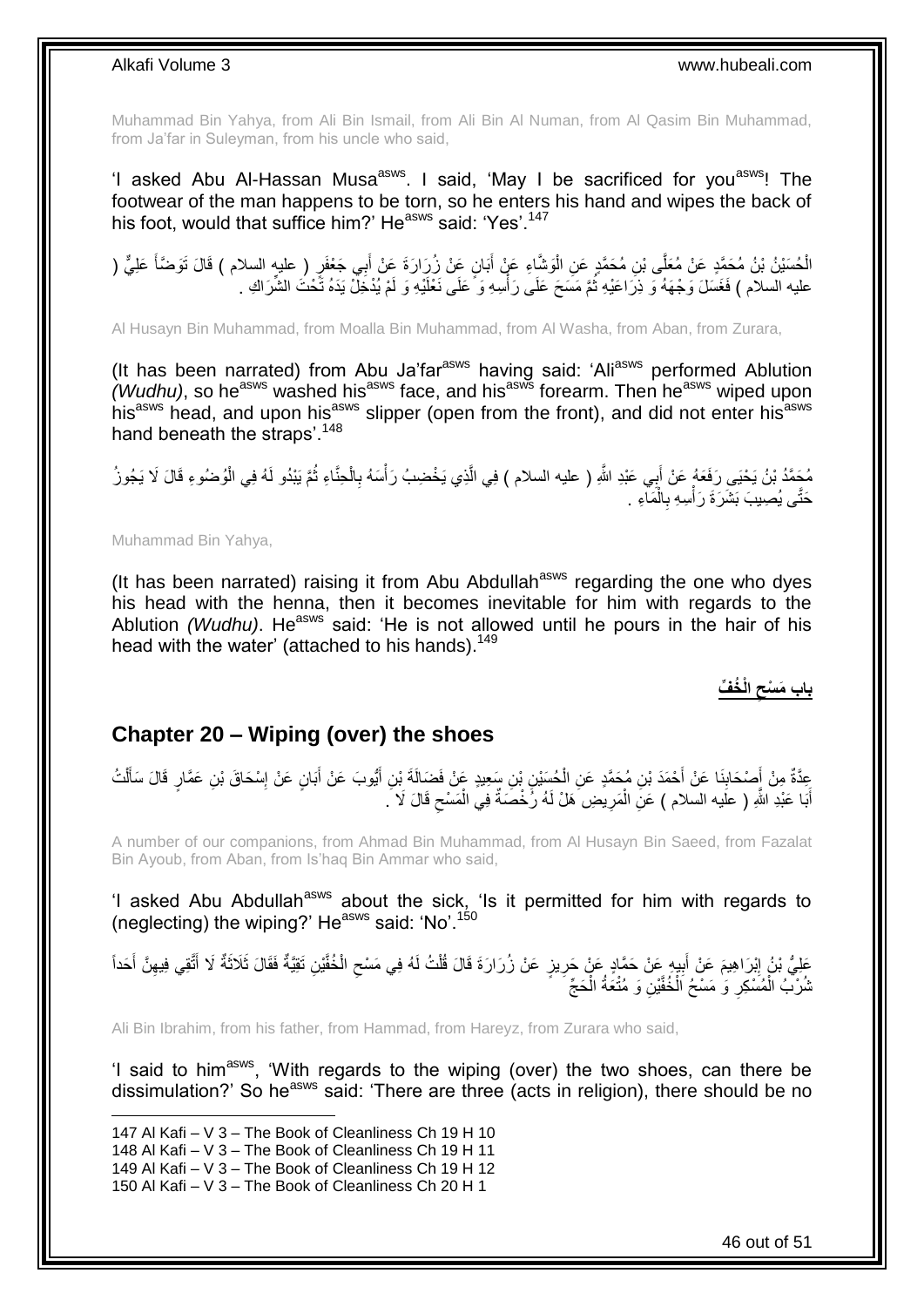Muhammad Bin Yahya, from Ali Bin Ismail, from Ali Bin Al Numan, from Al Qasim Bin Muhammad, from Ja'far in Suleyman, from his uncle who said,

'I asked Abu Al-Hassan Musa<sup>asws</sup>. I said, 'May I be sacrificed for you<sup>asws</sup>! The footwear of the man happens to be torn, so he enters his hand and wipes the back of his foot, would that suffice him?' He<sup>asws</sup> said: 'Yes'.<sup>147</sup>

الْحُسَيْنُ بْنُ مُحَمَّدٍ عَنْ مُعَلَّى بْنِ مُحَمَّدٍ عَنِ الْوَشَّاءِ عَنْ أَبَانٍ عَنْ زُِرَارَةَ عَنْ أَبِي جَعْفَرٍ ( عليه السلام ) قَالَ تَوَضَّأَ عَلِيٌّ ( ْ َ َ َ عليه السلام ) فَغَسَلَ وَجْهَهُ وَ ذِرَاعَيْهِ ثُمَّ مَسَحَ عَلَى رَأْسِهِ وَ عَلَى نَعْلَيْهِ وَ لَمْ يُذْخِلْ يَدَهُ تَّحْتَ الشَّرَاكِ . :<br>أ ُ

Al Husayn Bin Muhammad, from Moalla Bin Muhammad, from Al Washa, from Aban, from Zurara,

(It has been narrated) from Abu Ja'far<sup>asws</sup> having said: 'Ali<sup>asws</sup> performed Ablution *(Wudhu)*, so he<sup>asws</sup> washed his<sup>asws</sup> face, and his<sup>asws</sup> forearm. Then he<sup>asws</sup> wiped upon his<sup>asws</sup> head, and upon his<sup>asws</sup> slipper (open from the front), and did not enter his<sup>asws</sup> hand beneath the straps'.<sup>148</sup>

مُحَمَّدُ بْنُ يَحْيَى رَفَعَهُ عَنْ أَبِي عَبْدِ اللَّهِ ( عليه السلام ) فِي الَّذِي يَخْضِبُ رَأْسَهُ بِالْحِنَّاءِ ثُمَّ يَبْدُو لَهُ فِي الْوُضُوءِ قَالَ لَا يَجُوزُ ا دیکھیے ْ ِ **ٔ** َّ َ ْ حَتَّى يُصِيبَ بَشَرَةَ رَأْسِهِ بِالْمَآءِ <sub>.</sub> ْ ِ

Muhammad Bin Yahya,

(It has been narrated) raising it from Abu Abdullah<sup>asws</sup> regarding the one who dyes his head with the henna, then it becomes inevitable for him with regards to the Ablution *(Wudhu)*. He<sup>asws</sup> said: 'He is not allowed until he pours in the hair of his head with the water' (attached to his hands).<sup>149</sup>

> **الْ ُخ ِّف باب َم ْسح ِ**

### <span id="page-45-0"></span>**Chapter 20 – Wiping (over) the shoes**

عِدَّةٌ مِنْ أَصْحَابِذَا عَنْ أَحْمَدَ بْنِ مُحَمَّدٍ عَنِ الْحُسَيْنِ بْنِ سَعِيدٍ عَنْ فَضَالَةَ بْنِ أَيُّوبَ عَنْ أَبَانٍ عَنْ إِسْحَاقَ بْنِ عَمَّارٍ قَالَ سَأَلْتُ ْ َ ِ َ ْ َ ِ َ َ أَبَا عَبْدِ اللَّهِ ( علَيه السلام ) عَنِ الْمَرِيضِ هَلْ لَهُ رُخْصَنَةٌ فِي الْمَسْحِ قَالَ لَا َ  $\zeta$ ْ ِ ْ َ

A number of our companions, from Ahmad Bin Muhammad, from Al Husayn Bin Saeed, from Fazalat Bin Ayoub, from Aban, from Is'haq Bin Ammar who said,

'I asked Abu Abdullah<sup>asws</sup> about the sick, 'Is it permitted for him with regards to (neglecting) the wiping?' He<sup>asws</sup> said: 'No'.<sup>150</sup>

عَلِيُّ بْنُ إِبْرَاهِيمَ عَنْ أَبِيهٍ عَنْ حَمَّادٍ عَنْ حَرِيزٍ عَنْ زُرَارَةَ قَالَ قُلْتُ لَهُ فِي مَسْحِ الْخُفَّيْنِ تَقِيَّةٌ فَقَالَ ثَلَاثَةٌ لَا أَتَّقِي فِيهِنَّ أَحَداً ِ َ ِ ِ َ َ ِ ْ ِ َ ثْلُرْبُ الْمُسْكِرِ وَٰ مَسْحُ الْخُفَّيْنِ وَ مُتْعَةُ الْحَجِّ ْ ِ ْ

Ali Bin Ibrahim, from his father, from Hammad, from Hareyz, from Zurara who said,

'I said to him<sup>asws</sup>, 'With regards to the wiping (over) the two shoes, can there be dissimulation?' So he<sup>asws</sup> said: 'There are three (acts in religion), there should be no

1 Al Kafi – V 3 – The Book of Cleanliness Ch 19 H 10 Al Kafi – V 3 – The Book of Cleanliness Ch 19 H 11 Al Kafi – V 3 – The Book of Cleanliness Ch 19 H 12 Al Kafi – V 3 – The Book of Cleanliness Ch 20 H 1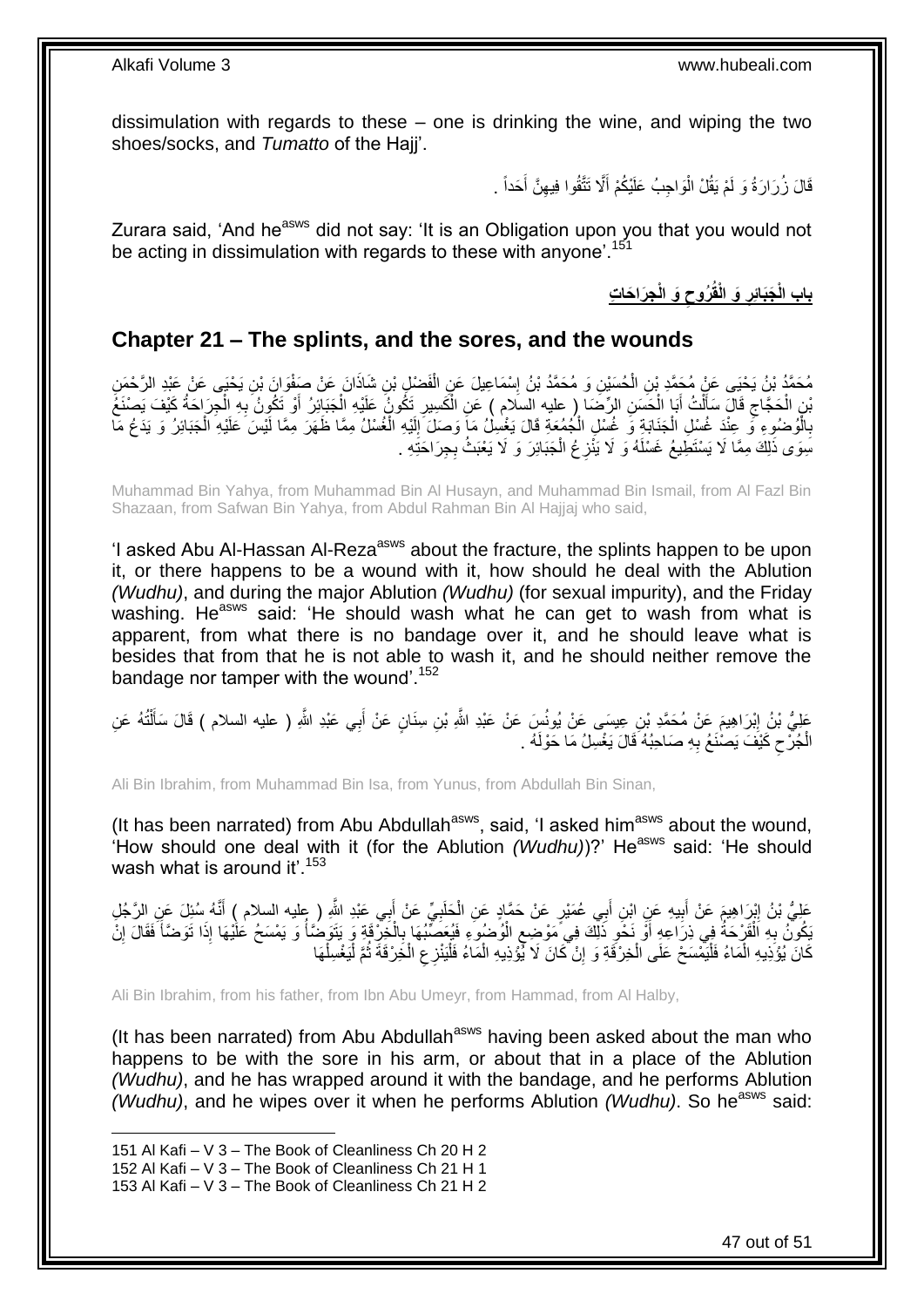dissimulation with regards to these – one is drinking the wine, and wiping the two shoes/socks, and *Tumatto* of the Hajj'.

> قَالَ زُرَارَةُ وَ لَمْ يَقُلْ الْوَاجِبُ عَلَيْكُمْ أَلَّا تَتَّقُوا فِيهِنَّ أَحَداً . ا<br>ا ِ :<br>ا

Zurara said, 'And he<sup>asws</sup> did not say: 'It is an Obligation upon you that you would not be acting in dissimulation with regards to these with anyone'.<sup>151</sup>

> **ِج َرا َحا ِت َو الْ ُروح َو الْقُ َجَبائِر باب الْ ِ ِ**

## <span id="page-46-0"></span>**Chapter 21 – The splints, and the sores, and the wounds**

مُحَمَّدُ بْنُ يَحْيَى عَنٍْ مُحَمَّدِ بْنِ الْحُسَيْنِ وَ مُحَمَّدُ بْنُ إِسْمَاعِيلَ عَنِ الْفَضْلِ بْنِ شَاذَانَ عَنْ صَفْوَانَ بْنِ يَحْيَى عَنْ عَيْدِ الرَّحْمَنِ ْ ِ ْ َّنِيْ الْحَجَّاجِ قَالَ سَأَلْتُ أَبَا الْحَسَنِ الرِّضَا ( عليه السلام ) عَنِ الْكَسِيرِ تَكُونُ عَلَيْهِ الْجَبَائِرُ أَوْ تَكُونُ بِهِ الْجِرَاحَةُ كَيْفَ يَصْنَعُ َ ْ **∶** ْ ْ َ ْ َ ِ ْ ْ **∶** بِالْوُصْوِءِ فَى عِنْدَ غُسْلِ الْجَنَابَةِ وَ غُسْلِ الْجُمُعَةِ قَالَ يَغْسِلْ مَإِ وَصَلَ إِلَيْهِ الْغُسْلُ مِمَّا ظَهَرَ مِمَّا لَيْسَ عَلَيْهِ الْجَبَائِرُ وَ يَدَعُ مَا ْ ِ ْ لَ ِ ْ ْ ْ لِّمِوَى ذَٰلِكَ مِمَّا لَا يَسْتَطِيعُ غَسْلَهُ وَ لَا يَنْزِعُ الْجَبَائِرَ وَ لَا يَعْبَثُ بِجِرَاحَتِهِ . ْ **∶** 

Muhammad Bin Yahya, from Muhammad Bin Al Husayn, and Muhammad Bin Ismail, from Al Fazl Bin Shazaan, from Safwan Bin Yahya, from Abdul Rahman Bin Al Hajjaj who said,

'I asked Abu Al-Hassan Al-Reza<sup>asws</sup> about the fracture, the splints happen to be upon it, or there happens to be a wound with it, how should he deal with the Ablution *(Wudhu)*, and during the major Ablution *(Wudhu)* (for sexual impurity), and the Friday washing. He<sup>asws</sup> said: 'He should wash what he can get to wash from what is apparent, from what there is no bandage over it, and he should leave what is besides that from that he is not able to wash it, and he should neither remove the bandage nor tamper with the wound'.<sup>152</sup>

عَلِيُّ بْنُ إِبْرَاهِيمَ عَنْ مُحَمَّدِ بْنِ عِيسَى عَنْ يُونُسَ عَنْ عَبْدِ اللَّهِ بْنِ سِنَانٍ عَنْ أَبِي عَبْدِ اللَّهِ ( عليه السلام ) قَالَ سَأَلْتُهُ عَنِ ِ ْ اً ا َ الْجُرْحِ كَيْفَ يَصْنَعُ بِهِ صَاحِبُهُ قَالَ يَغْسِلُ مَا حَوْلَهُ . **∶**  $\zeta$ ْ

Ali Bin Ibrahim, from Muhammad Bin Isa, from Yunus, from Abdullah Bin Sinan,

(It has been narrated) from Abu Abdullah<sup>asws</sup>, said, 'I asked him<sup>asws</sup> about the wound, 'How should one deal with it (for the Ablution *(Wudhu)*)?' He<sup>asws</sup> said: 'He should wash what is around it'.<sup>153</sup>

عَلِيُّ بْنُ إِبْرَاهِيمَ عَنْ أَبِيهِ عَنٍ ابْنِ أَبِي عُمَيْرٍ عَنْ حَمَّادٍ عَنِ الْحَلَبِيِّ عَنْ أَبِي عَبْدِ اللَّهِ ( عليه السلام ) أَنَّهُ سُئِلَ عَنِ الرَّجُلِ َ **!** ِ َ َ ِ ْ ُ َيَكُونُ بِهِ اَلْقَرْحَةُ فِي ذِرَاعِهِ أَوْ نَحْوِ ذَلِّكَ فِي مَوْضِعِ الْوُضُوَءِ فَيُعَصِّبُهَا بِالْخِرْقَةِ وَ يَتَوَضُّأُ وَ يَمْسَحُ عَلَيْهَا إِذَا تَوَضَّأُ فَقَالَ إِنْ ْ ِ ْ ِ اً<br>ا ْ ِ َ ِ ْ كَانَ يُؤُذِيهِ الْمَاءُ فَلْيَمْسَحْ عَلَى الْخِرْقَةِ وَ إِنْ كَانَ لَا يُّؤْذِيهِ الْمَاءُ فَلْيَنْزِ عِ الْخِرْقَةَ ثَمَّ لْيَغْسِلْهَا ُ ْ ِ ْ ْ ِ ْ ا<br>ا ْ ْ

Ali Bin Ibrahim, from his father, from Ibn Abu Umeyr, from Hammad, from Al Halby,

(It has been narrated) from Abu Abdullah<sup>asws</sup> having been asked about the man who happens to be with the sore in his arm, or about that in a place of the Ablution *(Wudhu)*, and he has wrapped around it with the bandage, and he performs Ablution *(Wudhu)*, and he wipes over it when he performs Ablution *(Wudhu)*. So he<sup>asws</sup> said:

<sup>151</sup> Al Kafi – V 3 – The Book of Cleanliness Ch 20 H 2

<sup>152</sup> Al Kafi – V 3 – The Book of Cleanliness Ch 21 H 1

<sup>153</sup> Al Kafi – V 3 – The Book of Cleanliness Ch 21 H 2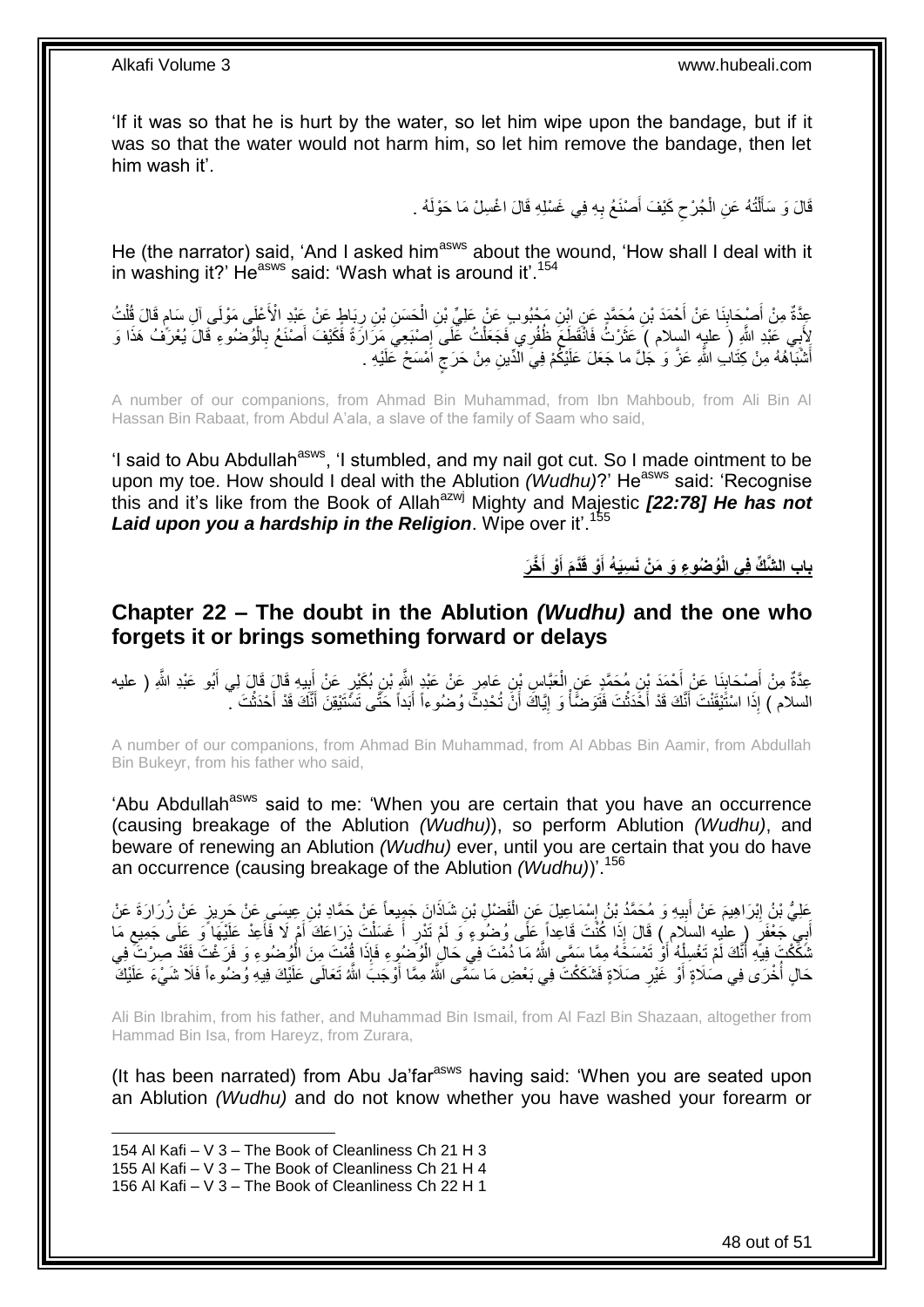'If it was so that he is hurt by the water, so let him wipe upon the bandage, but if it was so that the water would not harm him, so let him remove the bandage, then let him wash it'.

> قَالَ وَ سَأَلْتُهُ عَنِ الْجُرْحِ كَيْفَ أَصْنَعُ بِهِ فِي غَسْلِهِ قَالَ اغْسِلْ مَا حَوْلَهُ . ْ ֦֧֦֧֦֦֧֦֦֦֦֦֦֦֦֦֦֦֦֦֦֦֦֦֦֦֧֦֧֦֦֧֦֪֪֦֪֪֦֧֦֪֦֦֧֦֦֧֦֧֦֪֪֦֧֦֧֦֧֦֧֦֪֪֪֦֟֟֟֟֟֟֟֟֟֟֟֟֟֟֓֕֟֟֓֕֟֓֟֓֞֟֝֟֓֟֓֞֓֞֟֓֞֟֟֓֞֟֟֟֓֞֟֟ َ ِ َ  $\zeta$

He (the narrator) said, 'And I asked him<sup>asws</sup> about the wound, 'How shall I deal with it in washing it?' He<sup>asws</sup> said: 'Wash what is around it'.<sup>154</sup>

عِدَّةٌ مِنْ أَصْدَابِنَا عَنْ أَحْمَدَ بْنِ مُحَمَّدٍ عَنِ ابْنِ مَحْبُوبِ عَنْ عَلِيِّ بْنِ الْحَسَنِ بْنِ رِبَاطٍ عَنْ عَبْدِ الْأَعْلَى مَوْلَى آلِ سَامٍ قَالَ قُلْتُ **∣** َ ْ **ื** ِ ْ ِ لأَبِي عَلَيْهِ اللَّهِ (َ عليهِ السلام ) عَثَرْتُ فَانْقَطَعَ ظُفُرِي فَجَعَلْتُ عَلَى إِصْبَعِي مَرَارَةً فَكَيْفَ أَصْنَعُ بِالْوُصْنُو ۚءِ قَالَ يُعْرَفُ هَذَا وَ<br>إِنَّهُمْ يَالُوصُنُو وَ قَالَ يُعْرَفُ مَنْ الْمَسْتَ ِ ْ ة<br>ا ْ أَشْبَاهُهُ مِنْ كِتَابِ اللَّهِ عَزَّ وَ جَلَّ ما جَعَلَ عَلَيْكُمْ فِيَ الْدِّينِ مِنْ حَرَجٍ اَمْسَحْ عَلَيْهِ . ٍ َ

A number of our companions, from Ahmad Bin Muhammad, from Ibn Mahboub, from Ali Bin Al Hassan Bin Rabaat, from Abdul A'ala, a slave of the family of Saam who said,

'I said to Abu Abdullah<sup>asws</sup>, 'I stumbled, and my nail got cut. So I made ointment to be upon my toe. How should I deal with the Ablution *(Wudhu)*?' He<sup>asws</sup> said: 'Recognise this and it's like from the Book of Allahazwj Mighty and Majestic *[22:78] He has not Laid upon you a hardship in the Religion*. Wipe over it'.<sup>155</sup>

> باب الشَّكِّ فِى الْوُصْوعِ وَ مَنْ نَسِيَهُ أَوْ قَدَّمَ أَوْ أَخَّرَ **َ َ َ**

## <span id="page-47-0"></span>**Chapter 22 – The doubt in the Ablution** *(Wudhu)* **and the one who forgets it or brings something forward or delays**

َ عِدَّةٌ مِنْ أَصِدَابِذَا عَنْ أَحْمَدَ بْنِ مُحَمَّدٍ عَنِ الْعَبَّاسِ بْنِ عَامِرٍ عَنْ عَبْدٍ اللَّهِ رَبِّ<br>عِدَّةٌ مِنْ أَصِدْ بَنِّهِ عَبْقَ أَحْمَدَ بْنِ مُحَمَّدٍ عَنِ الْعَبَّاسِ بْنِ عَامِرٍ عَنْ عَبْدِ اللَّهِ أ ْ َ **ِ** َ َ ِ السلام ) إِذَا اسْتَيْقَنْتَ أَنَّكَ قَدْ أَخَذَتْتَ فَتَوَضَّأْ وَ إِيَّاكَ أَنَّ تُحْدِثَّ وُضُوءاً أَبَداً حَتَّى تَسَّتَيْقِنَ أَنَّكَ قَدْ أَحْدَثْتَ بَ َ **ٔ** َ َ َ َ ֖֧֦֧֦֧֦֧֦֧֦֧֦֧֦֧ׅ֧֦֧֦֧ׅ֧֦֧֦֧֦֧֦֧֦֧֦֧֦֧֦֧֦֧֦֧֦֧֦֧֦֧֦֧֦֧֧֧֦֧֧֧֦֧֦֧֦֧֦֚֚֜֓֓֜֓֓֓֞֡֓֞֡֓֞֡֓֬֓֡֡֡֡ **Contracts** ْ َ

A number of our companions, from Ahmad Bin Muhammad, from Al Abbas Bin Aamir, from Abdullah Bin Bukeyr, from his father who said,

'Abu Abdullah<sup>asws</sup> said to me: 'When you are certain that you have an occurrence (causing breakage of the Ablution *(Wudhu)*), so perform Ablution *(Wudhu)*, and beware of renewing an Ablution *(Wudhu)* ever, until you are certain that you do have an occurrence (causing breakage of the Ablution *(Wudhu)*)'.<sup>156</sup>

َعْلِيُّ بْنُ إِبْرَاهِيمَ عَنْ أَبِيهِ وَ مُحَمَّدُ بْنُ إِسْمَاعِيلَ عَنِ الْفَضْلِ بْنِ شَاذَانَ جَمِيعاً عَنْ حَمَّادِ بْنِ عِيسَى عَنْ حَرِيزٍ عَنْ زُرَارَةَ عَنْ ْ ِ **!** َ ِ أَبِي جَعْفَرٍ ( عليه السلام ) قَالَ إِذَا كُنْتَ قَاعِداً عَلَى وُضِنُوءٍ وَ لَمْ تَدْرِ أَ غَسَلْتَ ذِرَاعَكَ أَمْ لَا فَأَعِدْ عَلَيْهَا وَ عَلَى جَمِيعِ مَا<br>أَبِي جَعْفَرٍ ( حليه السلام ) قَالَ إِذَا كُنْتَ قَاعِداً عَ َ ِ َ َ ْ َ ِ ثَنَّكُنْ فِيهِ أَنَّكَ لَمْ تَغْسِلْهُ أَوْ تَمْسَخَهُ مِمَّا سَمَّى اللَّهُ مَا دُمْتَ فِي حَالِ الْوُضُوءِ فَإِذَا فَهُنْ مِنَ الْوُضُوءِ وَ فَرَغْتَ فَقَدْ صِرْتَ فِي ْ َ ْ َ حَالٍ أُخْرَى فِي صُلَاةٍ أَوْ غَيْرِ صَلَاةٍ فَشَكَكْتَ فِي بَعْضِ مَا سَمَّى اللَّهُ مِمَّا أَوْجَبََ اللَّهُ تَعَالَى عَلَيْكَ فِيهِ وُضُوءاً فَلَا شَيْءَ عَلَيْكَ َ **∶** ا<br>ا

Ali Bin Ibrahim, from his father, and Muhammad Bin Ismail, from Al Fazl Bin Shazaan, altogether from Hammad Bin Isa, from Hareyz, from Zurara,

(It has been narrated) from Abu Ja'far<sup>asws</sup> having said: 'When you are seated upon an Ablution *(Wudhu)* and do not know whether you have washed your forearm or

154 Al Kafi – V 3 – The Book of Cleanliness Ch 21 H 3 155 Al Kafi – V 3 – The Book of Cleanliness Ch 21 H 4

1

156 Al Kafi – V 3 – The Book of Cleanliness Ch 22 H 1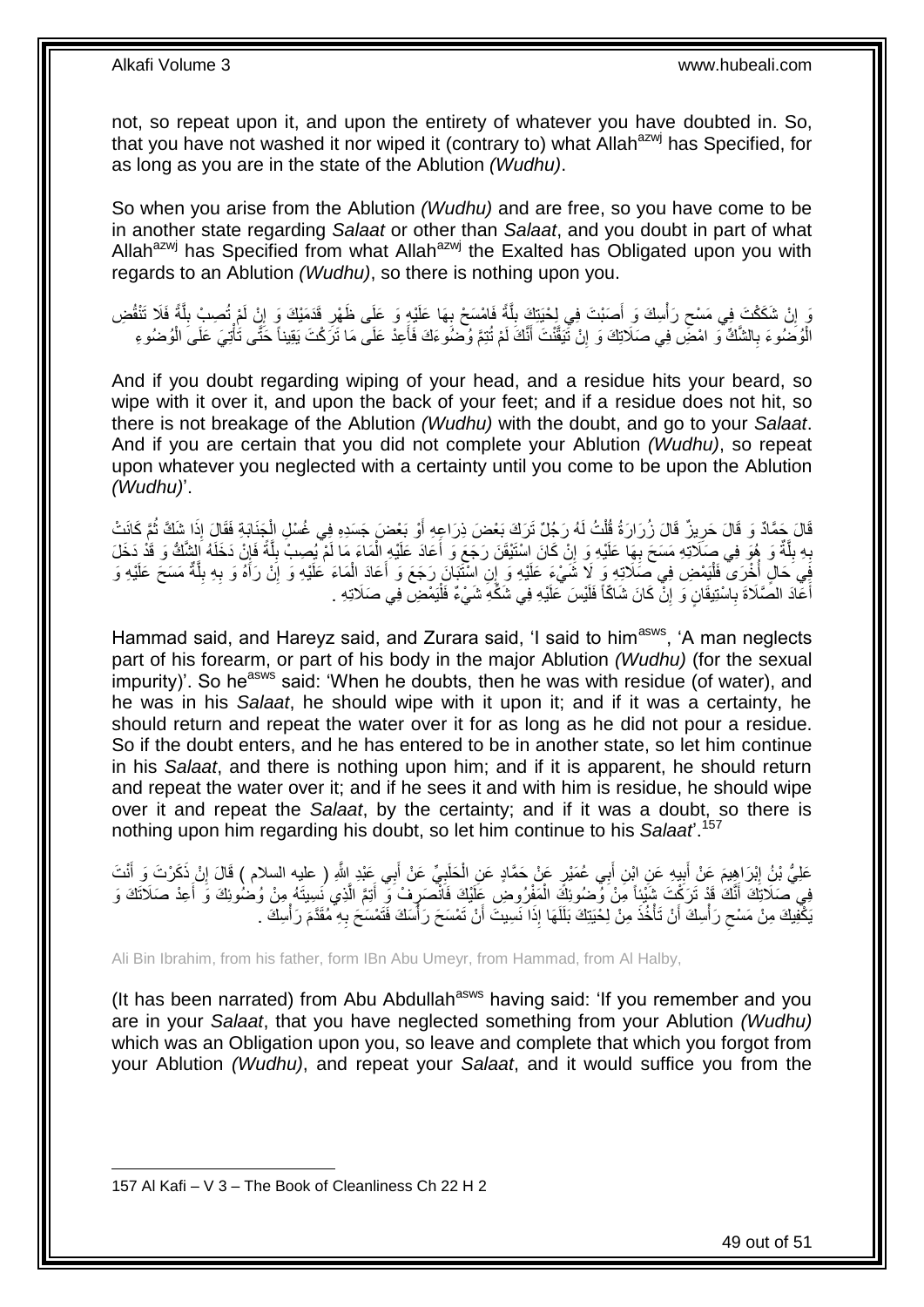not, so repeat upon it, and upon the entirety of whatever you have doubted in. So, that you have not washed it nor wiped it (contrary to) what Allah<sup>azwj</sup> has Specified, for as long as you are in the state of the Ablution *(Wudhu)*.

So when you arise from the Ablution *(Wudhu)* and are free, so you have come to be in another state regarding *Salaat* or other than *Salaat*, and you doubt in part of what Allah<sup>azwj</sup> has Specified from what Allah<sup>azwj</sup> the Exalted has Obligated upon you with regards to an Ablution *(Wudhu)*, so there is nothing upon you.

وَ إِنْ شَكَكْتَ فِي مَسْحِ رَأْسِكَ وَ أَصَبْتَ فِي لِحْيَتِكَ بِلَّهِ فَاهْسَحْ بِهَا عَلَيْهِ وَ عَلَى ظَهْرِ قَدَمَيْكَ وَ إِنْ لَمْ تُصِبْ بِلَّهُ فَلَا تَنْقُضِ ِ **∶** َّ ِ َ ֦֧֡֟֟֓֕<sup>֟</sup> ِ َّ ِ ِ الْوُضُوءَ بِالشَّكَّ وَ امْضِّ فِي صَلَاتِكَ وَ إِنْ تَيَقَّنْتَ أَنَّكَ لَمْ تُتِمَّ وُضْنُوءَكَ فَأَعِدْ عَلَى مَا تَرَكْتَ يَقِيناً حَتَّى تَأْتِيَ عَلَىَ الْوُضُوءِ َ ِ ِ ْ ْ َ

And if you doubt regarding wiping of your head, and a residue hits your beard, so wipe with it over it, and upon the back of your feet; and if a residue does not hit, so there is not breakage of the Ablution *(Wudhu)* with the doubt, and go to your *Salaat*. And if you are certain that you did not complete your Ablution *(Wudhu)*, so repeat upon whatever you neglected with a certainty until you come to be upon the Ablution *(Wudhu)*'.

ْ قَالَ حَمَّادٌ وَ قَالَ حَرِيزٌ قَالَ زُرَارَةُ قُلْتُ لَهُ رَجُلٌ تَرَكَ بَعْضَ ذِرَاعِهِ أَوْ بَعْضٍ جَسَدِهِ فِي غُسْلِ الْجَذَابَةِ فَقَالَ إِذَا شَكَّ ثُمَّ كَانَتْ َ ْ ِ ُ بِهِ بِلَّةٌ وَ هُوَ فِي صَلَاتِهِ مَسَحَ بِهَا عَلَيْهِ وَ إِنْ كَانَ اسْتَيْقَنَ رَجَعَ وَ أَعَادَ عَلَيْهِ الْمَاءَ مَا لَمْ يُصِبْ بِلَّةً فَإِنْ دَخَلَهُ الشَّلْقُ وَ قَدْ دَخَلَ ׀**ׇ ∶** َّ  $\frac{1}{2}$ **∶** اِ َّ ِ ْ َ فِي َحَالٍ أُخْرَى فَلْيَمْضِ فِي صَلَاتِهِ وَ لَا شَيْءَ عَلَيْهِ وَ إِن اسْتَبَانَ رَجَعَ وَ أَعَادَ الْمَاءَ عَلَيْهِ وَ إِنْ رَاَهُ وَ بِهِ بِلَّةٌ مَسَحَ عَلَيْهِ وَ :<br>ا .<br>ا َّ ِ **∶** ِ ْ َ أَعَّادَ الصَّلَاةَ بِاسْتِيقَانٍ وَ إِنَّ كَانَ شَاكًاً فَلَيْسَ عَلَيْهِ فِي شَكِّهِ شَيْءٌ فَلْيَمْضِ فِي صَلَاتِهِ . ِ **∶** َ ْ

Hammad said, and Hareyz said, and Zurara said, 'I said to him<sup>asws</sup>, 'A man neglects part of his forearm, or part of his body in the major Ablution *(Wudhu)* (for the sexual  $\overline{\mathbf{a}}$  impurity)'. So he<sup>asws</sup> said: 'When he doubts, then he was with residue (of water), and he was in his *Salaat*, he should wipe with it upon it; and if it was a certainty, he should return and repeat the water over it for as long as he did not pour a residue. So if the doubt enters, and he has entered to be in another state, so let him continue in his *Salaat*, and there is nothing upon him; and if it is apparent, he should return and repeat the water over it; and if he sees it and with him is residue, he should wipe over it and repeat the *Salaat*, by the certainty; and if it was a doubt, so there is nothing upon him regarding his doubt, so let him continue to his *Salaat*'.<sup>157</sup>

عَلِيُّ بْنُ إِبْرَاهِيمَ عَنْ أَبِيهِ عَنِ ابْنِ أَبِي عُمَيْرٍ عَنْ حَمَّادٍ عَنِ الْحَلَبِيِّ عَنْ أَبِي عَنْد اللَّهِ ( عليه السلام ) قَالَ إِنْ ذَكَرْتَ وَ أَنْتَ ِ َ יִי<br>: َ ِ َ ِ ْ َ فِي َصَلَاتِكَ أَنَّكَ قَدْ تَرَكْتَ شَنَّبِيًاً مِنْ وُضُوئِكَ الْمَفْرُوضِ عَلَيْكَ فَأَنْصَرِفْ وَ أَنِمَّ الَّذِي نَسِيتَهُ مِنْ وُضُوئِكَ وَ أَعِدْ صَلَاتَكَ وَ َّ َ ِ ْ َ َ يَكْفِيكَ مِنْ مَسْحِ رَأْسِكَ أَنْ تَأْخُذَ مِنْ لِحْيَتِكَ بَلَلَهَا إِذَا نَسِيتَ أَنْ تَمْسَحَ رَأْسَكَ فَتَمْسَحَ بِهِ مُقَدَّمَ رَأْسِكَ . ِ ا<br>أ َ لَ **ٔ** َ :<br>ا ِ **ٔ** 

Ali Bin Ibrahim, from his father, form IBn Abu Umeyr, from Hammad, from Al Halby,

(It has been narrated) from Abu Abdullah<sup>asws</sup> having said: 'If you remember and you are in your *Salaat*, that you have neglected something from your Ablution *(Wudhu)* which was an Obligation upon you, so leave and complete that which you forgot from your Ablution *(Wudhu)*, and repeat your *Salaat*, and it would suffice you from the

<sup>157</sup> Al Kafi – V 3 – The Book of Cleanliness Ch 22 H 2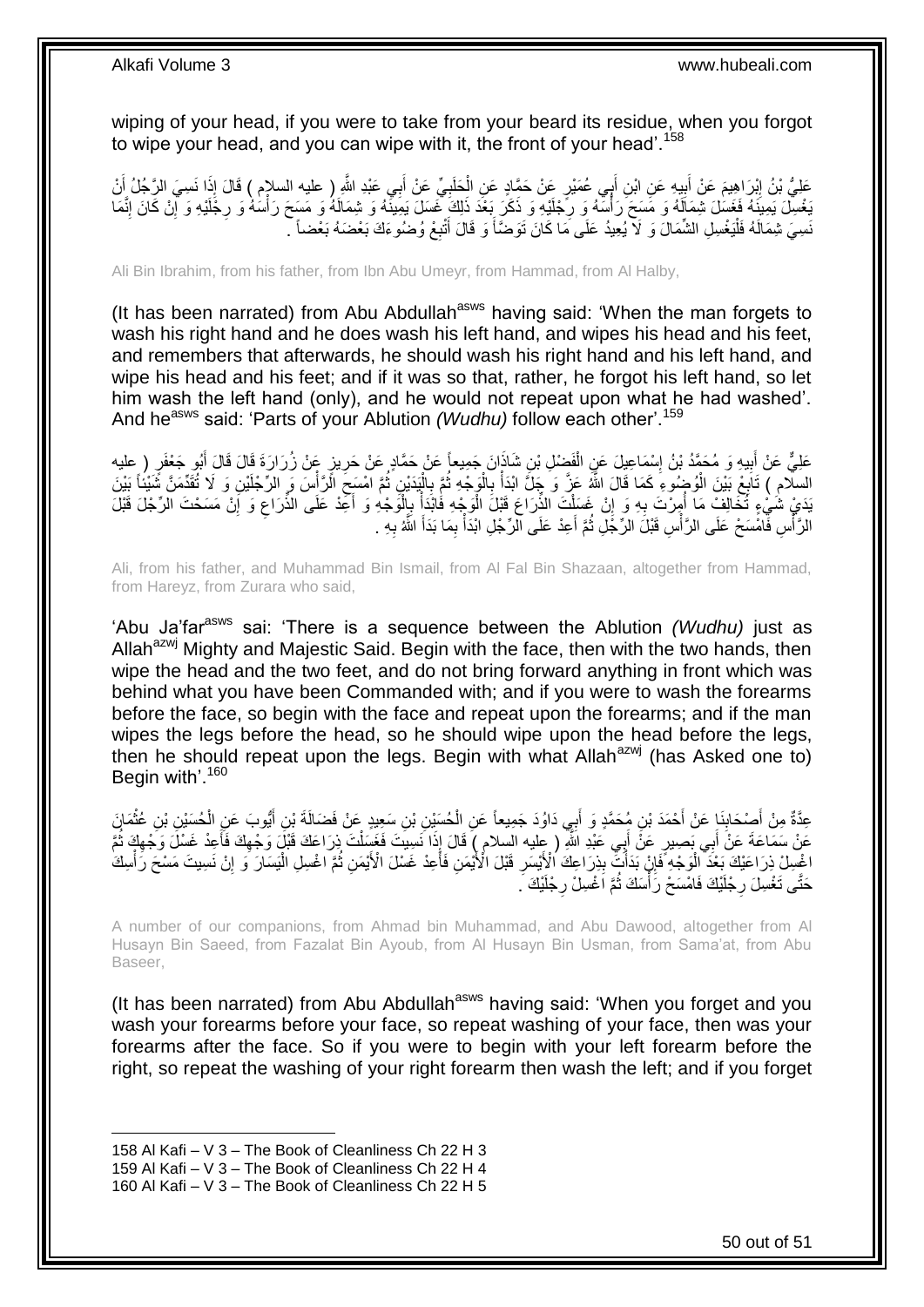wiping of your head, if you were to take from your beard its residue, when you forgot to wipe your head, and you can wipe with it, the front of your head'.<sup>158</sup>

عَلِيُّ بْنُ إِبْرَاهِيمَ عَنْ أَبِيهِ عَنِ ابْنِ أَبِي عُمَيْرٍ عَنْ حَمَّادٍ عَنِ الْجَلَبِيِّ عَنْ أَبِي عَبْدِ اللَّهِ ( عليه السلإم ) قَالَ إِذَا نَسِيَ الرَّجُلُ إِنَّ َ **∶** ْ َ **∣** َ َ يَعْسِلَ يَمِينَهُ فَغَسَلَ شِمَالَهُ وَ مَسَحَ رَأْسَهُ وَ رِجْلَيْهِ وَ ذَكَرَ بِعْدَ ذَلِكَ غَسَلَ يَمِينَهُ وَ شِمَالَهُ وَ مَسِحَ رَأْسَهُ وَ رِجْلَيْهِ وَ إِنْ كَانَ إِنَّمَا ; ْ ِ ِ ِ **ٔ** نَسِيَ شِمَالَهُ فَلْيَغْسِلِ الشُّمَالَ وَ لَا يُعِيدُ عَلَى مَا كَانَ تَوَصَّأُ وَ قَالَ أَنْبِعْ وُضُوءَكَ بَعْضَهُ بَعْضاً . ِ َ **∫** ا<br>ا

Ali Bin Ibrahim, from his father, from Ibn Abu Umeyr, from Hammad, from Al Halby,

(It has been narrated) from Abu Abdullah<sup>asws</sup> having said: 'When the man forgets to wash his right hand and he does wash his left hand, and wipes his head and his feet, and remembers that afterwards, he should wash his right hand and his left hand, and wipe his head and his feet; and if it was so that, rather, he forgot his left hand, so let him wash the left hand (only), and he would not repeat upon what he had washed'. And he<sup>asws</sup> said: 'Parts of your Ablution *(Wudhu)* follow each other'.<sup>159</sup>

عَلِيٌّ عَنْ أَبِيهِ وَ مُحَمَّدُ بْنُ إِسْمَاعِيلَ عَنِ الْفَضْلِ بْنِ شَاذَانَ جَمِيعاً عَنْ حَمَّادٍ عَنْ حَرِيزٍ عَنْ زُرَارَةَ قَالَ قَالَ أَبُو جَعْفَرٍ ( عليه **∶** ْ ِ **!** َ السلّامِ ) تَابِعْ بَيْنَ الْوُضُوعَ كَمَا قَالَ اللَّهُ عَنَّ وَ جَلَّ ابْدَأْ بِالْوَجْهِ ثُمَّ بِالْبَدَيْنِ ثُمَّ اهْسَعَ الرَّأْسَ وَ الرِّجْلَيْنِ وَ لَا تُقَدِّمَنَّ شَيْئِنَا بَيْنَ ْ ِ **ٔ** ِ ُ ْ **∶** ُ ْ ِ ْ يَدَيْ شُيْءٍ ثَخَالِفْ مَا أُمِرْتَ بِهِ وَ إِنْ غَسَلْتَ الذِّرَاعَ قَبْلَ الْوَجْهِ فَابْذَأِ بِالْوَجْهِ وَ أَعِدْ عَلَى الذِّرَاع وَ إَنْ مَسَحْتَ الرِّجْلَ قَبْلَ ِ َ ْ ِ ْ ْ ْ ِ **∶** ا<br>ا ِ الرَّأْسِ فَّامُسَحْ عَلَى الرَّأْسِ قَبْلَ الرِّجَلِ ثُمَّ أَعِدْ عَلَى الرِّجْلِ ابْدَأْ بِمَا بَدَأَ اللَّهُ بِهِ . **∶** ِ *<u>t</u>* َ ُ ا<br>ا ر<br>ا

Ali, from his father, and Muhammad Bin Ismail, from Al Fal Bin Shazaan, altogether from Hammad, from Hareyz, from Zurara who said,

'Abu Ja'far<sup>asws</sup> sai: 'There is a sequence between the Ablution *(Wudhu)* just as Allah<sup>azwj</sup> Mighty and Majestic Said. Begin with the face, then with the two hands, then wipe the head and the two feet, and do not bring forward anything in front which was behind what you have been Commanded with; and if you were to wash the forearms before the face, so begin with the face and repeat upon the forearms; and if the man wipes the legs before the head, so he should wipe upon the head before the legs, then he should repeat upon the legs. Begin with what Allah<sup>azwj</sup> (has Asked one to) Begin with'.<sup>160</sup>

عِدَّةٌ مِنْ أَصِدَابِنَا عَنْ أَحْمَدَ بْنِ مُحَمَّدٍ وَ أَبِي دَاوُدَ جَمِيعاً عَنِ الْحُسَيْنِ بْنِ سَعِيدٍ عَنْ فَضَالَةَ بْنِ أَيُّوبَ عَنِ الْحُسَيْنِ بْنِ عُثْمَانَ ْ َ َ ِ َ ْ َ ْ عَنْ سَمَاعَةَ عَنْ أَبِي بَصِيرٍ عَنْ أَبِي عَبْدِ اللَّهِ ( عِليه السلام ) قَالَ إِذَا نَسِيتَ فَغَسَلْتَ ذِرَاعَكَ قَبْلَ وَجْهِكَ فَأَعِدْ غَسْلَ وَجْهِكَ أُمَّ ْ َ ُ ِ َ ِ اغْسِلْ ذِرَاعَيْكَ بَعْدَ الْوَجْهِ فَإِنْ بَذَأَبَ بِذِرَاعِكَ الْأَيْسَرِ قَبْلَ الْأَيْمَنِ فَأَعِدْ غَسْلَ الْأَيْمَنِ الْأَيْمَالِ الْمَنْ مَعْلَمَ الْأَيْمَالِ الْمَنْ فَتَمْ اغْسِل الْمَسَالَ وَ إِنْ نَسِيتَ مَسْحَ ِ م<br>ا ِ ا<br>ا ْ ِ ْ ا پایا<br>ا َ ِ حَتَّى تَغْسِلَ رِجْلَيْكَ فَامْسَحْ رَأْسَكَ ثُمَّ اَغْسِلْ رِجْلَيْكَ ۗ. ِ .<br>• • • • ا<br>المسلمان<br>المسلمان ِ

A number of our companions, from Ahmad bin Muhammad, and Abu Dawood, altogether from Al Husayn Bin Saeed, from Fazalat Bin Ayoub, from Al Husayn Bin Usman, from Sama'at, from Abu Baseer,

(It has been narrated) from Abu Abdullah<sup>asws</sup> having said: 'When you forget and you wash your forearms before your face, so repeat washing of your face, then was your forearms after the face. So if you were to begin with your left forearm before the right, so repeat the washing of your right forearm then wash the left; and if you forget

<sup>158</sup> Al Kafi – V 3 – The Book of Cleanliness Ch 22 H 3 159 Al Kafi – V 3 – The Book of Cleanliness Ch 22 H 4 160 Al Kafi – V 3 – The Book of Cleanliness Ch 22 H 5